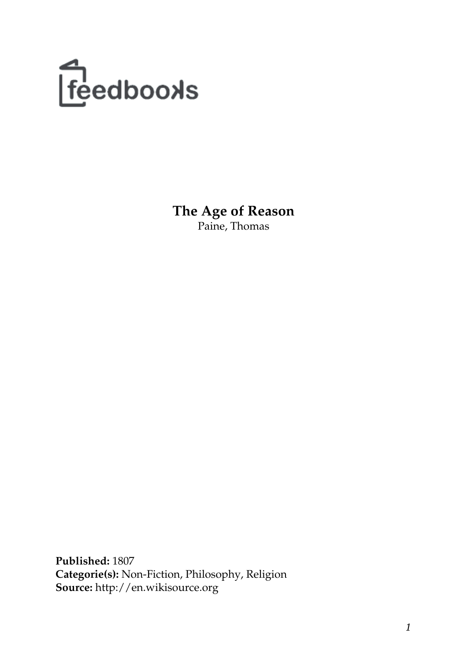

**The Age of Reason** Paine, Thomas

**Published:** 1807 **Categorie(s):** Non-Fiction, Philosophy, Religion **Source:** http://en.wikisource.org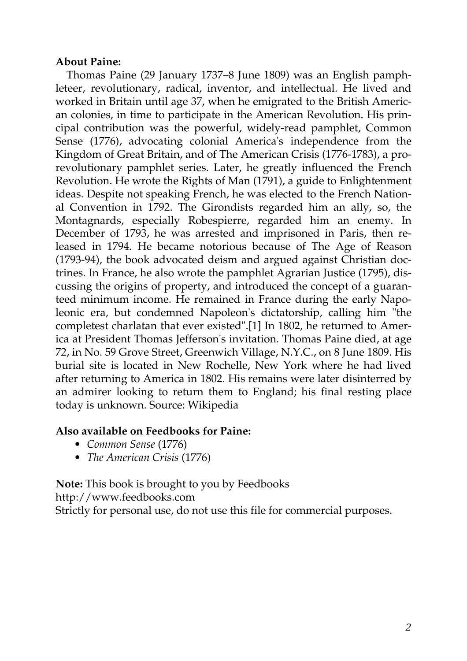### **About Paine:**

Thomas Paine (29 January 1737–8 June 1809) was an English pamphleteer, revolutionary, radical, inventor, and intellectual. He lived and worked in Britain until age 37, when he emigrated to the British American colonies, in time to participate in the American Revolution. His principal contribution was the powerful, widely-read pamphlet, Common Sense (1776), advocating colonial America's independence from the Kingdom of Great Britain, and of The American Crisis (1776-1783), a prorevolutionary pamphlet series. Later, he greatly influenced the French Revolution. He wrote the Rights of Man (1791), a guide to Enlightenment ideas. Despite not speaking French, he was elected to the French National Convention in 1792. The Girondists regarded him an ally, so, the Montagnards, especially Robespierre, regarded him an enemy. In December of 1793, he was arrested and imprisoned in Paris, then released in 1794. He became notorious because of The Age of Reason (1793-94), the book advocated deism and argued against Christian doctrines. In France, he also wrote the pamphlet Agrarian Justice (1795), discussing the origins of property, and introduced the concept of a guaranteed minimum income. He remained in France during the early Napoleonic era, but condemned Napoleon's dictatorship, calling him "the completest charlatan that ever existed".[1] In 1802, he returned to America at President Thomas Jefferson's invitation. Thomas Paine died, at age 72, in No. 59 Grove Street, Greenwich Village, N.Y.C., on 8 June 1809. His burial site is located in New Rochelle, New York where he had lived after returning to America in 1802. His remains were later disinterred by an admirer looking to return them to England; his final resting place today is unknown. Source: Wikipedia

### **Also available on Feedbooks for Paine:**

- *[Common Sense](http://generation.feedbooks.com/book/2850.pdf)* (1776)
- *[The American Crisis](http://generation.feedbooks.com/book/4901.pdf)* (1776)

**Note:** This book is brought to you by Feedbooks <http://www.feedbooks.com> Strictly for personal use, do not use this file for commercial purposes.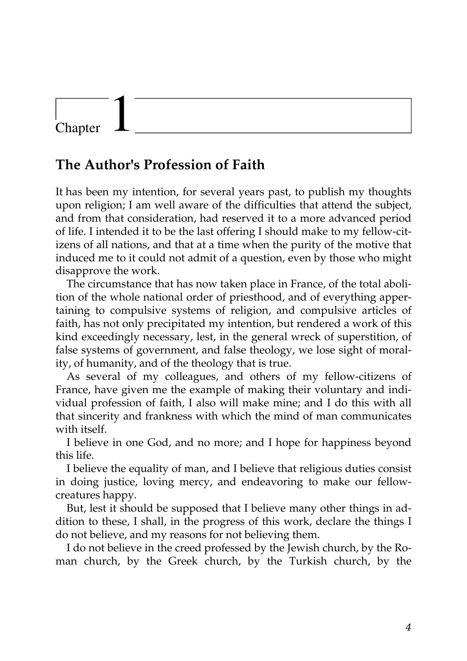## **The Author's Profession of Faith**

It has been my intention, for several years past, to publish my thoughts upon religion; I am well aware of the difficulties that attend the subject, and from that consideration, had reserved it to a more advanced period of life. I intended it to be the last offering I should make to my fellow-citizens of all nations, and that at a time when the purity of the motive that induced me to it could not admit of a question, even by those who might disapprove the work.

The circumstance that has now taken place in France, of the total abolition of the whole national order of priesthood, and of everything appertaining to compulsive systems of religion, and compulsive articles of faith, has not only precipitated my intention, but rendered a work of this kind exceedingly necessary, lest, in the general wreck of superstition, of false systems of government, and false theology, we lose sight of morality, of humanity, and of the theology that is true.

As several of my colleagues, and others of my fellow-citizens of France, have given me the example of making their voluntary and individual profession of faith, I also will make mine; and I do this with all that sincerity and frankness with which the mind of man communicates with itself.

I believe in one God, and no more; and I hope for happiness beyond this life.

I believe the equality of man, and I believe that religious duties consist in doing justice, loving mercy, and endeavoring to make our fellowcreatures happy.

But, lest it should be supposed that I believe many other things in addition to these, I shall, in the progress of this work, declare the things I do not believe, and my reasons for not believing them.

I do not believe in the creed professed by the Jewish church, by the Roman church, by the Greek church, by the Turkish church, by the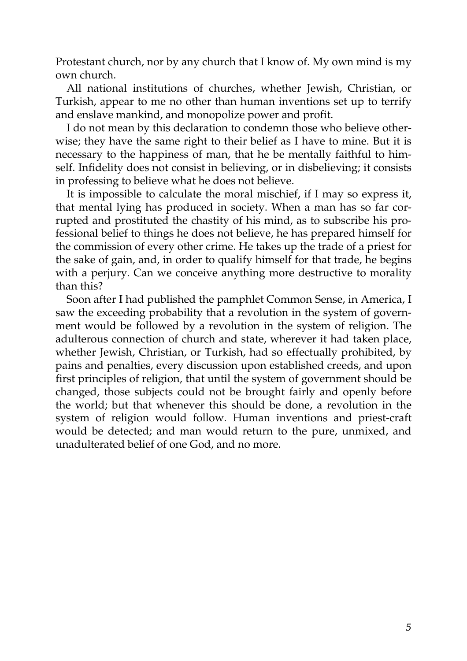Protestant church, nor by any church that I know of. My own mind is my own church.

All national institutions of churches, whether Jewish, Christian, or Turkish, appear to me no other than human inventions set up to terrify and enslave mankind, and monopolize power and profit.

I do not mean by this declaration to condemn those who believe otherwise; they have the same right to their belief as I have to mine. But it is necessary to the happiness of man, that he be mentally faithful to himself. Infidelity does not consist in believing, or in disbelieving; it consists in professing to believe what he does not believe.

It is impossible to calculate the moral mischief, if I may so express it, that mental lying has produced in society. When a man has so far corrupted and prostituted the chastity of his mind, as to subscribe his professional belief to things he does not believe, he has prepared himself for the commission of every other crime. He takes up the trade of a priest for the sake of gain, and, in order to qualify himself for that trade, he begins with a perjury. Can we conceive anything more destructive to morality than this?

Soon after I had published the pamphlet Common Sense, in America, I saw the exceeding probability that a revolution in the system of government would be followed by a revolution in the system of religion. The adulterous connection of church and state, wherever it had taken place, whether Jewish, Christian, or Turkish, had so effectually prohibited, by pains and penalties, every discussion upon established creeds, and upon first principles of religion, that until the system of government should be changed, those subjects could not be brought fairly and openly before the world; but that whenever this should be done, a revolution in the system of religion would follow. Human inventions and priest-craft would be detected; and man would return to the pure, unmixed, and unadulterated belief of one God, and no more.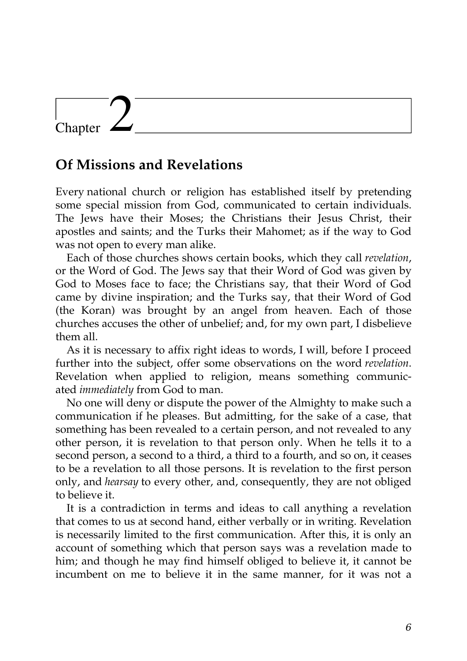### **Of Missions and Revelations**

Every national church or religion has established itself by pretending some special mission from God, communicated to certain individuals. The Jews have their Moses; the Christians their Jesus Christ, their apostles and saints; and the Turks their Mahomet; as if the way to God was not open to every man alike.

Each of those churches shows certain books, which they call *revelation*, or the Word of God. The Jews say that their Word of God was given by God to Moses face to face; the Christians say, that their Word of God came by divine inspiration; and the Turks say, that their Word of God (the Koran) was brought by an angel from heaven. Each of those churches accuses the other of unbelief; and, for my own part, I disbelieve them all.

As it is necessary to affix right ideas to words, I will, before I proceed further into the subject, offer some observations on the word *revelation*. Revelation when applied to religion, means something communicated *immediately* from God to man.

No one will deny or dispute the power of the Almighty to make such a communication if he pleases. But admitting, for the sake of a case, that something has been revealed to a certain person, and not revealed to any other person, it is revelation to that person only. When he tells it to a second person, a second to a third, a third to a fourth, and so on, it ceases to be a revelation to all those persons. It is revelation to the first person only, and *hearsay* to every other, and, consequently, they are not obliged to believe it.

It is a contradiction in terms and ideas to call anything a revelation that comes to us at second hand, either verbally or in writing. Revelation is necessarily limited to the first communication. After this, it is only an account of something which that person says was a revelation made to him; and though he may find himself obliged to believe it, it cannot be incumbent on me to believe it in the same manner, for it was not a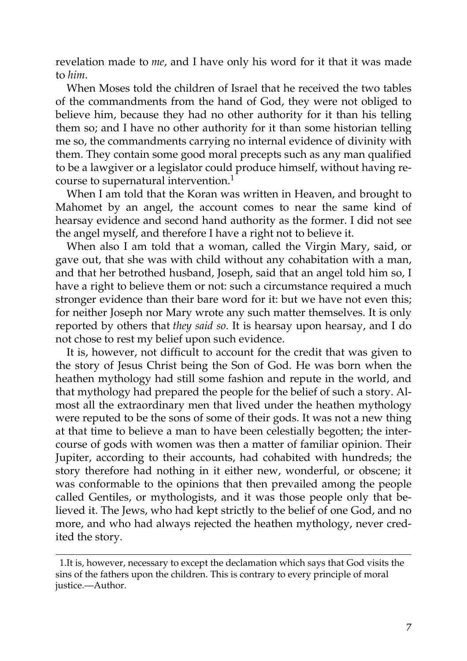revelation made to *me*, and I have only his word for it that it was made to *him*.

When Moses told the children of Israel that he received the two tables of the commandments from the hand of God, they were not obliged to believe him, because they had no other authority for it than his telling them so; and I have no other authority for it than some historian telling me so, the commandments carrying no internal evidence of divinity with them. They contain some good moral precepts such as any man qualified to be a lawgiver or a legislator could produce himself, without having recourse to supernatural intervention.<sup>1</sup>

When I am told that the Koran was written in Heaven, and brought to Mahomet by an angel, the account comes to near the same kind of hearsay evidence and second hand authority as the former. I did not see the angel myself, and therefore I have a right not to believe it.

When also I am told that a woman, called the Virgin Mary, said, or gave out, that she was with child without any cohabitation with a man, and that her betrothed husband, Joseph, said that an angel told him so, I have a right to believe them or not: such a circumstance required a much stronger evidence than their bare word for it: but we have not even this; for neither Joseph nor Mary wrote any such matter themselves. It is only reported by others that *they said so*. It is hearsay upon hearsay, and I do not chose to rest my belief upon such evidence.

It is, however, not difficult to account for the credit that was given to the story of Jesus Christ being the Son of God. He was born when the heathen mythology had still some fashion and repute in the world, and that mythology had prepared the people for the belief of such a story. Almost all the extraordinary men that lived under the heathen mythology were reputed to be the sons of some of their gods. It was not a new thing at that time to believe a man to have been celestially begotten; the intercourse of gods with women was then a matter of familiar opinion. Their Jupiter, according to their accounts, had cohabited with hundreds; the story therefore had nothing in it either new, wonderful, or obscene; it was conformable to the opinions that then prevailed among the people called Gentiles, or mythologists, and it was those people only that believed it. The Jews, who had kept strictly to the belief of one God, and no more, and who had always rejected the heathen mythology, never credited the story.

<sup>1.</sup>It is, however, necessary to except the declamation which says that God visits the sins of the fathers upon the children. This is contrary to every principle of moral justice.—Author.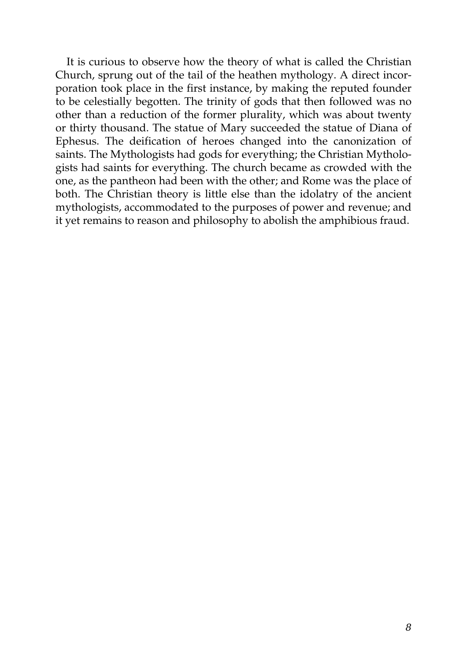It is curious to observe how the theory of what is called the Christian Church, sprung out of the tail of the heathen mythology. A direct incorporation took place in the first instance, by making the reputed founder to be celestially begotten. The trinity of gods that then followed was no other than a reduction of the former plurality, which was about twenty or thirty thousand. The statue of Mary succeeded the statue of Diana of Ephesus. The deification of heroes changed into the canonization of saints. The Mythologists had gods for everything; the Christian Mythologists had saints for everything. The church became as crowded with the one, as the pantheon had been with the other; and Rome was the place of both. The Christian theory is little else than the idolatry of the ancient mythologists, accommodated to the purposes of power and revenue; and it yet remains to reason and philosophy to abolish the amphibious fraud.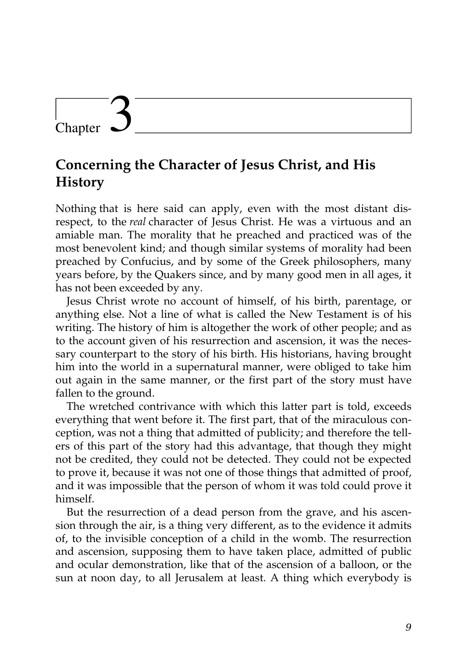## **Concerning the Character of Jesus Christ, and His History**

Nothing that is here said can apply, even with the most distant disrespect, to the *real* character of Jesus Christ. He was a virtuous and an amiable man. The morality that he preached and practiced was of the most benevolent kind; and though similar systems of morality had been preached by Confucius, and by some of the Greek philosophers, many years before, by the Quakers since, and by many good men in all ages, it has not been exceeded by any.

Jesus Christ wrote no account of himself, of his birth, parentage, or anything else. Not a line of what is called the New Testament is of his writing. The history of him is altogether the work of other people; and as to the account given of his resurrection and ascension, it was the necessary counterpart to the story of his birth. His historians, having brought him into the world in a supernatural manner, were obliged to take him out again in the same manner, or the first part of the story must have fallen to the ground.

The wretched contrivance with which this latter part is told, exceeds everything that went before it. The first part, that of the miraculous conception, was not a thing that admitted of publicity; and therefore the tellers of this part of the story had this advantage, that though they might not be credited, they could not be detected. They could not be expected to prove it, because it was not one of those things that admitted of proof, and it was impossible that the person of whom it was told could prove it himself.

But the resurrection of a dead person from the grave, and his ascension through the air, is a thing very different, as to the evidence it admits of, to the invisible conception of a child in the womb. The resurrection and ascension, supposing them to have taken place, admitted of public and ocular demonstration, like that of the ascension of a balloon, or the sun at noon day, to all Jerusalem at least. A thing which everybody is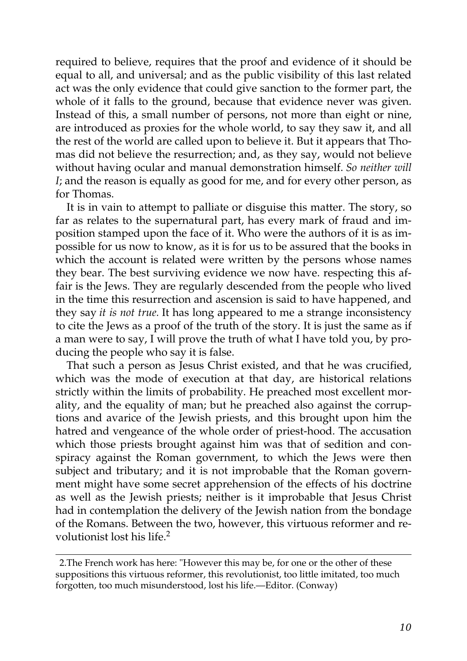required to believe, requires that the proof and evidence of it should be equal to all, and universal; and as the public visibility of this last related act was the only evidence that could give sanction to the former part, the whole of it falls to the ground, because that evidence never was given. Instead of this, a small number of persons, not more than eight or nine, are introduced as proxies for the whole world, to say they saw it, and all the rest of the world are called upon to believe it. But it appears that Thomas did not believe the resurrection; and, as they say, would not believe without having ocular and manual demonstration himself. *So neither will I*; and the reason is equally as good for me, and for every other person, as for Thomas.

It is in vain to attempt to palliate or disguise this matter. The story, so far as relates to the supernatural part, has every mark of fraud and imposition stamped upon the face of it. Who were the authors of it is as impossible for us now to know, as it is for us to be assured that the books in which the account is related were written by the persons whose names they bear. The best surviving evidence we now have. respecting this affair is the Jews. They are regularly descended from the people who lived in the time this resurrection and ascension is said to have happened, and they say *it is not true.* It has long appeared to me a strange inconsistency to cite the Jews as a proof of the truth of the story. It is just the same as if a man were to say, I will prove the truth of what I have told you, by producing the people who say it is false.

That such a person as Jesus Christ existed, and that he was crucified, which was the mode of execution at that day, are historical relations strictly within the limits of probability. He preached most excellent morality, and the equality of man; but he preached also against the corruptions and avarice of the Jewish priests, and this brought upon him the hatred and vengeance of the whole order of priest-hood. The accusation which those priests brought against him was that of sedition and conspiracy against the Roman government, to which the Jews were then subject and tributary; and it is not improbable that the Roman government might have some secret apprehension of the effects of his doctrine as well as the Jewish priests; neither is it improbable that Jesus Christ had in contemplation the delivery of the Jewish nation from the bondage of the Romans. Between the two, however, this virtuous reformer and revolutionist lost his life.<sup>2</sup>

<sup>2.</sup>The French work has here: "However this may be, for one or the other of these suppositions this virtuous reformer, this revolutionist, too little imitated, too much forgotten, too much misunderstood, lost his life.—Editor. (Conway)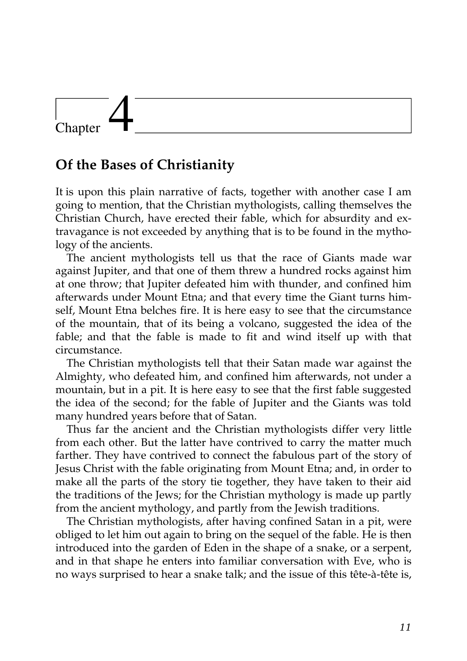### **Of the Bases of Christianity**

It is upon this plain narrative of facts, together with another case I am going to mention, that the Christian mythologists, calling themselves the Christian Church, have erected their fable, which for absurdity and extravagance is not exceeded by anything that is to be found in the mythology of the ancients.

The ancient mythologists tell us that the race of Giants made war against Jupiter, and that one of them threw a hundred rocks against him at one throw; that Jupiter defeated him with thunder, and confined him afterwards under Mount Etna; and that every time the Giant turns himself, Mount Etna belches fire. It is here easy to see that the circumstance of the mountain, that of its being a volcano, suggested the idea of the fable; and that the fable is made to fit and wind itself up with that circumstance.

The Christian mythologists tell that their Satan made war against the Almighty, who defeated him, and confined him afterwards, not under a mountain, but in a pit. It is here easy to see that the first fable suggested the idea of the second; for the fable of Jupiter and the Giants was told many hundred years before that of Satan.

Thus far the ancient and the Christian mythologists differ very little from each other. But the latter have contrived to carry the matter much farther. They have contrived to connect the fabulous part of the story of Jesus Christ with the fable originating from Mount Etna; and, in order to make all the parts of the story tie together, they have taken to their aid the traditions of the Jews; for the Christian mythology is made up partly from the ancient mythology, and partly from the Jewish traditions.

The Christian mythologists, after having confined Satan in a pit, were obliged to let him out again to bring on the sequel of the fable. He is then introduced into the garden of Eden in the shape of a snake, or a serpent, and in that shape he enters into familiar conversation with Eve, who is no ways surprised to hear a snake talk; and the issue of this tête-à-tête is,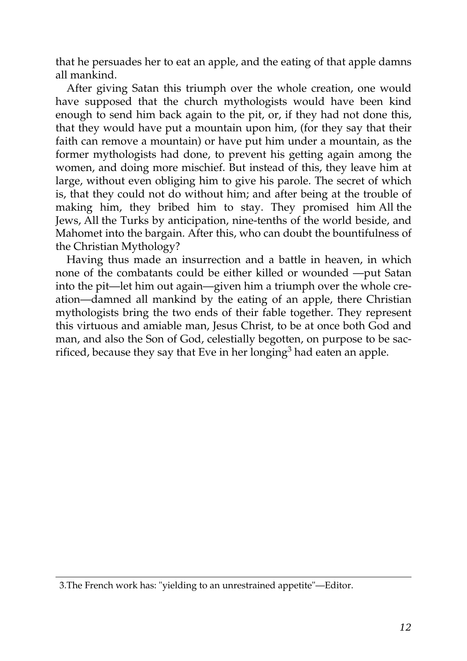that he persuades her to eat an apple, and the eating of that apple damns all mankind.

After giving Satan this triumph over the whole creation, one would have supposed that the church mythologists would have been kind enough to send him back again to the pit, or, if they had not done this, that they would have put a mountain upon him, (for they say that their faith can remove a mountain) or have put him under a mountain, as the former mythologists had done, to prevent his getting again among the women, and doing more mischief. But instead of this, they leave him at large, without even obliging him to give his parole. The secret of which is, that they could not do without him; and after being at the trouble of making him, they bribed him to stay. They promised him All the Jews, All the Turks by anticipation, nine-tenths of the world beside, and Mahomet into the bargain. After this, who can doubt the bountifulness of the Christian Mythology?

Having thus made an insurrection and a battle in heaven, in which none of the combatants could be either killed or wounded —put Satan into the pit—let him out again—given him a triumph over the whole creation—damned all mankind by the eating of an apple, there Christian mythologists bring the two ends of their fable together. They represent this virtuous and amiable man, Jesus Christ, to be at once both God and man, and also the Son of God, celestially begotten, on purpose to be sacrificed, because they say that Eve in her longing<sup>3</sup> had eaten an apple.

<sup>3.</sup>The French work has: "yielding to an unrestrained appetite"—Editor.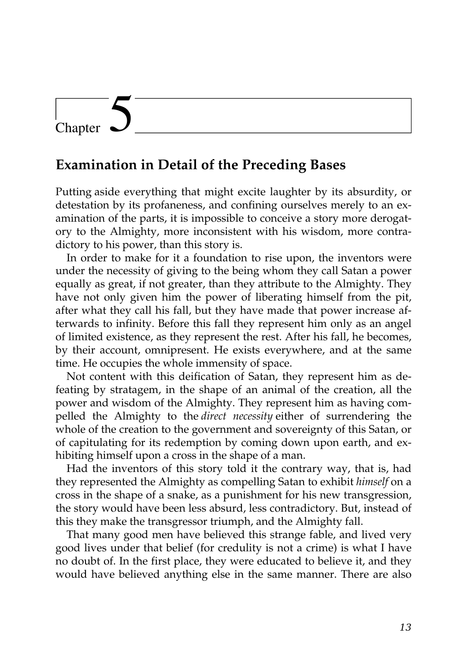### **Examination in Detail of the Preceding Bases**

Putting aside everything that might excite laughter by its absurdity, or detestation by its profaneness, and confining ourselves merely to an examination of the parts, it is impossible to conceive a story more derogatory to the Almighty, more inconsistent with his wisdom, more contradictory to his power, than this story is.

In order to make for it a foundation to rise upon, the inventors were under the necessity of giving to the being whom they call Satan a power equally as great, if not greater, than they attribute to the Almighty. They have not only given him the power of liberating himself from the pit, after what they call his fall, but they have made that power increase afterwards to infinity. Before this fall they represent him only as an angel of limited existence, as they represent the rest. After his fall, he becomes, by their account, omnipresent. He exists everywhere, and at the same time. He occupies the whole immensity of space.

Not content with this deification of Satan, they represent him as defeating by stratagem, in the shape of an animal of the creation, all the power and wisdom of the Almighty. They represent him as having compelled the Almighty to the *direct necessity* either of surrendering the whole of the creation to the government and sovereignty of this Satan, or of capitulating for its redemption by coming down upon earth, and exhibiting himself upon a cross in the shape of a man.

Had the inventors of this story told it the contrary way, that is, had they represented the Almighty as compelling Satan to exhibit *himself* on a cross in the shape of a snake, as a punishment for his new transgression, the story would have been less absurd, less contradictory. But, instead of this they make the transgressor triumph, and the Almighty fall.

That many good men have believed this strange fable, and lived very good lives under that belief (for credulity is not a crime) is what I have no doubt of. In the first place, they were educated to believe it, and they would have believed anything else in the same manner. There are also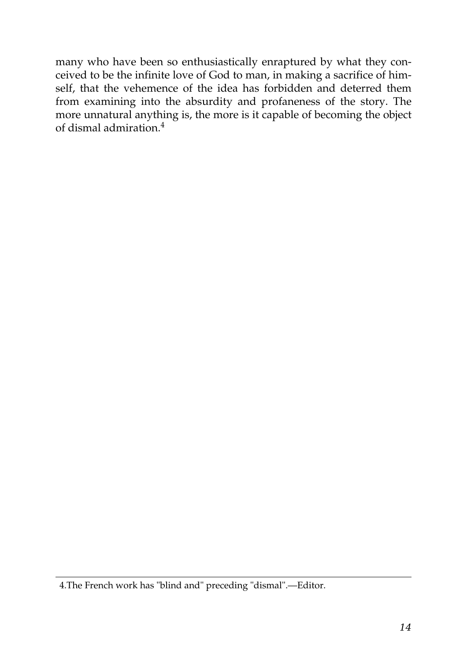many who have been so enthusiastically enraptured by what they conceived to be the infinite love of God to man, in making a sacrifice of himself, that the vehemence of the idea has forbidden and deterred them from examining into the absurdity and profaneness of the story. The more unnatural anything is, the more is it capable of becoming the object of dismal admiration.<sup>4</sup>

<sup>4.</sup>The French work has "blind and" preceding "dismal".—Editor.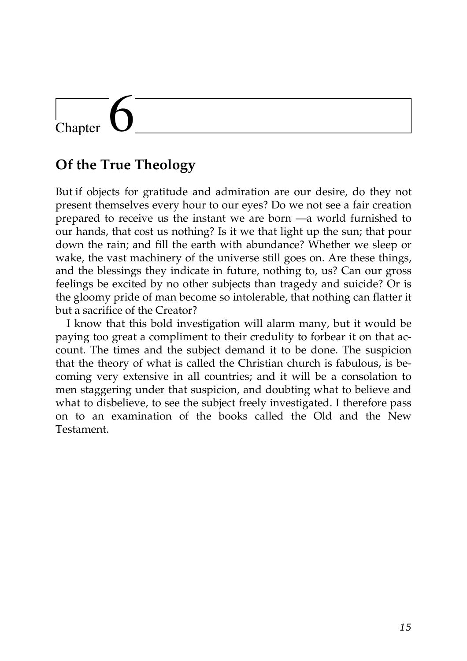## **Of the True Theology**

But if objects for gratitude and admiration are our desire, do they not present themselves every hour to our eyes? Do we not see a fair creation prepared to receive us the instant we are born —a world furnished to our hands, that cost us nothing? Is it we that light up the sun; that pour down the rain; and fill the earth with abundance? Whether we sleep or wake, the vast machinery of the universe still goes on. Are these things, and the blessings they indicate in future, nothing to, us? Can our gross feelings be excited by no other subjects than tragedy and suicide? Or is the gloomy pride of man become so intolerable, that nothing can flatter it but a sacrifice of the Creator?

I know that this bold investigation will alarm many, but it would be paying too great a compliment to their credulity to forbear it on that account. The times and the subject demand it to be done. The suspicion that the theory of what is called the Christian church is fabulous, is becoming very extensive in all countries; and it will be a consolation to men staggering under that suspicion, and doubting what to believe and what to disbelieve, to see the subject freely investigated. I therefore pass on to an examination of the books called the Old and the New Testament.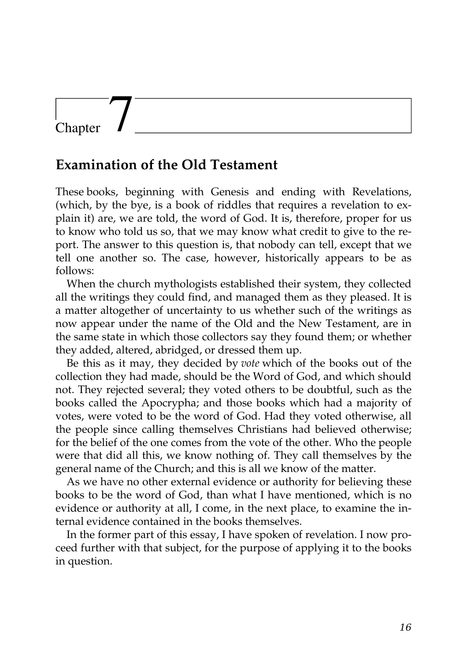### **Examination of the Old Testament**

These books, beginning with Genesis and ending with Revelations, (which, by the bye, is a book of riddles that requires a revelation to explain it) are, we are told, the word of God. It is, therefore, proper for us to know who told us so, that we may know what credit to give to the report. The answer to this question is, that nobody can tell, except that we tell one another so. The case, however, historically appears to be as follows:

When the church mythologists established their system, they collected all the writings they could find, and managed them as they pleased. It is a matter altogether of uncertainty to us whether such of the writings as now appear under the name of the Old and the New Testament, are in the same state in which those collectors say they found them; or whether they added, altered, abridged, or dressed them up.

Be this as it may, they decided by *vote* which of the books out of the collection they had made, should be the Word of God, and which should not. They rejected several; they voted others to be doubtful, such as the books called the Apocrypha; and those books which had a majority of votes, were voted to be the word of God. Had they voted otherwise, all the people since calling themselves Christians had believed otherwise; for the belief of the one comes from the vote of the other. Who the people were that did all this, we know nothing of. They call themselves by the general name of the Church; and this is all we know of the matter.

As we have no other external evidence or authority for believing these books to be the word of God, than what I have mentioned, which is no evidence or authority at all, I come, in the next place, to examine the internal evidence contained in the books themselves.

In the former part of this essay, I have spoken of revelation. I now proceed further with that subject, for the purpose of applying it to the books in question.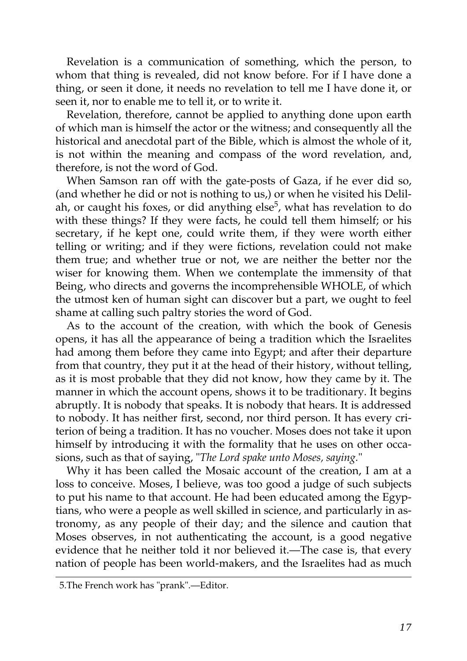Revelation is a communication of something, which the person, to whom that thing is revealed, did not know before. For if I have done a thing, or seen it done, it needs no revelation to tell me I have done it, or seen it, nor to enable me to tell it, or to write it.

Revelation, therefore, cannot be applied to anything done upon earth of which man is himself the actor or the witness; and consequently all the historical and anecdotal part of the Bible, which is almost the whole of it, is not within the meaning and compass of the word revelation, and, therefore, is not the word of God.

When Samson ran off with the gate-posts of Gaza, if he ever did so, (and whether he did or not is nothing to us,) or when he visited his Delilah, or caught his foxes, or did anything else<sup>5</sup>, what has revelation to do with these things? If they were facts, he could tell them himself; or his secretary, if he kept one, could write them, if they were worth either telling or writing; and if they were fictions, revelation could not make them true; and whether true or not, we are neither the better nor the wiser for knowing them. When we contemplate the immensity of that Being, who directs and governs the incomprehensible WHOLE, of which the utmost ken of human sight can discover but a part, we ought to feel shame at calling such paltry stories the word of God.

As to the account of the creation, with which the book of Genesis opens, it has all the appearance of being a tradition which the Israelites had among them before they came into Egypt; and after their departure from that country, they put it at the head of their history, without telling, as it is most probable that they did not know, how they came by it. The manner in which the account opens, shows it to be traditionary. It begins abruptly. It is nobody that speaks. It is nobody that hears. It is addressed to nobody. It has neither first, second, nor third person. It has every criterion of being a tradition. It has no voucher. Moses does not take it upon himself by introducing it with the formality that he uses on other occasions, such as that of saying, "*The Lord spake unto Moses, saying.*"

Why it has been called the Mosaic account of the creation, I am at a loss to conceive. Moses, I believe, was too good a judge of such subjects to put his name to that account. He had been educated among the Egyptians, who were a people as well skilled in science, and particularly in astronomy, as any people of their day; and the silence and caution that Moses observes, in not authenticating the account, is a good negative evidence that he neither told it nor believed it.—The case is, that every nation of people has been world-makers, and the Israelites had as much

<sup>5.</sup>The French work has "prank".—Editor.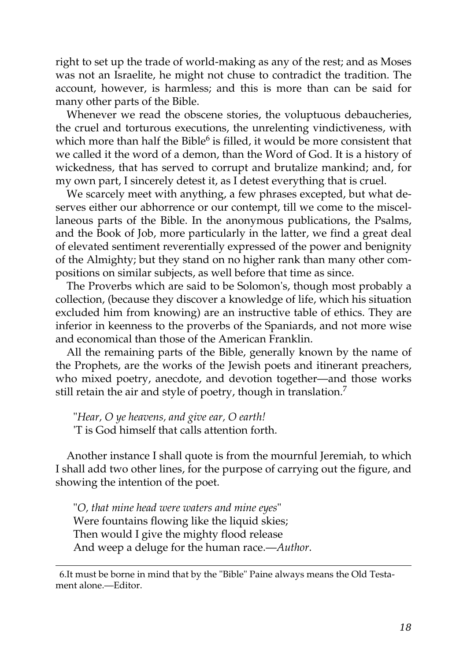right to set up the trade of world-making as any of the rest; and as Moses was not an Israelite, he might not chuse to contradict the tradition. The account, however, is harmless; and this is more than can be said for many other parts of the Bible.

Whenever we read the obscene stories, the voluptuous debaucheries, the cruel and torturous executions, the unrelenting vindictiveness, with which more than half the Bible $^6$  $^6$  is filled, it would be more consistent that we called it the word of a demon, than the Word of God. It is a history of wickedness, that has served to corrupt and brutalize mankind; and, for my own part, I sincerely detest it, as I detest everything that is cruel.

We scarcely meet with anything, a few phrases excepted, but what deserves either our abhorrence or our contempt, till we come to the miscellaneous parts of the Bible. In the anonymous publications, the Psalms, and the Book of Job, more particularly in the latter, we find a great deal of elevated sentiment reverentially expressed of the power and benignity of the Almighty; but they stand on no higher rank than many other compositions on similar subjects, as well before that time as since.

The Proverbs which are said to be Solomon's, though most probably a collection, (because they discover a knowledge of life, which his situation excluded him from knowing) are an instructive table of ethics. They are inferior in keenness to the proverbs of the Spaniards, and not more wise and economical than those of the American Franklin.

All the remaining parts of the Bible, generally known by the name of the Prophets, are the works of the Jewish poets and itinerant preachers, who mixed poetry, anecdote, and devotion together—and those works still retain the air and style of poetry, though in translation.<sup>[7](http://en.wikisource.org/wiki/The_Age_of_Reason/Part_I/Chapter_VII#cite_note-2)</sup>

"*Hear, O ye heavens, and give ear, O earth!* 'T is God himself that calls attention forth.

Another instance I shall quote is from the mournful Jeremiah, to which I shall add two other lines, for the purpose of carrying out the figure, and showing the intention of the poet.

"*O, that mine head were waters and mine eyes*" Were fountains flowing like the liquid skies; Then would I give the mighty flood release And weep a deluge for the human race.—*Author*.

[6.It must be borne in mind that by the "Bible" Paine always means the Old Testa](http://en.wikisource.org/wiki/The_Age_of_Reason/Part_I/Chapter_VII#cite_note-1)ment alone.—Editor.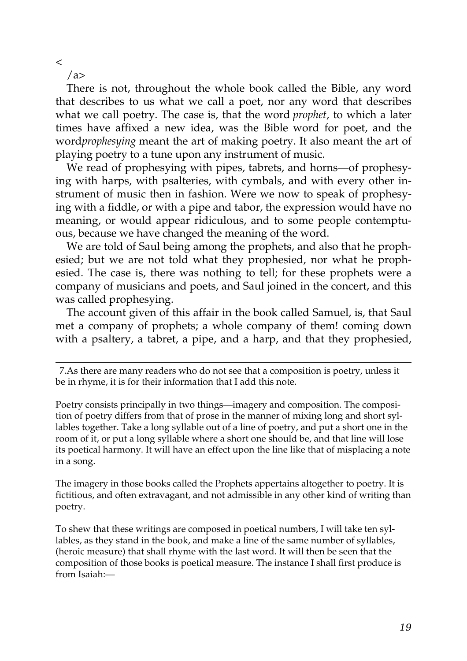$\,<$ 

 $\langle$ a>

There is not, throughout the whole book called the Bible, any word that describes to us what we call a poet, nor any word that describes what we call poetry. The case is, that the word *prophet*, to which a later times have affixed a new idea, was the Bible word for poet, and the word*prophesying* meant the art of making poetry. It also meant the art of playing poetry to a tune upon any instrument of music.

We read of prophesying with pipes, tabrets, and horns—of prophesying with harps, with psalteries, with cymbals, and with every other instrument of music then in fashion. Were we now to speak of prophesying with a fiddle, or with a pipe and tabor, the expression would have no meaning, or would appear ridiculous, and to some people contemptuous, because we have changed the meaning of the word.

We are told of Saul being among the prophets, and also that he prophesied; but we are not told what they prophesied, nor what he prophesied. The case is, there was nothing to tell; for these prophets were a company of musicians and poets, and Saul joined in the concert, and this was called prophesying.

The account given of this affair in the book called Samuel, is, that Saul met a company of prophets; a whole company of them! coming down with a psaltery, a tabret, a pipe, and a harp, and that they prophesied,

Poetry consists principally in two things—imagery and composition. The composition of poetry differs from that of prose in the manner of mixing long and short syllables together. Take a long syllable out of a line of poetry, and put a short one in the room of it, or put a long syllable where a short one should be, and that line will lose its poetical harmony. It will have an effect upon the line like that of misplacing a note in a song.

The imagery in those books called the Prophets appertains altogether to poetry. It is [fictitious, and often extravagant, and not admissible in any other kind of writing than](http://en.wikisource.org/wiki/The_Age_of_Reason/Part_I/Chapter_VII#cite_note-2) poetry.

To shew that these writings are composed in poetical numbers, I will take ten syllables, as they stand in the book, and make a line of the same number of syllables, (heroic measure) that shall rhyme with the last word. It will then be seen that the composition of those books is poetical measure. The instance I shall first produce is from Isaiah:—

[<sup>7.</sup>A](http://en.wikisource.org/wiki/The_Age_of_Reason/Part_I/Chapter_VII#cite_note-2)s there are many readers who do not see that a composition is poetry, unless it be in rhyme, it is for their information that I add this note.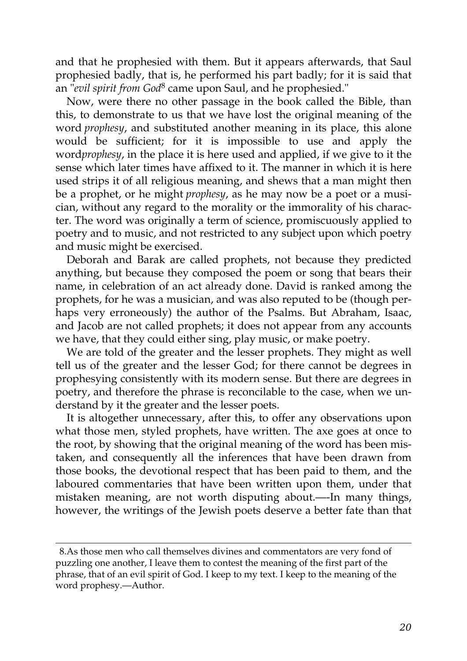and that he prophesied with them. But it appears afterwards, that Saul prophesied badly, that is, he performed his part badly; for it is said that an "*evil spirit from God*[8](http://en.wikisource.org/wiki/The_Age_of_Reason/Part_I/Chapter_VII#cite_note-3) came upon Saul, and he prophesied."

Now, were there no other passage in the book called the Bible, than this, to demonstrate to us that we have lost the original meaning of the word *prophesy*, and substituted another meaning in its place, this alone would be sufficient; for it is impossible to use and apply the word*prophesy*, in the place it is here used and applied, if we give to it the sense which later times have affixed to it. The manner in which it is here used strips it of all religious meaning, and shews that a man might then be a prophet, or he might *prophesy*, as he may now be a poet or a musician, without any regard to the morality or the immorality of his character. The word was originally a term of science, promiscuously applied to poetry and to music, and not restricted to any subject upon which poetry and music might be exercised.

Deborah and Barak are called prophets, not because they predicted anything, but because they composed the poem or song that bears their name, in celebration of an act already done. David is ranked among the prophets, for he was a musician, and was also reputed to be (though perhaps very erroneously) the author of the Psalms. But Abraham, Isaac, and Jacob are not called prophets; it does not appear from any accounts we have, that they could either sing, play music, or make poetry.

We are told of the greater and the lesser prophets. They might as well tell us of the greater and the lesser God; for there cannot be degrees in prophesying consistently with its modern sense. But there are degrees in poetry, and therefore the phrase is reconcilable to the case, when we understand by it the greater and the lesser poets.

It is altogether unnecessary, after this, to offer any observations upon what those men, styled prophets, have written. The axe goes at once to the root, by showing that the original meaning of the word has been mistaken, and consequently all the inferences that have been drawn from those books, the devotional respect that has been paid to them, and the laboured commentaries that have been written upon them, under that mistaken meaning, are not worth disputing about.—-In many things, however, the writings of the Jewish poets deserve a better fate than that

[<sup>8.</sup>A](http://en.wikisource.org/wiki/The_Age_of_Reason/Part_I/Chapter_VII#cite_note-3)s those men who call themselves divines and commentators are very fond of puzzling one another, I leave them to contest the meaning of the first part of the [phrase, that of an evil spirit of God. I keep to my text. I keep to the meaning of the](http://en.wikisource.org/wiki/The_Age_of_Reason/Part_I/Chapter_VII#cite_note-3) word prophesy.—Author.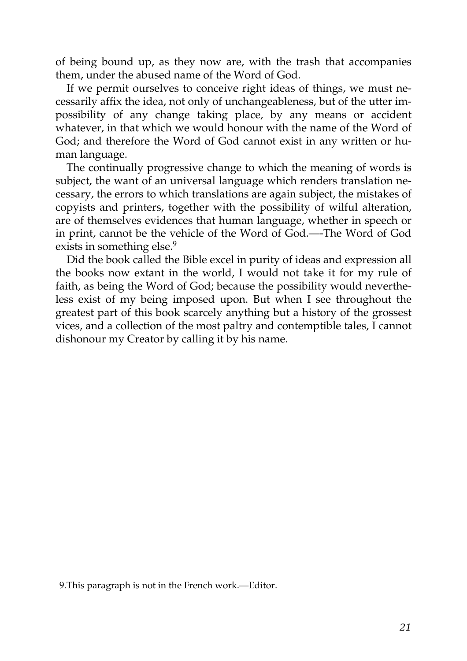of being bound up, as they now are, with the trash that accompanies them, under the abused name of the Word of God.

If we permit ourselves to conceive right ideas of things, we must necessarily affix the idea, not only of unchangeableness, but of the utter impossibility of any change taking place, by any means or accident whatever, in that which we would honour with the name of the Word of God; and therefore the Word of God cannot exist in any written or human language.

The continually progressive change to which the meaning of words is subject, the want of an universal language which renders translation necessary, the errors to which translations are again subject, the mistakes of copyists and printers, together with the possibility of wilful alteration, are of themselves evidences that human language, whether in speech or in print, cannot be the vehicle of the Word of God.—-The Word of God exists in something else.<sup>[9](http://en.wikisource.org/wiki/The_Age_of_Reason/Part_I/Chapter_VII#cite_note-4)</sup>

Did the book called the Bible excel in purity of ideas and expression all the books now extant in the world, I would not take it for my rule of faith, as being the Word of God; because the possibility would nevertheless exist of my being imposed upon. But when I see throughout the greatest part of this book scarcely anything but a history of the grossest vices, and a collection of the most paltry and contemptible tales, I cannot dishonour my Creator by calling it by his name.

[<sup>9.</sup>This paragraph is not in the French work.—Editor.](http://en.wikisource.org/wiki/The_Age_of_Reason/Part_I/Chapter_VII#cite_note-4)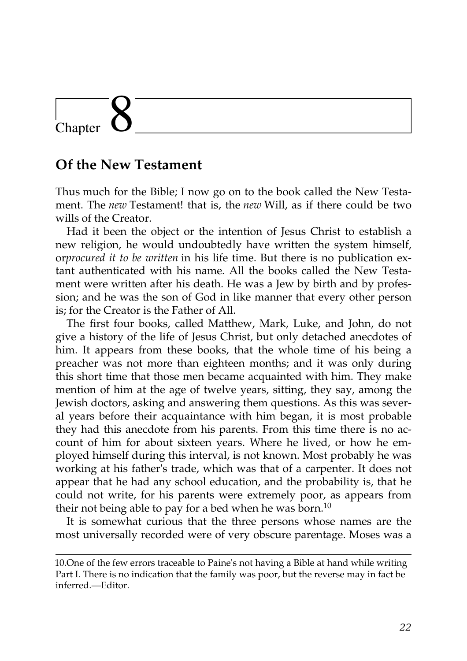### **Of the New Testament**

Thus much for the Bible; I now go on to the book called the New Testament. The *new* Testament! that is, the *new* Will, as if there could be two wills of the Creator.

Had it been the object or the intention of Jesus Christ to establish a new religion, he would undoubtedly have written the system himself, or*procured it to be written* in his life time. But there is no publication extant authenticated with his name. All the books called the New Testament were written after his death. He was a Jew by birth and by profession; and he was the son of God in like manner that every other person is; for the Creator is the Father of All.

The first four books, called Matthew, Mark, Luke, and John, do not give a history of the life of Jesus Christ, but only detached anecdotes of him. It appears from these books, that the whole time of his being a preacher was not more than eighteen months; and it was only during this short time that those men became acquainted with him. They make mention of him at the age of twelve years, sitting, they say, among the Jewish doctors, asking and answering them questions. As this was several years before their acquaintance with him began, it is most probable they had this anecdote from his parents. From this time there is no account of him for about sixteen years. Where he lived, or how he employed himself during this interval, is not known. Most probably he was working at his father's trade, which was that of a carpenter. It does not appear that he had any school education, and the probability is, that he could not write, for his parents were extremely poor, as appears from their not being able to pay for a bed when he was born.<sup>[10](http://en.wikisource.org/wiki/The_Age_of_Reason/Part_I/Chapter_VIII#cite_note-0)</sup>

It is somewhat curious that the three persons whose names are the most universally recorded were of very obscure parentage. Moses was a

[<sup>10.</sup>One of the few errors traceable to Paine's not having a Bible at hand while writing](http://en.wikisource.org/wiki/The_Age_of_Reason/Part_I/Chapter_VIII#cite_note-0) Part I. There is no indication that the family was poor, but the reverse may in fact be inferred.—Editor.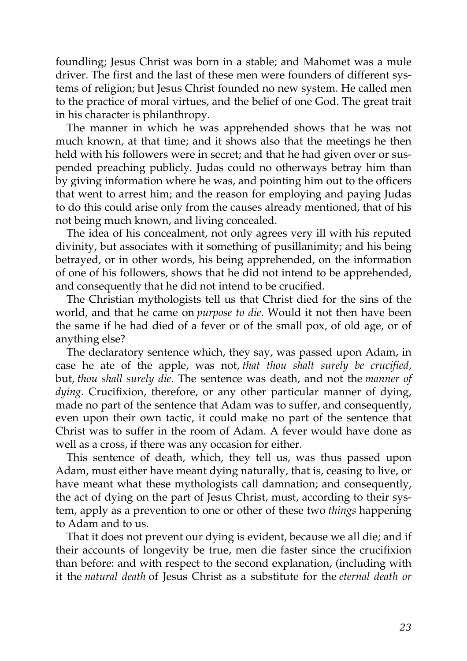foundling; Jesus Christ was born in a stable; and Mahomet was a mule driver. The first and the last of these men were founders of different systems of religion; but Jesus Christ founded no new system. He called men to the practice of moral virtues, and the belief of one God. The great trait in his character is philanthropy.

The manner in which he was apprehended shows that he was not much known, at that time; and it shows also that the meetings he then held with his followers were in secret; and that he had given over or suspended preaching publicly. Judas could no otherways betray him than by giving information where he was, and pointing him out to the officers that went to arrest him; and the reason for employing and paying Judas to do this could arise only from the causes already mentioned, that of his not being much known, and living concealed.

The idea of his concealment, not only agrees very ill with his reputed divinity, but associates with it something of pusillanimity; and his being betrayed, or in other words, his being apprehended, on the information of one of his followers, shows that he did not intend to be apprehended, and consequently that he did not intend to be crucified.

The Christian mythologists tell us that Christ died for the sins of the world, and that he came on *purpose to die*. Would it not then have been the same if he had died of a fever or of the small pox, of old age, or of anything else?

The declaratory sentence which, they say, was passed upon Adam, in case he ate of the apple, was not, *that thou shalt surely be crucified*, but, *thou shall surely die*. The sentence was death, and not the *manner of dying*. Crucifixion, therefore, or any other particular manner of dying, made no part of the sentence that Adam was to suffer, and consequently, even upon their own tactic, it could make no part of the sentence that Christ was to suffer in the room of Adam. A fever would have done as well as a cross, if there was any occasion for either.

This sentence of death, which, they tell us, was thus passed upon Adam, must either have meant dying naturally, that is, ceasing to live, or have meant what these mythologists call damnation; and consequently, the act of dying on the part of Jesus Christ, must, according to their system, apply as a prevention to one or other of these two *things* happening to Adam and to us.

That it does not prevent our dying is evident, because we all die; and if their accounts of longevity be true, men die faster since the crucifixion than before: and with respect to the second explanation, (including with it the *natural death* of Jesus Christ as a substitute for the *eternal death or*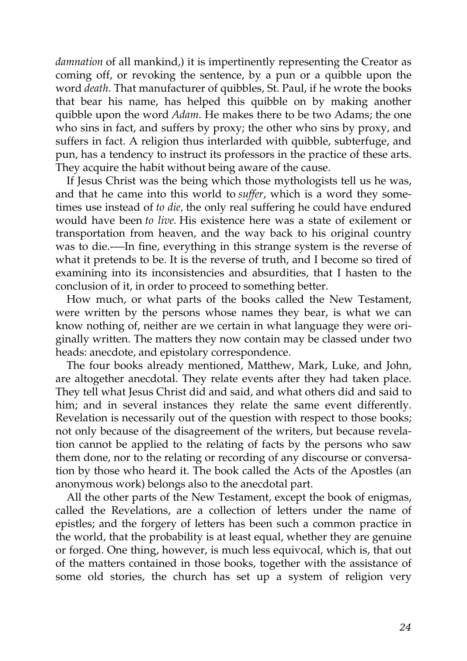*damnation* of all mankind,) it is impertinently representing the Creator as coming off, or revoking the sentence, by a pun or a quibble upon the word *death*. That manufacturer of quibbles, St. Paul, if he wrote the books that bear his name, has helped this quibble on by making another quibble upon the word *Adam*. He makes there to be two Adams; the one who sins in fact, and suffers by proxy; the other who sins by proxy, and suffers in fact. A religion thus interlarded with quibble, subterfuge, and pun, has a tendency to instruct its professors in the practice of these arts. They acquire the habit without being aware of the cause.

If Jesus Christ was the being which those mythologists tell us he was, and that he came into this world to *suffer*, which is a word they sometimes use instead of *to die,* the only real suffering he could have endured would have been *to live.* His existence here was a state of exilement or transportation from heaven, and the way back to his original country was to die.-—In fine, everything in this strange system is the reverse of what it pretends to be. It is the reverse of truth, and I become so tired of examining into its inconsistencies and absurdities, that I hasten to the conclusion of it, in order to proceed to something better.

How much, or what parts of the books called the New Testament, were written by the persons whose names they bear, is what we can know nothing of, neither are we certain in what language they were originally written. The matters they now contain may be classed under two heads: anecdote, and epistolary correspondence.

The four books already mentioned, Matthew, Mark, Luke, and John, are altogether anecdotal. They relate events after they had taken place. They tell what Jesus Christ did and said, and what others did and said to him; and in several instances they relate the same event differently. Revelation is necessarily out of the question with respect to those books; not only because of the disagreement of the writers, but because revelation cannot be applied to the relating of facts by the persons who saw them done, nor to the relating or recording of any discourse or conversation by those who heard it. The book called the Acts of the Apostles (an anonymous work) belongs also to the anecdotal part.

All the other parts of the New Testament, except the book of enigmas, called the Revelations, are a collection of letters under the name of epistles; and the forgery of letters has been such a common practice in the world, that the probability is at least equal, whether they are genuine or forged. One thing, however, is much less equivocal, which is, that out of the matters contained in those books, together with the assistance of some old stories, the church has set up a system of religion very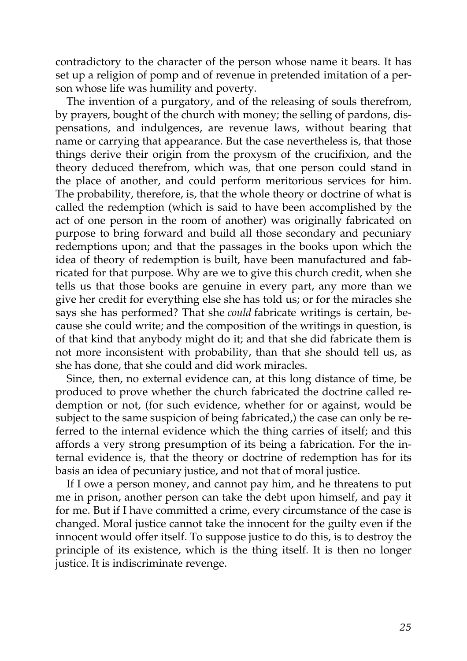contradictory to the character of the person whose name it bears. It has set up a religion of pomp and of revenue in pretended imitation of a person whose life was humility and poverty.

The invention of a purgatory, and of the releasing of souls therefrom, by prayers, bought of the church with money; the selling of pardons, dispensations, and indulgences, are revenue laws, without bearing that name or carrying that appearance. But the case nevertheless is, that those things derive their origin from the proxysm of the crucifixion, and the theory deduced therefrom, which was, that one person could stand in the place of another, and could perform meritorious services for him. The probability, therefore, is, that the whole theory or doctrine of what is called the redemption (which is said to have been accomplished by the act of one person in the room of another) was originally fabricated on purpose to bring forward and build all those secondary and pecuniary redemptions upon; and that the passages in the books upon which the idea of theory of redemption is built, have been manufactured and fabricated for that purpose. Why are we to give this church credit, when she tells us that those books are genuine in every part, any more than we give her credit for everything else she has told us; or for the miracles she says she has performed? That she *could* fabricate writings is certain, because she could write; and the composition of the writings in question, is of that kind that anybody might do it; and that she did fabricate them is not more inconsistent with probability, than that she should tell us, as she has done, that she could and did work miracles.

Since, then, no external evidence can, at this long distance of time, be produced to prove whether the church fabricated the doctrine called redemption or not, (for such evidence, whether for or against, would be subject to the same suspicion of being fabricated,) the case can only be referred to the internal evidence which the thing carries of itself; and this affords a very strong presumption of its being a fabrication. For the internal evidence is, that the theory or doctrine of redemption has for its basis an idea of pecuniary justice, and not that of moral justice.

If I owe a person money, and cannot pay him, and he threatens to put me in prison, another person can take the debt upon himself, and pay it for me. But if I have committed a crime, every circumstance of the case is changed. Moral justice cannot take the innocent for the guilty even if the innocent would offer itself. To suppose justice to do this, is to destroy the principle of its existence, which is the thing itself. It is then no longer justice. It is indiscriminate revenge.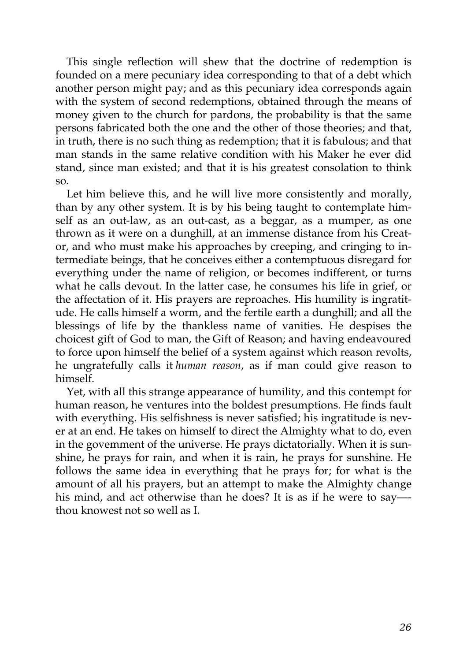This single reflection will shew that the doctrine of redemption is founded on a mere pecuniary idea corresponding to that of a debt which another person might pay; and as this pecuniary idea corresponds again with the system of second redemptions, obtained through the means of money given to the church for pardons, the probability is that the same persons fabricated both the one and the other of those theories; and that, in truth, there is no such thing as redemption; that it is fabulous; and that man stands in the same relative condition with his Maker he ever did stand, since man existed; and that it is his greatest consolation to think so.

Let him believe this, and he will live more consistently and morally, than by any other system. It is by his being taught to contemplate himself as an out-law, as an out-cast, as a beggar, as a mumper, as one thrown as it were on a dunghill, at an immense distance from his Creator, and who must make his approaches by creeping, and cringing to intermediate beings, that he conceives either a contemptuous disregard for everything under the name of religion, or becomes indifferent, or turns what he calls devout. In the latter case, he consumes his life in grief, or the affectation of it. His prayers are reproaches. His humility is ingratitude. He calls himself a worm, and the fertile earth a dunghill; and all the blessings of life by the thankless name of vanities. He despises the choicest gift of God to man, the Gift of Reason; and having endeavoured to force upon himself the belief of a system against which reason revolts, he ungratefully calls it *human reason*, as if man could give reason to himself.

Yet, with all this strange appearance of humility, and this contempt for human reason, he ventures into the boldest presumptions. He finds fault with everything. His selfishness is never satisfied; his ingratitude is never at an end. He takes on himself to direct the Almighty what to do, even in the govemment of the universe. He prays dictatorially. When it is sunshine, he prays for rain, and when it is rain, he prays for sunshine. He follows the same idea in everything that he prays for; for what is the amount of all his prayers, but an attempt to make the Almighty change his mind, and act otherwise than he does? It is as if he were to say— thou knowest not so well as I.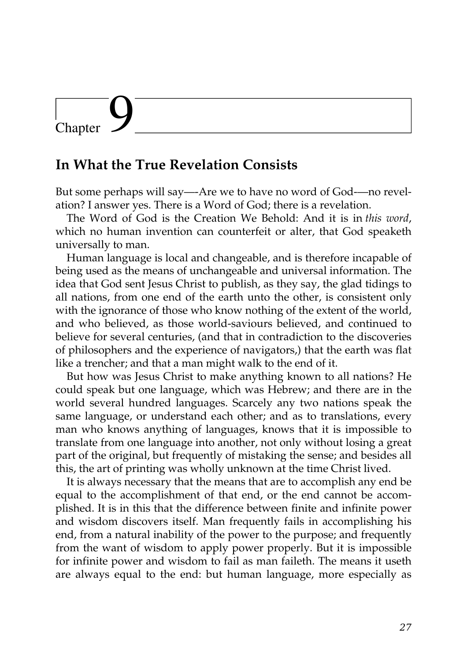### **In What the True Revelation Consists**

But some perhaps will say—-Are we to have no word of God-—no revelation? I answer yes. There is a Word of God; there is a revelation.

The Word of God is the Creation We Behold: And it is in *this word*, which no human invention can counterfeit or alter, that God speaketh universally to man.

Human language is local and changeable, and is therefore incapable of being used as the means of unchangeable and universal information. The idea that God sent Jesus Christ to publish, as they say, the glad tidings to all nations, from one end of the earth unto the other, is consistent only with the ignorance of those who know nothing of the extent of the world, and who believed, as those world-saviours believed, and continued to believe for several centuries, (and that in contradiction to the discoveries of philosophers and the experience of navigators,) that the earth was flat like a trencher; and that a man might walk to the end of it.

But how was Jesus Christ to make anything known to all nations? He could speak but one language, which was Hebrew; and there are in the world several hundred languages. Scarcely any two nations speak the same language, or understand each other; and as to translations, every man who knows anything of languages, knows that it is impossible to translate from one language into another, not only without losing a great part of the original, but frequently of mistaking the sense; and besides all this, the art of printing was wholly unknown at the time Christ lived.

It is always necessary that the means that are to accomplish any end be equal to the accomplishment of that end, or the end cannot be accomplished. It is in this that the difference between finite and infinite power and wisdom discovers itself. Man frequently fails in accomplishing his end, from a natural inability of the power to the purpose; and frequently from the want of wisdom to apply power properly. But it is impossible for infinite power and wisdom to fail as man faileth. The means it useth are always equal to the end: but human language, more especially as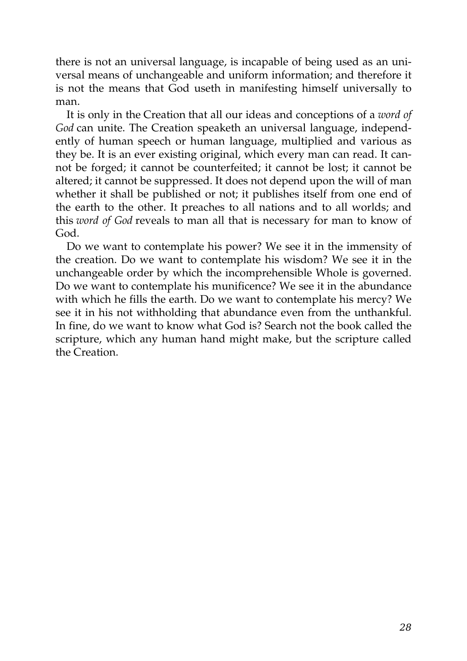there is not an universal language, is incapable of being used as an universal means of unchangeable and uniform information; and therefore it is not the means that God useth in manifesting himself universally to man.

It is only in the Creation that all our ideas and conceptions of a *word of God* can unite. The Creation speaketh an universal language, independently of human speech or human language, multiplied and various as they be. It is an ever existing original, which every man can read. It cannot be forged; it cannot be counterfeited; it cannot be lost; it cannot be altered; it cannot be suppressed. It does not depend upon the will of man whether it shall be published or not; it publishes itself from one end of the earth to the other. It preaches to all nations and to all worlds; and this *word of God* reveals to man all that is necessary for man to know of God.

Do we want to contemplate his power? We see it in the immensity of the creation. Do we want to contemplate his wisdom? We see it in the unchangeable order by which the incomprehensible Whole is governed. Do we want to contemplate his munificence? We see it in the abundance with which he fills the earth. Do we want to contemplate his mercy? We see it in his not withholding that abundance even from the unthankful. In fine, do we want to know what God is? Search not the book called the scripture, which any human hand might make, but the scripture called the Creation.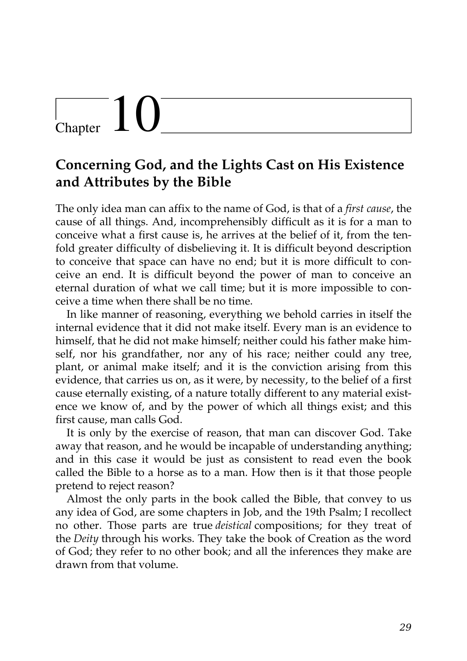# $\begin{bmatrix} 1 & 1 \end{bmatrix}$

## **Concerning God, and the Lights Cast on His Existence and Attributes by the Bible**

The only idea man can affix to the name of God, is that of a *first cause*, the cause of all things. And, incomprehensibly difficult as it is for a man to conceive what a first cause is, he arrives at the belief of it, from the tenfold greater difficulty of disbelieving it. It is difficult beyond description to conceive that space can have no end; but it is more difficult to conceive an end. It is difficult beyond the power of man to conceive an eternal duration of what we call time; but it is more impossible to conceive a time when there shall be no time.

In like manner of reasoning, everything we behold carries in itself the internal evidence that it did not make itself. Every man is an evidence to himself, that he did not make himself; neither could his father make himself, nor his grandfather, nor any of his race; neither could any tree, plant, or animal make itself; and it is the conviction arising from this evidence, that carries us on, as it were, by necessity, to the belief of a first cause eternally existing, of a nature totally different to any material existence we know of, and by the power of which all things exist; and this first cause, man calls God.

It is only by the exercise of reason, that man can discover God. Take away that reason, and he would be incapable of understanding anything; and in this case it would be just as consistent to read even the book called the Bible to a horse as to a man. How then is it that those people pretend to reject reason?

Almost the only parts in the book called the Bible, that convey to us any idea of God, are some chapters in Job, and the 19th Psalm; I recollect no other. Those parts are true *deistical* compositions; for they treat of the *Deity* through his works. They take the book of Creation as the word of God; they refer to no other book; and all the inferences they make are drawn from that volume.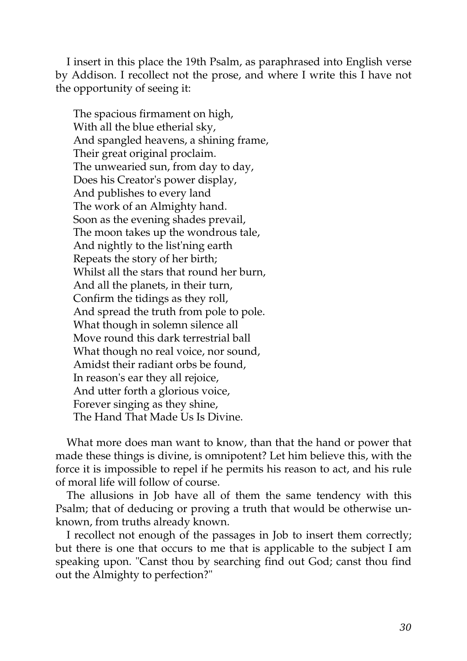I insert in this place the 19th Psalm, as paraphrased into English verse by Addison. I recollect not the prose, and where I write this I have not the opportunity of seeing it:

The spacious firmament on high, With all the blue etherial sky, And spangled heavens, a shining frame, Their great original proclaim. The unwearied sun, from day to day, Does his Creator's power display, And publishes to every land The work of an Almighty hand. Soon as the evening shades prevail, The moon takes up the wondrous tale, And nightly to the list'ning earth Repeats the story of her birth; Whilst all the stars that round her burn, And all the planets, in their turn, Confirm the tidings as they roll, And spread the truth from pole to pole. What though in solemn silence all Move round this dark terrestrial ball What though no real voice, nor sound, Amidst their radiant orbs be found, In reason's ear they all rejoice, And utter forth a glorious voice, Forever singing as they shine, The Hand That Made Us Is Divine.

What more does man want to know, than that the hand or power that made these things is divine, is omnipotent? Let him believe this, with the force it is impossible to repel if he permits his reason to act, and his rule of moral life will follow of course.

The allusions in Job have all of them the same tendency with this Psalm; that of deducing or proving a truth that would be otherwise unknown, from truths already known.

I recollect not enough of the passages in Job to insert them correctly; but there is one that occurs to me that is applicable to the subject I am speaking upon. "Canst thou by searching find out God; canst thou find out the Almighty to perfection?"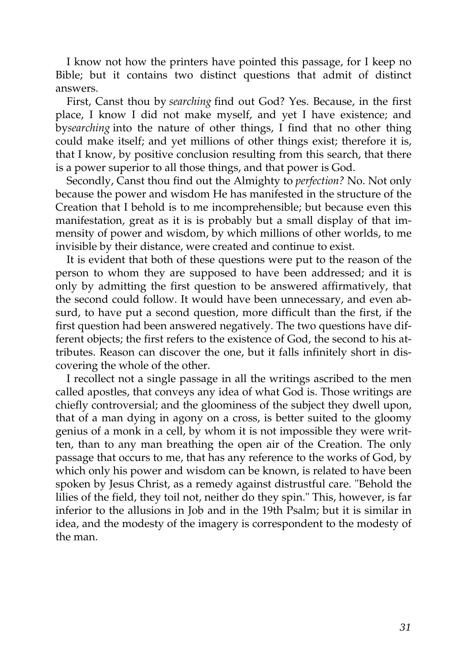I know not how the printers have pointed this passage, for I keep no Bible; but it contains two distinct questions that admit of distinct answers.

First, Canst thou by *searching* find out God? Yes. Because, in the first place, I know I did not make myself, and yet I have existence; and by*searching* into the nature of other things, I find that no other thing could make itself; and yet millions of other things exist; therefore it is, that I know, by positive conclusion resulting from this search, that there is a power superior to all those things, and that power is God.

Secondly, Canst thou find out the Almighty to *perfection?* No. Not only because the power and wisdom He has manifested in the structure of the Creation that I behold is to me incomprehensible; but because even this manifestation, great as it is is probably but a small display of that immensity of power and wisdom, by which millions of other worlds, to me invisible by their distance, were created and continue to exist.

It is evident that both of these questions were put to the reason of the person to whom they are supposed to have been addressed; and it is only by admitting the first question to be answered affirmatively, that the second could follow. It would have been unnecessary, and even absurd, to have put a second question, more difficult than the first, if the first question had been answered negatively. The two questions have different objects; the first refers to the existence of God, the second to his attributes. Reason can discover the one, but it falls infinitely short in discovering the whole of the other.

I recollect not a single passage in all the writings ascribed to the men called apostles, that conveys any idea of what God is. Those writings are chiefly controversial; and the gloominess of the subject they dwell upon, that of a man dying in agony on a cross, is better suited to the gloomy genius of a monk in a cell, by whom it is not impossible they were written, than to any man breathing the open air of the Creation. The only passage that occurs to me, that has any reference to the works of God, by which only his power and wisdom can be known, is related to have been spoken by Jesus Christ, as a remedy against distrustful care. "Behold the lilies of the field, they toil not, neither do they spin." This, however, is far inferior to the allusions in Job and in the 19th Psalm; but it is similar in idea, and the modesty of the imagery is correspondent to the modesty of the man.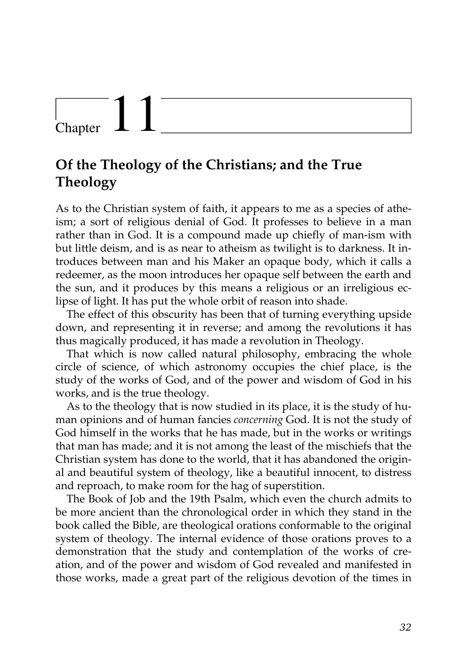## $\begin{array}{c} \begin{array}{c} \end{array}$  Chapter

## **Of the Theology of the Christians; and the True Theology**

As to the Christian system of faith, it appears to me as a species of atheism; a sort of religious denial of God. It professes to believe in a man rather than in God. It is a compound made up chiefly of man-ism with but little deism, and is as near to atheism as twilight is to darkness. It introduces between man and his Maker an opaque body, which it calls a redeemer, as the moon introduces her opaque self between the earth and the sun, and it produces by this means a religious or an irreligious eclipse of light. It has put the whole orbit of reason into shade.

The effect of this obscurity has been that of turning everything upside down, and representing it in reverse; and among the revolutions it has thus magically produced, it has made a revolution in Theology.

That which is now called natural philosophy, embracing the whole circle of science, of which astronomy occupies the chief place, is the study of the works of God, and of the power and wisdom of God in his works, and is the true theology.

As to the theology that is now studied in its place, it is the study of human opinions and of human fancies *concerning* God. It is not the study of God himself in the works that he has made, but in the works or writings that man has made; and it is not among the least of the mischiefs that the Christian system has done to the world, that it has abandoned the original and beautiful system of theology, like a beautiful innocent, to distress and reproach, to make room for the hag of superstition.

The Book of Job and the 19th Psalm, which even the church admits to be more ancient than the chronological order in which they stand in the book called the Bible, are theological orations conformable to the original system of theology. The internal evidence of those orations proves to a demonstration that the study and contemplation of the works of creation, and of the power and wisdom of God revealed and manifested in those works, made a great part of the religious devotion of the times in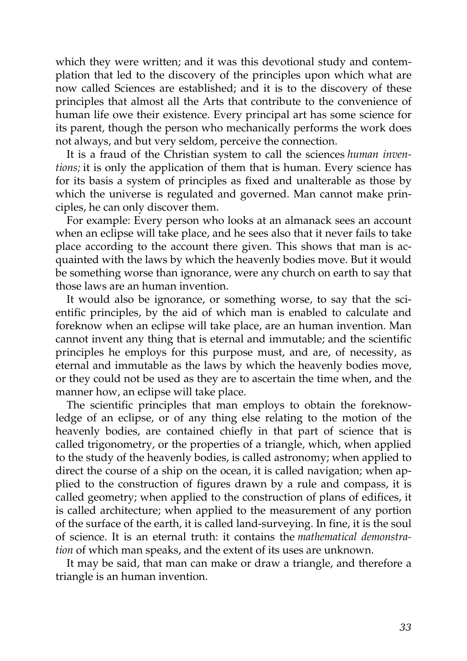which they were written; and it was this devotional study and contemplation that led to the discovery of the principles upon which what are now called Sciences are established; and it is to the discovery of these principles that almost all the Arts that contribute to the convenience of human life owe their existence. Every principal art has some science for its parent, though the person who mechanically performs the work does not always, and but very seldom, perceive the connection.

It is a fraud of the Christian system to call the sciences *human inventions;* it is only the application of them that is human. Every science has for its basis a system of principles as fixed and unalterable as those by which the universe is regulated and governed. Man cannot make principles, he can only discover them.

For example: Every person who looks at an almanack sees an account when an eclipse will take place, and he sees also that it never fails to take place according to the account there given. This shows that man is acquainted with the laws by which the heavenly bodies move. But it would be something worse than ignorance, were any church on earth to say that those laws are an human invention.

It would also be ignorance, or something worse, to say that the scientific principles, by the aid of which man is enabled to calculate and foreknow when an eclipse will take place, are an human invention. Man cannot invent any thing that is eternal and immutable; and the scientific principles he employs for this purpose must, and are, of necessity, as eternal and immutable as the laws by which the heavenly bodies move, or they could not be used as they are to ascertain the time when, and the manner how, an eclipse will take place.

The scientific principles that man employs to obtain the foreknowledge of an eclipse, or of any thing else relating to the motion of the heavenly bodies, are contained chiefly in that part of science that is called trigonometry, or the properties of a triangle, which, when applied to the study of the heavenly bodies, is called astronomy; when applied to direct the course of a ship on the ocean, it is called navigation; when applied to the construction of figures drawn by a rule and compass, it is called geometry; when applied to the construction of plans of edifices, it is called architecture; when applied to the measurement of any portion of the surface of the earth, it is called land-surveying. In fine, it is the soul of science. It is an eternal truth: it contains the *mathematical demonstration* of which man speaks, and the extent of its uses are unknown.

It may be said, that man can make or draw a triangle, and therefore a triangle is an human invention.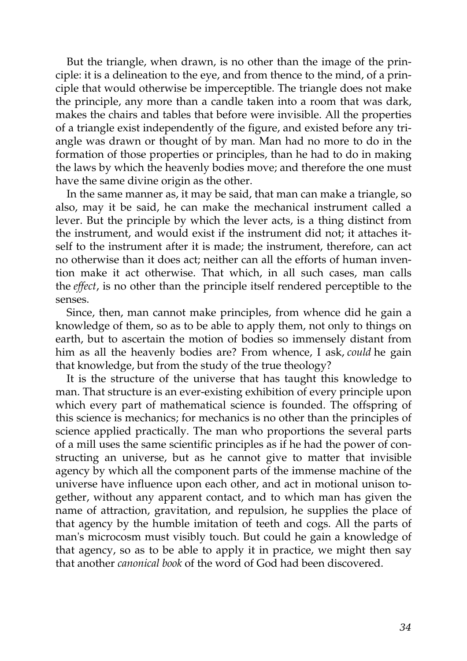But the triangle, when drawn, is no other than the image of the principle: it is a delineation to the eye, and from thence to the mind, of a principle that would otherwise be imperceptible. The triangle does not make the principle, any more than a candle taken into a room that was dark, makes the chairs and tables that before were invisible. All the properties of a triangle exist independently of the figure, and existed before any triangle was drawn or thought of by man. Man had no more to do in the formation of those properties or principles, than he had to do in making the laws by which the heavenly bodies move; and therefore the one must have the same divine origin as the other.

In the same manner as, it may be said, that man can make a triangle, so also, may it be said, he can make the mechanical instrument called a lever. But the principle by which the lever acts, is a thing distinct from the instrument, and would exist if the instrument did not; it attaches itself to the instrument after it is made; the instrument, therefore, can act no otherwise than it does act; neither can all the efforts of human invention make it act otherwise. That which, in all such cases, man calls the *effect*, is no other than the principle itself rendered perceptible to the senses.

Since, then, man cannot make principles, from whence did he gain a knowledge of them, so as to be able to apply them, not only to things on earth, but to ascertain the motion of bodies so immensely distant from him as all the heavenly bodies are? From whence, I ask, *could* he gain that knowledge, but from the study of the true theology?

It is the structure of the universe that has taught this knowledge to man. That structure is an ever-existing exhibition of every principle upon which every part of mathematical science is founded. The offspring of this science is mechanics; for mechanics is no other than the principles of science applied practically. The man who proportions the several parts of a mill uses the same scientific principles as if he had the power of constructing an universe, but as he cannot give to matter that invisible agency by which all the component parts of the immense machine of the universe have influence upon each other, and act in motional unison together, without any apparent contact, and to which man has given the name of attraction, gravitation, and repulsion, he supplies the place of that agency by the humble imitation of teeth and cogs. All the parts of man's microcosm must visibly touch. But could he gain a knowledge of that agency, so as to be able to apply it in practice, we might then say that another *canonical book* of the word of God had been discovered.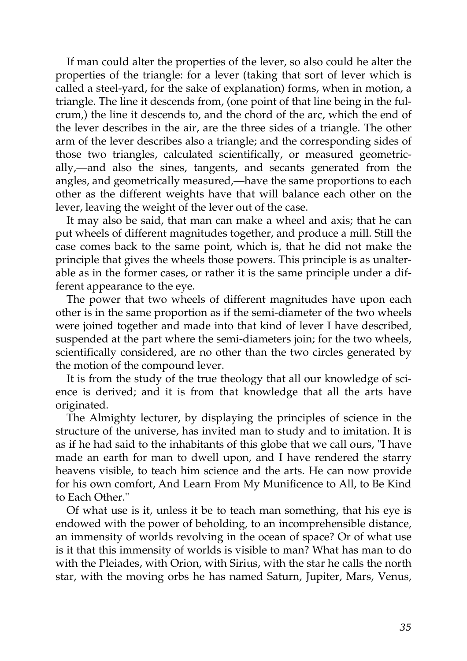If man could alter the properties of the lever, so also could he alter the properties of the triangle: for a lever (taking that sort of lever which is called a steel-yard, for the sake of explanation) forms, when in motion, a triangle. The line it descends from, (one point of that line being in the fulcrum,) the line it descends to, and the chord of the arc, which the end of the lever describes in the air, are the three sides of a triangle. The other arm of the lever describes also a triangle; and the corresponding sides of those two triangles, calculated scientifically, or measured geometrically,—and also the sines, tangents, and secants generated from the angles, and geometrically measured,—have the same proportions to each other as the different weights have that will balance each other on the lever, leaving the weight of the lever out of the case.

It may also be said, that man can make a wheel and axis; that he can put wheels of different magnitudes together, and produce a mill. Still the case comes back to the same point, which is, that he did not make the principle that gives the wheels those powers. This principle is as unalterable as in the former cases, or rather it is the same principle under a different appearance to the eye.

The power that two wheels of different magnitudes have upon each other is in the same proportion as if the semi-diameter of the two wheels were joined together and made into that kind of lever I have described, suspended at the part where the semi-diameters join; for the two wheels, scientifically considered, are no other than the two circles generated by the motion of the compound lever.

It is from the study of the true theology that all our knowledge of science is derived; and it is from that knowledge that all the arts have originated.

The Almighty lecturer, by displaying the principles of science in the structure of the universe, has invited man to study and to imitation. It is as if he had said to the inhabitants of this globe that we call ours, "I have made an earth for man to dwell upon, and I have rendered the starry heavens visible, to teach him science and the arts. He can now provide for his own comfort, And Learn From My Munificence to All, to Be Kind to Each Other."

Of what use is it, unless it be to teach man something, that his eye is endowed with the power of beholding, to an incomprehensible distance, an immensity of worlds revolving in the ocean of space? Or of what use is it that this immensity of worlds is visible to man? What has man to do with the Pleiades, with Orion, with Sirius, with the star he calls the north star, with the moving orbs he has named Saturn, Jupiter, Mars, Venus,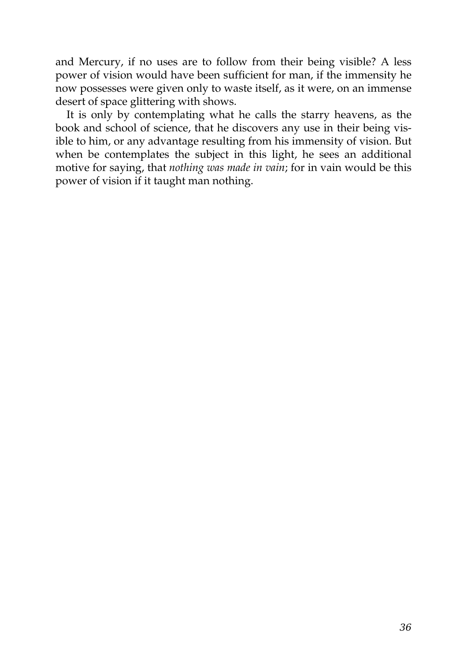and Mercury, if no uses are to follow from their being visible? A less power of vision would have been sufficient for man, if the immensity he now possesses were given only to waste itself, as it were, on an immense desert of space glittering with shows.

It is only by contemplating what he calls the starry heavens, as the book and school of science, that he discovers any use in their being visible to him, or any advantage resulting from his immensity of vision. But when be contemplates the subject in this light, he sees an additional motive for saying, that *nothing was made in vain*; for in vain would be this power of vision if it taught man nothing.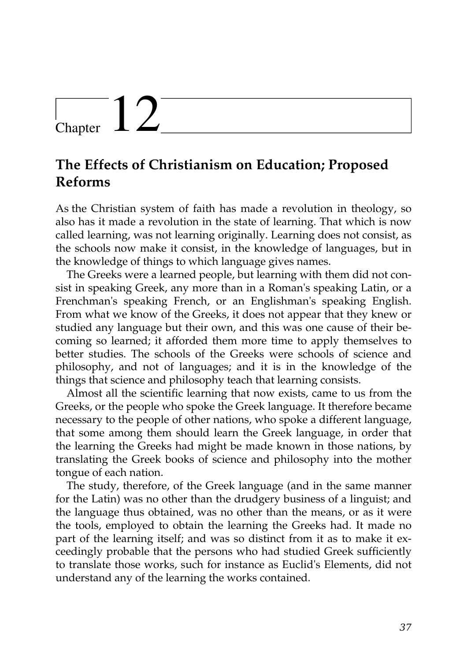## $\sum_{\text{Chapter 12}}$

### **The Effects of Christianism on Education; Proposed Reforms**

As the Christian system of faith has made a revolution in theology, so also has it made a revolution in the state of learning. That which is now called learning, was not learning originally. Learning does not consist, as the schools now make it consist, in the knowledge of languages, but in the knowledge of things to which language gives names.

The Greeks were a learned people, but learning with them did not consist in speaking Greek, any more than in a Roman's speaking Latin, or a Frenchman's speaking French, or an Englishman's speaking English. From what we know of the Greeks, it does not appear that they knew or studied any language but their own, and this was one cause of their becoming so learned; it afforded them more time to apply themselves to better studies. The schools of the Greeks were schools of science and philosophy, and not of languages; and it is in the knowledge of the things that science and philosophy teach that learning consists.

Almost all the scientific learning that now exists, came to us from the Greeks, or the people who spoke the Greek language. It therefore became necessary to the people of other nations, who spoke a different language, that some among them should learn the Greek language, in order that the learning the Greeks had might be made known in those nations, by translating the Greek books of science and philosophy into the mother tongue of each nation.

The study, therefore, of the Greek language (and in the same manner for the Latin) was no other than the drudgery business of a linguist; and the language thus obtained, was no other than the means, or as it were the tools, employed to obtain the learning the Greeks had. It made no part of the learning itself; and was so distinct from it as to make it exceedingly probable that the persons who had studied Greek sufficiently to translate those works, such for instance as Euclid's Elements, did not understand any of the learning the works contained.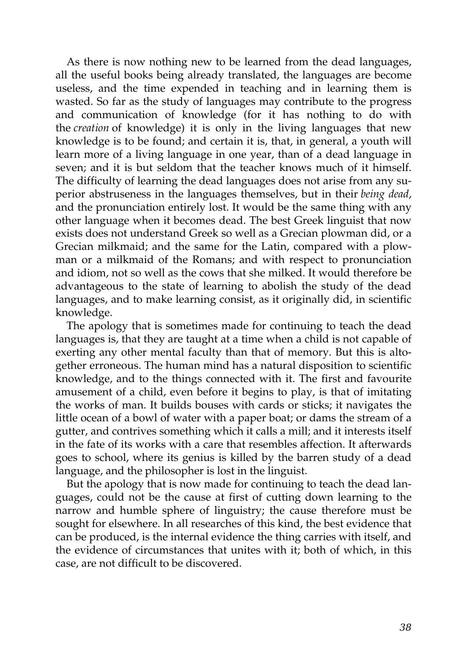As there is now nothing new to be learned from the dead languages, all the useful books being already translated, the languages are become useless, and the time expended in teaching and in learning them is wasted. So far as the study of languages may contribute to the progress and communication of knowledge (for it has nothing to do with the *creation* of knowledge) it is only in the living languages that new knowledge is to be found; and certain it is, that, in general, a youth will learn more of a living language in one year, than of a dead language in seven; and it is but seldom that the teacher knows much of it himself. The difficulty of learning the dead languages does not arise from any superior abstruseness in the languages themselves, but in their *being dead*, and the pronunciation entirely lost. It would be the same thing with any other language when it becomes dead. The best Greek linguist that now exists does not understand Greek so well as a Grecian plowman did, or a Grecian milkmaid; and the same for the Latin, compared with a plowman or a milkmaid of the Romans; and with respect to pronunciation and idiom, not so well as the cows that she milked. It would therefore be advantageous to the state of learning to abolish the study of the dead languages, and to make learning consist, as it originally did, in scientific knowledge.

The apology that is sometimes made for continuing to teach the dead languages is, that they are taught at a time when a child is not capable of exerting any other mental faculty than that of memory. But this is altogether erroneous. The human mind has a natural disposition to scientific knowledge, and to the things connected with it. The first and favourite amusement of a child, even before it begins to play, is that of imitating the works of man. It builds bouses with cards or sticks; it navigates the little ocean of a bowl of water with a paper boat; or dams the stream of a gutter, and contrives something which it calls a mill; and it interests itself in the fate of its works with a care that resembles affection. It afterwards goes to school, where its genius is killed by the barren study of a dead language, and the philosopher is lost in the linguist.

But the apology that is now made for continuing to teach the dead languages, could not be the cause at first of cutting down learning to the narrow and humble sphere of linguistry; the cause therefore must be sought for elsewhere. In all researches of this kind, the best evidence that can be produced, is the internal evidence the thing carries with itself, and the evidence of circumstances that unites with it; both of which, in this case, are not difficult to be discovered.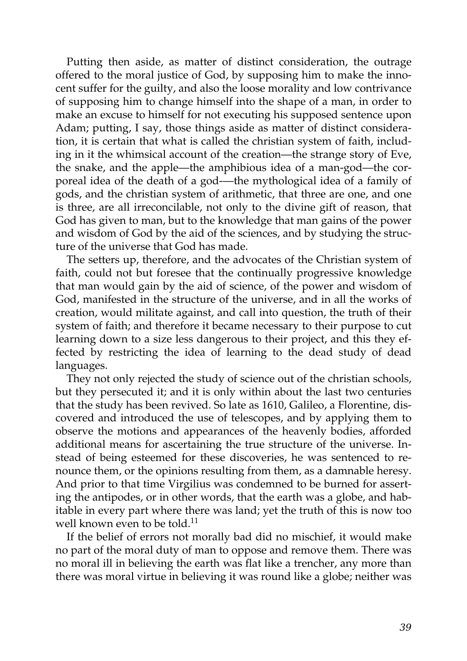Putting then aside, as matter of distinct consideration, the outrage offered to the moral justice of God, by supposing him to make the innocent suffer for the guilty, and also the loose morality and low contrivance of supposing him to change himself into the shape of a man, in order to make an excuse to himself for not executing his supposed sentence upon Adam; putting, I say, those things aside as matter of distinct consideration, it is certain that what is called the christian system of faith, including in it the whimsical account of the creation—the strange story of Eve, the snake, and the apple—the amphibious idea of a man-god—the corporeal idea of the death of a god-—the mythological idea of a family of gods, and the christian system of arithmetic, that three are one, and one is three, are all irreconcilable, not only to the divine gift of reason, that God has given to man, but to the knowledge that man gains of the power and wisdom of God by the aid of the sciences, and by studying the structure of the universe that God has made.

The setters up, therefore, and the advocates of the Christian system of faith, could not but foresee that the continually progressive knowledge that man would gain by the aid of science, of the power and wisdom of God, manifested in the structure of the universe, and in all the works of creation, would militate against, and call into question, the truth of their system of faith; and therefore it became necessary to their purpose to cut learning down to a size less dangerous to their project, and this they effected by restricting the idea of learning to the dead study of dead languages.

They not only rejected the study of science out of the christian schools, but they persecuted it; and it is only within about the last two centuries that the study has been revived. So late as 1610, Galileo, a Florentine, discovered and introduced the use of telescopes, and by applying them to observe the motions and appearances of the heavenly bodies, afforded additional means for ascertaining the true structure of the universe. Instead of being esteemed for these discoveries, he was sentenced to renounce them, or the opinions resulting from them, as a damnable heresy. And prior to that time Virgilius was condemned to be burned for asserting the antipodes, or in other words, that the earth was a globe, and habitable in every part where there was land; yet the truth of this is now too well known even to be told.<sup>[11](http://en.wikisource.org/wiki/The_Age_of_Reason/Part_I/Chapter_XII#cite_note-0)</sup>

If the belief of errors not morally bad did no mischief, it would make no part of the moral duty of man to oppose and remove them. There was no moral ill in believing the earth was flat like a trencher, any more than there was moral virtue in believing it was round like a globe; neither was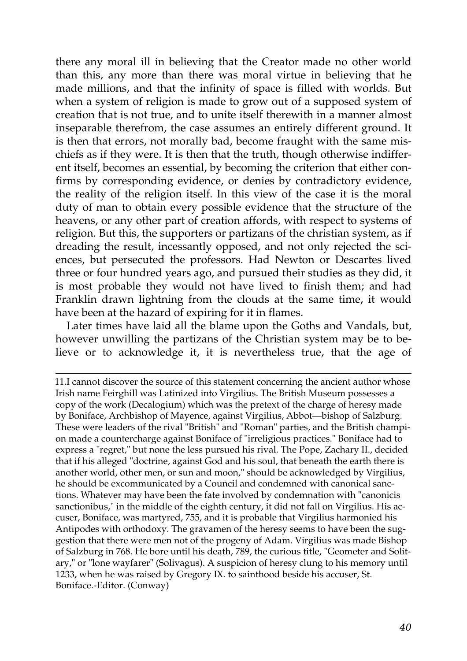there any moral ill in believing that the Creator made no other world than this, any more than there was moral virtue in believing that he made millions, and that the infinity of space is filled with worlds. But when a system of religion is made to grow out of a supposed system of creation that is not true, and to unite itself therewith in a manner almost inseparable therefrom, the case assumes an entirely different ground. It is then that errors, not morally bad, become fraught with the same mischiefs as if they were. It is then that the truth, though otherwise indifferent itself, becomes an essential, by becoming the criterion that either confirms by corresponding evidence, or denies by contradictory evidence, the reality of the religion itself. In this view of the case it is the moral duty of man to obtain every possible evidence that the structure of the heavens, or any other part of creation affords, with respect to systems of religion. But this, the supporters or partizans of the christian system, as if dreading the result, incessantly opposed, and not only rejected the sciences, but persecuted the professors. Had Newton or Descartes lived three or four hundred years ago, and pursued their studies as they did, it is most probable they would not have lived to finish them; and had Franklin drawn lightning from the clouds at the same time, it would have been at the hazard of expiring for it in flames.

Later times have laid all the blame upon the Goths and Vandals, but, however unwilling the partizans of the Christian system may be to believe or to acknowledge it, it is nevertheless true, that the age of

[<sup>11.</sup>I](http://en.wikisource.org/wiki/The_Age_of_Reason/Part_I/Chapter_XII#cite_note-0) cannot discover the source of this statement concerning the ancient author whose Irish name Feirghill was Latinized into Virgilius. The British Museum possesses a copy of the work (Decalogium) which was the pretext of the charge of heresy made by Boniface, Archbishop of Mayence, against Virgilius, Abbot—bishop of Salzburg. These were leaders of the rival "British" and "Roman" parties, and the British champion made a countercharge against Boniface of "irreligious practices." Boniface had to express a "regret," but none the less pursued his rival. The Pope, Zachary II., decided that if his alleged "doctrine, against God and his soul, that beneath the earth there is another world, other men, or sun and moon," should be acknowledged by Virgilius, he should be excommunicated by a Council and condemned with canonical sanctions. Whatever may have been the fate involved by condemnation with "canonicis sanctionibus," in the middle of the eighth century, it did not fall on Virgilius. His accuser, Boniface, was martyred, 755, and it is probable that Virgilius harmonied his Antipodes with orthodoxy. The gravamen of the heresy seems to have been the suggestion that there were men not of the progeny of Adam. Virgilius was made Bishop [of Salzburg in 768. He bore until his death, 789, the curious title, "Geometer and Solit](http://en.wikisource.org/wiki/The_Age_of_Reason/Part_I/Chapter_XII#cite_note-0)ary," or "lone wayfarer" (Solivagus). A suspicion of heresy clung to his memory until 1233, when he was raised by Gregory IX. to sainthood beside his accuser, St. Boniface.-Editor. (Conway)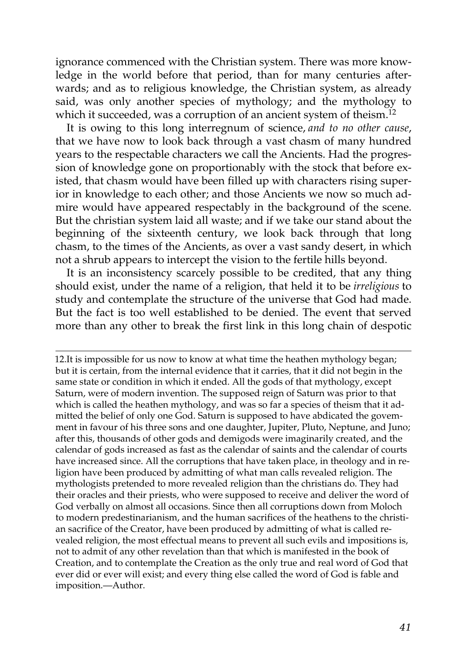ignorance commenced with the Christian system. There was more knowledge in the world before that period, than for many centuries afterwards; and as to religious knowledge, the Christian system, as already said, was only another species of mythology; and the mythology to which it succeeded, was a corruption of an ancient system of theism.<sup>[12](http://en.wikisource.org/wiki/The_Age_of_Reason/Part_I/Chapter_XII#cite_note-1)</sup>

It is owing to this long interregnum of science, *and to no other cause*, that we have now to look back through a vast chasm of many hundred years to the respectable characters we call the Ancients. Had the progression of knowledge gone on proportionably with the stock that before existed, that chasm would have been filled up with characters rising superior in knowledge to each other; and those Ancients we now so much admire would have appeared respectably in the background of the scene. But the christian system laid all waste; and if we take our stand about the beginning of the sixteenth century, we look back through that long chasm, to the times of the Ancients, as over a vast sandy desert, in which not a shrub appears to intercept the vision to the fertile hills beyond.

It is an inconsistency scarcely possible to be credited, that any thing should exist, under the name of a religion, that held it to be *irreligious* to study and contemplate the structure of the universe that God had made. But the fact is too well established to be denied. The event that served more than any other to break the first link in this long chain of despotic

[12.I](http://en.wikisource.org/wiki/The_Age_of_Reason/Part_I/Chapter_XII#cite_note-1)t is impossible for us now to know at what time the heathen mythology began; but it is certain, from the internal evidence that it carries, that it did not begin in the same state or condition in which it ended. All the gods of that mythology, except Saturn, were of modern invention. The supposed reign of Saturn was prior to that which is called the heathen mythology, and was so far a species of theism that it admitted the belief of only one God. Saturn is supposed to have abdicated the govem[ment in favour of his three sons and one daughter, Jupiter, Pluto, Neptune, and Juno;](http://en.wikisource.org/wiki/The_Age_of_Reason/Part_I/Chapter_XII#cite_note-1) after this, thousands of other gods and demigods were imaginarily created, and the calendar of gods increased as fast as the calendar of saints and the calendar of courts have increased since. All the corruptions that have taken place, in theology and in religion have been produced by admitting of what man calls revealed religion. The mythologists pretended to more revealed religion than the christians do. They had their oracles and their priests, who were supposed to receive and deliver the word of God verbally on almost all occasions. Since then all corruptions down from Moloch to modern predestinarianism, and the human sacrifices of the heathens to the christian sacrifice of the Creator, have been produced by admitting of what is called revealed religion, the most effectual means to prevent all such evils and impositions is, not to admit of any other revelation than that which is manifested in the book of Creation, and to contemplate the Creation as the only true and real word of God that ever did or ever will exist; and every thing else called the word of God is fable and imposition.—Author.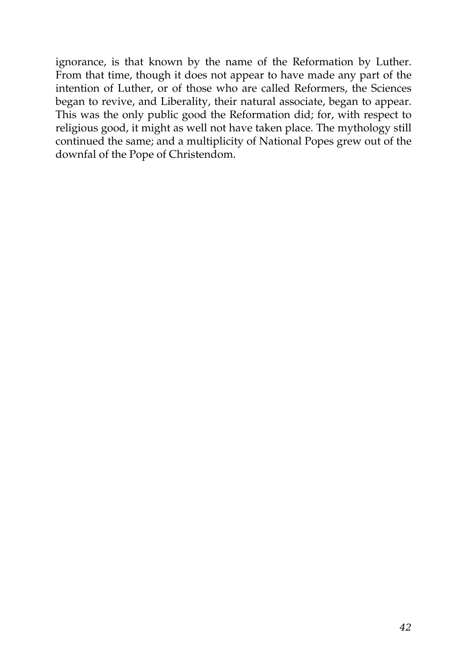ignorance, is that known by the name of the Reformation by Luther. From that time, though it does not appear to have made any part of the intention of Luther, or of those who are called Reformers, the Sciences began to revive, and Liberality, their natural associate, began to appear. This was the only public good the Reformation did; for, with respect to religious good, it might as well not have taken place. The mythology still continued the same; and a multiplicity of National Popes grew out of the downfal of the Pope of Christendom.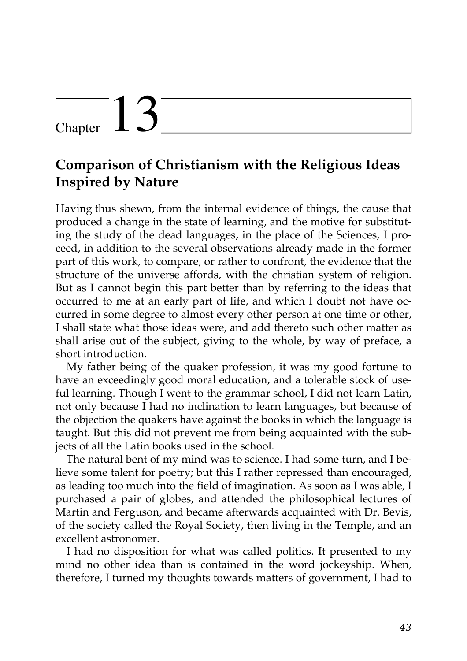## Chapter  $13$

## **Comparison of Christianism with the Religious Ideas Inspired by Nature**

Having thus shewn, from the internal evidence of things, the cause that produced a change in the state of learning, and the motive for substituting the study of the dead languages, in the place of the Sciences, I proceed, in addition to the several observations already made in the former part of this work, to compare, or rather to confront, the evidence that the structure of the universe affords, with the christian system of religion. But as I cannot begin this part better than by referring to the ideas that occurred to me at an early part of life, and which I doubt not have occurred in some degree to almost every other person at one time or other, I shall state what those ideas were, and add thereto such other matter as shall arise out of the subject, giving to the whole, by way of preface, a short introduction.

My father being of the quaker profession, it was my good fortune to have an exceedingly good moral education, and a tolerable stock of useful learning. Though I went to the grammar school, I did not learn Latin, not only because I had no inclination to learn languages, but because of the objection the quakers have against the books in which the language is taught. But this did not prevent me from being acquainted with the subjects of all the Latin books used in the school.

The natural bent of my mind was to science. I had some turn, and I believe some talent for poetry; but this I rather repressed than encouraged, as leading too much into the field of imagination. As soon as I was able, I purchased a pair of globes, and attended the philosophical lectures of Martin and Ferguson, and became afterwards acquainted with Dr. Bevis, of the society called the Royal Society, then living in the Temple, and an excellent astronomer.

I had no disposition for what was called politics. It presented to my mind no other idea than is contained in the word jockeyship. When, therefore, I turned my thoughts towards matters of government, I had to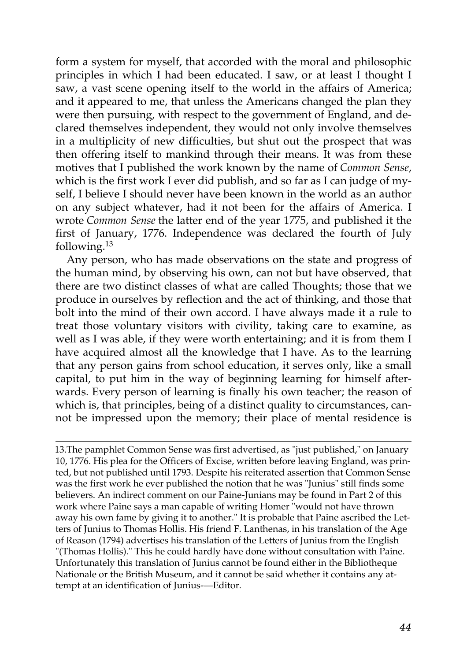form a system for myself, that accorded with the moral and philosophic principles in which I had been educated. I saw, or at least I thought I saw, a vast scene opening itself to the world in the affairs of America; and it appeared to me, that unless the Americans changed the plan they were then pursuing, with respect to the government of England, and declared themselves independent, they would not only involve themselves in a multiplicity of new difficulties, but shut out the prospect that was then offering itself to mankind through their means. It was from these motives that I published the work known by the name of *Common Sense*, which is the first work I ever did publish, and so far as I can judge of myself, I believe I should never have been known in the world as an author on any subject whatever, had it not been for the affairs of America. I wrote *Common Sense* the latter end of the year 1775, and published it the first of January, 1776. Independence was declared the fourth of July following.[13](http://en.wikisource.org/wiki/The_Age_of_Reason/Part_I/Chapter_XIII#cite_note-0)

Any person, who has made observations on the state and progress of the human mind, by observing his own, can not but have observed, that there are two distinct classes of what are called Thoughts; those that we produce in ourselves by reflection and the act of thinking, and those that bolt into the mind of their own accord. I have always made it a rule to treat those voluntary visitors with civility, taking care to examine, as well as I was able, if they were worth entertaining; and it is from them I have acquired almost all the knowledge that I have. As to the learning that any person gains from school education, it serves only, like a small capital, to put him in the way of beginning learning for himself afterwards. Every person of learning is finally his own teacher; the reason of which is, that principles, being of a distinct quality to circumstances, cannot be impressed upon the memory; their place of mental residence is

[13.T](http://en.wikisource.org/wiki/The_Age_of_Reason/Part_I/Chapter_XIII#cite_note-0)he pamphlet Common Sense was first advertised, as "just published," on January [10, 1776. His plea for the Officers of Excise, written before leaving England, was prin](http://en.wikisource.org/wiki/The_Age_of_Reason/Part_I/Chapter_XIII#cite_note-0)ted, but not published until 1793. Despite his reiterated assertion that Common Sense was the first work he ever published the notion that he was "Junius" still finds some believers. An indirect comment on our Paine-Junians may be found in Part 2 of this work where Paine says a man capable of writing Homer "would not have thrown away his own fame by giving it to another." It is probable that Paine ascribed the Letters of Junius to Thomas Hollis. His friend F. Lanthenas, in his translation of the Age of Reason (1794) advertises his translation of the Letters of Junius from the English "(Thomas Hollis)." This he could hardly have done without consultation with Paine. Unfortunately this translation of Junius cannot be found either in the Bibliotheque Nationale or the British Museum, and it cannot be said whether it contains any attempt at an identification of Junius-—Editor.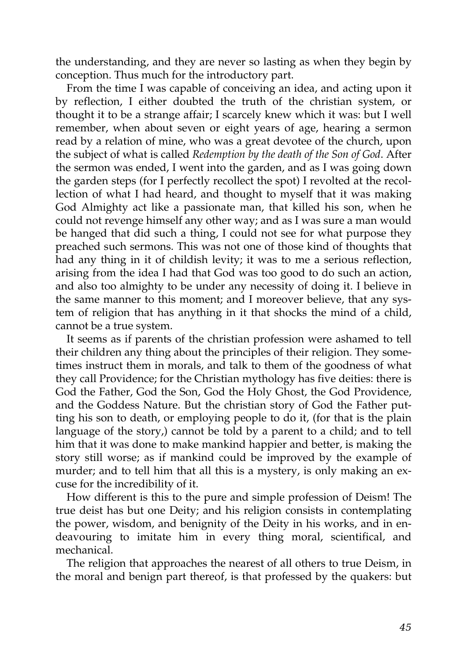the understanding, and they are never so lasting as when they begin by conception. Thus much for the introductory part.

From the time I was capable of conceiving an idea, and acting upon it by reflection, I either doubted the truth of the christian system, or thought it to be a strange affair; I scarcely knew which it was: but I well remember, when about seven or eight years of age, hearing a sermon read by a relation of mine, who was a great devotee of the church, upon the subject of what is called *Redemption by the death of the Son of God*. After the sermon was ended, I went into the garden, and as I was going down the garden steps (for I perfectly recollect the spot) I revolted at the recollection of what I had heard, and thought to myself that it was making God Almighty act like a passionate man, that killed his son, when he could not revenge himself any other way; and as I was sure a man would be hanged that did such a thing, I could not see for what purpose they preached such sermons. This was not one of those kind of thoughts that had any thing in it of childish levity; it was to me a serious reflection, arising from the idea I had that God was too good to do such an action, and also too almighty to be under any necessity of doing it. I believe in the same manner to this moment; and I moreover believe, that any system of religion that has anything in it that shocks the mind of a child, cannot be a true system.

It seems as if parents of the christian profession were ashamed to tell their children any thing about the principles of their religion. They sometimes instruct them in morals, and talk to them of the goodness of what they call Providence; for the Christian mythology has five deities: there is God the Father, God the Son, God the Holy Ghost, the God Providence, and the Goddess Nature. But the christian story of God the Father putting his son to death, or employing people to do it, (for that is the plain language of the story,) cannot be told by a parent to a child; and to tell him that it was done to make mankind happier and better, is making the story still worse; as if mankind could be improved by the example of murder; and to tell him that all this is a mystery, is only making an excuse for the incredibility of it.

How different is this to the pure and simple profession of Deism! The true deist has but one Deity; and his religion consists in contemplating the power, wisdom, and benignity of the Deity in his works, and in endeavouring to imitate him in every thing moral, scientifical, and mechanical.

The religion that approaches the nearest of all others to true Deism, in the moral and benign part thereof, is that professed by the quakers: but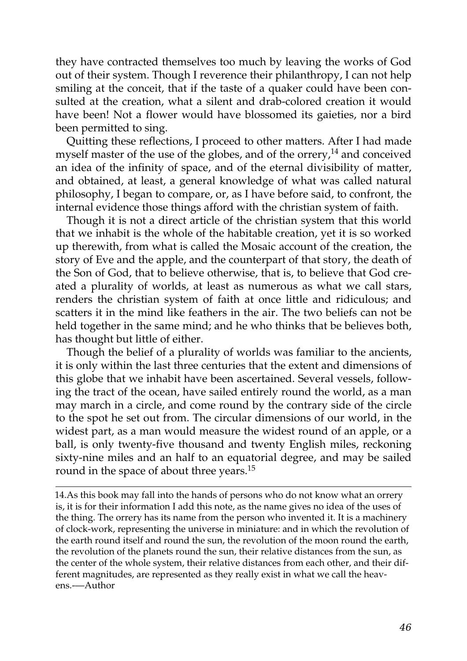they have contracted themselves too much by leaving the works of God out of their system. Though I reverence their philanthropy, I can not help smiling at the conceit, that if the taste of a quaker could have been consulted at the creation, what a silent and drab-colored creation it would have been! Not a flower would have blossomed its gaieties, nor a bird been permitted to sing.

Quitting these reflections, I proceed to other matters. After I had made myself master of the use of the globes, and of the orrery, $14$  and conceived an idea of the infinity of space, and of the eternal divisibility of matter, and obtained, at least, a general knowledge of what was called natural philosophy, I began to compare, or, as I have before said, to confront, the internal evidence those things afford with the christian system of faith.

Though it is not a direct article of the christian system that this world that we inhabit is the whole of the habitable creation, yet it is so worked up therewith, from what is called the Mosaic account of the creation, the story of Eve and the apple, and the counterpart of that story, the death of the Son of God, that to believe otherwise, that is, to believe that God created a plurality of worlds, at least as numerous as what we call stars, renders the christian system of faith at once little and ridiculous; and scatters it in the mind like feathers in the air. The two beliefs can not be held together in the same mind; and he who thinks that be believes both, has thought but little of either.

Though the belief of a plurality of worlds was familiar to the ancients, it is only within the last three centuries that the extent and dimensions of this globe that we inhabit have been ascertained. Several vessels, following the tract of the ocean, have sailed entirely round the world, as a man may march in a circle, and come round by the contrary side of the circle to the spot he set out from. The circular dimensions of our world, in the widest part, as a man would measure the widest round of an apple, or a ball, is only twenty-five thousand and twenty English miles, reckoning sixty-nine miles and an half to an equatorial degree, and may be sailed round in the space of about three years.<sup>[15](http://en.wikisource.org/wiki/The_Age_of_Reason/Part_I/Chapter_XIII#cite_note-2)</sup>

14.As this book may fall into the hands of persons who do not know what an orrery is, it is for their information I add this note, as the name gives no idea of the uses of the thing. The orrery has its name from the person who invented it. It is a machinery of clock-work, representing the universe in miniature: and in which the revolution of the earth round itself and round the sun, the revolution of the moon round the earth, the revolution of the planets round the sun, their relative distances from the sun, as the center of the whole system, their relative distances from each other, and their different magnitudes, are represented as they really exist in what we call the heavens.-—Author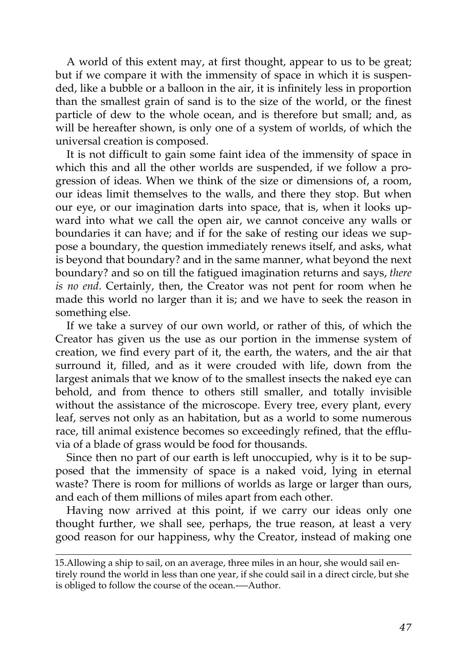A world of this extent may, at first thought, appear to us to be great; but if we compare it with the immensity of space in which it is suspended, like a bubble or a balloon in the air, it is infinitely less in proportion than the smallest grain of sand is to the size of the world, or the finest particle of dew to the whole ocean, and is therefore but small; and, as will be hereafter shown, is only one of a system of worlds, of which the universal creation is composed.

It is not difficult to gain some faint idea of the immensity of space in which this and all the other worlds are suspended, if we follow a progression of ideas. When we think of the size or dimensions of, a room, our ideas limit themselves to the walls, and there they stop. But when our eye, or our imagination darts into space, that is, when it looks upward into what we call the open air, we cannot conceive any walls or boundaries it can have; and if for the sake of resting our ideas we suppose a boundary, the question immediately renews itself, and asks, what is beyond that boundary? and in the same manner, what beyond the next boundary? and so on till the fatigued imagination returns and says, *there is no end*. Certainly, then, the Creator was not pent for room when he made this world no larger than it is; and we have to seek the reason in something else.

If we take a survey of our own world, or rather of this, of which the Creator has given us the use as our portion in the immense system of creation, we find every part of it, the earth, the waters, and the air that surround it, filled, and as it were crouded with life, down from the largest animals that we know of to the smallest insects the naked eye can behold, and from thence to others still smaller, and totally invisible without the assistance of the microscope. Every tree, every plant, every leaf, serves not only as an habitation, but as a world to some numerous race, till animal existence becomes so exceedingly refined, that the effluvia of a blade of grass would be food for thousands.

Since then no part of our earth is left unoccupied, why is it to be supposed that the immensity of space is a naked void, lying in eternal waste? There is room for millions of worlds as large or larger than ours, and each of them millions of miles apart from each other.

Having now arrived at this point, if we carry our ideas only one thought further, we shall see, perhaps, the true reason, at least a very good reason for our happiness, why the Creator, instead of making one

[<sup>15.</sup>A](http://en.wikisource.org/wiki/The_Age_of_Reason/Part_I/Chapter_XIII#cite_note-2)llowing a ship to sail, on an average, three miles in an hour, she would sail en[tirely round the world in less than one year, if she could sail in a direct circle, but she](http://en.wikisource.org/wiki/The_Age_of_Reason/Part_I/Chapter_XIII#cite_note-2) is obliged to follow the course of the ocean.-—Author.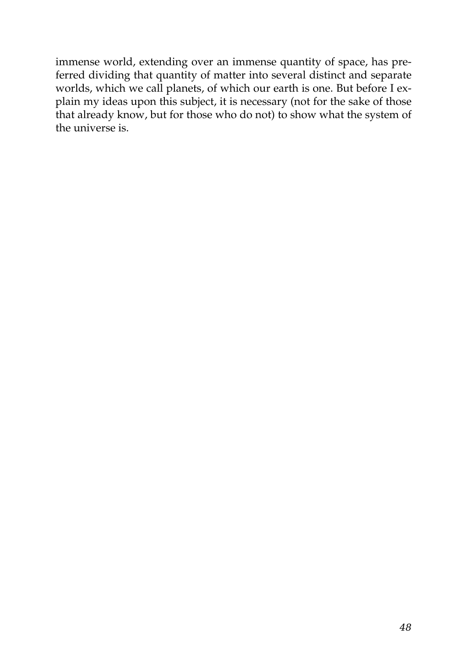immense world, extending over an immense quantity of space, has preferred dividing that quantity of matter into several distinct and separate worlds, which we call planets, of which our earth is one. But before I explain my ideas upon this subject, it is necessary (not for the sake of those that already know, but for those who do not) to show what the system of the universe is.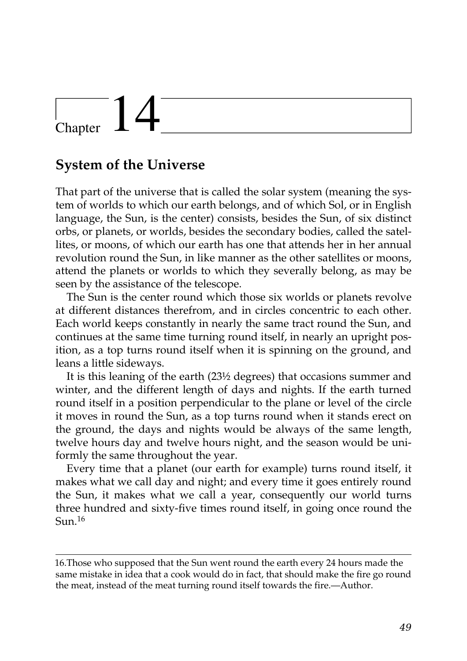# $\vert$  Chapter  $\vert$  4

### **System of the Universe**

That part of the universe that is called the solar system (meaning the system of worlds to which our earth belongs, and of which Sol, or in English language, the Sun, is the center) consists, besides the Sun, of six distinct orbs, or planets, or worlds, besides the secondary bodies, called the satellites, or moons, of which our earth has one that attends her in her annual revolution round the Sun, in like manner as the other satellites or moons, attend the planets or worlds to which they severally belong, as may be seen by the assistance of the telescope.

The Sun is the center round which those six worlds or planets revolve at different distances therefrom, and in circles concentric to each other. Each world keeps constantly in nearly the same tract round the Sun, and continues at the same time turning round itself, in nearly an upright position, as a top turns round itself when it is spinning on the ground, and leans a little sideways.

It is this leaning of the earth (23½ degrees) that occasions summer and winter, and the different length of days and nights. If the earth turned round itself in a position perpendicular to the plane or level of the circle it moves in round the Sun, as a top turns round when it stands erect on the ground, the days and nights would be always of the same length, twelve hours day and twelve hours night, and the season would be uniformly the same throughout the year.

Every time that a planet (our earth for example) turns round itself, it makes what we call day and night; and every time it goes entirely round the Sun, it makes what we call a year, consequently our world turns three hundred and sixty-five times round itself, in going once round the  $S<sub>11n</sub>$ <sup>16</sup>

<sup>16.</sup>Those who supposed that the Sun went round the earth every 24 hours made the same mistake in idea that a cook would do in fact, that should make the fire go round the meat, instead of the meat turning round itself towards the fire.—Author.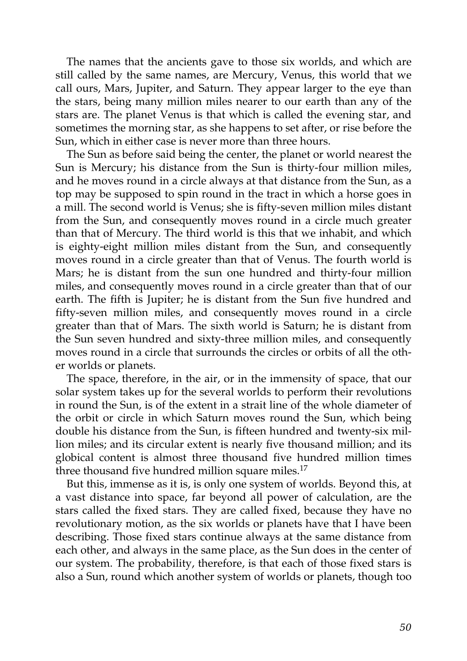The names that the ancients gave to those six worlds, and which are still called by the same names, are Mercury, Venus, this world that we call ours, Mars, Jupiter, and Saturn. They appear larger to the eye than the stars, being many million miles nearer to our earth than any of the stars are. The planet Venus is that which is called the evening star, and sometimes the morning star, as she happens to set after, or rise before the Sun, which in either case is never more than three hours.

The Sun as before said being the center, the planet or world nearest the Sun is Mercury; his distance from the Sun is thirty-four million miles, and he moves round in a circle always at that distance from the Sun, as a top may be supposed to spin round in the tract in which a horse goes in a mill. The second world is Venus; she is fifty-seven million miles distant from the Sun, and consequently moves round in a circle much greater than that of Mercury. The third world is this that we inhabit, and which is eighty-eight million miles distant from the Sun, and consequently moves round in a circle greater than that of Venus. The fourth world is Mars; he is distant from the sun one hundred and thirty-four million miles, and consequently moves round in a circle greater than that of our earth. The fifth is Jupiter; he is distant from the Sun five hundred and fifty-seven million miles, and consequently moves round in a circle greater than that of Mars. The sixth world is Saturn; he is distant from the Sun seven hundred and sixty-three million miles, and consequently moves round in a circle that surrounds the circles or orbits of all the other worlds or planets.

The space, therefore, in the air, or in the immensity of space, that our solar system takes up for the several worlds to perform their revolutions in round the Sun, is of the extent in a strait line of the whole diameter of the orbit or circle in which Saturn moves round the Sun, which being double his distance from the Sun, is fifteen hundred and twenty-six million miles; and its circular extent is nearly five thousand million; and its globical content is almost three thousand five hundred million times three thousand five hundred million square miles.<sup>17</sup>

But this, immense as it is, is only one system of worlds. Beyond this, at a vast distance into space, far beyond all power of calculation, are the stars called the fixed stars. They are called fixed, because they have no revolutionary motion, as the six worlds or planets have that I have been describing. Those fixed stars continue always at the same distance from each other, and always in the same place, as the Sun does in the center of our system. The probability, therefore, is that each of those fixed stars is also a Sun, round which another system of worlds or planets, though too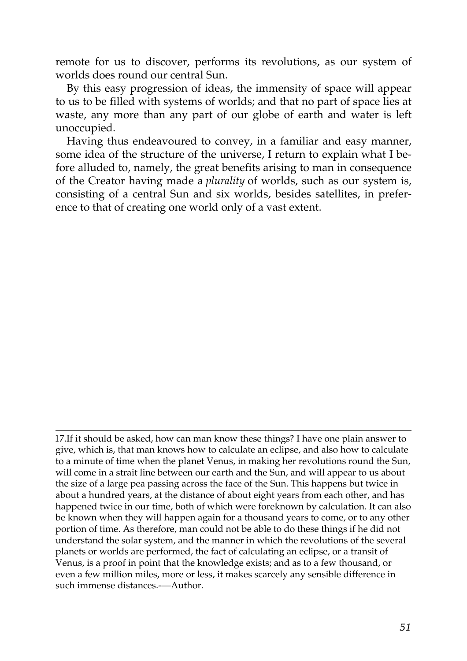remote for us to discover, performs its revolutions, as our system of worlds does round our central Sun.

By this easy progression of ideas, the immensity of space will appear to us to be filled with systems of worlds; and that no part of space lies at waste, any more than any part of our globe of earth and water is left unoccupied.

Having thus endeavoured to convey, in a familiar and easy manner, some idea of the structure of the universe, I return to explain what I before alluded to, namely, the great benefits arising to man in consequence of the Creator having made a *plurality* of worlds, such as our system is, consisting of a central Sun and six worlds, besides satellites, in preference to that of creating one world only of a vast extent.

<sup>17.</sup>If it should be asked, how can man know these things? I have one plain answer to give, which is, that man knows how to calculate an eclipse, and also how to calculate to a minute of time when the planet Venus, in making her revolutions round the Sun, will come in a strait line between our earth and the Sun, and will appear to us about the size of a large pea passing across the face of the Sun. This happens but twice in about a hundred years, at the distance of about eight years from each other, and has happened twice in our time, both of which were foreknown by calculation. It can also be known when they will happen again for a thousand years to come, or to any other portion of time. As therefore, man could not be able to do these things if he did not understand the solar system, and the manner in which the revolutions of the several planets or worlds are performed, the fact of calculating an eclipse, or a transit of Venus, is a proof in point that the knowledge exists; and as to a few thousand, or even a few million miles, more or less, it makes scarcely any sensible difference in such immense distances.-—Author.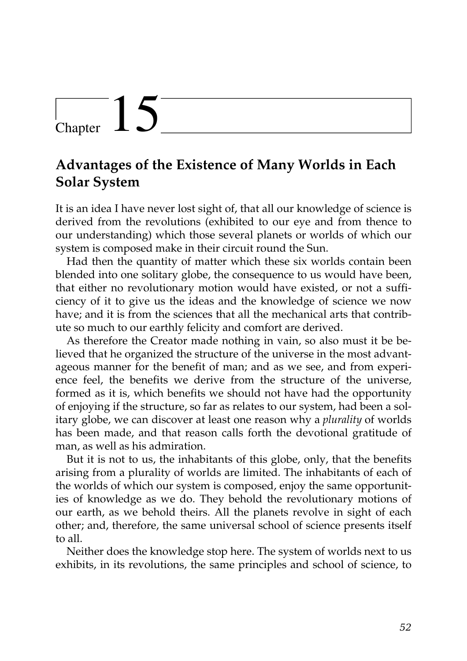## Chapter  $15$

### **Advantages of the Existence of Many Worlds in Each Solar System**

It is an idea I have never lost sight of, that all our knowledge of science is derived from the revolutions (exhibited to our eye and from thence to our understanding) which those several planets or worlds of which our system is composed make in their circuit round the Sun.

Had then the quantity of matter which these six worlds contain been blended into one solitary globe, the consequence to us would have been, that either no revolutionary motion would have existed, or not a sufficiency of it to give us the ideas and the knowledge of science we now have; and it is from the sciences that all the mechanical arts that contribute so much to our earthly felicity and comfort are derived.

As therefore the Creator made nothing in vain, so also must it be believed that he organized the structure of the universe in the most advantageous manner for the benefit of man; and as we see, and from experience feel, the benefits we derive from the structure of the universe, formed as it is, which benefits we should not have had the opportunity of enjoying if the structure, so far as relates to our system, had been a solitary globe, we can discover at least one reason why a *plurality* of worlds has been made, and that reason calls forth the devotional gratitude of man, as well as his admiration.

But it is not to us, the inhabitants of this globe, only, that the benefits arising from a plurality of worlds are limited. The inhabitants of each of the worlds of which our system is composed, enjoy the same opportunities of knowledge as we do. They behold the revolutionary motions of our earth, as we behold theirs. All the planets revolve in sight of each other; and, therefore, the same universal school of science presents itself to all.

Neither does the knowledge stop here. The system of worlds next to us exhibits, in its revolutions, the same principles and school of science, to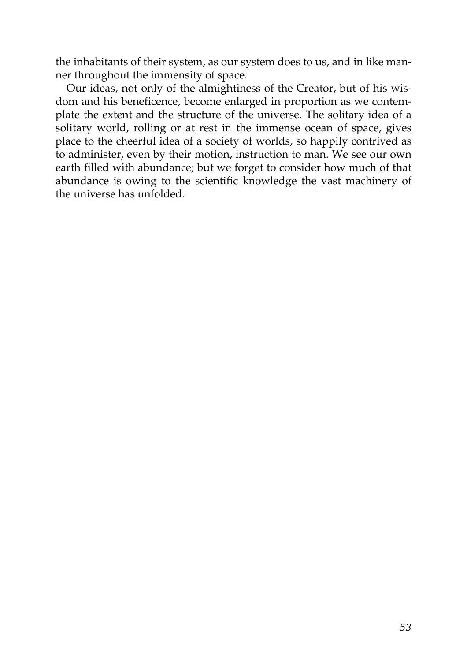the inhabitants of their system, as our system does to us, and in like manner throughout the immensity of space.

Our ideas, not only of the almightiness of the Creator, but of his wisdom and his beneficence, become enlarged in proportion as we contemplate the extent and the structure of the universe. The solitary idea of a solitary world, rolling or at rest in the immense ocean of space, gives place to the cheerful idea of a society of worlds, so happily contrived as to administer, even by their motion, instruction to man. We see our own earth filled with abundance; but we forget to consider how much of that abundance is owing to the scientific knowledge the vast machinery of the universe has unfolded.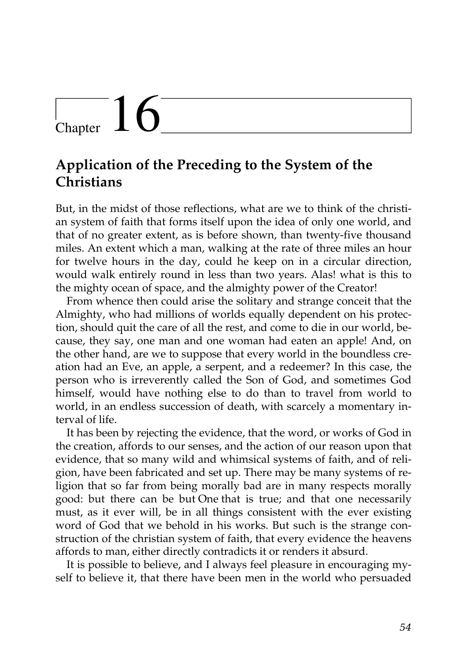# $\frac{1}{2}$ Chapter  $16$

### **Application of the Preceding to the System of the Christians**

But, in the midst of those reflections, what are we to think of the christian system of faith that forms itself upon the idea of only one world, and that of no greater extent, as is before shown, than twenty-five thousand miles. An extent which a man, walking at the rate of three miles an hour for twelve hours in the day, could he keep on in a circular direction, would walk entirely round in less than two years. Alas! what is this to the mighty ocean of space, and the almighty power of the Creator!

From whence then could arise the solitary and strange conceit that the Almighty, who had millions of worlds equally dependent on his protection, should quit the care of all the rest, and come to die in our world, because, they say, one man and one woman had eaten an apple! And, on the other hand, are we to suppose that every world in the boundless creation had an Eve, an apple, a serpent, and a redeemer? In this case, the person who is irreverently called the Son of God, and sometimes God himself, would have nothing else to do than to travel from world to world, in an endless succession of death, with scarcely a momentary interval of life.

It has been by rejecting the evidence, that the word, or works of God in the creation, affords to our senses, and the action of our reason upon that evidence, that so many wild and whimsical systems of faith, and of religion, have been fabricated and set up. There may be many systems of religion that so far from being morally bad are in many respects morally good: but there can be but One that is true; and that one necessarily must, as it ever will, be in all things consistent with the ever existing word of God that we behold in his works. But such is the strange construction of the christian system of faith, that every evidence the heavens affords to man, either directly contradicts it or renders it absurd.

It is possible to believe, and I always feel pleasure in encouraging myself to believe it, that there have been men in the world who persuaded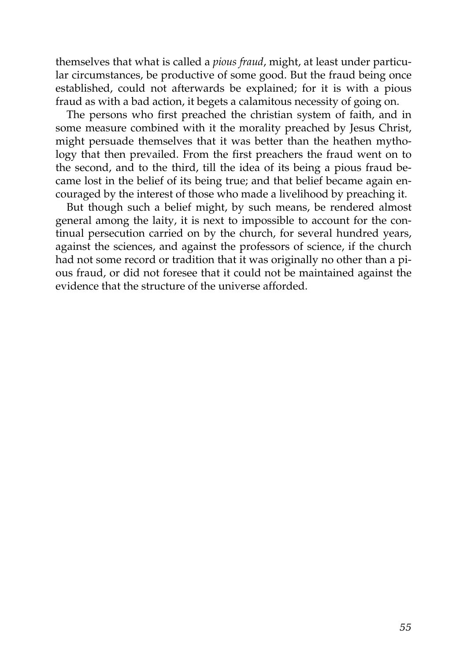themselves that what is called a *pious fraud*, might, at least under particular circumstances, be productive of some good. But the fraud being once established, could not afterwards be explained; for it is with a pious fraud as with a bad action, it begets a calamitous necessity of going on.

The persons who first preached the christian system of faith, and in some measure combined with it the morality preached by Jesus Christ, might persuade themselves that it was better than the heathen mythology that then prevailed. From the first preachers the fraud went on to the second, and to the third, till the idea of its being a pious fraud became lost in the belief of its being true; and that belief became again encouraged by the interest of those who made a livelihood by preaching it.

But though such a belief might, by such means, be rendered almost general among the laity, it is next to impossible to account for the continual persecution carried on by the church, for several hundred years, against the sciences, and against the professors of science, if the church had not some record or tradition that it was originally no other than a pious fraud, or did not foresee that it could not be maintained against the evidence that the structure of the universe afforded.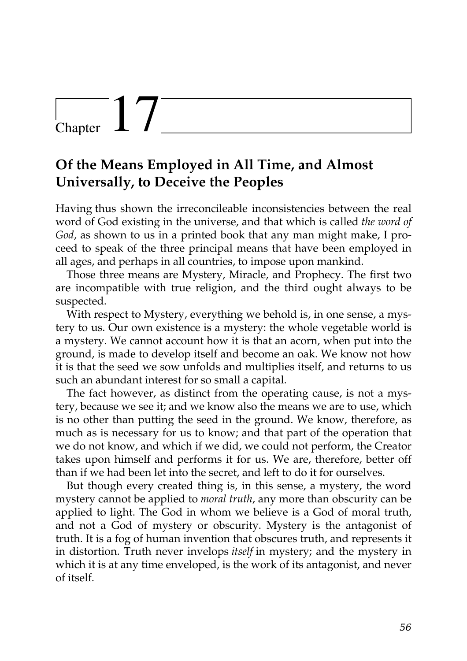## $\begin{array}{c} \begin{array}{c} \end{array}$  Chapter

### **Of the Means Employed in All Time, and Almost Universally, to Deceive the Peoples**

Having thus shown the irreconcileable inconsistencies between the real word of God existing in the universe, and that which is called *the word of God*, as shown to us in a printed book that any man might make, I proceed to speak of the three principal means that have been employed in all ages, and perhaps in all countries, to impose upon mankind.

Those three means are Mystery, Miracle, and Prophecy. The first two are incompatible with true religion, and the third ought always to be suspected.

With respect to Mystery, everything we behold is, in one sense, a mystery to us. Our own existence is a mystery: the whole vegetable world is a mystery. We cannot account how it is that an acorn, when put into the ground, is made to develop itself and become an oak. We know not how it is that the seed we sow unfolds and multiplies itself, and returns to us such an abundant interest for so small a capital.

The fact however, as distinct from the operating cause, is not a mystery, because we see it; and we know also the means we are to use, which is no other than putting the seed in the ground. We know, therefore, as much as is necessary for us to know; and that part of the operation that we do not know, and which if we did, we could not perform, the Creator takes upon himself and performs it for us. We are, therefore, better off than if we had been let into the secret, and left to do it for ourselves.

But though every created thing is, in this sense, a mystery, the word mystery cannot be applied to *moral truth*, any more than obscurity can be applied to light. The God in whom we believe is a God of moral truth, and not a God of mystery or obscurity. Mystery is the antagonist of truth. It is a fog of human invention that obscures truth, and represents it in distortion. Truth never invelops *itself* in mystery; and the mystery in which it is at any time enveloped, is the work of its antagonist, and never of itself.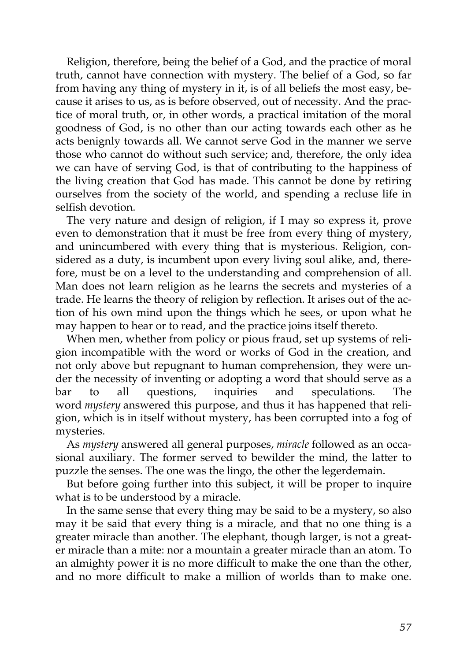Religion, therefore, being the belief of a God, and the practice of moral truth, cannot have connection with mystery. The belief of a God, so far from having any thing of mystery in it, is of all beliefs the most easy, because it arises to us, as is before observed, out of necessity. And the practice of moral truth, or, in other words, a practical imitation of the moral goodness of God, is no other than our acting towards each other as he acts benignly towards all. We cannot serve God in the manner we serve those who cannot do without such service; and, therefore, the only idea we can have of serving God, is that of contributing to the happiness of the living creation that God has made. This cannot be done by retiring ourselves from the society of the world, and spending a recluse life in selfish devotion.

The very nature and design of religion, if I may so express it, prove even to demonstration that it must be free from every thing of mystery, and unincumbered with every thing that is mysterious. Religion, considered as a duty, is incumbent upon every living soul alike, and, therefore, must be on a level to the understanding and comprehension of all. Man does not learn religion as he learns the secrets and mysteries of a trade. He learns the theory of religion by reflection. It arises out of the action of his own mind upon the things which he sees, or upon what he may happen to hear or to read, and the practice joins itself thereto.

When men, whether from policy or pious fraud, set up systems of religion incompatible with the word or works of God in the creation, and not only above but repugnant to human comprehension, they were under the necessity of inventing or adopting a word that should serve as a bar to all questions, inquiries and speculations. The word *mystery* answered this purpose, and thus it has happened that religion, which is in itself without mystery, has been corrupted into a fog of mysteries.

As *mystery* answered all general purposes, *miracle* followed as an occasional auxiliary. The former served to bewilder the mind, the latter to puzzle the senses. The one was the lingo, the other the legerdemain.

But before going further into this subject, it will be proper to inquire what is to be understood by a miracle.

In the same sense that every thing may be said to be a mystery, so also may it be said that every thing is a miracle, and that no one thing is a greater miracle than another. The elephant, though larger, is not a greater miracle than a mite: nor a mountain a greater miracle than an atom. To an almighty power it is no more difficult to make the one than the other, and no more difficult to make a million of worlds than to make one.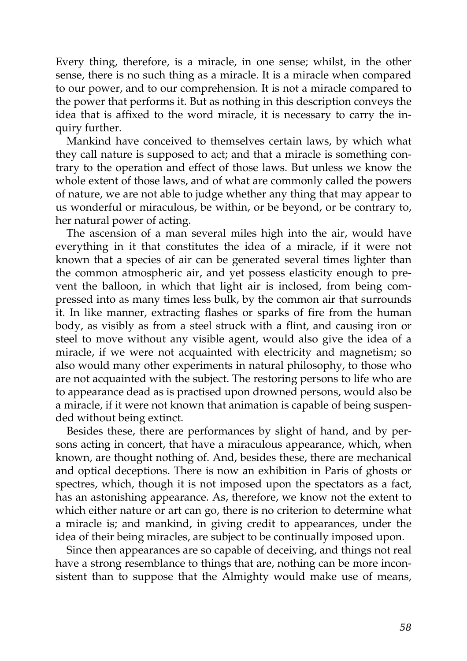Every thing, therefore, is a miracle, in one sense; whilst, in the other sense, there is no such thing as a miracle. It is a miracle when compared to our power, and to our comprehension. It is not a miracle compared to the power that performs it. But as nothing in this description conveys the idea that is affixed to the word miracle, it is necessary to carry the inquiry further.

Mankind have conceived to themselves certain laws, by which what they call nature is supposed to act; and that a miracle is something contrary to the operation and effect of those laws. But unless we know the whole extent of those laws, and of what are commonly called the powers of nature, we are not able to judge whether any thing that may appear to us wonderful or miraculous, be within, or be beyond, or be contrary to, her natural power of acting.

The ascension of a man several miles high into the air, would have everything in it that constitutes the idea of a miracle, if it were not known that a species of air can be generated several times lighter than the common atmospheric air, and yet possess elasticity enough to prevent the balloon, in which that light air is inclosed, from being compressed into as many times less bulk, by the common air that surrounds it. In like manner, extracting flashes or sparks of fire from the human body, as visibly as from a steel struck with a flint, and causing iron or steel to move without any visible agent, would also give the idea of a miracle, if we were not acquainted with electricity and magnetism; so also would many other experiments in natural philosophy, to those who are not acquainted with the subject. The restoring persons to life who are to appearance dead as is practised upon drowned persons, would also be a miracle, if it were not known that animation is capable of being suspended without being extinct.

Besides these, there are performances by slight of hand, and by persons acting in concert, that have a miraculous appearance, which, when known, are thought nothing of. And, besides these, there are mechanical and optical deceptions. There is now an exhibition in Paris of ghosts or spectres, which, though it is not imposed upon the spectators as a fact, has an astonishing appearance. As, therefore, we know not the extent to which either nature or art can go, there is no criterion to determine what a miracle is; and mankind, in giving credit to appearances, under the idea of their being miracles, are subject to be continually imposed upon.

Since then appearances are so capable of deceiving, and things not real have a strong resemblance to things that are, nothing can be more inconsistent than to suppose that the Almighty would make use of means,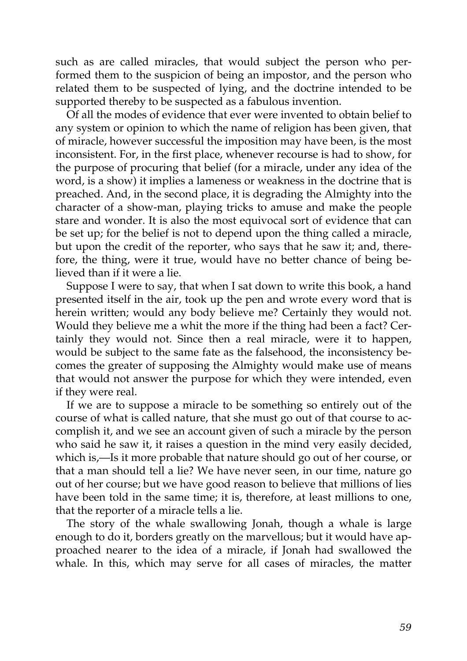such as are called miracles, that would subject the person who performed them to the suspicion of being an impostor, and the person who related them to be suspected of lying, and the doctrine intended to be supported thereby to be suspected as a fabulous invention.

Of all the modes of evidence that ever were invented to obtain belief to any system or opinion to which the name of religion has been given, that of miracle, however successful the imposition may have been, is the most inconsistent. For, in the first place, whenever recourse is had to show, for the purpose of procuring that belief (for a miracle, under any idea of the word, is a show) it implies a lameness or weakness in the doctrine that is preached. And, in the second place, it is degrading the Almighty into the character of a show-man, playing tricks to amuse and make the people stare and wonder. It is also the most equivocal sort of evidence that can be set up; for the belief is not to depend upon the thing called a miracle, but upon the credit of the reporter, who says that he saw it; and, therefore, the thing, were it true, would have no better chance of being believed than if it were a lie.

Suppose I were to say, that when I sat down to write this book, a hand presented itself in the air, took up the pen and wrote every word that is herein written; would any body believe me? Certainly they would not. Would they believe me a whit the more if the thing had been a fact? Certainly they would not. Since then a real miracle, were it to happen, would be subject to the same fate as the falsehood, the inconsistency becomes the greater of supposing the Almighty would make use of means that would not answer the purpose for which they were intended, even if they were real.

If we are to suppose a miracle to be something so entirely out of the course of what is called nature, that she must go out of that course to accomplish it, and we see an account given of such a miracle by the person who said he saw it, it raises a question in the mind very easily decided, which is,—Is it more probable that nature should go out of her course, or that a man should tell a lie? We have never seen, in our time, nature go out of her course; but we have good reason to believe that millions of lies have been told in the same time; it is, therefore, at least millions to one, that the reporter of a miracle tells a lie.

The story of the whale swallowing Jonah, though a whale is large enough to do it, borders greatly on the marvellous; but it would have approached nearer to the idea of a miracle, if Jonah had swallowed the whale. In this, which may serve for all cases of miracles, the matter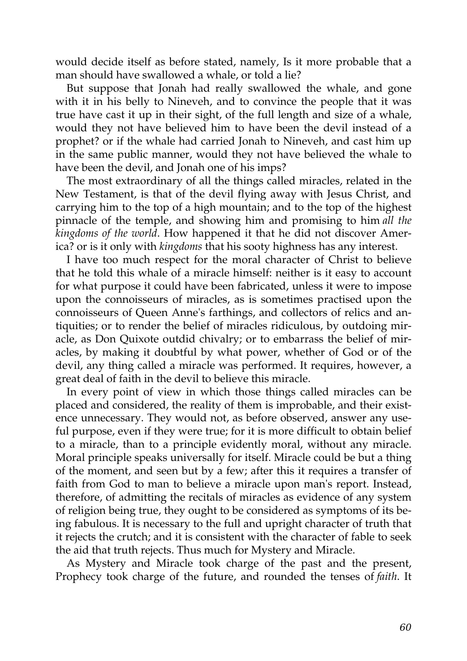would decide itself as before stated, namely, Is it more probable that a man should have swallowed a whale, or told a lie?

But suppose that Jonah had really swallowed the whale, and gone with it in his belly to Nineveh, and to convince the people that it was true have cast it up in their sight, of the full length and size of a whale, would they not have believed him to have been the devil instead of a prophet? or if the whale had carried Jonah to Nineveh, and cast him up in the same public manner, would they not have believed the whale to have been the devil, and Jonah one of his imps?

The most extraordinary of all the things called miracles, related in the New Testament, is that of the devil flying away with Jesus Christ, and carrying him to the top of a high mountain; and to the top of the highest pinnacle of the temple, and showing him and promising to him *all the kingdoms of the world*. How happened it that he did not discover America? or is it only with *kingdoms* that his sooty highness has any interest.

I have too much respect for the moral character of Christ to believe that he told this whale of a miracle himself: neither is it easy to account for what purpose it could have been fabricated, unless it were to impose upon the connoisseurs of miracles, as is sometimes practised upon the connoisseurs of Queen Anne's farthings, and collectors of relics and antiquities; or to render the belief of miracles ridiculous, by outdoing miracle, as Don Quixote outdid chivalry; or to embarrass the belief of miracles, by making it doubtful by what power, whether of God or of the devil, any thing called a miracle was performed. It requires, however, a great deal of faith in the devil to believe this miracle.

In every point of view in which those things called miracles can be placed and considered, the reality of them is improbable, and their existence unnecessary. They would not, as before observed, answer any useful purpose, even if they were true; for it is more difficult to obtain belief to a miracle, than to a principle evidently moral, without any miracle. Moral principle speaks universally for itself. Miracle could be but a thing of the moment, and seen but by a few; after this it requires a transfer of faith from God to man to believe a miracle upon man's report. Instead, therefore, of admitting the recitals of miracles as evidence of any system of religion being true, they ought to be considered as symptoms of its being fabulous. It is necessary to the full and upright character of truth that it rejects the crutch; and it is consistent with the character of fable to seek the aid that truth rejects. Thus much for Mystery and Miracle.

As Mystery and Miracle took charge of the past and the present, Prophecy took charge of the future, and rounded the tenses of *faith*. It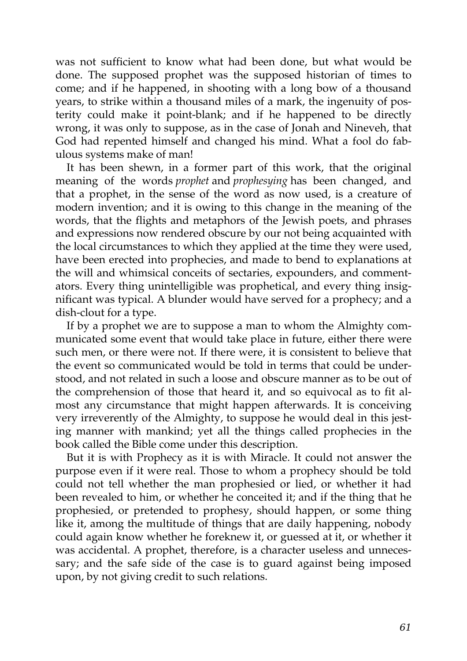was not sufficient to know what had been done, but what would be done. The supposed prophet was the supposed historian of times to come; and if he happened, in shooting with a long bow of a thousand years, to strike within a thousand miles of a mark, the ingenuity of posterity could make it point-blank; and if he happened to be directly wrong, it was only to suppose, as in the case of Jonah and Nineveh, that God had repented himself and changed his mind. What a fool do fabulous systems make of man!

It has been shewn, in a former part of this work, that the original meaning of the words *prophet* and *prophesying* has been changed, and that a prophet, in the sense of the word as now used, is a creature of modern invention; and it is owing to this change in the meaning of the words, that the flights and metaphors of the Jewish poets, and phrases and expressions now rendered obscure by our not being acquainted with the local circumstances to which they applied at the time they were used, have been erected into prophecies, and made to bend to explanations at the will and whimsical conceits of sectaries, expounders, and commentators. Every thing unintelligible was prophetical, and every thing insignificant was typical. A blunder would have served for a prophecy; and a dish-clout for a type.

If by a prophet we are to suppose a man to whom the Almighty communicated some event that would take place in future, either there were such men, or there were not. If there were, it is consistent to believe that the event so communicated would be told in terms that could be understood, and not related in such a loose and obscure manner as to be out of the comprehension of those that heard it, and so equivocal as to fit almost any circumstance that might happen afterwards. It is conceiving very irreverently of the Almighty, to suppose he would deal in this jesting manner with mankind; yet all the things called prophecies in the book called the Bible come under this description.

But it is with Prophecy as it is with Miracle. It could not answer the purpose even if it were real. Those to whom a prophecy should be told could not tell whether the man prophesied or lied, or whether it had been revealed to him, or whether he conceited it; and if the thing that he prophesied, or pretended to prophesy, should happen, or some thing like it, among the multitude of things that are daily happening, nobody could again know whether he foreknew it, or guessed at it, or whether it was accidental. A prophet, therefore, is a character useless and unnecessary; and the safe side of the case is to guard against being imposed upon, by not giving credit to such relations.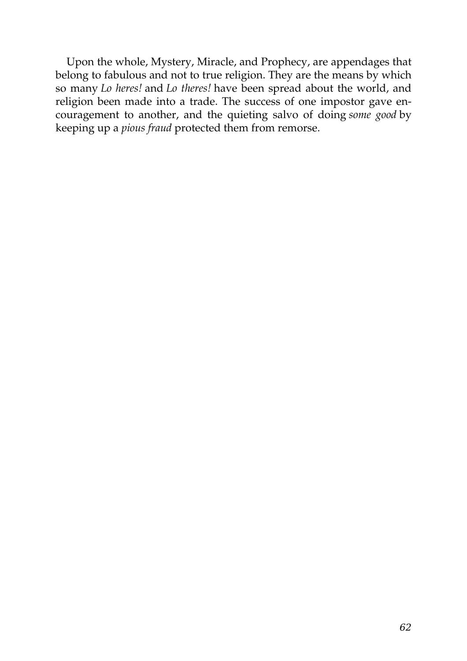Upon the whole, Mystery, Miracle, and Prophecy, are appendages that belong to fabulous and not to true religion. They are the means by which so many *Lo heres!* and *Lo theres!* have been spread about the world, and religion been made into a trade. The success of one impostor gave encouragement to another, and the quieting salvo of doing *some good* by keeping up a *pious fraud* protected them from remorse.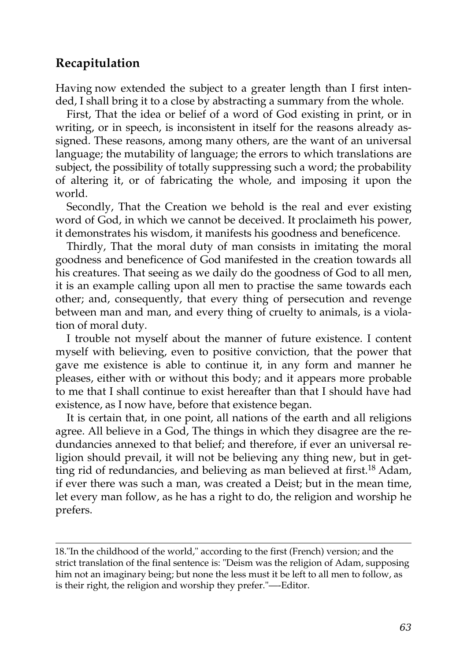#### **Recapitulation**

Having now extended the subject to a greater length than I first intended, I shall bring it to a close by abstracting a summary from the whole.

First, That the idea or belief of a word of God existing in print, or in writing, or in speech, is inconsistent in itself for the reasons already assigned. These reasons, among many others, are the want of an universal language; the mutability of language; the errors to which translations are subject, the possibility of totally suppressing such a word; the probability of altering it, or of fabricating the whole, and imposing it upon the world.

Secondly, That the Creation we behold is the real and ever existing word of God, in which we cannot be deceived. It proclaimeth his power, it demonstrates his wisdom, it manifests his goodness and beneficence.

Thirdly, That the moral duty of man consists in imitating the moral goodness and beneficence of God manifested in the creation towards all his creatures. That seeing as we daily do the goodness of God to all men, it is an example calling upon all men to practise the same towards each other; and, consequently, that every thing of persecution and revenge between man and man, and every thing of cruelty to animals, is a violation of moral duty.

I trouble not myself about the manner of future existence. I content myself with believing, even to positive conviction, that the power that gave me existence is able to continue it, in any form and manner he pleases, either with or without this body; and it appears more probable to me that I shall continue to exist hereafter than that I should have had existence, as I now have, before that existence began.

It is certain that, in one point, all nations of the earth and all religions agree. All believe in a God, The things in which they disagree are the redundancies annexed to that belief; and therefore, if ever an universal religion should prevail, it will not be believing any thing new, but in get-ting rid of redundancies, and believing as man believed at first.<sup>[18](http://en.wikisource.org/wiki/The_Age_of_Reason/Part_I/Recapitulation#cite_note-0)</sup> Adam, if ever there was such a man, was created a Deist; but in the mean time, let every man follow, as he has a right to do, the religion and worship he prefers.

[<sup>18.&</sup>quot;](http://en.wikisource.org/wiki/The_Age_of_Reason/Part_I/Recapitulation#cite_note-0)In the childhood of the world," according to the first (French) version; and the [strict translation of the final sentence is: "Deism was the religion of Adam, supposing](http://en.wikisource.org/wiki/The_Age_of_Reason/Part_I/Recapitulation#cite_note-0) him not an imaginary being; but none the less must it be left to all men to follow, as is their right, the religion and worship they prefer."—-Editor.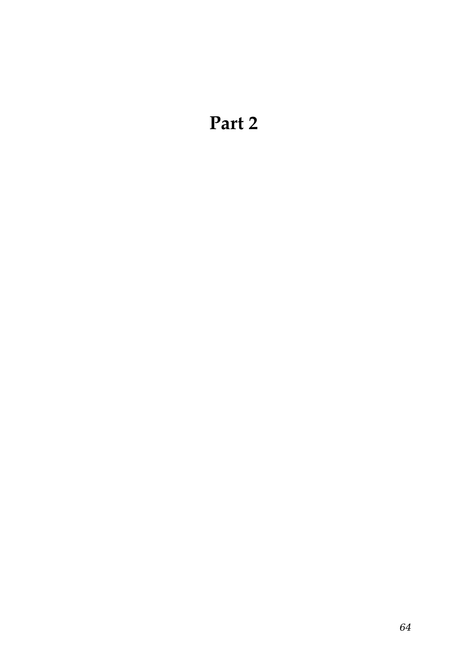## **Part 2**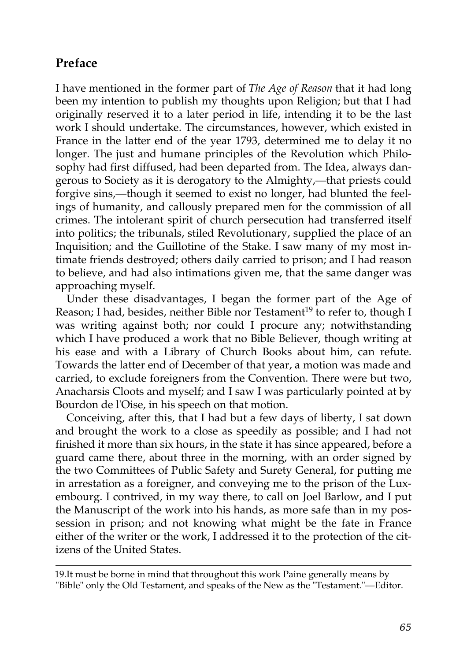#### **Preface**

I have mentioned in the former part of *The Age of Reason* that it had long been my intention to publish my thoughts upon Religion; but that I had originally reserved it to a later period in life, intending it to be the last work I should undertake. The circumstances, however, which existed in France in the latter end of the year 1793, determined me to delay it no longer. The just and humane principles of the Revolution which Philosophy had first diffused, had been departed from. The Idea, always dangerous to Society as it is derogatory to the Almighty,—that priests could forgive sins,—though it seemed to exist no longer, had blunted the feelings of humanity, and callously prepared men for the commission of all crimes. The intolerant spirit of church persecution had transferred itself into politics; the tribunals, stiled Revolutionary, supplied the place of an Inquisition; and the Guillotine of the Stake. I saw many of my most intimate friends destroyed; others daily carried to prison; and I had reason to believe, and had also intimations given me, that the same danger was approaching myself.

Under these disadvantages, I began the former part of the Age of Reason; I had, besides, neither Bible nor Testament<sup>19</sup> to refer to, though I was writing against both; nor could I procure any; notwithstanding which I have produced a work that no Bible Believer, though writing at his ease and with a Library of Church Books about him, can refute. Towards the latter end of December of that year, a motion was made and carried, to exclude foreigners from the Convention. There were but two, Anacharsis Cloots and myself; and I saw I was particularly pointed at by Bourdon de l'Oise, in his speech on that motion.

Conceiving, after this, that I had but a few days of liberty, I sat down and brought the work to a close as speedily as possible; and I had not finished it more than six hours, in the state it has since appeared, before a guard came there, about three in the morning, with an order signed by the two Committees of Public Safety and Surety General, for putting me in arrestation as a foreigner, and conveying me to the prison of the Luxembourg. I contrived, in my way there, to call on Joel Barlow, and I put the Manuscript of the work into his hands, as more safe than in my possession in prison; and not knowing what might be the fate in France either of the writer or the work, I addressed it to the protection of the citizens of the United States.

<sup>19.</sup>It must be borne in mind that throughout this work Paine generally means by "Bible" only the Old Testament, and speaks of the New as the "Testament."—Editor.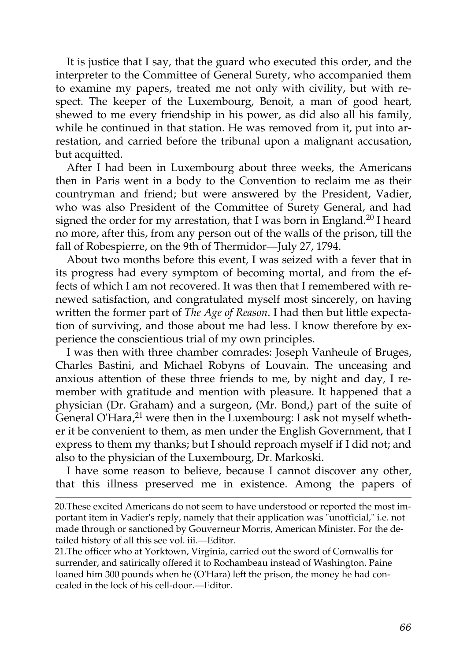It is justice that I say, that the guard who executed this order, and the interpreter to the Committee of General Surety, who accompanied them to examine my papers, treated me not only with civility, but with respect. The keeper of the Luxembourg, Benoit, a man of good heart, shewed to me every friendship in his power, as did also all his family, while he continued in that station. He was removed from it, put into arrestation, and carried before the tribunal upon a malignant accusation, but acquitted.

After I had been in Luxembourg about three weeks, the Americans then in Paris went in a body to the Convention to reclaim me as their countryman and friend; but were answered by the President, Vadier, who was also President of the Committee of Surety General, and had signed the order for my arrestation, that I was born in England.<sup>20</sup> I heard no more, after this, from any person out of the walls of the prison, till the fall of Robespierre, on the 9th of Thermidor—July 27, 1794.

About two months before this event, I was seized with a fever that in its progress had every symptom of becoming mortal, and from the effects of which I am not recovered. It was then that I remembered with renewed satisfaction, and congratulated myself most sincerely, on having written the former part of *The Age of Reason*. I had then but little expectation of surviving, and those about me had less. I know therefore by experience the conscientious trial of my own principles.

I was then with three chamber comrades: Joseph Vanheule of Bruges, Charles Bastini, and Michael Robyns of Louvain. The unceasing and anxious attention of these three friends to me, by night and day, I remember with gratitude and mention with pleasure. It happened that a physician (Dr. Graham) and a surgeon, (Mr. Bond,) part of the suite of General O'Hara, $2^1$  were then in the Luxembourg: I ask not myself whether it be convenient to them, as men under the English Government, that I express to them my thanks; but I should reproach myself if I did not; and also to the physician of the Luxembourg, Dr. Markoski.

I have some reason to believe, because I cannot discover any other, that this illness preserved me in existence. Among the papers of

21.The officer who at Yorktown, Virginia, carried out the sword of Cornwallis for surrender, and satirically offered it to Rochambeau instead of Washington. Paine loaned him 300 pounds when he (O'Hara) left the prison, the money he had concealed in the lock of his cell-door.—Editor.

<sup>20.</sup>These excited Americans do not seem to have understood or reported the most important item in Vadier's reply, namely that their application was "unofficial," i.e. not made through or sanctioned by Gouverneur Morris, American Minister. For the detailed history of all this see vol. iii.—Editor.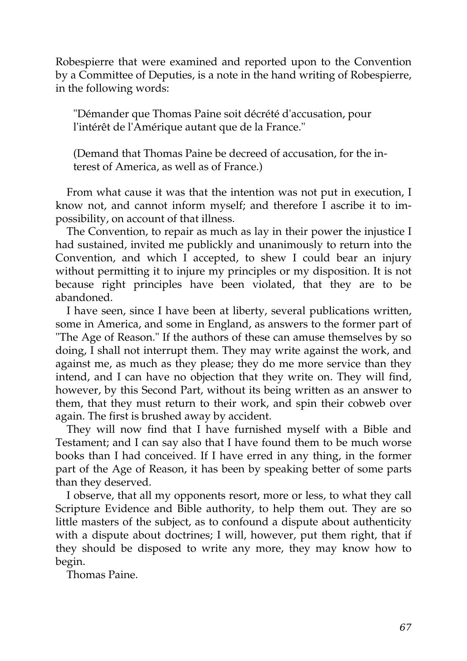Robespierre that were examined and reported upon to the Convention by a Committee of Deputies, is a note in the hand writing of Robespierre, in the following words:

"Démander que Thomas Paine soit décrété d'accusation, pour l'intérêt de l'Amérique autant que de la France."

(Demand that Thomas Paine be decreed of accusation, for the interest of America, as well as of France.)

From what cause it was that the intention was not put in execution, I know not, and cannot inform myself; and therefore I ascribe it to impossibility, on account of that illness.

The Convention, to repair as much as lay in their power the injustice I had sustained, invited me publickly and unanimously to return into the Convention, and which I accepted, to shew I could bear an injury without permitting it to injure my principles or my disposition. It is not because right principles have been violated, that they are to be abandoned.

I have seen, since I have been at liberty, several publications written, some in America, and some in England, as answers to the former part of "The Age of Reason." If the authors of these can amuse themselves by so doing, I shall not interrupt them. They may write against the work, and against me, as much as they please; they do me more service than they intend, and I can have no objection that they write on. They will find, however, by this Second Part, without its being written as an answer to them, that they must return to their work, and spin their cobweb over again. The first is brushed away by accident.

They will now find that I have furnished myself with a Bible and Testament; and I can say also that I have found them to be much worse books than I had conceived. If I have erred in any thing, in the former part of the Age of Reason, it has been by speaking better of some parts than they deserved.

I observe, that all my opponents resort, more or less, to what they call Scripture Evidence and Bible authority, to help them out. They are so little masters of the subject, as to confound a dispute about authenticity with a dispute about doctrines; I will, however, put them right, that if they should be disposed to write any more, they may know how to begin.

Thomas Paine.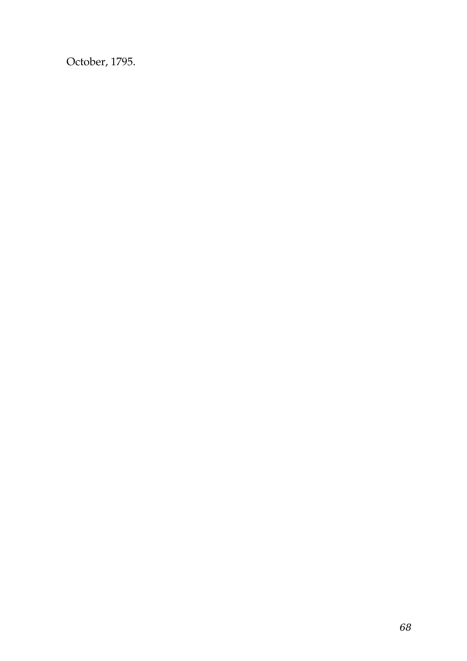October, 1795.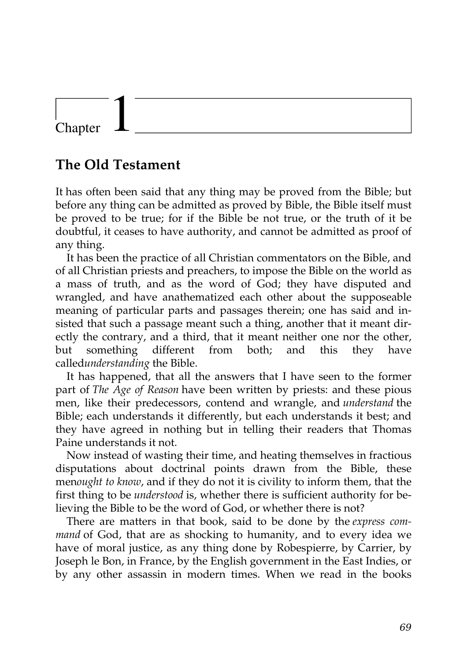## Chapter

## **The Old Testament**

It has often been said that any thing may be proved from the Bible; but before any thing can be admitted as proved by Bible, the Bible itself must be proved to be true; for if the Bible be not true, or the truth of it be doubtful, it ceases to have authority, and cannot be admitted as proof of any thing.

It has been the practice of all Christian commentators on the Bible, and of all Christian priests and preachers, to impose the Bible on the world as a mass of truth, and as the word of God; they have disputed and wrangled, and have anathematized each other about the supposeable meaning of particular parts and passages therein; one has said and insisted that such a passage meant such a thing, another that it meant directly the contrary, and a third, that it meant neither one nor the other, but something different from both; and this they have called*understanding* the Bible.

It has happened, that all the answers that I have seen to the former part of *The Age of Reason* have been written by priests: and these pious men, like their predecessors, contend and wrangle, and *understand* the Bible; each understands it differently, but each understands it best; and they have agreed in nothing but in telling their readers that Thomas Paine understands it not.

Now instead of wasting their time, and heating themselves in fractious disputations about doctrinal points drawn from the Bible, these men*ought to know*, and if they do not it is civility to inform them, that the first thing to be *understood* is, whether there is sufficient authority for believing the Bible to be the word of God, or whether there is not?

There are matters in that book, said to be done by the *express command* of God, that are as shocking to humanity, and to every idea we have of moral justice, as any thing done by Robespierre, by Carrier, by Joseph le Bon, in France, by the English government in the East Indies, or by any other assassin in modern times. When we read in the books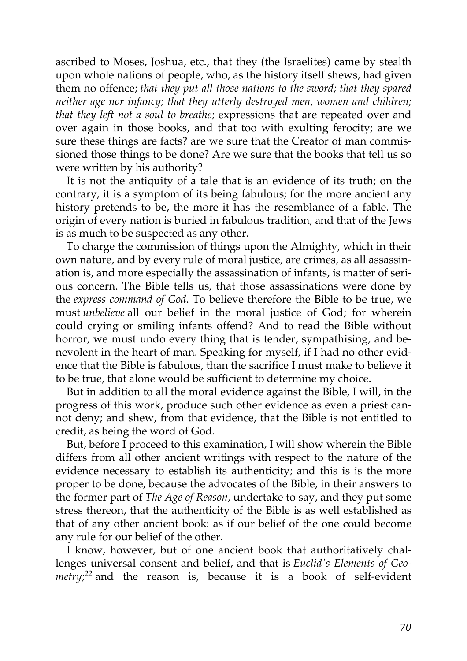ascribed to Moses, Joshua, etc., that they (the Israelites) came by stealth upon whole nations of people, who, as the history itself shews, had given them no offence; *that they put all those nations to the sword; that they spared neither age nor infancy; that they utterly destroyed men, women and children; that they left not a soul to breathe*; expressions that are repeated over and over again in those books, and that too with exulting ferocity; are we sure these things are facts? are we sure that the Creator of man commissioned those things to be done? Are we sure that the books that tell us so were written by his authority?

It is not the antiquity of a tale that is an evidence of its truth; on the contrary, it is a symptom of its being fabulous; for the more ancient any history pretends to be, the more it has the resemblance of a fable. The origin of every nation is buried in fabulous tradition, and that of the Jews is as much to be suspected as any other.

To charge the commission of things upon the Almighty, which in their own nature, and by every rule of moral justice, are crimes, as all assassination is, and more especially the assassination of infants, is matter of serious concern. The Bible tells us, that those assassinations were done by the *express command of God*. To believe therefore the Bible to be true, we must *unbelieve* all our belief in the moral justice of God; for wherein could crying or smiling infants offend? And to read the Bible without horror, we must undo every thing that is tender, sympathising, and benevolent in the heart of man. Speaking for myself, if I had no other evidence that the Bible is fabulous, than the sacrifice I must make to believe it to be true, that alone would be sufficient to determine my choice.

But in addition to all the moral evidence against the Bible, I will, in the progress of this work, produce such other evidence as even a priest cannot deny; and shew, from that evidence, that the Bible is not entitled to credit, as being the word of God.

But, before I proceed to this examination, I will show wherein the Bible differs from all other ancient writings with respect to the nature of the evidence necessary to establish its authenticity; and this is is the more proper to be done, because the advocates of the Bible, in their answers to the former part of *The Age of Reason,* undertake to say, and they put some stress thereon, that the authenticity of the Bible is as well established as that of any other ancient book: as if our belief of the one could become any rule for our belief of the other.

I know, however, but of one ancient book that authoritatively challenges universal consent and belief, and that is *Euclid's Elements of Geo-*metry;<sup>[22](http://en.wikisource.org/wiki/The_Age_of_Reason/Part_II/Chapter_I#cite_note-0)</sup> and the reason is, because it is a book of self-evident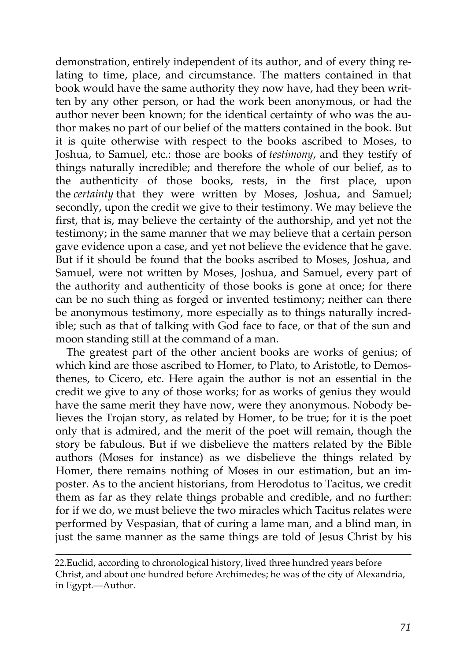demonstration, entirely independent of its author, and of every thing relating to time, place, and circumstance. The matters contained in that book would have the same authority they now have, had they been written by any other person, or had the work been anonymous, or had the author never been known; for the identical certainty of who was the author makes no part of our belief of the matters contained in the book. But it is quite otherwise with respect to the books ascribed to Moses, to Joshua, to Samuel, etc.: those are books of *testimony*, and they testify of things naturally incredible; and therefore the whole of our belief, as to the authenticity of those books, rests, in the first place, upon the *certainty* that they were written by Moses, Joshua, and Samuel; secondly, upon the credit we give to their testimony. We may believe the first, that is, may believe the certainty of the authorship, and yet not the testimony; in the same manner that we may believe that a certain person gave evidence upon a case, and yet not believe the evidence that he gave. But if it should be found that the books ascribed to Moses, Joshua, and Samuel, were not written by Moses, Joshua, and Samuel, every part of the authority and authenticity of those books is gone at once; for there can be no such thing as forged or invented testimony; neither can there be anonymous testimony, more especially as to things naturally incredible; such as that of talking with God face to face, or that of the sun and moon standing still at the command of a man.

The greatest part of the other ancient books are works of genius; of which kind are those ascribed to Homer, to Plato, to Aristotle, to Demosthenes, to Cicero, etc. Here again the author is not an essential in the credit we give to any of those works; for as works of genius they would have the same merit they have now, were they anonymous. Nobody believes the Trojan story, as related by Homer, to be true; for it is the poet only that is admired, and the merit of the poet will remain, though the story be fabulous. But if we disbelieve the matters related by the Bible authors (Moses for instance) as we disbelieve the things related by Homer, there remains nothing of Moses in our estimation, but an imposter. As to the ancient historians, from Herodotus to Tacitus, we credit them as far as they relate things probable and credible, and no further: for if we do, we must believe the two miracles which Tacitus relates were performed by Vespasian, that of curing a lame man, and a blind man, in just the same manner as the same things are told of Jesus Christ by his

[<sup>22.</sup>E](http://en.wikisource.org/wiki/The_Age_of_Reason/Part_II/Chapter_I#cite_note-0)uclid, according to chronological history, lived three hundred years before [Christ, and about one hundred before Archimedes; he was of the city of Alexandria,](http://en.wikisource.org/wiki/The_Age_of_Reason/Part_II/Chapter_I#cite_note-0) in Egypt.—Author.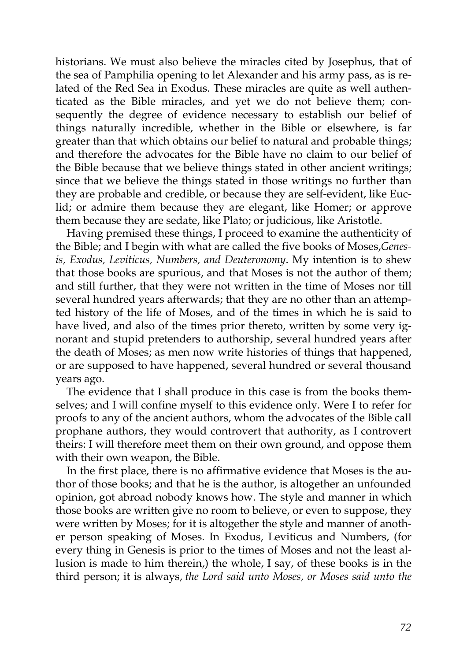historians. We must also believe the miracles cited by Josephus, that of the sea of Pamphilia opening to let Alexander and his army pass, as is related of the Red Sea in Exodus. These miracles are quite as well authenticated as the Bible miracles, and yet we do not believe them; consequently the degree of evidence necessary to establish our belief of things naturally incredible, whether in the Bible or elsewhere, is far greater than that which obtains our belief to natural and probable things; and therefore the advocates for the Bible have no claim to our belief of the Bible because that we believe things stated in other ancient writings; since that we believe the things stated in those writings no further than they are probable and credible, or because they are self-evident, like Euclid; or admire them because they are elegant, like Homer; or approve them because they are sedate, like Plato; or judicious, like Aristotle.

Having premised these things, I proceed to examine the authenticity of the Bible; and I begin with what are called the five books of Moses,*Genesis, Exodus, Leviticus, Numbers, and Deuteronomy*. My intention is to shew that those books are spurious, and that Moses is not the author of them; and still further, that they were not written in the time of Moses nor till several hundred years afterwards; that they are no other than an attempted history of the life of Moses, and of the times in which he is said to have lived, and also of the times prior thereto, written by some very ignorant and stupid pretenders to authorship, several hundred years after the death of Moses; as men now write histories of things that happened, or are supposed to have happened, several hundred or several thousand years ago.

The evidence that I shall produce in this case is from the books themselves; and I will confine myself to this evidence only. Were I to refer for proofs to any of the ancient authors, whom the advocates of the Bible call prophane authors, they would controvert that authority, as I controvert theirs: I will therefore meet them on their own ground, and oppose them with their own weapon, the Bible.

In the first place, there is no affirmative evidence that Moses is the author of those books; and that he is the author, is altogether an unfounded opinion, got abroad nobody knows how. The style and manner in which those books are written give no room to believe, or even to suppose, they were written by Moses; for it is altogether the style and manner of another person speaking of Moses. In Exodus, Leviticus and Numbers, (for every thing in Genesis is prior to the times of Moses and not the least allusion is made to him therein,) the whole, I say, of these books is in the third person; it is always, *the Lord said unto Moses, or Moses said unto the*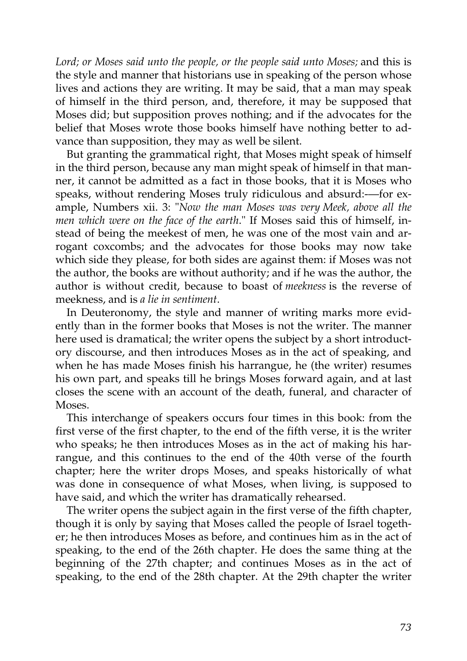*Lord; or Moses said unto the people, or the people said unto Moses;* and this is the style and manner that historians use in speaking of the person whose lives and actions they are writing. It may be said, that a man may speak of himself in the third person, and, therefore, it may be supposed that Moses did; but supposition proves nothing; and if the advocates for the belief that Moses wrote those books himself have nothing better to advance than supposition, they may as well be silent.

But granting the grammatical right, that Moses might speak of himself in the third person, because any man might speak of himself in that manner, it cannot be admitted as a fact in those books, that it is Moses who speaks, without rendering Moses truly ridiculous and absurd:-—for example, Numbers xii. 3: "*Now the man Moses was very Meek, above all the men which were on the face of the earth*." If Moses said this of himself, instead of being the meekest of men, he was one of the most vain and arrogant coxcombs; and the advocates for those books may now take which side they please, for both sides are against them: if Moses was not the author, the books are without authority; and if he was the author, the author is without credit, because to boast of *meekness* is the reverse of meekness, and is *a lie in sentiment*.

In Deuteronomy, the style and manner of writing marks more evidently than in the former books that Moses is not the writer. The manner here used is dramatical; the writer opens the subject by a short introductory discourse, and then introduces Moses as in the act of speaking, and when he has made Moses finish his harrangue, he (the writer) resumes his own part, and speaks till he brings Moses forward again, and at last closes the scene with an account of the death, funeral, and character of Moses.

This interchange of speakers occurs four times in this book: from the first verse of the first chapter, to the end of the fifth verse, it is the writer who speaks; he then introduces Moses as in the act of making his harrangue, and this continues to the end of the 40th verse of the fourth chapter; here the writer drops Moses, and speaks historically of what was done in consequence of what Moses, when living, is supposed to have said, and which the writer has dramatically rehearsed.

The writer opens the subject again in the first verse of the fifth chapter, though it is only by saying that Moses called the people of Israel together; he then introduces Moses as before, and continues him as in the act of speaking, to the end of the 26th chapter. He does the same thing at the beginning of the 27th chapter; and continues Moses as in the act of speaking, to the end of the 28th chapter. At the 29th chapter the writer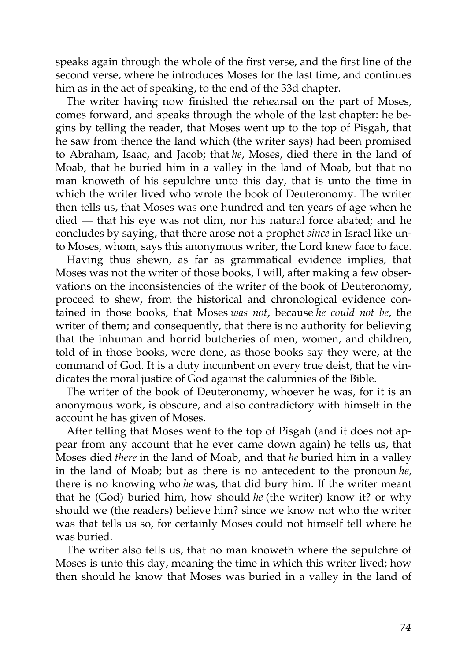speaks again through the whole of the first verse, and the first line of the second verse, where he introduces Moses for the last time, and continues him as in the act of speaking, to the end of the 33d chapter.

The writer having now finished the rehearsal on the part of Moses, comes forward, and speaks through the whole of the last chapter: he begins by telling the reader, that Moses went up to the top of Pisgah, that he saw from thence the land which (the writer says) had been promised to Abraham, Isaac, and Jacob; that *he*, Moses, died there in the land of Moab, that he buried him in a valley in the land of Moab, but that no man knoweth of his sepulchre unto this day, that is unto the time in which the writer lived who wrote the book of Deuteronomy. The writer then tells us, that Moses was one hundred and ten years of age when he died — that his eye was not dim, nor his natural force abated; and he concludes by saying, that there arose not a prophet *since* in Israel like unto Moses, whom, says this anonymous writer, the Lord knew face to face.

Having thus shewn, as far as grammatical evidence implies, that Moses was not the writer of those books, I will, after making a few observations on the inconsistencies of the writer of the book of Deuteronomy, proceed to shew, from the historical and chronological evidence contained in those books, that Moses *was not*, because *he could not be*, the writer of them; and consequently, that there is no authority for believing that the inhuman and horrid butcheries of men, women, and children, told of in those books, were done, as those books say they were, at the command of God. It is a duty incumbent on every true deist, that he vindicates the moral justice of God against the calumnies of the Bible.

The writer of the book of Deuteronomy, whoever he was, for it is an anonymous work, is obscure, and also contradictory with himself in the account he has given of Moses.

After telling that Moses went to the top of Pisgah (and it does not appear from any account that he ever came down again) he tells us, that Moses died *there* in the land of Moab, and that *he* buried him in a valley in the land of Moab; but as there is no antecedent to the pronoun *he*, there is no knowing who *he* was, that did bury him. If the writer meant that he (God) buried him, how should *he* (the writer) know it? or why should we (the readers) believe him? since we know not who the writer was that tells us so, for certainly Moses could not himself tell where he was buried.

The writer also tells us, that no man knoweth where the sepulchre of Moses is unto this day, meaning the time in which this writer lived; how then should he know that Moses was buried in a valley in the land of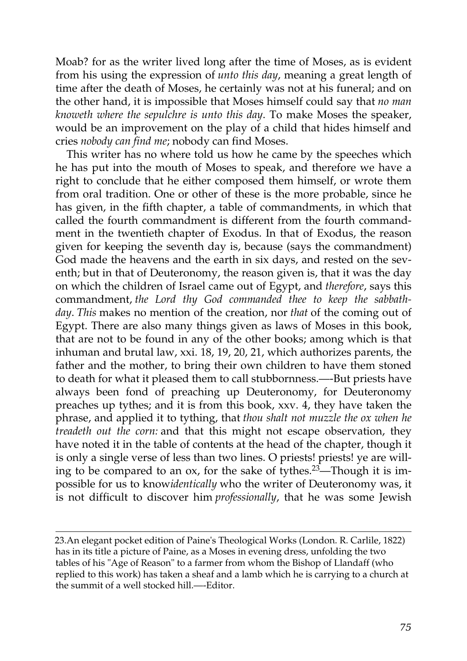Moab? for as the writer lived long after the time of Moses, as is evident from his using the expression of *unto this day*, meaning a great length of time after the death of Moses, he certainly was not at his funeral; and on the other hand, it is impossible that Moses himself could say that *no man knoweth where the sepulchre is unto this day*. To make Moses the speaker, would be an improvement on the play of a child that hides himself and cries *nobody can find me*; nobody can find Moses.

This writer has no where told us how he came by the speeches which he has put into the mouth of Moses to speak, and therefore we have a right to conclude that he either composed them himself, or wrote them from oral tradition. One or other of these is the more probable, since he has given, in the fifth chapter, a table of commandments, in which that called the fourth commandment is different from the fourth commandment in the twentieth chapter of Exodus. In that of Exodus, the reason given for keeping the seventh day is, because (says the commandment) God made the heavens and the earth in six days, and rested on the seventh; but in that of Deuteronomy, the reason given is, that it was the day on which the children of Israel came out of Egypt, and *therefore*, says this commandment, *the Lord thy God commanded thee to keep the sabbathday*. *This* makes no mention of the creation, nor *that* of the coming out of Egypt. There are also many things given as laws of Moses in this book, that are not to be found in any of the other books; among which is that inhuman and brutal law, xxi. 18, 19, 20, 21, which authorizes parents, the father and the mother, to bring their own children to have them stoned to death for what it pleased them to call stubbornness.—-But priests have always been fond of preaching up Deuteronomy, for Deuteronomy preaches up tythes; and it is from this book, xxv. 4, they have taken the phrase, and applied it to tything, that *thou shalt not muzzle the ox when he treadeth out the corn:* and that this might not escape observation, they have noted it in the table of contents at the head of the chapter, though it is only a single verse of less than two lines. O priests! priests! ye are will-ing to be compared to an ox, for the sake of tythes.<sup>[23](http://en.wikisource.org/wiki/The_Age_of_Reason/Part_II/Chapter_I#cite_note-1)</sup>—Though it is impossible for us to know*identically* who the writer of Deuteronomy was, it is not difficult to discover him *professionally*, that he was some Jewish

[<sup>23.</sup>A](http://en.wikisource.org/wiki/The_Age_of_Reason/Part_II/Chapter_I#cite_note-1)n elegant pocket edition of Paine's Theological Works (London. R. Carlile, 1822) has in its title a picture of Paine, as a Moses in evening dress, unfolding the two tables of his "Age of Reason" to a farmer from whom the Bishop of Llandaff (who [replied to this work\) has taken a sheaf and a lamb which he is carrying to a church at](http://en.wikisource.org/wiki/The_Age_of_Reason/Part_II/Chapter_I#cite_note-1) the summit of a well stocked hill.—-Editor.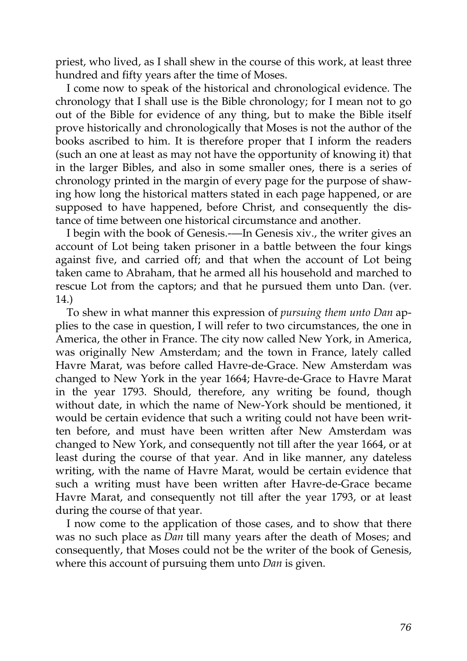priest, who lived, as I shall shew in the course of this work, at least three hundred and fifty years after the time of Moses.

I come now to speak of the historical and chronological evidence. The chronology that I shall use is the Bible chronology; for I mean not to go out of the Bible for evidence of any thing, but to make the Bible itself prove historically and chronologically that Moses is not the author of the books ascribed to him. It is therefore proper that I inform the readers (such an one at least as may not have the opportunity of knowing it) that in the larger Bibles, and also in some smaller ones, there is a series of chronology printed in the margin of every page for the purpose of shawing how long the historical matters stated in each page happened, or are supposed to have happened, before Christ, and consequently the distance of time between one historical circumstance and another.

I begin with the book of Genesis.-—In Genesis xiv., the writer gives an account of Lot being taken prisoner in a battle between the four kings against five, and carried off; and that when the account of Lot being taken came to Abraham, that he armed all his household and marched to rescue Lot from the captors; and that he pursued them unto Dan. (ver. 14.)

To shew in what manner this expression of *pursuing them unto Dan* applies to the case in question, I will refer to two circumstances, the one in America, the other in France. The city now called New York, in America, was originally New Amsterdam; and the town in France, lately called Havre Marat, was before called Havre-de-Grace. New Amsterdam was changed to New York in the year 1664; Havre-de-Grace to Havre Marat in the year 1793. Should, therefore, any writing be found, though without date, in which the name of New-York should be mentioned, it would be certain evidence that such a writing could not have been written before, and must have been written after New Amsterdam was changed to New York, and consequently not till after the year 1664, or at least during the course of that year. And in like manner, any dateless writing, with the name of Havre Marat, would be certain evidence that such a writing must have been written after Havre-de-Grace became Havre Marat, and consequently not till after the year 1793, or at least during the course of that year.

I now come to the application of those cases, and to show that there was no such place as *Dan* till many years after the death of Moses; and consequently, that Moses could not be the writer of the book of Genesis, where this account of pursuing them unto *Dan* is given.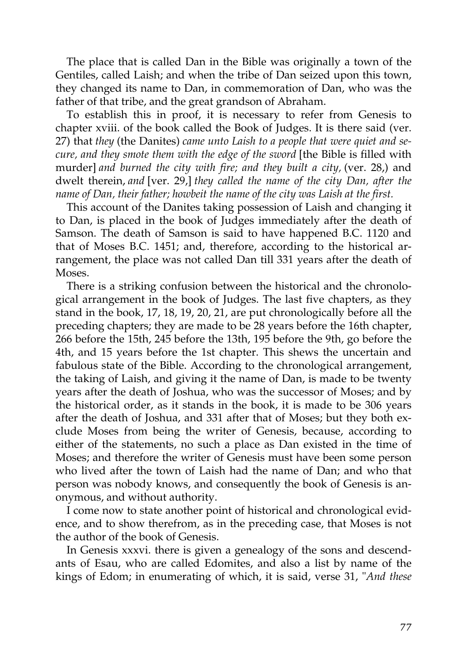The place that is called Dan in the Bible was originally a town of the Gentiles, called Laish; and when the tribe of Dan seized upon this town, they changed its name to Dan, in commemoration of Dan, who was the father of that tribe, and the great grandson of Abraham.

To establish this in proof, it is necessary to refer from Genesis to chapter xviii. of the book called the Book of Judges. It is there said (ver. 27) that *they* (the Danites) *came unto Laish to a people that were quiet and secure, and they smote them with the edge of the sword* [the Bible is filled with murder] *and burned the city with fire; and they built a city,* (ver. 28,) and dwelt therein, *and* [ver. 29,] *they called the name of the city Dan, after the name of Dan, their father; howbeit the name of the city was Laish at the first.*

This account of the Danites taking possession of Laish and changing it to Dan, is placed in the book of Judges immediately after the death of Samson. The death of Samson is said to have happened B.C. 1120 and that of Moses B.C. 1451; and, therefore, according to the historical arrangement, the place was not called Dan till 331 years after the death of Moses.

There is a striking confusion between the historical and the chronological arrangement in the book of Judges. The last five chapters, as they stand in the book, 17, 18, 19, 20, 21, are put chronologically before all the preceding chapters; they are made to be 28 years before the 16th chapter, 266 before the 15th, 245 before the 13th, 195 before the 9th, go before the 4th, and 15 years before the 1st chapter. This shews the uncertain and fabulous state of the Bible. According to the chronological arrangement, the taking of Laish, and giving it the name of Dan, is made to be twenty years after the death of Joshua, who was the successor of Moses; and by the historical order, as it stands in the book, it is made to be 306 years after the death of Joshua, and 331 after that of Moses; but they both exclude Moses from being the writer of Genesis, because, according to either of the statements, no such a place as Dan existed in the time of Moses; and therefore the writer of Genesis must have been some person who lived after the town of Laish had the name of Dan; and who that person was nobody knows, and consequently the book of Genesis is anonymous, and without authority.

I come now to state another point of historical and chronological evidence, and to show therefrom, as in the preceding case, that Moses is not the author of the book of Genesis.

In Genesis xxxvi. there is given a genealogy of the sons and descendants of Esau, who are called Edomites, and also a list by name of the kings of Edom; in enumerating of which, it is said, verse 31, "*And these*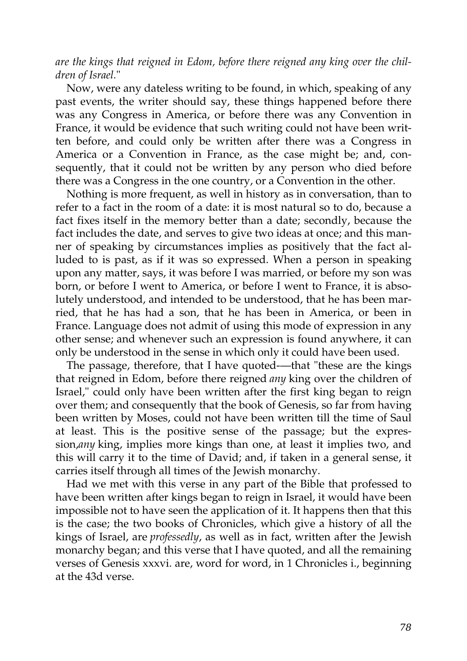*are the kings that reigned in Edom, before there reigned any king over the children of Israel.*"

Now, were any dateless writing to be found, in which, speaking of any past events, the writer should say, these things happened before there was any Congress in America, or before there was any Convention in France, it would be evidence that such writing could not have been written before, and could only be written after there was a Congress in America or a Convention in France, as the case might be; and, consequently, that it could not be written by any person who died before there was a Congress in the one country, or a Convention in the other.

Nothing is more frequent, as well in history as in conversation, than to refer to a fact in the room of a date: it is most natural so to do, because a fact fixes itself in the memory better than a date; secondly, because the fact includes the date, and serves to give two ideas at once; and this manner of speaking by circumstances implies as positively that the fact alluded to is past, as if it was so expressed. When a person in speaking upon any matter, says, it was before I was married, or before my son was born, or before I went to America, or before I went to France, it is absolutely understood, and intended to be understood, that he has been married, that he has had a son, that he has been in America, or been in France. Language does not admit of using this mode of expression in any other sense; and whenever such an expression is found anywhere, it can only be understood in the sense in which only it could have been used.

The passage, therefore, that I have quoted-—that "these are the kings that reigned in Edom, before there reigned *any* king over the children of Israel," could only have been written after the first king began to reign over them; and consequently that the book of Genesis, so far from having been written by Moses, could not have been written till the time of Saul at least. This is the positive sense of the passage; but the expression,*any* king, implies more kings than one, at least it implies two, and this will carry it to the time of David; and, if taken in a general sense, it carries itself through all times of the Jewish monarchy.

Had we met with this verse in any part of the Bible that professed to have been written after kings began to reign in Israel, it would have been impossible not to have seen the application of it. It happens then that this is the case; the two books of Chronicles, which give a history of all the kings of Israel, are *professedly*, as well as in fact, written after the Jewish monarchy began; and this verse that I have quoted, and all the remaining verses of Genesis xxxvi. are, word for word, in 1 Chronicles i., beginning at the 43d verse.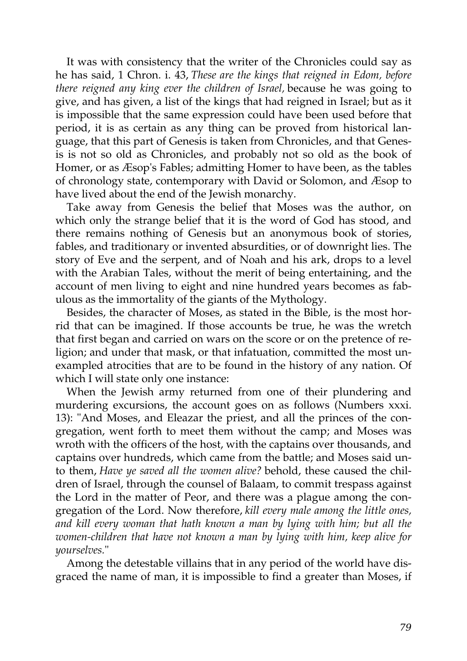It was with consistency that the writer of the Chronicles could say as he has said, 1 Chron. i. 43, *These are the kings that reigned in Edom, before there reigned any king ever the children of Israel,* because he was going to give, and has given, a list of the kings that had reigned in Israel; but as it is impossible that the same expression could have been used before that period, it is as certain as any thing can be proved from historical language, that this part of Genesis is taken from Chronicles, and that Genesis is not so old as Chronicles, and probably not so old as the book of Homer, or as Æsop's Fables; admitting Homer to have been, as the tables of chronology state, contemporary with David or Solomon, and Æsop to have lived about the end of the Jewish monarchy.

Take away from Genesis the belief that Moses was the author, on which only the strange belief that it is the word of God has stood, and there remains nothing of Genesis but an anonymous book of stories, fables, and traditionary or invented absurdities, or of downright lies. The story of Eve and the serpent, and of Noah and his ark, drops to a level with the Arabian Tales, without the merit of being entertaining, and the account of men living to eight and nine hundred years becomes as fabulous as the immortality of the giants of the Mythology.

Besides, the character of Moses, as stated in the Bible, is the most horrid that can be imagined. If those accounts be true, he was the wretch that first began and carried on wars on the score or on the pretence of religion; and under that mask, or that infatuation, committed the most unexampled atrocities that are to be found in the history of any nation. Of which I will state only one instance:

When the Jewish army returned from one of their plundering and murdering excursions, the account goes on as follows (Numbers xxxi. 13): "And Moses, and Eleazar the priest, and all the princes of the congregation, went forth to meet them without the camp; and Moses was wroth with the officers of the host, with the captains over thousands, and captains over hundreds, which came from the battle; and Moses said unto them, *Have ye saved all the women alive?* behold, these caused the children of Israel, through the counsel of Balaam, to commit trespass against the Lord in the matter of Peor, and there was a plague among the congregation of the Lord. Now therefore, *kill every male among the little ones, and kill every woman that hath known a man by lying with him; but all the women-children that have not known a man by lying with him, keep alive for yourselves.*"

Among the detestable villains that in any period of the world have disgraced the name of man, it is impossible to find a greater than Moses, if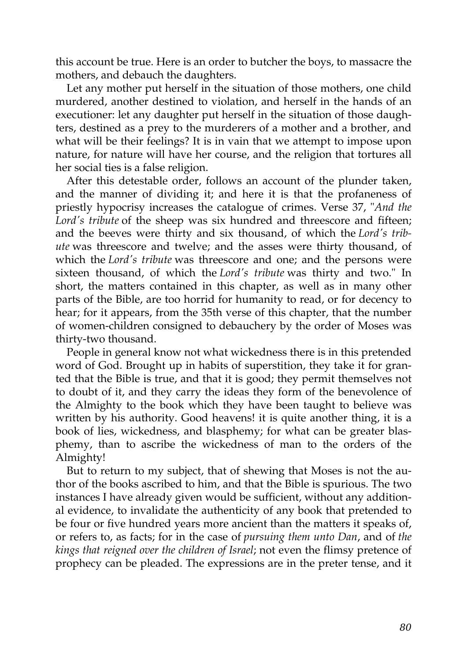this account be true. Here is an order to butcher the boys, to massacre the mothers, and debauch the daughters.

Let any mother put herself in the situation of those mothers, one child murdered, another destined to violation, and herself in the hands of an executioner: let any daughter put herself in the situation of those daughters, destined as a prey to the murderers of a mother and a brother, and what will be their feelings? It is in vain that we attempt to impose upon nature, for nature will have her course, and the religion that tortures all her social ties is a false religion.

After this detestable order, follows an account of the plunder taken, and the manner of dividing it; and here it is that the profaneness of priestly hypocrisy increases the catalogue of crimes. Verse 37, "*And the Lord's tribute* of the sheep was six hundred and threescore and fifteen; and the beeves were thirty and six thousand, of which the *Lord's tribute* was threescore and twelve; and the asses were thirty thousand, of which the *Lord's tribute* was threescore and one; and the persons were sixteen thousand, of which the *Lord's tribute* was thirty and two." In short, the matters contained in this chapter, as well as in many other parts of the Bible, are too horrid for humanity to read, or for decency to hear; for it appears, from the 35th verse of this chapter, that the number of women-children consigned to debauchery by the order of Moses was thirty-two thousand.

People in general know not what wickedness there is in this pretended word of God. Brought up in habits of superstition, they take it for granted that the Bible is true, and that it is good; they permit themselves not to doubt of it, and they carry the ideas they form of the benevolence of the Almighty to the book which they have been taught to believe was written by his authority. Good heavens! it is quite another thing, it is a book of lies, wickedness, and blasphemy; for what can be greater blasphemy, than to ascribe the wickedness of man to the orders of the Almighty!

But to return to my subject, that of shewing that Moses is not the author of the books ascribed to him, and that the Bible is spurious. The two instances I have already given would be sufficient, without any additional evidence, to invalidate the authenticity of any book that pretended to be four or five hundred years more ancient than the matters it speaks of, or refers to, as facts; for in the case of *pursuing them unto Dan*, and of *the kings that reigned over the children of Israel*; not even the flimsy pretence of prophecy can be pleaded. The expressions are in the preter tense, and it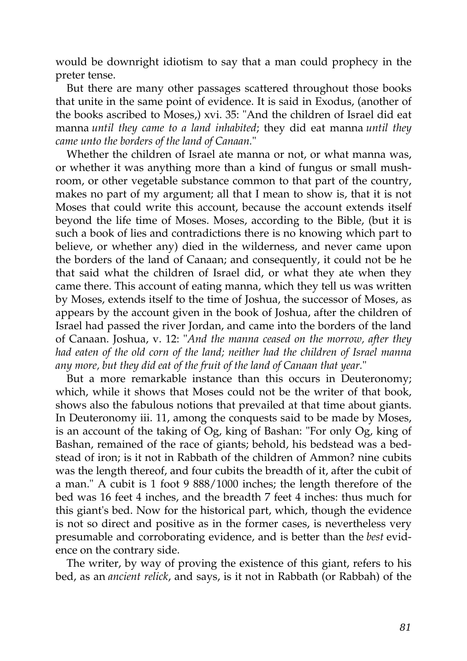would be downright idiotism to say that a man could prophecy in the preter tense.

But there are many other passages scattered throughout those books that unite in the same point of evidence. It is said in Exodus, (another of the books ascribed to Moses,) xvi. 35: "And the children of Israel did eat manna *until they came to a land inhabited*; they did eat manna *until they came unto the borders of the land of Canaan.*"

Whether the children of Israel ate manna or not, or what manna was, or whether it was anything more than a kind of fungus or small mushroom, or other vegetable substance common to that part of the country, makes no part of my argument; all that I mean to show is, that it is not Moses that could write this account, because the account extends itself beyond the life time of Moses. Moses, according to the Bible, (but it is such a book of lies and contradictions there is no knowing which part to believe, or whether any) died in the wilderness, and never came upon the borders of the land of Canaan; and consequently, it could not be he that said what the children of Israel did, or what they ate when they came there. This account of eating manna, which they tell us was written by Moses, extends itself to the time of Joshua, the successor of Moses, as appears by the account given in the book of Joshua, after the children of Israel had passed the river Jordan, and came into the borders of the land of Canaan. Joshua, v. 12: "*And the manna ceased on the morrow, after they had eaten of the old corn of the land; neither had the children of Israel manna any more, but they did eat of the fruit of the land of Canaan that year.*"

But a more remarkable instance than this occurs in Deuteronomy; which, while it shows that Moses could not be the writer of that book, shows also the fabulous notions that prevailed at that time about giants. In Deuteronomy iii. 11, among the conquests said to be made by Moses, is an account of the taking of Og, king of Bashan: "For only Og, king of Bashan, remained of the race of giants; behold, his bedstead was a bedstead of iron; is it not in Rabbath of the children of Ammon? nine cubits was the length thereof, and four cubits the breadth of it, after the cubit of a man." A cubit is 1 foot 9 888/1000 inches; the length therefore of the bed was 16 feet 4 inches, and the breadth 7 feet 4 inches: thus much for this giant's bed. Now for the historical part, which, though the evidence is not so direct and positive as in the former cases, is nevertheless very presumable and corroborating evidence, and is better than the *best* evidence on the contrary side.

The writer, by way of proving the existence of this giant, refers to his bed, as an *ancient relick*, and says, is it not in Rabbath (or Rabbah) of the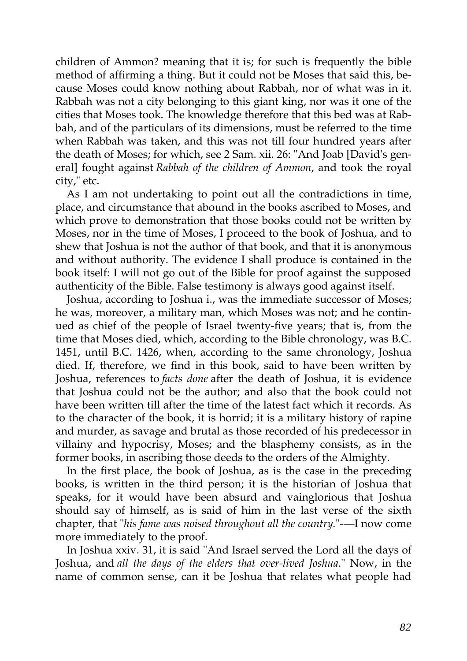children of Ammon? meaning that it is; for such is frequently the bible method of affirming a thing. But it could not be Moses that said this, because Moses could know nothing about Rabbah, nor of what was in it. Rabbah was not a city belonging to this giant king, nor was it one of the cities that Moses took. The knowledge therefore that this bed was at Rabbah, and of the particulars of its dimensions, must be referred to the time when Rabbah was taken, and this was not till four hundred years after the death of Moses; for which, see 2 Sam. xii. 26: "And Joab [David's general] fought against *Rabbah of the children of Ammon*, and took the royal city," etc.

As I am not undertaking to point out all the contradictions in time, place, and circumstance that abound in the books ascribed to Moses, and which prove to demonstration that those books could not be written by Moses, nor in the time of Moses, I proceed to the book of Joshua, and to shew that Joshua is not the author of that book, and that it is anonymous and without authority. The evidence I shall produce is contained in the book itself: I will not go out of the Bible for proof against the supposed authenticity of the Bible. False testimony is always good against itself.

Joshua, according to Joshua i., was the immediate successor of Moses; he was, moreover, a military man, which Moses was not; and he continued as chief of the people of Israel twenty-five years; that is, from the time that Moses died, which, according to the Bible chronology, was B.C. 1451, until B.C. 1426, when, according to the same chronology, Joshua died. If, therefore, we find in this book, said to have been written by Joshua, references to *facts done* after the death of Joshua, it is evidence that Joshua could not be the author; and also that the book could not have been written till after the time of the latest fact which it records. As to the character of the book, it is horrid; it is a military history of rapine and murder, as savage and brutal as those recorded of his predecessor in villainy and hypocrisy, Moses; and the blasphemy consists, as in the former books, in ascribing those deeds to the orders of the Almighty.

In the first place, the book of Joshua, as is the case in the preceding books, is written in the third person; it is the historian of Joshua that speaks, for it would have been absurd and vainglorious that Joshua should say of himself, as is said of him in the last verse of the sixth chapter, that "*his fame was noised throughout all the country.*"-—I now come more immediately to the proof.

In Joshua xxiv. 31, it is said "And Israel served the Lord all the days of Joshua, and *all the days of the elders that over-lived Joshua*." Now, in the name of common sense, can it be Joshua that relates what people had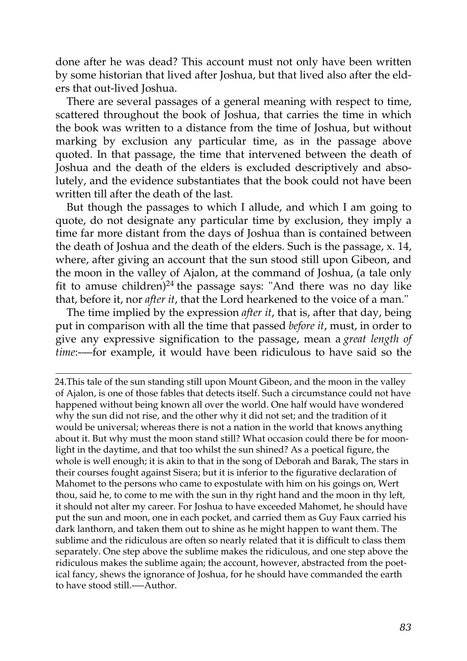done after he was dead? This account must not only have been written by some historian that lived after Joshua, but that lived also after the elders that out-lived Joshua.

There are several passages of a general meaning with respect to time, scattered throughout the book of Joshua, that carries the time in which the book was written to a distance from the time of Joshua, but without marking by exclusion any particular time, as in the passage above quoted. In that passage, the time that intervened between the death of Joshua and the death of the elders is excluded descriptively and absolutely, and the evidence substantiates that the book could not have been written till after the death of the last.

But though the passages to which I allude, and which I am going to quote, do not designate any particular time by exclusion, they imply a time far more distant from the days of Joshua than is contained between the death of Joshua and the death of the elders. Such is the passage, x. 14, where, after giving an account that the sun stood still upon Gibeon, and the moon in the valley of Ajalon, at the command of Joshua, (a tale only fit to amuse children)<sup>[24](http://en.wikisource.org/wiki/The_Age_of_Reason/Part_II/Chapter_I#cite_note-2)</sup> the passage says: "And there was no day like that, before it, nor *after it*, that the Lord hearkened to the voice of a man."

The time implied by the expression *after it*, that is, after that day, being put in comparison with all the time that passed *before it*, must, in order to give any expressive signification to the passage, mean a *great length of time*:-—for example, it would have been ridiculous to have said so the

[<sup>24.</sup>T](http://en.wikisource.org/wiki/The_Age_of_Reason/Part_II/Chapter_I#cite_note-2)his tale of the sun standing still upon Mount Gibeon, and the moon in the valley [of Ajalon, is one of those fables that detects itself. Such a circumstance could not have](http://en.wikisource.org/wiki/The_Age_of_Reason/Part_II/Chapter_I#cite_note-2) happened without being known all over the world. One half would have wondered why the sun did not rise, and the other why it did not set; and the tradition of it would be universal; whereas there is not a nation in the world that knows anything about it. But why must the moon stand still? What occasion could there be for moonlight in the daytime, and that too whilst the sun shined? As a poetical figure, the whole is well enough; it is akin to that in the song of Deborah and Barak, The stars in their courses fought against Sisera; but it is inferior to the figurative declaration of Mahomet to the persons who came to expostulate with him on his goings on, Wert thou, said he, to come to me with the sun in thy right hand and the moon in thy left, it should not alter my career. For Joshua to have exceeded Mahomet, he should have put the sun and moon, one in each pocket, and carried them as Guy Faux carried his dark lanthorn, and taken them out to shine as he might happen to want them. The sublime and the ridiculous are often so nearly related that it is difficult to class them separately. One step above the sublime makes the ridiculous, and one step above the ridiculous makes the sublime again; the account, however, abstracted from the poetical fancy, shews the ignorance of Joshua, for he should have commanded the earth to have stood still.-—Author.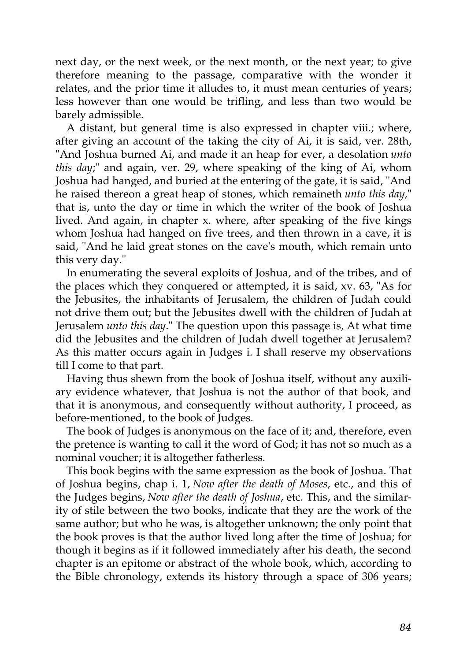next day, or the next week, or the next month, or the next year; to give therefore meaning to the passage, comparative with the wonder it relates, and the prior time it alludes to, it must mean centuries of years; less however than one would be trifling, and less than two would be barely admissible.

A distant, but general time is also expressed in chapter viii.; where, after giving an account of the taking the city of Ai, it is said, ver. 28th, "And Joshua burned Ai, and made it an heap for ever, a desolation *unto this day*;" and again, ver. 29, where speaking of the king of Ai, whom Joshua had hanged, and buried at the entering of the gate, it is said, "And he raised thereon a great heap of stones, which remaineth *unto this day,*" that is, unto the day or time in which the writer of the book of Joshua lived. And again, in chapter x. where, after speaking of the five kings whom Joshua had hanged on five trees, and then thrown in a cave, it is said, "And he laid great stones on the cave's mouth, which remain unto this very day."

In enumerating the several exploits of Joshua, and of the tribes, and of the places which they conquered or attempted, it is said, xv. 63, "As for the Jebusites, the inhabitants of Jerusalem, the children of Judah could not drive them out; but the Jebusites dwell with the children of Judah at Jerusalem *unto this day*." The question upon this passage is, At what time did the Jebusites and the children of Judah dwell together at Jerusalem? As this matter occurs again in Judges i. I shall reserve my observations till I come to that part.

Having thus shewn from the book of Joshua itself, without any auxiliary evidence whatever, that Joshua is not the author of that book, and that it is anonymous, and consequently without authority, I proceed, as before-mentioned, to the book of Judges.

The book of Judges is anonymous on the face of it; and, therefore, even the pretence is wanting to call it the word of God; it has not so much as a nominal voucher; it is altogether fatherless.

This book begins with the same expression as the book of Joshua. That of Joshua begins, chap i. 1, *Now after the death of Moses*, etc., and this of the Judges begins, *Now after the death of Joshua*, etc. This, and the similarity of stile between the two books, indicate that they are the work of the same author; but who he was, is altogether unknown; the only point that the book proves is that the author lived long after the time of Joshua; for though it begins as if it followed immediately after his death, the second chapter is an epitome or abstract of the whole book, which, according to the Bible chronology, extends its history through a space of 306 years;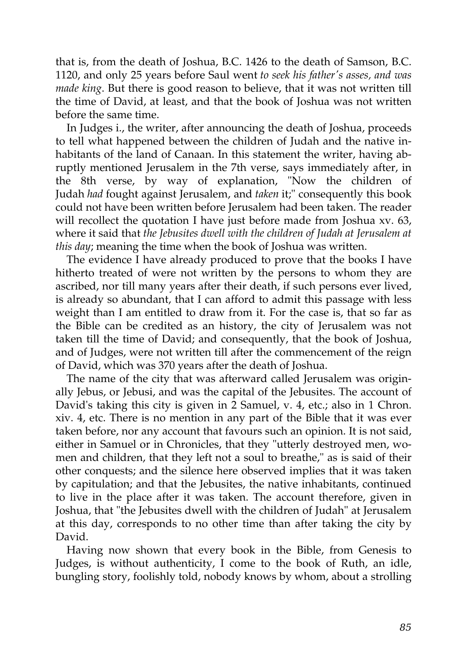that is, from the death of Joshua, B.C. 1426 to the death of Samson, B.C. 1120, and only 25 years before Saul went *to seek his father's asses, and was made king*. But there is good reason to believe, that it was not written till the time of David, at least, and that the book of Joshua was not written before the same time.

In Judges i., the writer, after announcing the death of Joshua, proceeds to tell what happened between the children of Judah and the native inhabitants of the land of Canaan. In this statement the writer, having abruptly mentioned Jerusalem in the 7th verse, says immediately after, in the 8th verse, by way of explanation, "Now the children of Judah *had* fought against Jerusalem, and *taken* it;" consequently this book could not have been written before Jerusalem had been taken. The reader will recollect the quotation I have just before made from Joshua xv. 63, where it said that *the Jebusites dwell with the children of Judah at Jerusalem at this day*; meaning the time when the book of Joshua was written.

The evidence I have already produced to prove that the books I have hitherto treated of were not written by the persons to whom they are ascribed, nor till many years after their death, if such persons ever lived, is already so abundant, that I can afford to admit this passage with less weight than I am entitled to draw from it. For the case is, that so far as the Bible can be credited as an history, the city of Jerusalem was not taken till the time of David; and consequently, that the book of Joshua, and of Judges, were not written till after the commencement of the reign of David, which was 370 years after the death of Joshua.

The name of the city that was afterward called Jerusalem was originally Jebus, or Jebusi, and was the capital of the Jebusites. The account of David's taking this city is given in 2 Samuel, v. 4, etc.; also in 1 Chron. xiv. 4, etc. There is no mention in any part of the Bible that it was ever taken before, nor any account that favours such an opinion. It is not said, either in Samuel or in Chronicles, that they "utterly destroyed men, women and children, that they left not a soul to breathe," as is said of their other conquests; and the silence here observed implies that it was taken by capitulation; and that the Jebusites, the native inhabitants, continued to live in the place after it was taken. The account therefore, given in Joshua, that "the Jebusites dwell with the children of Judah" at Jerusalem at this day, corresponds to no other time than after taking the city by David.

Having now shown that every book in the Bible, from Genesis to Judges, is without authenticity, I come to the book of Ruth, an idle, bungling story, foolishly told, nobody knows by whom, about a strolling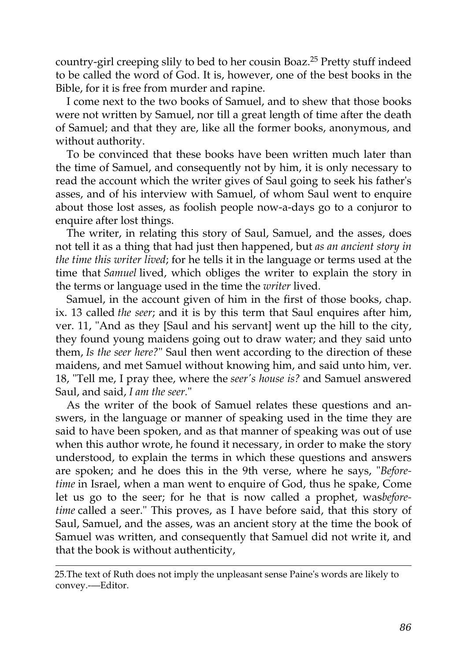country-girl creeping slily to bed to her cousin Boaz.[25](http://en.wikisource.org/wiki/The_Age_of_Reason/Part_II/Chapter_I#cite_note-3) Pretty stuff indeed to be called the word of God. It is, however, one of the best books in the Bible, for it is free from murder and rapine.

I come next to the two books of Samuel, and to shew that those books were not written by Samuel, nor till a great length of time after the death of Samuel; and that they are, like all the former books, anonymous, and without authority.

To be convinced that these books have been written much later than the time of Samuel, and consequently not by him, it is only necessary to read the account which the writer gives of Saul going to seek his father's asses, and of his interview with Samuel, of whom Saul went to enquire about those lost asses, as foolish people now-a-days go to a conjuror to enquire after lost things.

The writer, in relating this story of Saul, Samuel, and the asses, does not tell it as a thing that had just then happened, but *as an ancient story in the time this writer lived*; for he tells it in the language or terms used at the time that *Samuel* lived, which obliges the writer to explain the story in the terms or language used in the time the *writer* lived.

Samuel, in the account given of him in the first of those books, chap. ix. 13 called *the seer*; and it is by this term that Saul enquires after him, ver. 11, "And as they [Saul and his servant] went up the hill to the city, they found young maidens going out to draw water; and they said unto them, *Is the seer here?*" Saul then went according to the direction of these maidens, and met Samuel without knowing him, and said unto him, ver. 18, "Tell me, I pray thee, where the *seer's house is?* and Samuel answered Saul, and said, *I am the seer.*"

As the writer of the book of Samuel relates these questions and answers, in the language or manner of speaking used in the time they are said to have been spoken, and as that manner of speaking was out of use when this author wrote, he found it necessary, in order to make the story understood, to explain the terms in which these questions and answers are spoken; and he does this in the 9th verse, where he says, "*Beforetime* in Israel, when a man went to enquire of God, thus he spake, Come let us go to the seer; for he that is now called a prophet, was*beforetime* called a seer." This proves, as I have before said, that this story of Saul, Samuel, and the asses, was an ancient story at the time the book of Samuel was written, and consequently that Samuel did not write it, and that the book is without authenticity,

[<sup>25.</sup>The text of Ruth does not imply the unpleasant sense Paine's words are likely to](http://en.wikisource.org/wiki/The_Age_of_Reason/Part_II/Chapter_I#cite_note-3) convey.-—Editor.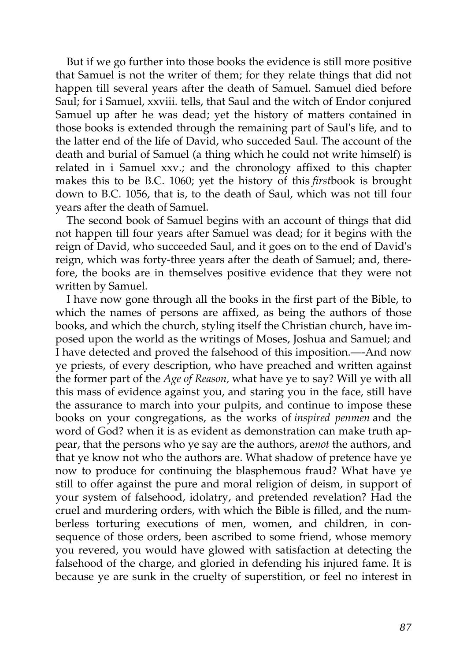But if we go further into those books the evidence is still more positive that Samuel is not the writer of them; for they relate things that did not happen till several years after the death of Samuel. Samuel died before Saul; for i Samuel, xxviii. tells, that Saul and the witch of Endor conjured Samuel up after he was dead; yet the history of matters contained in those books is extended through the remaining part of Saul's life, and to the latter end of the life of David, who succeded Saul. The account of the death and burial of Samuel (a thing which he could not write himself) is related in i Samuel xxv.; and the chronology affixed to this chapter makes this to be B.C. 1060; yet the history of this *first*book is brought down to B.C. 1056, that is, to the death of Saul, which was not till four years after the death of Samuel.

The second book of Samuel begins with an account of things that did not happen till four years after Samuel was dead; for it begins with the reign of David, who succeeded Saul, and it goes on to the end of David's reign, which was forty-three years after the death of Samuel; and, therefore, the books are in themselves positive evidence that they were not written by Samuel.

I have now gone through all the books in the first part of the Bible, to which the names of persons are affixed, as being the authors of those books, and which the church, styling itself the Christian church, have imposed upon the world as the writings of Moses, Joshua and Samuel; and I have detected and proved the falsehood of this imposition.—-And now ye priests, of every description, who have preached and written against the former part of the *Age of Reason,* what have ye to say? Will ye with all this mass of evidence against you, and staring you in the face, still have the assurance to march into your pulpits, and continue to impose these books on your congregations, as the works of *inspired penmen* and the word of God? when it is as evident as demonstration can make truth appear, that the persons who ye say are the authors, are*not* the authors, and that ye know not who the authors are. What shadow of pretence have ye now to produce for continuing the blasphemous fraud? What have ye still to offer against the pure and moral religion of deism, in support of your system of falsehood, idolatry, and pretended revelation? Had the cruel and murdering orders, with which the Bible is filled, and the numberless torturing executions of men, women, and children, in consequence of those orders, been ascribed to some friend, whose memory you revered, you would have glowed with satisfaction at detecting the falsehood of the charge, and gloried in defending his injured fame. It is because ye are sunk in the cruelty of superstition, or feel no interest in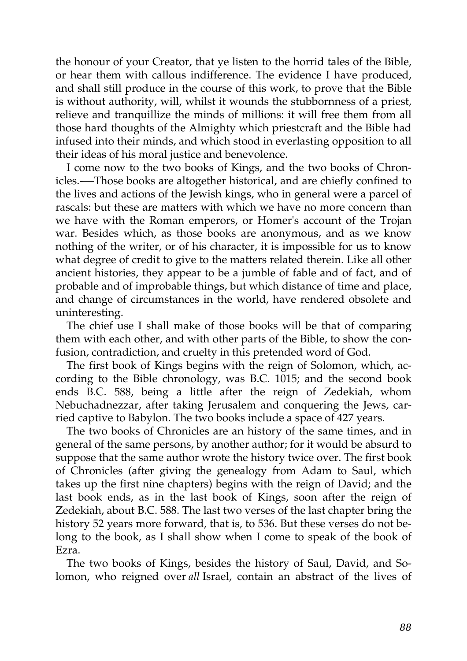the honour of your Creator, that ye listen to the horrid tales of the Bible, or hear them with callous indifference. The evidence I have produced, and shall still produce in the course of this work, to prove that the Bible is without authority, will, whilst it wounds the stubbornness of a priest, relieve and tranquillize the minds of millions: it will free them from all those hard thoughts of the Almighty which priestcraft and the Bible had infused into their minds, and which stood in everlasting opposition to all their ideas of his moral justice and benevolence.

I come now to the two books of Kings, and the two books of Chronicles.-—Those books are altogether historical, and are chiefly confined to the lives and actions of the Jewish kings, who in general were a parcel of rascals: but these are matters with which we have no more concern than we have with the Roman emperors, or Homer's account of the Trojan war. Besides which, as those books are anonymous, and as we know nothing of the writer, or of his character, it is impossible for us to know what degree of credit to give to the matters related therein. Like all other ancient histories, they appear to be a jumble of fable and of fact, and of probable and of improbable things, but which distance of time and place, and change of circumstances in the world, have rendered obsolete and uninteresting.

The chief use I shall make of those books will be that of comparing them with each other, and with other parts of the Bible, to show the confusion, contradiction, and cruelty in this pretended word of God.

The first book of Kings begins with the reign of Solomon, which, according to the Bible chronology, was B.C. 1015; and the second book ends B.C. 588, being a little after the reign of Zedekiah, whom Nebuchadnezzar, after taking Jerusalem and conquering the Jews, carried captive to Babylon. The two books include a space of 427 years.

The two books of Chronicles are an history of the same times, and in general of the same persons, by another author; for it would be absurd to suppose that the same author wrote the history twice over. The first book of Chronicles (after giving the genealogy from Adam to Saul, which takes up the first nine chapters) begins with the reign of David; and the last book ends, as in the last book of Kings, soon after the reign of Zedekiah, about B.C. 588. The last two verses of the last chapter bring the history 52 years more forward, that is, to 536. But these verses do not belong to the book, as I shall show when I come to speak of the book of Ezra.

The two books of Kings, besides the history of Saul, David, and Solomon, who reigned over *all* Israel, contain an abstract of the lives of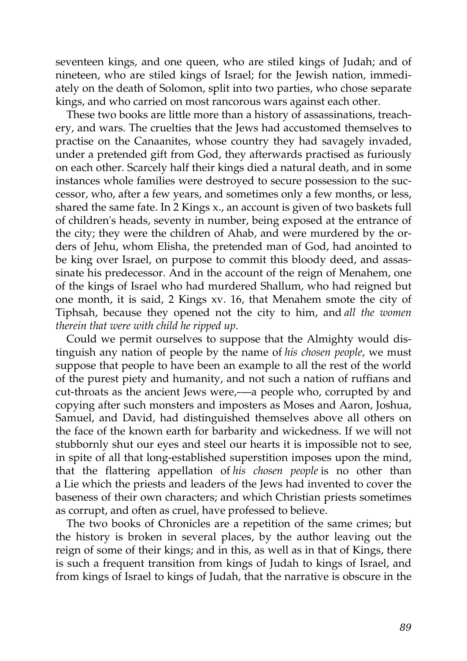seventeen kings, and one queen, who are stiled kings of Judah; and of nineteen, who are stiled kings of Israel; for the Jewish nation, immediately on the death of Solomon, split into two parties, who chose separate kings, and who carried on most rancorous wars against each other.

These two books are little more than a history of assassinations, treachery, and wars. The cruelties that the Jews had accustomed themselves to practise on the Canaanites, whose country they had savagely invaded, under a pretended gift from God, they afterwards practised as furiously on each other. Scarcely half their kings died a natural death, and in some instances whole families were destroyed to secure possession to the successor, who, after a few years, and sometimes only a few months, or less, shared the same fate. In 2 Kings x., an account is given of two baskets full of children's heads, seventy in number, being exposed at the entrance of the city; they were the children of Ahab, and were murdered by the orders of Jehu, whom Elisha, the pretended man of God, had anointed to be king over Israel, on purpose to commit this bloody deed, and assassinate his predecessor. And in the account of the reign of Menahem, one of the kings of Israel who had murdered Shallum, who had reigned but one month, it is said, 2 Kings xv. 16, that Menahem smote the city of Tiphsah, because they opened not the city to him, and *all the women therein that were with child he ripped up*.

Could we permit ourselves to suppose that the Almighty would distinguish any nation of people by the name of *his chosen people*, we must suppose that people to have been an example to all the rest of the world of the purest piety and humanity, and not such a nation of ruffians and cut-throats as the ancient Jews were,---- a people who, corrupted by and copying after such monsters and imposters as Moses and Aaron, Joshua, Samuel, and David, had distinguished themselves above all others on the face of the known earth for barbarity and wickedness. If we will not stubbornly shut our eyes and steel our hearts it is impossible not to see, in spite of all that long-established superstition imposes upon the mind, that the flattering appellation of *his chosen people* is no other than a Lie which the priests and leaders of the Jews had invented to cover the baseness of their own characters; and which Christian priests sometimes as corrupt, and often as cruel, have professed to believe.

The two books of Chronicles are a repetition of the same crimes; but the history is broken in several places, by the author leaving out the reign of some of their kings; and in this, as well as in that of Kings, there is such a frequent transition from kings of Judah to kings of Israel, and from kings of Israel to kings of Judah, that the narrative is obscure in the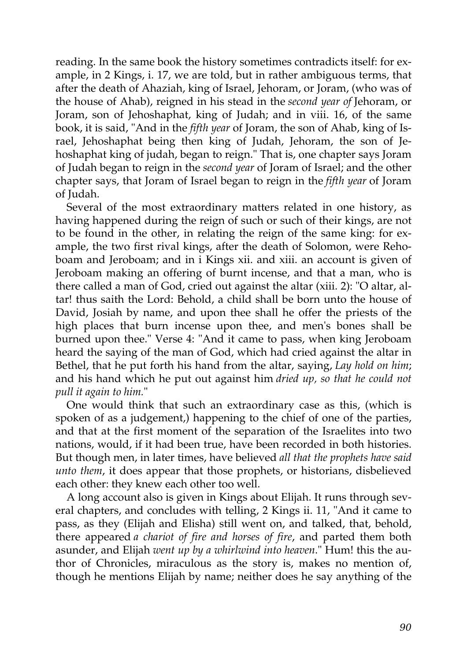reading. In the same book the history sometimes contradicts itself: for example, in 2 Kings, i. 17, we are told, but in rather ambiguous terms, that after the death of Ahaziah, king of Israel, Jehoram, or Joram, (who was of the house of Ahab), reigned in his stead in the *second year of* Jehoram, or Joram, son of Jehoshaphat, king of Judah; and in viii. 16, of the same book, it is said, "And in the *fifth year* of Joram, the son of Ahab, king of Israel, Jehoshaphat being then king of Judah, Jehoram, the son of Jehoshaphat king of judah, began to reign." That is, one chapter says Joram of Judah began to reign in the *second year* of Joram of Israel; and the other chapter says, that Joram of Israel began to reign in the *fifth year* of Joram of Judah.

Several of the most extraordinary matters related in one history, as having happened during the reign of such or such of their kings, are not to be found in the other, in relating the reign of the same king: for example, the two first rival kings, after the death of Solomon, were Rehoboam and Jeroboam; and in i Kings xii. and xiii. an account is given of Jeroboam making an offering of burnt incense, and that a man, who is there called a man of God, cried out against the altar (xiii. 2): "O altar, altar! thus saith the Lord: Behold, a child shall be born unto the house of David, Josiah by name, and upon thee shall he offer the priests of the high places that burn incense upon thee, and men's bones shall be burned upon thee." Verse 4: "And it came to pass, when king Jeroboam heard the saying of the man of God, which had cried against the altar in Bethel, that he put forth his hand from the altar, saying, *Lay hold on him*; and his hand which he put out against him *dried up, so that he could not pull it again to him.*"

One would think that such an extraordinary case as this, (which is spoken of as a judgement,) happening to the chief of one of the parties, and that at the first moment of the separation of the Israelites into two nations, would, if it had been true, have been recorded in both histories. But though men, in later times, have believed *all that the prophets have said unto them*, it does appear that those prophets, or historians, disbelieved each other: they knew each other too well.

A long account also is given in Kings about Elijah. It runs through several chapters, and concludes with telling, 2 Kings ii. 11, "And it came to pass, as they (Elijah and Elisha) still went on, and talked, that, behold, there appeared *a chariot of fire and horses of fire*, and parted them both asunder, and Elijah *went up by a whirlwind into heaven*." Hum! this the author of Chronicles, miraculous as the story is, makes no mention of, though he mentions Elijah by name; neither does he say anything of the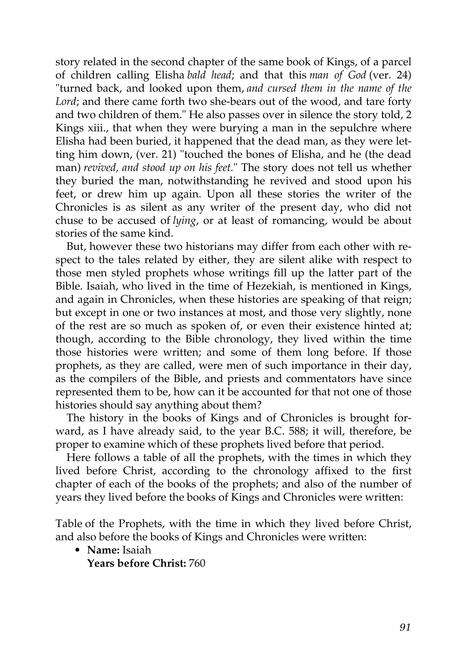story related in the second chapter of the same book of Kings, of a parcel of children calling Elisha *bald head*; and that this *man of God* (ver. 24) "turned back, and looked upon them, *and cursed them in the name of the Lord*; and there came forth two she-bears out of the wood, and tare forty and two children of them." He also passes over in silence the story told, 2 Kings xiii., that when they were burying a man in the sepulchre where Elisha had been buried, it happened that the dead man, as they were letting him down, (ver. 21) "touched the bones of Elisha, and he (the dead man) *revived, and stood up on his feet.*" The story does not tell us whether they buried the man, notwithstanding he revived and stood upon his feet, or drew him up again. Upon all these stories the writer of the Chronicles is as silent as any writer of the present day, who did not chuse to be accused of *lying*, or at least of romancing, would be about stories of the same kind.

But, however these two historians may differ from each other with respect to the tales related by either, they are silent alike with respect to those men styled prophets whose writings fill up the latter part of the Bible. Isaiah, who lived in the time of Hezekiah, is mentioned in Kings, and again in Chronicles, when these histories are speaking of that reign; but except in one or two instances at most, and those very slightly, none of the rest are so much as spoken of, or even their existence hinted at; though, according to the Bible chronology, they lived within the time those histories were written; and some of them long before. If those prophets, as they are called, were men of such importance in their day, as the compilers of the Bible, and priests and commentators have since represented them to be, how can it be accounted for that not one of those histories should say anything about them?

The history in the books of Kings and of Chronicles is brought forward, as I have already said, to the year B.C. 588; it will, therefore, be proper to examine which of these prophets lived before that period.

Here follows a table of all the prophets, with the times in which they lived before Christ, according to the chronology affixed to the first chapter of each of the books of the prophets; and also of the number of years they lived before the books of Kings and Chronicles were written:

Table of the Prophets, with the time in which they lived before Christ, and also before the books of Kings and Chronicles were written:

• **Name:** Isaiah

**Years before Christ:** 760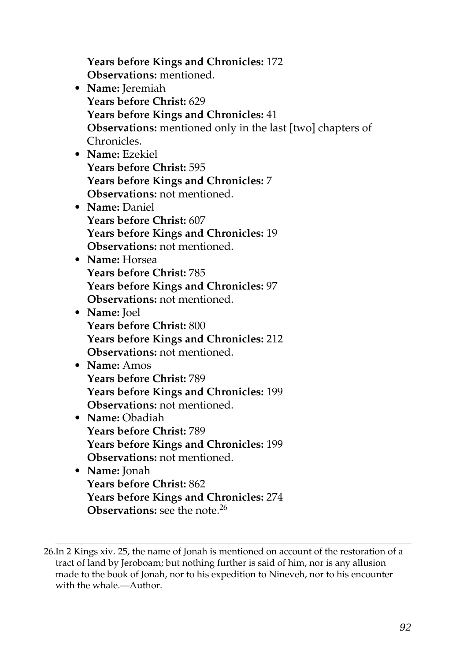**Years before Kings and Chronicles:** 172 **Observations:** mentioned. • **Name:** Jeremiah **Years before Christ:** 629 **Years before Kings and Chronicles:** 41 **Observations:** mentioned only in the last [two] chapters of Chronicles. • **Name:** Ezekiel **Years before Christ:** 595 **Years before Kings and Chronicles:** 7 **Observations:** not mentioned. • **Name:** Daniel **Years before Christ:** 607 **Years before Kings and Chronicles:** 19 **Observations:** not mentioned. • **Name:** Horsea **Years before Christ:** 785 **Years before Kings and Chronicles:** 97 **Observations:** not mentioned. • **Name:** Joel **Years before Christ:** 800 **Years before Kings and Chronicles:** 212 **Observations:** not mentioned. • **Name:** Amos **Years before Christ:** 789 **Years before Kings and Chronicles:** 199 **Observations:** not mentioned. • **Name:** Obadiah **Years before Christ:** 789 **Years before Kings and Chronicles:** 199 **Observations:** not mentioned. • **Name:** Jonah **Years before Christ:** 862 **Years before Kings and Chronicles:** 274 **Observations:** see the note.<sup>26</sup>

<sup>26.</sup>In 2 Kings xiv. 25, the name of Jonah is mentioned on account of the restoration of a tract of land by Jeroboam; but nothing further is said of him, nor is any allusion made to the book of Jonah, nor to his expedition to Nineveh, nor to his encounter with the whale.—Author.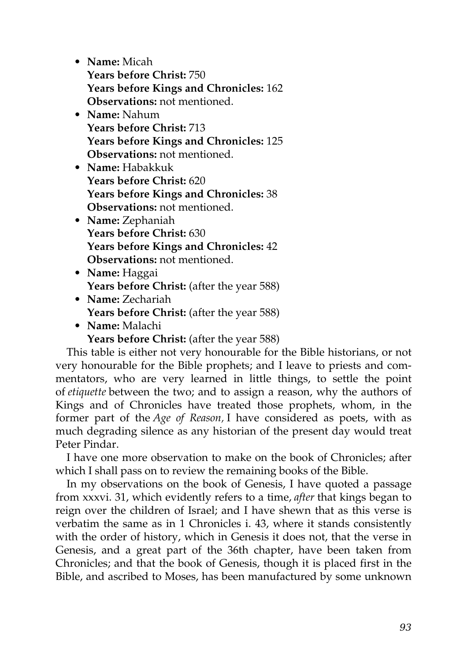• **Name:** Micah **Years before Christ:** 750 **Years before Kings and Chronicles:** 162 **Observations:** not mentioned.

- **Name:** Nahum **Years before Christ:** 713 **Years before Kings and Chronicles:** 125 **Observations:** not mentioned.
- **Name:** Habakkuk **Years before Christ:** 620 **Years before Kings and Chronicles:** 38 **Observations:** not mentioned.
- **Name:** Zephaniah **Years before Christ:** 630 **Years before Kings and Chronicles:** 42 **Observations:** not mentioned.
- **Name:** Haggai **Years before Christ:** (after the year 588)
- **Name:** Zechariah **Years before Christ:** (after the year 588)
- **Name:** Malachi

**Years before Christ:** (after the year 588)

This table is either not very honourable for the Bible historians, or not very honourable for the Bible prophets; and I leave to priests and commentators, who are very learned in little things, to settle the point of *etiquette* between the two; and to assign a reason, why the authors of Kings and of Chronicles have treated those prophets, whom, in the former part of the *Age of Reason,* I have considered as poets, with as much degrading silence as any historian of the present day would treat Peter Pindar.

I have one more observation to make on the book of Chronicles; after which I shall pass on to review the remaining books of the Bible.

In my observations on the book of Genesis, I have quoted a passage from xxxvi. 31, which evidently refers to a time, *after* that kings began to reign over the children of Israel; and I have shewn that as this verse is verbatim the same as in 1 Chronicles i. 43, where it stands consistently with the order of history, which in Genesis it does not, that the verse in Genesis, and a great part of the 36th chapter, have been taken from Chronicles; and that the book of Genesis, though it is placed first in the Bible, and ascribed to Moses, has been manufactured by some unknown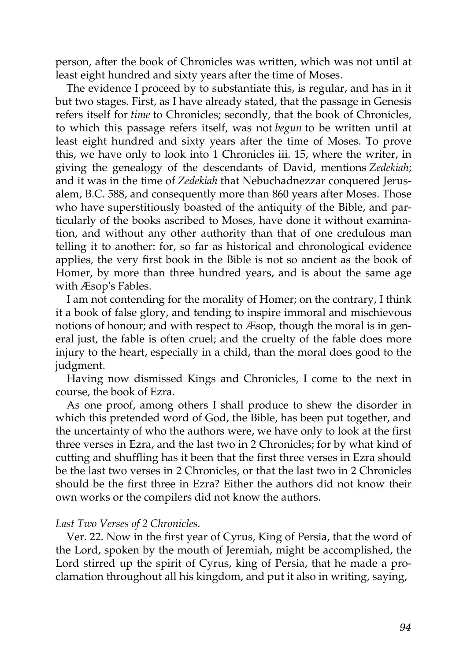person, after the book of Chronicles was written, which was not until at least eight hundred and sixty years after the time of Moses.

The evidence I proceed by to substantiate this, is regular, and has in it but two stages. First, as I have already stated, that the passage in Genesis refers itself for *time* to Chronicles; secondly, that the book of Chronicles, to which this passage refers itself, was not *begun* to be written until at least eight hundred and sixty years after the time of Moses. To prove this, we have only to look into 1 Chronicles iii. 15, where the writer, in giving the genealogy of the descendants of David, mentions *Zedekiah*; and it was in the time of *Zedekiah* that Nebuchadnezzar conquered Jerusalem, B.C. 588, and consequently more than 860 years after Moses. Those who have superstitiously boasted of the antiquity of the Bible, and particularly of the books ascribed to Moses, have done it without examination, and without any other authority than that of one credulous man telling it to another: for, so far as historical and chronological evidence applies, the very first book in the Bible is not so ancient as the book of Homer, by more than three hundred years, and is about the same age with Æsop's Fables.

I am not contending for the morality of Homer; on the contrary, I think it a book of false glory, and tending to inspire immoral and mischievous notions of honour; and with respect to Æsop, though the moral is in general just, the fable is often cruel; and the cruelty of the fable does more injury to the heart, especially in a child, than the moral does good to the judgment.

Having now dismissed Kings and Chronicles, I come to the next in course, the book of Ezra.

As one proof, among others I shall produce to shew the disorder in which this pretended word of God, the Bible, has been put together, and the uncertainty of who the authors were, we have only to look at the first three verses in Ezra, and the last two in 2 Chronicles; for by what kind of cutting and shuffling has it been that the first three verses in Ezra should be the last two verses in 2 Chronicles, or that the last two in 2 Chronicles should be the first three in Ezra? Either the authors did not know their own works or the compilers did not know the authors.

## *Last Two Verses of 2 Chronicles.*

Ver. 22. Now in the first year of Cyrus, King of Persia, that the word of the Lord, spoken by the mouth of Jeremiah, might be accomplished, the Lord stirred up the spirit of Cyrus, king of Persia, that he made a proclamation throughout all his kingdom, and put it also in writing, saying,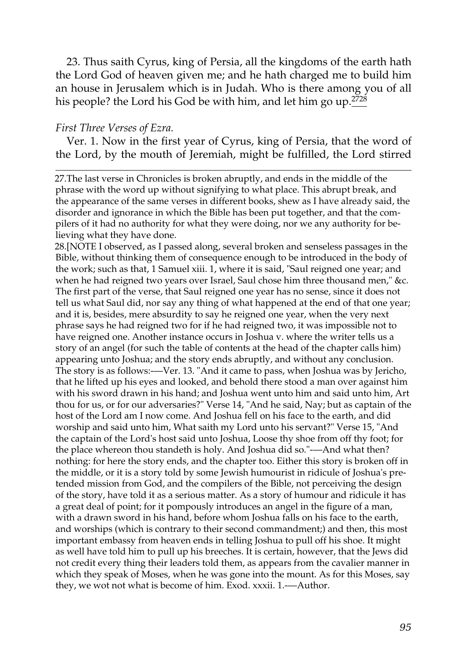23. Thus saith Cyrus, king of Persia, all the kingdoms of the earth hath the Lord God of heaven given me; and he hath charged me to build him an house in Jerusalem which is in Judah. Who is there among you of all his people? the Lord his God be with him, and let him go up.<sup>2728</sup>

## *First Three Verses of Ezra.*

Ver. 1. Now in the first year of Cyrus, king of Persia, that the word of the Lord, by the mouth of Jeremiah, might be fulfilled, the Lord stirred

27.The last verse in Chronicles is broken abruptly, and ends in the middle of the phrase with the word up without signifying to what place. This abrupt break, and the appearance of the same verses in different books, shew as I have already said, the disorder and ignorance in which the Bible has been put together, and that the compilers of it had no authority for what they were doing, nor we any authority for believing what they have done.

28.[NOTE I observed, as I passed along, several broken and senseless passages in the Bible, without thinking them of consequence enough to be introduced in the body of the work; such as that, 1 Samuel xiii. 1, where it is said, "Saul reigned one year; and when he had reigned two years over Israel, Saul chose him three thousand men," &c. The first part of the verse, that Saul reigned one year has no sense, since it does not tell us what Saul did, nor say any thing of what happened at the end of that one year; and it is, besides, mere absurdity to say he reigned one year, when the very next phrase says he had reigned two for if he had reigned two, it was impossible not to have reigned one. Another instance occurs in Joshua v. where the writer tells us a story of an angel (for such the table of contents at the head of the chapter calls him) appearing unto Joshua; and the story ends abruptly, and without any conclusion. The story is as follows:—Ver. 13. "And it came to pass, when Joshua was by Jericho, that he lifted up his eyes and looked, and behold there stood a man over against him with his sword drawn in his hand; and Joshua went unto him and said unto him, Art thou for us, or for our adversaries?" Verse 14, "And he said, Nay; but as captain of the host of the Lord am I now come. And Joshua fell on his face to the earth, and did worship and said unto him, What saith my Lord unto his servant?" Verse 15, "And the captain of the Lord's host said unto Joshua, Loose thy shoe from off thy foot; for the place whereon thou standeth is holy. And Joshua did so."-—And what then? nothing: for here the story ends, and the chapter too. Either this story is broken off in the middle, or it is a story told by some Jewish humourist in ridicule of Joshua's pretended mission from God, and the compilers of the Bible, not perceiving the design of the story, have told it as a serious matter. As a story of humour and ridicule it has a great deal of point; for it pompously introduces an angel in the figure of a man, with a drawn sword in his hand, before whom Joshua falls on his face to the earth, and worships (which is contrary to their second commandment;) and then, this most important embassy from heaven ends in telling Joshua to pull off his shoe. It might as well have told him to pull up his breeches. It is certain, however, that the Jews did not credit every thing their leaders told them, as appears from the cavalier manner in which they speak of Moses, when he was gone into the mount. As for this Moses, say they, we wot not what is become of him. Exod. xxxii. 1.-—Author.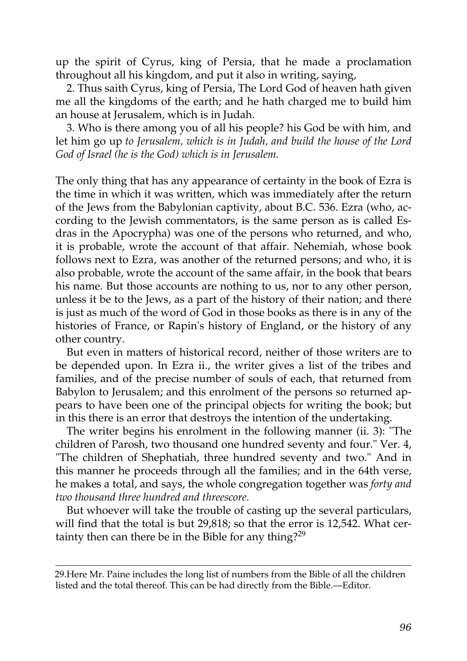up the spirit of Cyrus, king of Persia, that he made a proclamation throughout all his kingdom, and put it also in writing, saying,

2. Thus saith Cyrus, king of Persia, The Lord God of heaven hath given me all the kingdoms of the earth; and he hath charged me to build him an house at Jerusalem, which is in Judah.

3. Who is there among you of all his people? his God be with him, and let him go up *to Jerusalem, which is in Judah, and build the house of the Lord God of Israel (he is the God) which is in Jerusalem.*

The only thing that has any appearance of certainty in the book of Ezra is the time in which it was written, which was immediately after the return of the Jews from the Babylonian captivity, about B.C. 536. Ezra (who, according to the Jewish commentators, is the same person as is called Esdras in the Apocrypha) was one of the persons who returned, and who, it is probable, wrote the account of that affair. Nehemiah, whose book follows next to Ezra, was another of the returned persons; and who, it is also probable, wrote the account of the same affair, in the book that bears his name. But those accounts are nothing to us, nor to any other person, unless it be to the Jews, as a part of the history of their nation; and there is just as much of the word of God in those books as there is in any of the histories of France, or Rapin's history of England, or the history of any other country.

But even in matters of historical record, neither of those writers are to be depended upon. In Ezra ii., the writer gives a list of the tribes and families, and of the precise number of souls of each, that returned from Babylon to Jerusalem; and this enrolment of the persons so returned appears to have been one of the principal objects for writing the book; but in this there is an error that destroys the intention of the undertaking.

The writer begins his enrolment in the following manner (ii. 3): "The children of Parosh, two thousand one hundred seventy and four." Ver. 4, "The children of Shephatiah, three hundred seventy and two." And in this manner he proceeds through all the families; and in the 64th verse, he makes a total, and says, the whole congregation together was *forty and two thousand three hundred and threescore.*

But whoever will take the trouble of casting up the several particulars, will find that the total is but 29,818; so that the error is 12,542. What cer-tainty then can there be in the Bible for any thing?<sup>[29](http://en.wikisource.org/wiki/The_Age_of_Reason/Part_II/Chapter_I#cite_note-7)</sup>

[<sup>29.</sup>Here Mr. Paine includes the long list of numbers from the Bible of all the children](http://en.wikisource.org/wiki/The_Age_of_Reason/Part_II/Chapter_I#cite_note-7) listed and the total thereof. This can be had directly from the Bible.—Editor.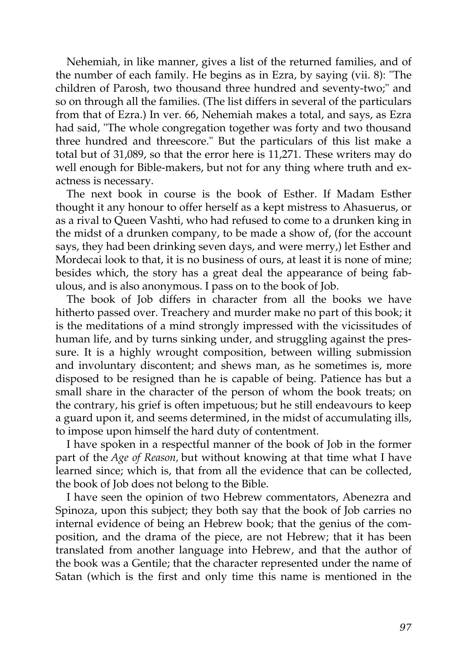Nehemiah, in like manner, gives a list of the returned families, and of the number of each family. He begins as in Ezra, by saying (vii. 8): "The children of Parosh, two thousand three hundred and seventy-two;" and so on through all the families. (The list differs in several of the particulars from that of Ezra.) In ver. 66, Nehemiah makes a total, and says, as Ezra had said, "The whole congregation together was forty and two thousand three hundred and threescore." But the particulars of this list make a total but of 31,089, so that the error here is 11,271. These writers may do well enough for Bible-makers, but not for any thing where truth and exactness is necessary.

The next book in course is the book of Esther. If Madam Esther thought it any honour to offer herself as a kept mistress to Ahasuerus, or as a rival to Queen Vashti, who had refused to come to a drunken king in the midst of a drunken company, to be made a show of, (for the account says, they had been drinking seven days, and were merry,) let Esther and Mordecai look to that, it is no business of ours, at least it is none of mine; besides which, the story has a great deal the appearance of being fabulous, and is also anonymous. I pass on to the book of Job.

The book of Job differs in character from all the books we have hitherto passed over. Treachery and murder make no part of this book; it is the meditations of a mind strongly impressed with the vicissitudes of human life, and by turns sinking under, and struggling against the pressure. It is a highly wrought composition, between willing submission and involuntary discontent; and shews man, as he sometimes is, more disposed to be resigned than he is capable of being. Patience has but a small share in the character of the person of whom the book treats; on the contrary, his grief is often impetuous; but he still endeavours to keep a guard upon it, and seems determined, in the midst of accumulating ills, to impose upon himself the hard duty of contentment.

I have spoken in a respectful manner of the book of Job in the former part of the *Age of Reason,* but without knowing at that time what I have learned since; which is, that from all the evidence that can be collected, the book of Job does not belong to the Bible.

I have seen the opinion of two Hebrew commentators, Abenezra and Spinoza, upon this subject; they both say that the book of Job carries no internal evidence of being an Hebrew book; that the genius of the composition, and the drama of the piece, are not Hebrew; that it has been translated from another language into Hebrew, and that the author of the book was a Gentile; that the character represented under the name of Satan (which is the first and only time this name is mentioned in the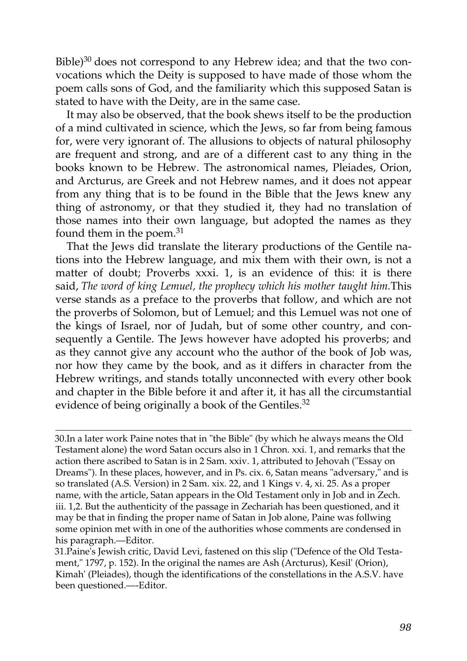Bible)<sup>[30](http://en.wikisource.org/wiki/The_Age_of_Reason/Part_II/Chapter_I#cite_note-8)</sup> does not correspond to any Hebrew idea; and that the two convocations which the Deity is supposed to have made of those whom the poem calls sons of God, and the familiarity which this supposed Satan is stated to have with the Deity, are in the same case.

It may also be observed, that the book shews itself to be the production of a mind cultivated in science, which the Jews, so far from being famous for, were very ignorant of. The allusions to objects of natural philosophy are frequent and strong, and are of a different cast to any thing in the books known to be Hebrew. The astronomical names, Pleiades, Orion, and Arcturus, are Greek and not Hebrew names, and it does not appear from any thing that is to be found in the Bible that the Jews knew any thing of astronomy, or that they studied it, they had no translation of those names into their own language, but adopted the names as they found them in the poem.<sup>[31](http://en.wikisource.org/wiki/The_Age_of_Reason/Part_II/Chapter_I#cite_note-9)</sup>

That the Jews did translate the literary productions of the Gentile nations into the Hebrew language, and mix them with their own, is not a matter of doubt; Proverbs xxxi. 1, is an evidence of this: it is there said, *The word of king Lemuel, the prophecy which his mother taught him.*This verse stands as a preface to the proverbs that follow, and which are not the proverbs of Solomon, but of Lemuel; and this Lemuel was not one of the kings of Israel, nor of Judah, but of some other country, and consequently a Gentile. The Jews however have adopted his proverbs; and as they cannot give any account who the author of the book of Job was, nor how they came by the book, and as it differs in character from the Hebrew writings, and stands totally unconnected with every other book and chapter in the Bible before it and after it, it has all the circumstantial evidence of being originally a book of the Gentiles.<sup>[32](http://en.wikisource.org/wiki/The_Age_of_Reason/Part_II/Chapter_I#cite_note-10)</sup>

[<sup>30.</sup>I](http://en.wikisource.org/wiki/The_Age_of_Reason/Part_II/Chapter_I#cite_note-8)n a later work Paine notes that in "the Bible" (by which he always means the Old Testament alone) the word Satan occurs also in 1 Chron. xxi. 1, and remarks that the action there ascribed to Satan is in 2 Sam. xxiv. 1, attributed to Jehovah ("Essay on [Dreams"\). In these places, however, and in Ps. cix. 6, Satan means "adversary," and is](http://en.wikisource.org/wiki/The_Age_of_Reason/Part_II/Chapter_I#cite_note-8) so translated (A.S. Version) in 2 Sam. xix. 22, and 1 Kings v. 4, xi. 25. As a proper name, with the article, Satan appears in the Old Testament only in Job and in Zech. iii. 1,2. But the authenticity of the passage in Zechariah has been questioned, and it may be that in finding the proper name of Satan in Job alone, Paine was follwing some opinion met with in one of the authorities whose comments are condensed in his paragraph.—Editor.

[<sup>31.</sup>P](http://en.wikisource.org/wiki/The_Age_of_Reason/Part_II/Chapter_I#cite_note-9)aine's Jewish critic, David Levi, fastened on this slip ("Defence of the Old Testament," 1797, p. 152). In the original the names are Ash (Arcturus), Kesil' (Orion), [Kimah' \(Pleiades\), though the identifications of the constellations in the A.S.V. have](http://en.wikisource.org/wiki/The_Age_of_Reason/Part_II/Chapter_I#cite_note-9) been questioned.—-Editor.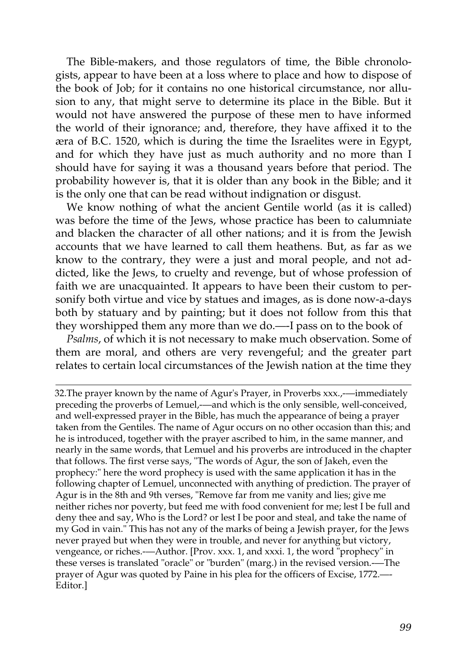The Bible-makers, and those regulators of time, the Bible chronologists, appear to have been at a loss where to place and how to dispose of the book of Job; for it contains no one historical circumstance, nor allusion to any, that might serve to determine its place in the Bible. But it would not have answered the purpose of these men to have informed the world of their ignorance; and, therefore, they have affixed it to the æra of B.C. 1520, which is during the time the Israelites were in Egypt, and for which they have just as much authority and no more than I should have for saying it was a thousand years before that period. The probability however is, that it is older than any book in the Bible; and it is the only one that can be read without indignation or disgust.

We know nothing of what the ancient Gentile world (as it is called) was before the time of the Jews, whose practice has been to calumniate and blacken the character of all other nations; and it is from the Jewish accounts that we have learned to call them heathens. But, as far as we know to the contrary, they were a just and moral people, and not addicted, like the Jews, to cruelty and revenge, but of whose profession of faith we are unacquainted. It appears to have been their custom to personify both virtue and vice by statues and images, as is done now-a-days both by statuary and by painting; but it does not follow from this that they worshipped them any more than we do.—-I pass on to the book of

*Psalms*, of which it is not necessary to make much observation. Some of them are moral, and others are very revengeful; and the greater part relates to certain local circumstances of the Jewish nation at the time they

[32.T](http://en.wikisource.org/wiki/The_Age_of_Reason/Part_II/Chapter_I#cite_note-10)he prayer known by the name of Agur's Prayer, in Proverbs xxx.,-—immediately preceding the proverbs of Lemuel,-—and which is the only sensible, well-conceived, and well-expressed prayer in the Bible, has much the appearance of being a prayer taken from the Gentiles. The name of Agur occurs on no other occasion than this; and he is introduced, together with the prayer ascribed to him, in the same manner, and [nearly in the same words, that Lemuel and his proverbs are introduced in the chapter](http://en.wikisource.org/wiki/The_Age_of_Reason/Part_II/Chapter_I#cite_note-10) that follows. The first verse says, "The words of Agur, the son of Jakeh, even the prophecy:" here the word prophecy is used with the same application it has in the following chapter of Lemuel, unconnected with anything of prediction. The prayer of Agur is in the 8th and 9th verses, "Remove far from me vanity and lies; give me neither riches nor poverty, but feed me with food convenient for me; lest I be full and deny thee and say, Who is the Lord? or lest I be poor and steal, and take the name of my God in vain." This has not any of the marks of being a Jewish prayer, for the Jews never prayed but when they were in trouble, and never for anything but victory, vengeance, or riches.-—Author. [Prov. xxx. 1, and xxxi. 1, the word "prophecy" in these verses is translated "oracle" or "burden" (marg.) in the revised version.-—The prayer of Agur was quoted by Paine in his plea for the officers of Excise, 1772.—- Editor.]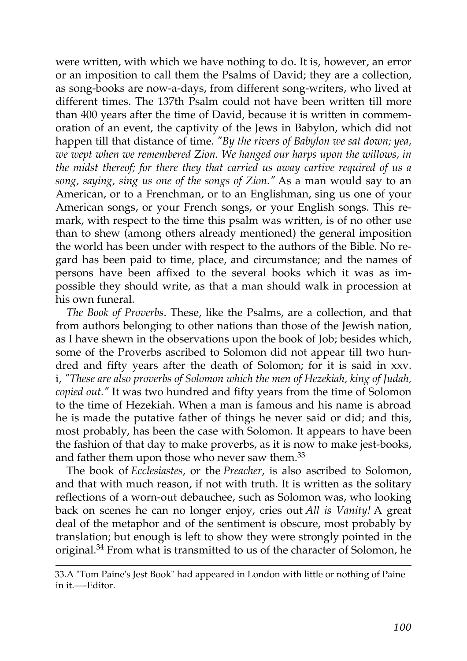were written, with which we have nothing to do. It is, however, an error or an imposition to call them the Psalms of David; they are a collection, as song-books are now-a-days, from different song-writers, who lived at different times. The 137th Psalm could not have been written till more than 400 years after the time of David, because it is written in commemoration of an event, the captivity of the Jews in Babylon, which did not happen till that distance of time. *"By the rivers of Babylon we sat down; yea, we wept when we remembered Zion. We hanged our harps upon the willows, in the midst thereof; for there they that carried us away cartive required of us a song, saying, sing us one of the songs of Zion."* As a man would say to an American, or to a Frenchman, or to an Englishman, sing us one of your American songs, or your French songs, or your English songs. This remark, with respect to the time this psalm was written, is of no other use than to shew (among others already mentioned) the general imposition the world has been under with respect to the authors of the Bible. No regard has been paid to time, place, and circumstance; and the names of persons have been affixed to the several books which it was as impossible they should write, as that a man should walk in procession at his own funeral.

*The Book of Proverbs*. These, like the Psalms, are a collection, and that from authors belonging to other nations than those of the Jewish nation, as I have shewn in the observations upon the book of Job; besides which, some of the Proverbs ascribed to Solomon did not appear till two hundred and fifty years after the death of Solomon; for it is said in xxv. i, *"These are also proverbs of Solomon which the men of Hezekiah, king of Judah, copied out."* It was two hundred and fifty years from the time of Solomon to the time of Hezekiah. When a man is famous and his name is abroad he is made the putative father of things he never said or did; and this, most probably, has been the case with Solomon. It appears to have been the fashion of that day to make proverbs, as it is now to make jest-books, and father them upon those who never saw them.<sup>[33](http://en.wikisource.org/wiki/The_Age_of_Reason/Part_II/Chapter_I#cite_note-11)</sup>

The book of *Ecclesiastes*, or the *Preacher*, is also ascribed to Solomon, and that with much reason, if not with truth. It is written as the solitary reflections of a worn-out debauchee, such as Solomon was, who looking back on scenes he can no longer enjoy, cries out *All is Vanity!* A great deal of the metaphor and of the sentiment is obscure, most probably by translation; but enough is left to show they were strongly pointed in the original.[34](http://en.wikisource.org/wiki/The_Age_of_Reason/Part_II/Chapter_I#cite_note-12) From what is transmitted to us of the character of Solomon, he

[<sup>33.</sup>A "Tom Paine's Jest Book" had appeared in London with little or nothing of Paine](http://en.wikisource.org/wiki/The_Age_of_Reason/Part_II/Chapter_I#cite_note-11) in it.—-Editor.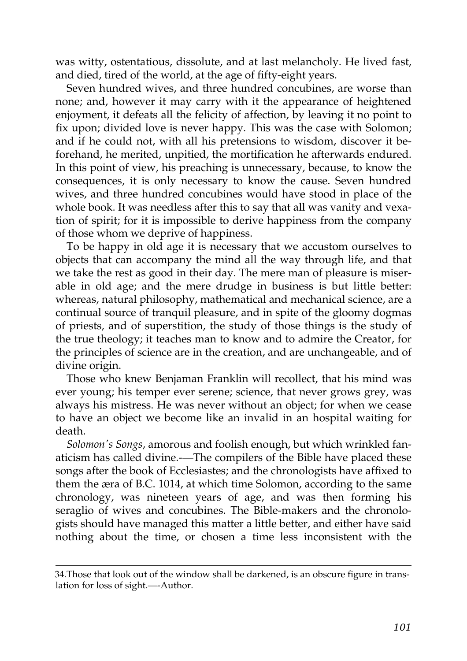was witty, ostentatious, dissolute, and at last melancholy. He lived fast, and died, tired of the world, at the age of fifty-eight years.

Seven hundred wives, and three hundred concubines, are worse than none; and, however it may carry with it the appearance of heightened enjoyment, it defeats all the felicity of affection, by leaving it no point to fix upon; divided love is never happy. This was the case with Solomon; and if he could not, with all his pretensions to wisdom, discover it beforehand, he merited, unpitied, the mortification he afterwards endured. In this point of view, his preaching is unnecessary, because, to know the consequences, it is only necessary to know the cause. Seven hundred wives, and three hundred concubines would have stood in place of the whole book. It was needless after this to say that all was vanity and vexation of spirit; for it is impossible to derive happiness from the company of those whom we deprive of happiness.

To be happy in old age it is necessary that we accustom ourselves to objects that can accompany the mind all the way through life, and that we take the rest as good in their day. The mere man of pleasure is miserable in old age; and the mere drudge in business is but little better: whereas, natural philosophy, mathematical and mechanical science, are a continual source of tranquil pleasure, and in spite of the gloomy dogmas of priests, and of superstition, the study of those things is the study of the true theology; it teaches man to know and to admire the Creator, for the principles of science are in the creation, and are unchangeable, and of divine origin.

Those who knew Benjaman Franklin will recollect, that his mind was ever young; his temper ever serene; science, that never grows grey, was always his mistress. He was never without an object; for when we cease to have an object we become like an invalid in an hospital waiting for death.

*Solomon's Songs*, amorous and foolish enough, but which wrinkled fanaticism has called divine.--The compilers of the Bible have placed these songs after the book of Ecclesiastes; and the chronologists have affixed to them the æra of B.C. 1014, at which time Solomon, according to the same chronology, was nineteen years of age, and was then forming his seraglio of wives and concubines. The Bible-makers and the chronologists should have managed this matter a little better, and either have said nothing about the time, or chosen a time less inconsistent with the

[<sup>34.</sup>Those that look out of the window shall be darkened, is an obscure figure in trans](http://en.wikisource.org/wiki/The_Age_of_Reason/Part_II/Chapter_I#cite_note-12)lation for loss of sight.—-Author.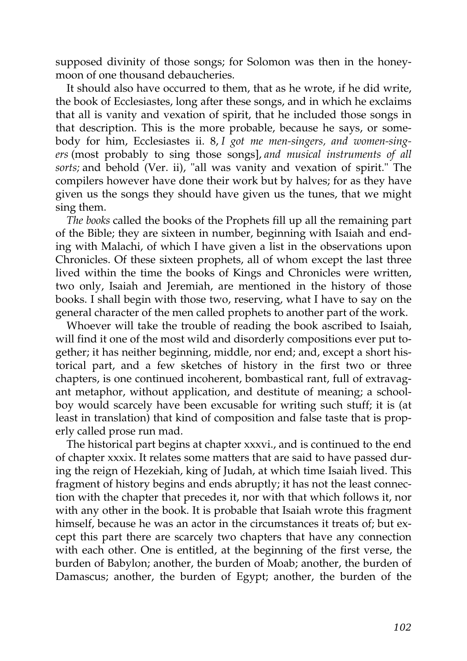supposed divinity of those songs; for Solomon was then in the honeymoon of one thousand debaucheries.

It should also have occurred to them, that as he wrote, if he did write, the book of Ecclesiastes, long after these songs, and in which he exclaims that all is vanity and vexation of spirit, that he included those songs in that description. This is the more probable, because he says, or somebody for him, Ecclesiastes ii. 8, *I got me men-singers, and women-singers* (most probably to sing those songs], *and musical instruments of all sorts;* and behold (Ver. ii), "all was vanity and vexation of spirit." The compilers however have done their work but by halves; for as they have given us the songs they should have given us the tunes, that we might sing them.

*The books* called the books of the Prophets fill up all the remaining part of the Bible; they are sixteen in number, beginning with Isaiah and ending with Malachi, of which I have given a list in the observations upon Chronicles. Of these sixteen prophets, all of whom except the last three lived within the time the books of Kings and Chronicles were written, two only, Isaiah and Jeremiah, are mentioned in the history of those books. I shall begin with those two, reserving, what I have to say on the general character of the men called prophets to another part of the work.

Whoever will take the trouble of reading the book ascribed to Isaiah, will find it one of the most wild and disorderly compositions ever put together; it has neither beginning, middle, nor end; and, except a short historical part, and a few sketches of history in the first two or three chapters, is one continued incoherent, bombastical rant, full of extravagant metaphor, without application, and destitute of meaning; a schoolboy would scarcely have been excusable for writing such stuff; it is (at least in translation) that kind of composition and false taste that is properly called prose run mad.

The historical part begins at chapter xxxvi., and is continued to the end of chapter xxxix. It relates some matters that are said to have passed during the reign of Hezekiah, king of Judah, at which time Isaiah lived. This fragment of history begins and ends abruptly; it has not the least connection with the chapter that precedes it, nor with that which follows it, nor with any other in the book. It is probable that Isaiah wrote this fragment himself, because he was an actor in the circumstances it treats of; but except this part there are scarcely two chapters that have any connection with each other. One is entitled, at the beginning of the first verse, the burden of Babylon; another, the burden of Moab; another, the burden of Damascus; another, the burden of Egypt; another, the burden of the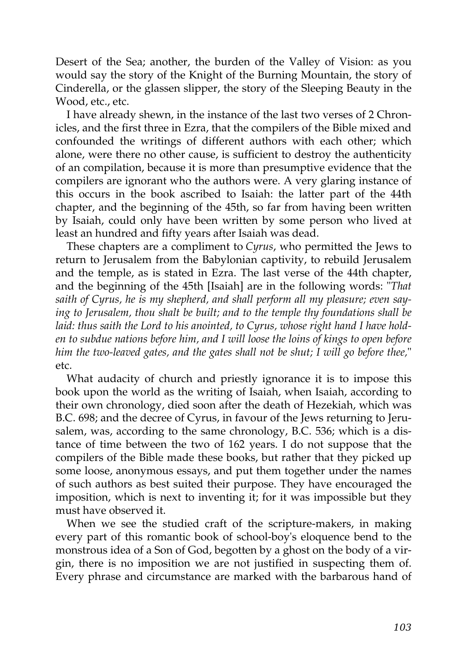Desert of the Sea; another, the burden of the Valley of Vision: as you would say the story of the Knight of the Burning Mountain, the story of Cinderella, or the glassen slipper, the story of the Sleeping Beauty in the Wood, etc., etc.

I have already shewn, in the instance of the last two verses of 2 Chronicles, and the first three in Ezra, that the compilers of the Bible mixed and confounded the writings of different authors with each other; which alone, were there no other cause, is sufficient to destroy the authenticity of an compilation, because it is more than presumptive evidence that the compilers are ignorant who the authors were. A very glaring instance of this occurs in the book ascribed to Isaiah: the latter part of the 44th chapter, and the beginning of the 45th, so far from having been written by Isaiah, could only have been written by some person who lived at least an hundred and fifty years after Isaiah was dead.

These chapters are a compliment to *Cyrus*, who permitted the Jews to return to Jerusalem from the Babylonian captivity, to rebuild Jerusalem and the temple, as is stated in Ezra. The last verse of the 44th chapter, and the beginning of the 45th [Isaiah] are in the following words: "*That saith of Cyrus, he is my shepherd, and shall perform all my pleasure; even saying to Jerusalem, thou shalt be built; and to the temple thy foundations shall be laid: thus saith the Lord to his anointed, to Cyrus, whose right hand I have holden to subdue nations before him, and I will loose the loins of kings to open before him the two-leaved gates, and the gates shall not be shut; I will go before thee,*" etc.

What audacity of church and priestly ignorance it is to impose this book upon the world as the writing of Isaiah, when Isaiah, according to their own chronology, died soon after the death of Hezekiah, which was B.C. 698; and the decree of Cyrus, in favour of the Jews returning to Jerusalem, was, according to the same chronology, B.C. 536; which is a distance of time between the two of 162 years. I do not suppose that the compilers of the Bible made these books, but rather that they picked up some loose, anonymous essays, and put them together under the names of such authors as best suited their purpose. They have encouraged the imposition, which is next to inventing it; for it was impossible but they must have observed it.

When we see the studied craft of the scripture-makers, in making every part of this romantic book of school-boy's eloquence bend to the monstrous idea of a Son of God, begotten by a ghost on the body of a virgin, there is no imposition we are not justified in suspecting them of. Every phrase and circumstance are marked with the barbarous hand of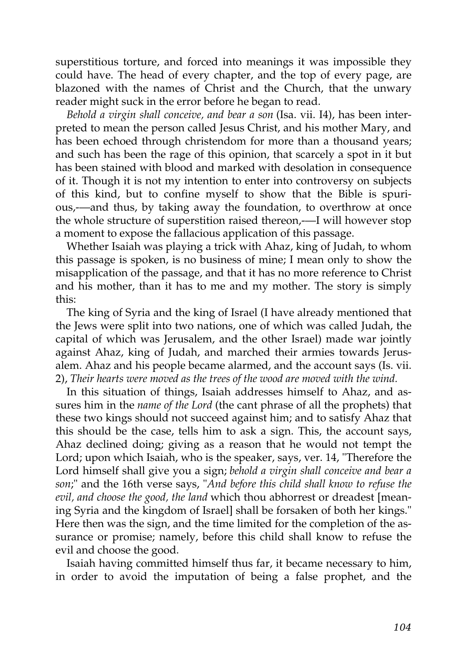superstitious torture, and forced into meanings it was impossible they could have. The head of every chapter, and the top of every page, are blazoned with the names of Christ and the Church, that the unwary reader might suck in the error before he began to read.

*Behold a virgin shall conceive, and bear a son* (Isa. vii. I4), has been interpreted to mean the person called Jesus Christ, and his mother Mary, and has been echoed through christendom for more than a thousand years; and such has been the rage of this opinion, that scarcely a spot in it but has been stained with blood and marked with desolation in consequence of it. Though it is not my intention to enter into controversy on subjects of this kind, but to confine myself to show that the Bible is spurious,-—and thus, by taking away the foundation, to overthrow at once the whole structure of superstition raised thereon,-—I will however stop a moment to expose the fallacious application of this passage.

Whether Isaiah was playing a trick with Ahaz, king of Judah, to whom this passage is spoken, is no business of mine; I mean only to show the misapplication of the passage, and that it has no more reference to Christ and his mother, than it has to me and my mother. The story is simply this:

The king of Syria and the king of Israel (I have already mentioned that the Jews were split into two nations, one of which was called Judah, the capital of which was Jerusalem, and the other Israel) made war jointly against Ahaz, king of Judah, and marched their armies towards Jerusalem. Ahaz and his people became alarmed, and the account says (Is. vii. 2), *Their hearts were moved as the trees of the wood are moved with the wind.*

In this situation of things, Isaiah addresses himself to Ahaz, and assures him in the *name of the Lord* (the cant phrase of all the prophets) that these two kings should not succeed against him; and to satisfy Ahaz that this should be the case, tells him to ask a sign. This, the account says, Ahaz declined doing; giving as a reason that he would not tempt the Lord; upon which Isaiah, who is the speaker, says, ver. 14, "Therefore the Lord himself shall give you a sign; *behold a virgin shall conceive and bear a son*;" and the 16th verse says, "*And before this child shall know to refuse the evil, and choose the good, the land* which thou abhorrest or dreadest [meaning Syria and the kingdom of Israel] shall be forsaken of both her kings." Here then was the sign, and the time limited for the completion of the assurance or promise; namely, before this child shall know to refuse the evil and choose the good.

Isaiah having committed himself thus far, it became necessary to him, in order to avoid the imputation of being a false prophet, and the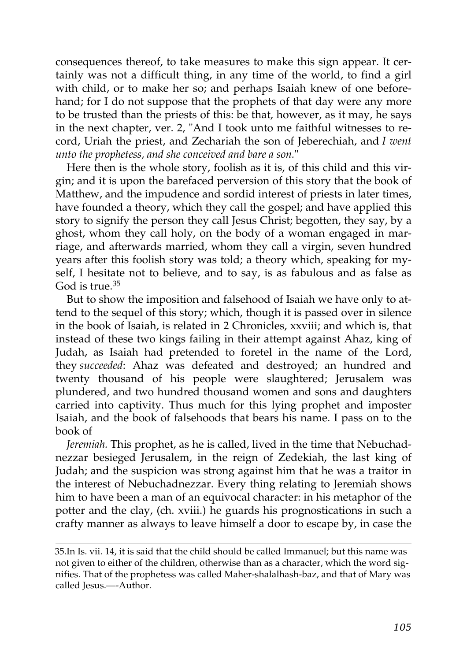consequences thereof, to take measures to make this sign appear. It certainly was not a difficult thing, in any time of the world, to find a girl with child, or to make her so; and perhaps Isaiah knew of one beforehand; for I do not suppose that the prophets of that day were any more to be trusted than the priests of this: be that, however, as it may, he says in the next chapter, ver. 2, "And I took unto me faithful witnesses to record, Uriah the priest, and Zechariah the son of Jeberechiah, and *I went unto the prophetess, and she conceived and bare a son.*"

Here then is the whole story, foolish as it is, of this child and this virgin; and it is upon the barefaced perversion of this story that the book of Matthew, and the impudence and sordid interest of priests in later times, have founded a theory, which they call the gospel; and have applied this story to signify the person they call Jesus Christ; begotten, they say, by a ghost, whom they call holy, on the body of a woman engaged in marriage, and afterwards married, whom they call a virgin, seven hundred years after this foolish story was told; a theory which, speaking for myself, I hesitate not to believe, and to say, is as fabulous and as false as God is true.<sup>[35](http://en.wikisource.org/wiki/The_Age_of_Reason/Part_II/Chapter_I#cite_note-13)</sup>

But to show the imposition and falsehood of Isaiah we have only to attend to the sequel of this story; which, though it is passed over in silence in the book of Isaiah, is related in 2 Chronicles, xxviii; and which is, that instead of these two kings failing in their attempt against Ahaz, king of Judah, as Isaiah had pretended to foretel in the name of the Lord, they *succeeded*: Ahaz was defeated and destroyed; an hundred and twenty thousand of his people were slaughtered; Jerusalem was plundered, and two hundred thousand women and sons and daughters carried into captivity. Thus much for this lying prophet and imposter Isaiah, and the book of falsehoods that bears his name. I pass on to the book of

*Jeremiah.* This prophet, as he is called, lived in the time that Nebuchadnezzar besieged Jerusalem, in the reign of Zedekiah, the last king of Judah; and the suspicion was strong against him that he was a traitor in the interest of Nebuchadnezzar. Every thing relating to Jeremiah shows him to have been a man of an equivocal character: in his metaphor of the potter and the clay, (ch. xviii.) he guards his prognostications in such a crafty manner as always to leave himself a door to escape by, in case the

[<sup>35.</sup>I](http://en.wikisource.org/wiki/The_Age_of_Reason/Part_II/Chapter_I#cite_note-13)n Is. vii. 14, it is said that the child should be called Immanuel; but this name was not given to either of the children, otherwise than as a character, which the word sig[nifies. That of the prophetess was called Maher-shalalhash-baz, and that of Mary was](http://en.wikisource.org/wiki/The_Age_of_Reason/Part_II/Chapter_I#cite_note-13) called Jesus.—-Author.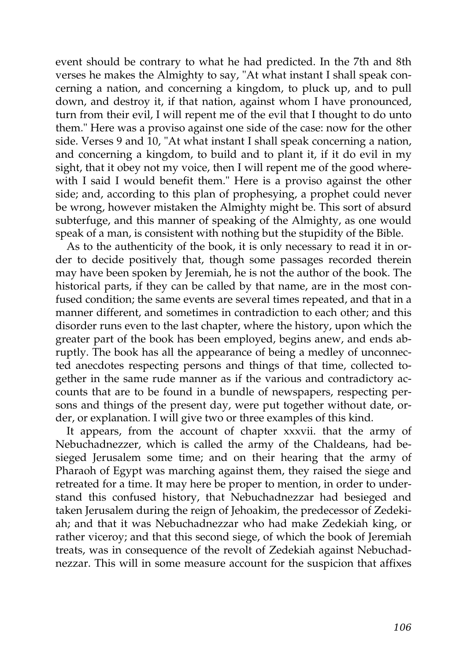event should be contrary to what he had predicted. In the 7th and 8th verses he makes the Almighty to say, "At what instant I shall speak concerning a nation, and concerning a kingdom, to pluck up, and to pull down, and destroy it, if that nation, against whom I have pronounced, turn from their evil, I will repent me of the evil that I thought to do unto them." Here was a proviso against one side of the case: now for the other side. Verses 9 and 10, "At what instant I shall speak concerning a nation, and concerning a kingdom, to build and to plant it, if it do evil in my sight, that it obey not my voice, then I will repent me of the good wherewith I said I would benefit them." Here is a proviso against the other side; and, according to this plan of prophesying, a prophet could never be wrong, however mistaken the Almighty might be. This sort of absurd subterfuge, and this manner of speaking of the Almighty, as one would speak of a man, is consistent with nothing but the stupidity of the Bible.

As to the authenticity of the book, it is only necessary to read it in order to decide positively that, though some passages recorded therein may have been spoken by Jeremiah, he is not the author of the book. The historical parts, if they can be called by that name, are in the most confused condition; the same events are several times repeated, and that in a manner different, and sometimes in contradiction to each other; and this disorder runs even to the last chapter, where the history, upon which the greater part of the book has been employed, begins anew, and ends abruptly. The book has all the appearance of being a medley of unconnected anecdotes respecting persons and things of that time, collected together in the same rude manner as if the various and contradictory accounts that are to be found in a bundle of newspapers, respecting persons and things of the present day, were put together without date, order, or explanation. I will give two or three examples of this kind.

It appears, from the account of chapter xxxvii. that the army of Nebuchadnezzer, which is called the army of the Chaldeans, had besieged Jerusalem some time; and on their hearing that the army of Pharaoh of Egypt was marching against them, they raised the siege and retreated for a time. It may here be proper to mention, in order to understand this confused history, that Nebuchadnezzar had besieged and taken Jerusalem during the reign of Jehoakim, the predecessor of Zedekiah; and that it was Nebuchadnezzar who had make Zedekiah king, or rather viceroy; and that this second siege, of which the book of Jeremiah treats, was in consequence of the revolt of Zedekiah against Nebuchadnezzar. This will in some measure account for the suspicion that affixes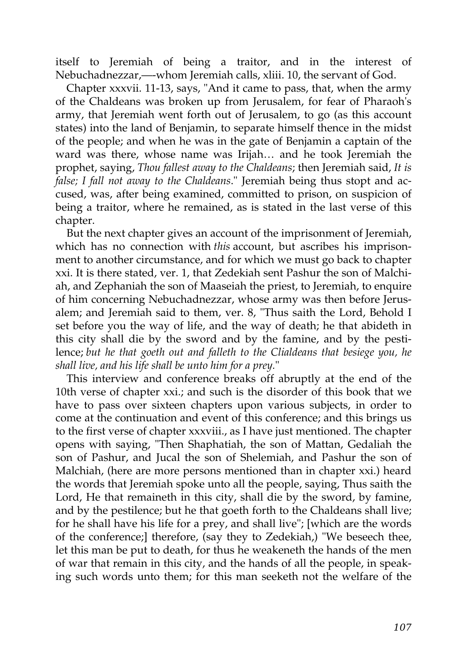itself to Jeremiah of being a traitor, and in the interest of Nebuchadnezzar,—-whom Jeremiah calls, xliii. 10, the servant of God.

Chapter xxxvii. 11-13, says, "And it came to pass, that, when the army of the Chaldeans was broken up from Jerusalem, for fear of Pharaoh's army, that Jeremiah went forth out of Jerusalem, to go (as this account states) into the land of Benjamin, to separate himself thence in the midst of the people; and when he was in the gate of Benjamin a captain of the ward was there, whose name was Irijah… and he took Jeremiah the prophet, saying, *Thou fallest away to the Chaldeans*; then Jeremiah said, *It is false; I fall not away to the Chaldeans*." Jeremiah being thus stopt and accused, was, after being examined, committed to prison, on suspicion of being a traitor, where he remained, as is stated in the last verse of this chapter.

But the next chapter gives an account of the imprisonment of Jeremiah, which has no connection with *this* account, but ascribes his imprisonment to another circumstance, and for which we must go back to chapter xxi. It is there stated, ver. 1, that Zedekiah sent Pashur the son of Malchiah, and Zephaniah the son of Maaseiah the priest, to Jeremiah, to enquire of him concerning Nebuchadnezzar, whose army was then before Jerusalem; and Jeremiah said to them, ver. 8, "Thus saith the Lord, Behold I set before you the way of life, and the way of death; he that abideth in this city shall die by the sword and by the famine, and by the pestilence; *but he that goeth out and falleth to the Clialdeans that besiege you, he shall live, and his life shall be unto him for a prey.*"

This interview and conference breaks off abruptly at the end of the 10th verse of chapter xxi.; and such is the disorder of this book that we have to pass over sixteen chapters upon various subjects, in order to come at the continuation and event of this conference; and this brings us to the first verse of chapter xxxviii., as I have just mentioned. The chapter opens with saying, "Then Shaphatiah, the son of Mattan, Gedaliah the son of Pashur, and Jucal the son of Shelemiah, and Pashur the son of Malchiah, (here are more persons mentioned than in chapter xxi.) heard the words that Jeremiah spoke unto all the people, saying, Thus saith the Lord, He that remaineth in this city, shall die by the sword, by famine, and by the pestilence; but he that goeth forth to the Chaldeans shall live; for he shall have his life for a prey, and shall live"; [which are the words of the conference;] therefore, (say they to Zedekiah,) "We beseech thee, let this man be put to death, for thus he weakeneth the hands of the men of war that remain in this city, and the hands of all the people, in speaking such words unto them; for this man seeketh not the welfare of the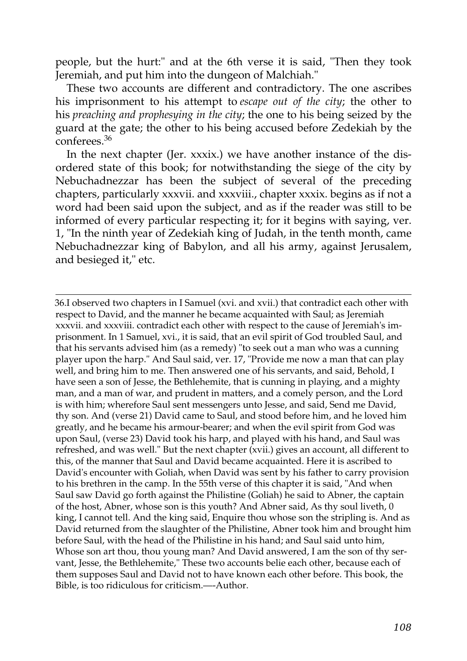people, but the hurt:" and at the 6th verse it is said, "Then they took Jeremiah, and put him into the dungeon of Malchiah."

These two accounts are different and contradictory. The one ascribes his imprisonment to his attempt to *escape out of the city*; the other to his *preaching and prophesying in the city*; the one to his being seized by the guard at the gate; the other to his being accused before Zedekiah by the conferees.[36](http://en.wikisource.org/wiki/The_Age_of_Reason/Part_II/Chapter_I#cite_note-14)

In the next chapter (Jer. xxxix.) we have another instance of the disordered state of this book; for notwithstanding the siege of the city by Nebuchadnezzar has been the subject of several of the preceding chapters, particularly xxxvii. and xxxviii., chapter xxxix. begins as if not a word had been said upon the subject, and as if the reader was still to be informed of every particular respecting it; for it begins with saying, ver. 1, "In the ninth year of Zedekiah king of Judah, in the tenth month, came Nebuchadnezzar king of Babylon, and all his army, against Jerusalem, and besieged it," etc.

[36.I](http://en.wikisource.org/wiki/The_Age_of_Reason/Part_II/Chapter_I#cite_note-14) observed two chapters in I Samuel (xvi. and xvii.) that contradict each other with respect to David, and the manner he became acquainted with Saul; as Jeremiah xxxvii. and xxxviii. contradict each other with respect to the cause of Jeremiah's imprisonment. In 1 Samuel, xvi., it is said, that an evil spirit of God troubled Saul, and that his servants advised him (as a remedy) "to seek out a man who was a cunning player upon the harp." And Saul said, ver. 17, "Provide me now a man that can play well, and bring him to me. Then answered one of his servants, and said, Behold, I have seen a son of Jesse, the Bethlehemite, that is cunning in playing, and a mighty man, and a man of war, and prudent in matters, and a comely person, and the Lord is with him; wherefore Saul sent messengers unto Jesse, and said, Send me David, thy son. And (verse 21) David came to Saul, and stood before him, and he loved him greatly, and he became his armour-bearer; and when the evil spirit from God was upon Saul, (verse 23) David took his harp, and played with his hand, and Saul was refreshed, and was well." But the next chapter (xvii.) gives an account, all different to this, of the manner that Saul and David became acquainted. Here it is ascribed to David's encounter with Goliah, when David was sent by his father to carry provision to his brethren in the camp. In the 55th verse of this chapter it is said, "And when Saul saw David go forth against the Philistine (Goliah) he said to Abner, the captain of the host, Abner, whose son is this youth? And Abner said, As thy soul liveth, 0 king, I cannot tell. And the king said, Enquire thou whose son the stripling is. And as [David returned from the slaughter of the Philistine, Abner took him and brought him](http://en.wikisource.org/wiki/The_Age_of_Reason/Part_II/Chapter_I#cite_note-14) before Saul, with the head of the Philistine in his hand; and Saul said unto him, Whose son art thou, thou young man? And David answered, I am the son of thy servant, Jesse, the Bethlehemite," These two accounts belie each other, because each of them supposes Saul and David not to have known each other before. This book, the Bible, is too ridiculous for criticism.—-Author.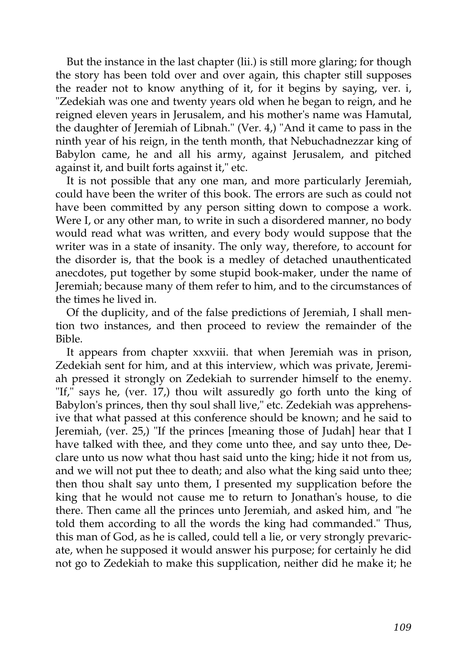But the instance in the last chapter (lii.) is still more glaring; for though the story has been told over and over again, this chapter still supposes the reader not to know anything of it, for it begins by saying, ver. i, "Zedekiah was one and twenty years old when he began to reign, and he reigned eleven years in Jerusalem, and his mother's name was Hamutal, the daughter of Jeremiah of Libnah." (Ver. 4,) "And it came to pass in the ninth year of his reign, in the tenth month, that Nebuchadnezzar king of Babylon came, he and all his army, against Jerusalem, and pitched against it, and built forts against it," etc.

It is not possible that any one man, and more particularly Jeremiah, could have been the writer of this book. The errors are such as could not have been committed by any person sitting down to compose a work. Were I, or any other man, to write in such a disordered manner, no body would read what was written, and every body would suppose that the writer was in a state of insanity. The only way, therefore, to account for the disorder is, that the book is a medley of detached unauthenticated anecdotes, put together by some stupid book-maker, under the name of Jeremiah; because many of them refer to him, and to the circumstances of the times he lived in.

Of the duplicity, and of the false predictions of Jeremiah, I shall mention two instances, and then proceed to review the remainder of the Bible.

It appears from chapter xxxviii. that when Jeremiah was in prison, Zedekiah sent for him, and at this interview, which was private, Jeremiah pressed it strongly on Zedekiah to surrender himself to the enemy. "If," says he, (ver. 17,) thou wilt assuredly go forth unto the king of Babylon's princes, then thy soul shall live," etc. Zedekiah was apprehensive that what passed at this conference should be known; and he said to Jeremiah, (ver. 25,) "If the princes [meaning those of Judah] hear that I have talked with thee, and they come unto thee, and say unto thee, Declare unto us now what thou hast said unto the king; hide it not from us, and we will not put thee to death; and also what the king said unto thee; then thou shalt say unto them, I presented my supplication before the king that he would not cause me to return to Jonathan's house, to die there. Then came all the princes unto Jeremiah, and asked him, and "he told them according to all the words the king had commanded." Thus, this man of God, as he is called, could tell a lie, or very strongly prevaricate, when he supposed it would answer his purpose; for certainly he did not go to Zedekiah to make this supplication, neither did he make it; he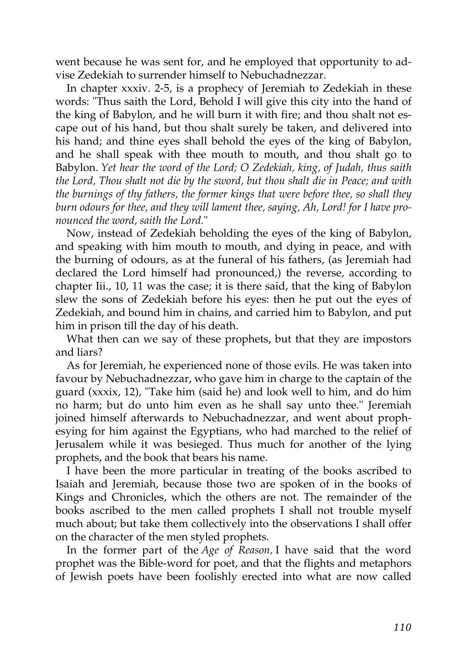went because he was sent for, and he employed that opportunity to advise Zedekiah to surrender himself to Nebuchadnezzar.

In chapter xxxiv. 2-5, is a prophecy of Jeremiah to Zedekiah in these words: "Thus saith the Lord, Behold I will give this city into the hand of the king of Babylon, and he will burn it with fire; and thou shalt not escape out of his hand, but thou shalt surely be taken, and delivered into his hand; and thine eyes shall behold the eyes of the king of Babylon, and he shall speak with thee mouth to mouth, and thou shalt go to Babylon. *Yet hear the word of the Lord; O Zedekiah, king, of Judah, thus saith the Lord, Thou shalt not die by the sword, but thou shalt die in Peace; and with the burnings of thy fathers, the former kings that were before thee, so shall they burn odours for thee, and they will lament thee, saying, Ah, Lord! for I have pronounced the word, saith the Lord.*"

Now, instead of Zedekiah beholding the eyes of the king of Babylon, and speaking with him mouth to mouth, and dying in peace, and with the burning of odours, as at the funeral of his fathers, (as Jeremiah had declared the Lord himself had pronounced,) the reverse, according to chapter Iii., 10, 11 was the case; it is there said, that the king of Babylon slew the sons of Zedekiah before his eyes: then he put out the eyes of Zedekiah, and bound him in chains, and carried him to Babylon, and put him in prison till the day of his death.

What then can we say of these prophets, but that they are impostors and liars?

As for Jeremiah, he experienced none of those evils. He was taken into favour by Nebuchadnezzar, who gave him in charge to the captain of the guard (xxxix, 12), "Take him (said he) and look well to him, and do him no harm; but do unto him even as he shall say unto thee." Jeremiah joined himself afterwards to Nebuchadnezzar, and went about prophesying for him against the Egyptians, who had marched to the relief of Jerusalem while it was besieged. Thus much for another of the lying prophets, and the book that bears his name.

I have been the more particular in treating of the books ascribed to Isaiah and Jeremiah, because those two are spoken of in the books of Kings and Chronicles, which the others are not. The remainder of the books ascribed to the men called prophets I shall not trouble myself much about; but take them collectively into the observations I shall offer on the character of the men styled prophets.

In the former part of the *Age of Reason,* I have said that the word prophet was the Bible-word for poet, and that the flights and metaphors of Jewish poets have been foolishly erected into what are now called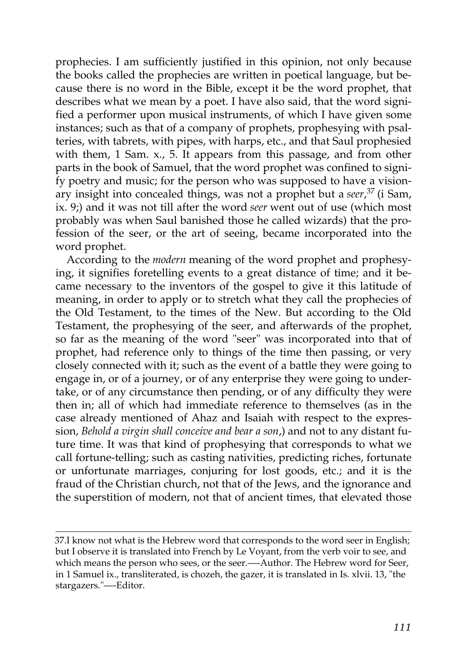prophecies. I am sufficiently justified in this opinion, not only because the books called the prophecies are written in poetical language, but because there is no word in the Bible, except it be the word prophet, that describes what we mean by a poet. I have also said, that the word signified a performer upon musical instruments, of which I have given some instances; such as that of a company of prophets, prophesying with psalteries, with tabrets, with pipes, with harps, etc., and that Saul prophesied with them, 1 Sam. x., 5. It appears from this passage, and from other parts in the book of Samuel, that the word prophet was confined to signify poetry and music; for the person who was supposed to have a visionary insight into concealed things, was not a prophet but a *seer*, [37](http://en.wikisource.org/wiki/The_Age_of_Reason/Part_II/Chapter_I#cite_note-15) (i Sam, ix. 9;) and it was not till after the word *seer* went out of use (which most probably was when Saul banished those he called wizards) that the profession of the seer, or the art of seeing, became incorporated into the word prophet.

According to the *modern* meaning of the word prophet and prophesying, it signifies foretelling events to a great distance of time; and it became necessary to the inventors of the gospel to give it this latitude of meaning, in order to apply or to stretch what they call the prophecies of the Old Testament, to the times of the New. But according to the Old Testament, the prophesying of the seer, and afterwards of the prophet, so far as the meaning of the word "seer" was incorporated into that of prophet, had reference only to things of the time then passing, or very closely connected with it; such as the event of a battle they were going to engage in, or of a journey, or of any enterprise they were going to undertake, or of any circumstance then pending, or of any difficulty they were then in; all of which had immediate reference to themselves (as in the case already mentioned of Ahaz and Isaiah with respect to the expression, *Behold a virgin shall conceive and bear a son*,) and not to any distant future time. It was that kind of prophesying that corresponds to what we call fortune-telling; such as casting nativities, predicting riches, fortunate or unfortunate marriages, conjuring for lost goods, etc.; and it is the fraud of the Christian church, not that of the Jews, and the ignorance and the superstition of modern, not that of ancient times, that elevated those

[<sup>37.</sup>I know not what is the Hebrew word that corresponds to the word seer in English;](http://en.wikisource.org/wiki/The_Age_of_Reason/Part_II/Chapter_I#cite_note-15) but I observe it is translated into French by Le Voyant, from the verb voir to see, and which means the person who sees, or the seer.—-Author. The Hebrew word for Seer, in 1 Samuel ix., transliterated, is chozeh, the gazer, it is translated in Is. xlvii. 13, "the stargazers."—-Editor.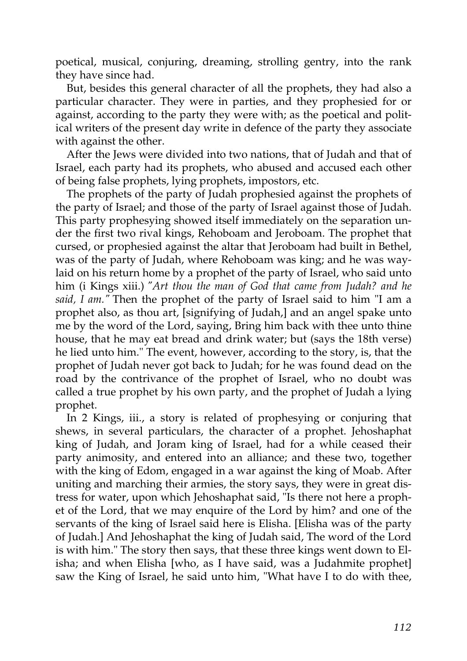poetical, musical, conjuring, dreaming, strolling gentry, into the rank they have since had.

But, besides this general character of all the prophets, they had also a particular character. They were in parties, and they prophesied for or against, according to the party they were with; as the poetical and political writers of the present day write in defence of the party they associate with against the other.

After the Jews were divided into two nations, that of Judah and that of Israel, each party had its prophets, who abused and accused each other of being false prophets, lying prophets, impostors, etc.

The prophets of the party of Judah prophesied against the prophets of the party of Israel; and those of the party of Israel against those of Judah. This party prophesying showed itself immediately on the separation under the first two rival kings, Rehoboam and Jeroboam. The prophet that cursed, or prophesied against the altar that Jeroboam had built in Bethel, was of the party of Judah, where Rehoboam was king; and he was waylaid on his return home by a prophet of the party of Israel, who said unto him (i Kings xiii.) *"Art thou the man of God that came from Judah? and he said, I am."* Then the prophet of the party of Israel said to him "I am a prophet also, as thou art, [signifying of Judah,] and an angel spake unto me by the word of the Lord, saying, Bring him back with thee unto thine house, that he may eat bread and drink water; but (says the 18th verse) he lied unto him." The event, however, according to the story, is, that the prophet of Judah never got back to Judah; for he was found dead on the road by the contrivance of the prophet of Israel, who no doubt was called a true prophet by his own party, and the prophet of Judah a lying prophet.

In 2 Kings, iii., a story is related of prophesying or conjuring that shews, in several particulars, the character of a prophet. Jehoshaphat king of Judah, and Joram king of Israel, had for a while ceased their party animosity, and entered into an alliance; and these two, together with the king of Edom, engaged in a war against the king of Moab. After uniting and marching their armies, the story says, they were in great distress for water, upon which Jehoshaphat said, "Is there not here a prophet of the Lord, that we may enquire of the Lord by him? and one of the servants of the king of Israel said here is Elisha. [Elisha was of the party of Judah.] And Jehoshaphat the king of Judah said, The word of the Lord is with him." The story then says, that these three kings went down to Elisha; and when Elisha [who, as I have said, was a Judahmite prophet] saw the King of Israel, he said unto him, "What have I to do with thee,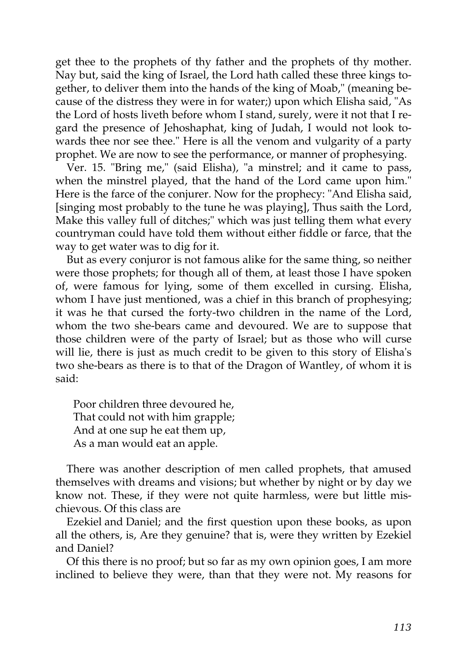get thee to the prophets of thy father and the prophets of thy mother. Nay but, said the king of Israel, the Lord hath called these three kings together, to deliver them into the hands of the king of Moab," (meaning because of the distress they were in for water;) upon which Elisha said, "As the Lord of hosts liveth before whom I stand, surely, were it not that I regard the presence of Jehoshaphat, king of Judah, I would not look towards thee nor see thee." Here is all the venom and vulgarity of a party prophet. We are now to see the performance, or manner of prophesying.

Ver. 15. "Bring me," (said Elisha), "a minstrel; and it came to pass, when the minstrel played, that the hand of the Lord came upon him." Here is the farce of the conjurer. Now for the prophecy: "And Elisha said, [singing most probably to the tune he was playing], Thus saith the Lord, Make this valley full of ditches;" which was just telling them what every countryman could have told them without either fiddle or farce, that the way to get water was to dig for it.

But as every conjuror is not famous alike for the same thing, so neither were those prophets; for though all of them, at least those I have spoken of, were famous for lying, some of them excelled in cursing. Elisha, whom I have just mentioned, was a chief in this branch of prophesying; it was he that cursed the forty-two children in the name of the Lord, whom the two she-bears came and devoured. We are to suppose that those children were of the party of Israel; but as those who will curse will lie, there is just as much credit to be given to this story of Elisha's two she-bears as there is to that of the Dragon of Wantley, of whom it is said:

Poor children three devoured he, That could not with him grapple; And at one sup he eat them up, As a man would eat an apple.

There was another description of men called prophets, that amused themselves with dreams and visions; but whether by night or by day we know not. These, if they were not quite harmless, were but little mischievous. Of this class are

Ezekiel and Daniel; and the first question upon these books, as upon all the others, is, Are they genuine? that is, were they written by Ezekiel and Daniel?

Of this there is no proof; but so far as my own opinion goes, I am more inclined to believe they were, than that they were not. My reasons for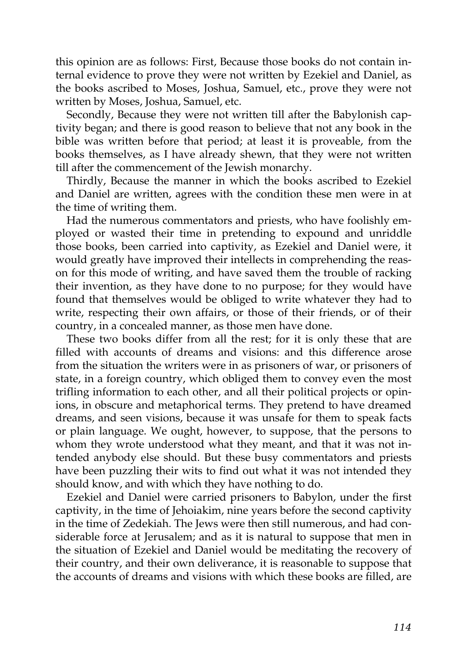this opinion are as follows: First, Because those books do not contain internal evidence to prove they were not written by Ezekiel and Daniel, as the books ascribed to Moses, Joshua, Samuel, etc., prove they were not written by Moses, Joshua, Samuel, etc.

Secondly, Because they were not written till after the Babylonish captivity began; and there is good reason to believe that not any book in the bible was written before that period; at least it is proveable, from the books themselves, as I have already shewn, that they were not written till after the commencement of the Jewish monarchy.

Thirdly, Because the manner in which the books ascribed to Ezekiel and Daniel are written, agrees with the condition these men were in at the time of writing them.

Had the numerous commentators and priests, who have foolishly employed or wasted their time in pretending to expound and unriddle those books, been carried into captivity, as Ezekiel and Daniel were, it would greatly have improved their intellects in comprehending the reason for this mode of writing, and have saved them the trouble of racking their invention, as they have done to no purpose; for they would have found that themselves would be obliged to write whatever they had to write, respecting their own affairs, or those of their friends, or of their country, in a concealed manner, as those men have done.

These two books differ from all the rest; for it is only these that are filled with accounts of dreams and visions: and this difference arose from the situation the writers were in as prisoners of war, or prisoners of state, in a foreign country, which obliged them to convey even the most trifling information to each other, and all their political projects or opinions, in obscure and metaphorical terms. They pretend to have dreamed dreams, and seen visions, because it was unsafe for them to speak facts or plain language. We ought, however, to suppose, that the persons to whom they wrote understood what they meant, and that it was not intended anybody else should. But these busy commentators and priests have been puzzling their wits to find out what it was not intended they should know, and with which they have nothing to do.

Ezekiel and Daniel were carried prisoners to Babylon, under the first captivity, in the time of Jehoiakim, nine years before the second captivity in the time of Zedekiah. The Jews were then still numerous, and had considerable force at Jerusalem; and as it is natural to suppose that men in the situation of Ezekiel and Daniel would be meditating the recovery of their country, and their own deliverance, it is reasonable to suppose that the accounts of dreams and visions with which these books are filled, are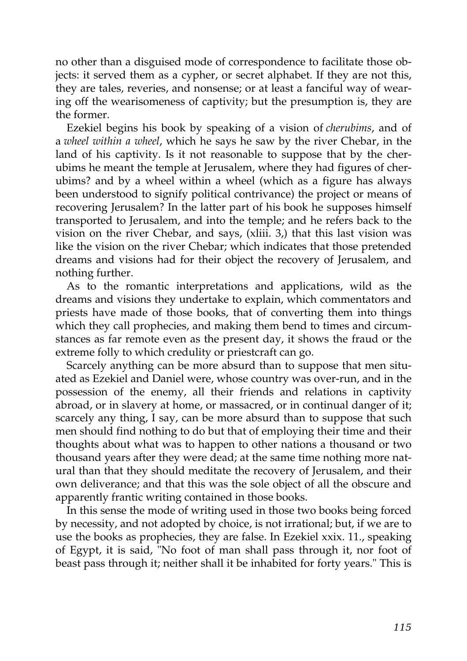no other than a disguised mode of correspondence to facilitate those objects: it served them as a cypher, or secret alphabet. If they are not this, they are tales, reveries, and nonsense; or at least a fanciful way of wearing off the wearisomeness of captivity; but the presumption is, they are the former.

Ezekiel begins his book by speaking of a vision of *cherubims*, and of a *wheel within a wheel*, which he says he saw by the river Chebar, in the land of his captivity. Is it not reasonable to suppose that by the cherubims he meant the temple at Jerusalem, where they had figures of cherubims? and by a wheel within a wheel (which as a figure has always been understood to signify political contrivance) the project or means of recovering Jerusalem? In the latter part of his book he supposes himself transported to Jerusalem, and into the temple; and he refers back to the vision on the river Chebar, and says, (xliii. 3,) that this last vision was like the vision on the river Chebar; which indicates that those pretended dreams and visions had for their object the recovery of Jerusalem, and nothing further.

As to the romantic interpretations and applications, wild as the dreams and visions they undertake to explain, which commentators and priests have made of those books, that of converting them into things which they call prophecies, and making them bend to times and circumstances as far remote even as the present day, it shows the fraud or the extreme folly to which credulity or priestcraft can go.

Scarcely anything can be more absurd than to suppose that men situated as Ezekiel and Daniel were, whose country was over-run, and in the possession of the enemy, all their friends and relations in captivity abroad, or in slavery at home, or massacred, or in continual danger of it; scarcely any thing, I say, can be more absurd than to suppose that such men should find nothing to do but that of employing their time and their thoughts about what was to happen to other nations a thousand or two thousand years after they were dead; at the same time nothing more natural than that they should meditate the recovery of Jerusalem, and their own deliverance; and that this was the sole object of all the obscure and apparently frantic writing contained in those books.

In this sense the mode of writing used in those two books being forced by necessity, and not adopted by choice, is not irrational; but, if we are to use the books as prophecies, they are false. In Ezekiel xxix. 11., speaking of Egypt, it is said, "No foot of man shall pass through it, nor foot of beast pass through it; neither shall it be inhabited for forty years." This is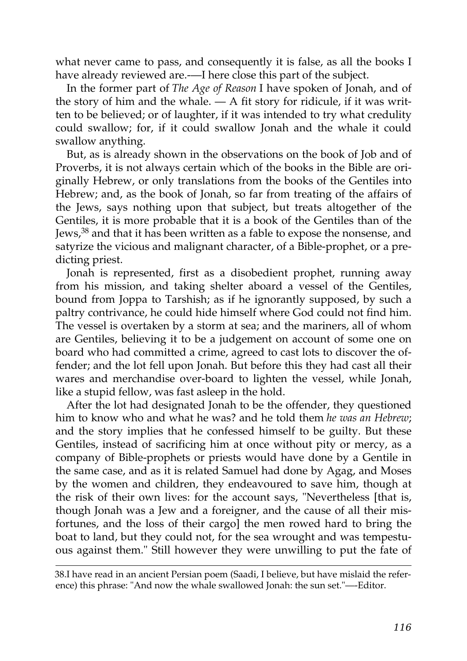what never came to pass, and consequently it is false, as all the books I have already reviewed are.—I here close this part of the subject.

In the former part of *The Age of Reason* I have spoken of Jonah, and of the story of him and the whale.  $-$  A fit story for ridicule, if it was written to be believed; or of laughter, if it was intended to try what credulity could swallow; for, if it could swallow Jonah and the whale it could swallow anything.

But, as is already shown in the observations on the book of Job and of Proverbs, it is not always certain which of the books in the Bible are originally Hebrew, or only translations from the books of the Gentiles into Hebrew; and, as the book of Jonah, so far from treating of the affairs of the Jews, says nothing upon that subject, but treats altogether of the Gentiles, it is more probable that it is a book of the Gentiles than of the Jews,<sup>[38](http://en.wikisource.org/wiki/The_Age_of_Reason/Part_II/Chapter_I#cite_note-16)</sup> and that it has been written as a fable to expose the nonsense, and satyrize the vicious and malignant character, of a Bible-prophet, or a predicting priest.

Jonah is represented, first as a disobedient prophet, running away from his mission, and taking shelter aboard a vessel of the Gentiles, bound from Joppa to Tarshish; as if he ignorantly supposed, by such a paltry contrivance, he could hide himself where God could not find him. The vessel is overtaken by a storm at sea; and the mariners, all of whom are Gentiles, believing it to be a judgement on account of some one on board who had committed a crime, agreed to cast lots to discover the offender; and the lot fell upon Jonah. But before this they had cast all their wares and merchandise over-board to lighten the vessel, while Jonah, like a stupid fellow, was fast asleep in the hold.

After the lot had designated Jonah to be the offender, they questioned him to know who and what he was? and he told them *he was an Hebrew*; and the story implies that he confessed himself to be guilty. But these Gentiles, instead of sacrificing him at once without pity or mercy, as a company of Bible-prophets or priests would have done by a Gentile in the same case, and as it is related Samuel had done by Agag, and Moses by the women and children, they endeavoured to save him, though at the risk of their own lives: for the account says, "Nevertheless [that is, though Jonah was a Jew and a foreigner, and the cause of all their misfortunes, and the loss of their cargo] the men rowed hard to bring the boat to land, but they could not, for the sea wrought and was tempestuous against them." Still however they were unwilling to put the fate of

[<sup>38.</sup>I have read in an ancient Persian poem \(Saadi, I believe, but have mislaid the refer](http://en.wikisource.org/wiki/The_Age_of_Reason/Part_II/Chapter_I#cite_note-16)ence) this phrase: "And now the whale swallowed Jonah: the sun set."—-Editor.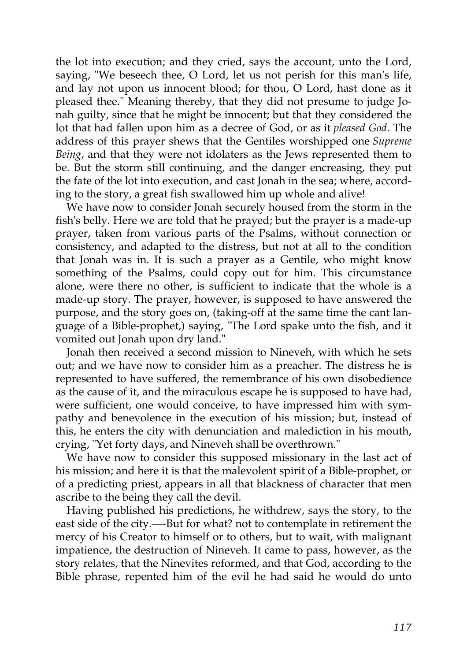the lot into execution; and they cried, says the account, unto the Lord, saying, "We beseech thee, O Lord, let us not perish for this man's life, and lay not upon us innocent blood; for thou, O Lord, hast done as it pleased thee." Meaning thereby, that they did not presume to judge Jonah guilty, since that he might be innocent; but that they considered the lot that had fallen upon him as a decree of God, or as it *pleased God*. The address of this prayer shews that the Gentiles worshipped one *Supreme Being*, and that they were not idolaters as the Jews represented them to be. But the storm still continuing, and the danger encreasing, they put the fate of the lot into execution, and cast Jonah in the sea; where, according to the story, a great fish swallowed him up whole and alive!

We have now to consider Jonah securely housed from the storm in the fish's belly. Here we are told that he prayed; but the prayer is a made-up prayer, taken from various parts of the Psalms, without connection or consistency, and adapted to the distress, but not at all to the condition that Jonah was in. It is such a prayer as a Gentile, who might know something of the Psalms, could copy out for him. This circumstance alone, were there no other, is sufficient to indicate that the whole is a made-up story. The prayer, however, is supposed to have answered the purpose, and the story goes on, (taking-off at the same time the cant language of a Bible-prophet,) saying, "The Lord spake unto the fish, and it vomited out Jonah upon dry land."

Jonah then received a second mission to Nineveh, with which he sets out; and we have now to consider him as a preacher. The distress he is represented to have suffered, the remembrance of his own disobedience as the cause of it, and the miraculous escape he is supposed to have had, were sufficient, one would conceive, to have impressed him with sympathy and benevolence in the execution of his mission; but, instead of this, he enters the city with denunciation and malediction in his mouth, crying, "Yet forty days, and Nineveh shall be overthrown."

We have now to consider this supposed missionary in the last act of his mission; and here it is that the malevolent spirit of a Bible-prophet, or of a predicting priest, appears in all that blackness of character that men ascribe to the being they call the devil.

Having published his predictions, he withdrew, says the story, to the east side of the city.—-But for what? not to contemplate in retirement the mercy of his Creator to himself or to others, but to wait, with malignant impatience, the destruction of Nineveh. It came to pass, however, as the story relates, that the Ninevites reformed, and that God, according to the Bible phrase, repented him of the evil he had said he would do unto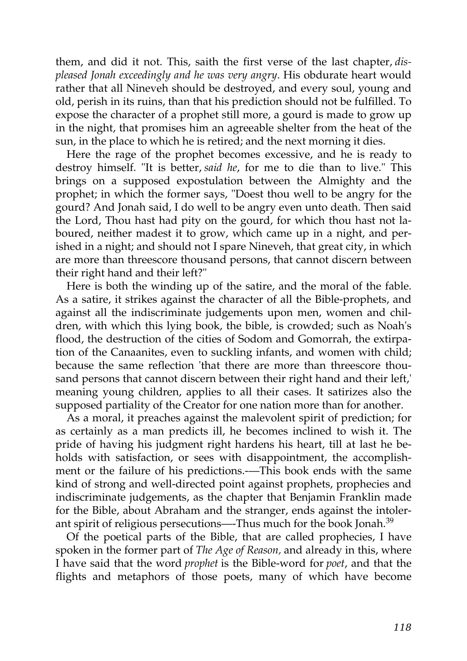them, and did it not. This, saith the first verse of the last chapter, *displeased Jonah exceedingly and he was very angry*. His obdurate heart would rather that all Nineveh should be destroyed, and every soul, young and old, perish in its ruins, than that his prediction should not be fulfilled. To expose the character of a prophet still more, a gourd is made to grow up in the night, that promises him an agreeable shelter from the heat of the sun, in the place to which he is retired; and the next morning it dies.

Here the rage of the prophet becomes excessive, and he is ready to destroy himself. "It is better, *said he*, for me to die than to live." This brings on a supposed expostulation between the Almighty and the prophet; in which the former says, "Doest thou well to be angry for the gourd? And Jonah said, I do well to be angry even unto death. Then said the Lord, Thou hast had pity on the gourd, for which thou hast not laboured, neither madest it to grow, which came up in a night, and perished in a night; and should not I spare Nineveh, that great city, in which are more than threescore thousand persons, that cannot discern between their right hand and their left?"

Here is both the winding up of the satire, and the moral of the fable. As a satire, it strikes against the character of all the Bible-prophets, and against all the indiscriminate judgements upon men, women and children, with which this lying book, the bible, is crowded; such as Noah's flood, the destruction of the cities of Sodom and Gomorrah, the extirpation of the Canaanites, even to suckling infants, and women with child; because the same reflection 'that there are more than threescore thousand persons that cannot discern between their right hand and their left,' meaning young children, applies to all their cases. It satirizes also the supposed partiality of the Creator for one nation more than for another.

As a moral, it preaches against the malevolent spirit of prediction; for as certainly as a man predicts ill, he becomes inclined to wish it. The pride of having his judgment right hardens his heart, till at last he beholds with satisfaction, or sees with disappointment, the accomplishment or the failure of his predictions.—This book ends with the same kind of strong and well-directed point against prophets, prophecies and indiscriminate judgements, as the chapter that Benjamin Franklin made for the Bible, about Abraham and the stranger, ends against the intoler-ant spirit of religious persecutions—-Thus much for the book Jonah.<sup>[39](http://en.wikisource.org/wiki/The_Age_of_Reason/Part_II/Chapter_I#cite_note-17)</sup>

Of the poetical parts of the Bible, that are called prophecies, I have spoken in the former part of *The Age of Reason,* and already in this, where I have said that the word *prophet* is the Bible-word for *poet*, and that the flights and metaphors of those poets, many of which have become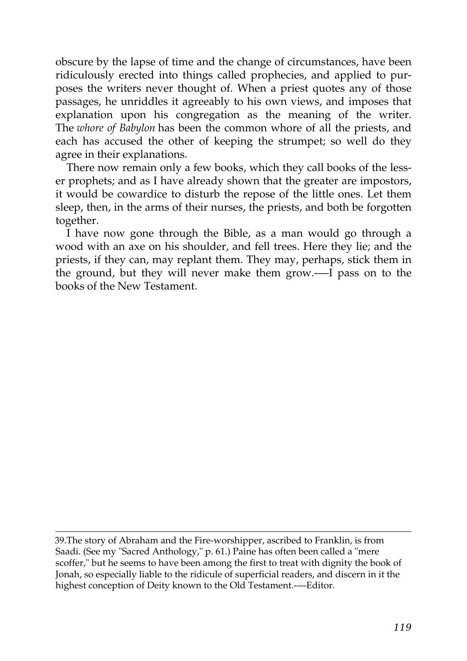obscure by the lapse of time and the change of circumstances, have been ridiculously erected into things called prophecies, and applied to purposes the writers never thought of. When a priest quotes any of those passages, he unriddles it agreeably to his own views, and imposes that explanation upon his congregation as the meaning of the writer. The *whore of Babylon* has been the common whore of all the priests, and each has accused the other of keeping the strumpet; so well do they agree in their explanations.

There now remain only a few books, which they call books of the lesser prophets; and as I have already shown that the greater are impostors, it would be cowardice to disturb the repose of the little ones. Let them sleep, then, in the arms of their nurses, the priests, and both be forgotten together.

I have now gone through the Bible, as a man would go through a wood with an axe on his shoulder, and fell trees. Here they lie; and the priests, if they can, may replant them. They may, perhaps, stick them in the ground, but they will never make them grow.-—I pass on to the books of the New Testament.

[<sup>39.</sup>T](http://en.wikisource.org/wiki/The_Age_of_Reason/Part_II/Chapter_I#cite_note-17)he story of Abraham and the Fire-worshipper, ascribed to Franklin, is from Saadi. (See my "Sacred Anthology," p. 61.) Paine has often been called a "mere [scoffer," but he seems to have been among the first to treat with dignity the book of](http://en.wikisource.org/wiki/The_Age_of_Reason/Part_II/Chapter_I#cite_note-17) Jonah, so especially liable to the ridicule of superficial readers, and discern in it the highest conception of Deity known to the Old Testament.—Editor.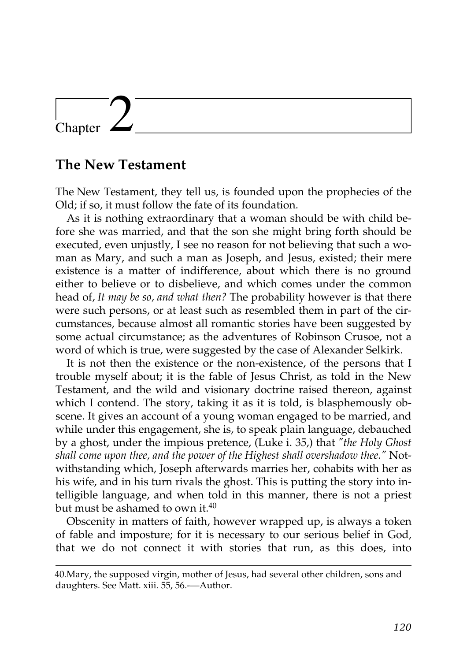## Chapter

## **The New Testament**

The New Testament, they tell us, is founded upon the prophecies of the Old; if so, it must follow the fate of its foundation.

As it is nothing extraordinary that a woman should be with child before she was married, and that the son she might bring forth should be executed, even unjustly, I see no reason for not believing that such a woman as Mary, and such a man as Joseph, and Jesus, existed; their mere existence is a matter of indifference, about which there is no ground either to believe or to disbelieve, and which comes under the common head of, *It may be so, and what then?* The probability however is that there were such persons, or at least such as resembled them in part of the circumstances, because almost all romantic stories have been suggested by some actual circumstance; as the adventures of Robinson Crusoe, not a word of which is true, were suggested by the case of Alexander Selkirk.

It is not then the existence or the non-existence, of the persons that I trouble myself about; it is the fable of Jesus Christ, as told in the New Testament, and the wild and visionary doctrine raised thereon, against which I contend. The story, taking it as it is told, is blasphemously obscene. It gives an account of a young woman engaged to be married, and while under this engagement, she is, to speak plain language, debauched by a ghost, under the impious pretence, (Luke i. 35,) that *"the Holy Ghost shall come upon thee, and the power of the Highest shall overshadow thee."* Notwithstanding which, Joseph afterwards marries her, cohabits with her as his wife, and in his turn rivals the ghost. This is putting the story into intelligible language, and when told in this manner, there is not a priest but must be ashamed to own it.<sup>[40](http://en.wikisource.org/wiki/The_Age_of_Reason/Part_II/Chapter_II#cite_note-0)</sup>

Obscenity in matters of faith, however wrapped up, is always a token of fable and imposture; for it is necessary to our serious belief in God, that we do not connect it with stories that run, as this does, into

[<sup>40.</sup>Mary, the supposed virgin, mother of Jesus, had several other children, sons and](http://en.wikisource.org/wiki/The_Age_of_Reason/Part_II/Chapter_II#cite_note-0) daughters. See Matt. xiii. 55, 56.-—Author.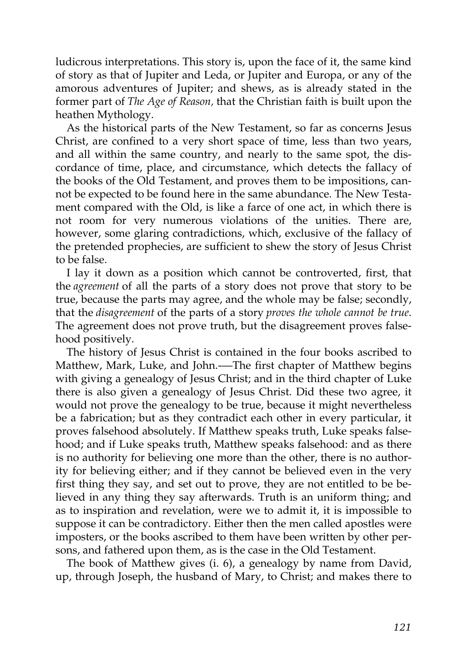ludicrous interpretations. This story is, upon the face of it, the same kind of story as that of Jupiter and Leda, or Jupiter and Europa, or any of the amorous adventures of Jupiter; and shews, as is already stated in the former part of *The Age of Reason,* that the Christian faith is built upon the heathen Mythology.

As the historical parts of the New Testament, so far as concerns Jesus Christ, are confined to a very short space of time, less than two years, and all within the same country, and nearly to the same spot, the discordance of time, place, and circumstance, which detects the fallacy of the books of the Old Testament, and proves them to be impositions, cannot be expected to be found here in the same abundance. The New Testament compared with the Old, is like a farce of one act, in which there is not room for very numerous violations of the unities. There are, however, some glaring contradictions, which, exclusive of the fallacy of the pretended prophecies, are sufficient to shew the story of Jesus Christ to be false.

I lay it down as a position which cannot be controverted, first, that the *agreement* of all the parts of a story does not prove that story to be true, because the parts may agree, and the whole may be false; secondly, that the *disagreement* of the parts of a story *proves the whole cannot be true*. The agreement does not prove truth, but the disagreement proves falsehood positively.

The history of Jesus Christ is contained in the four books ascribed to Matthew, Mark, Luke, and John.—The first chapter of Matthew begins with giving a genealogy of Jesus Christ; and in the third chapter of Luke there is also given a genealogy of Jesus Christ. Did these two agree, it would not prove the genealogy to be true, because it might nevertheless be a fabrication; but as they contradict each other in every particular, it proves falsehood absolutely. If Matthew speaks truth, Luke speaks falsehood; and if Luke speaks truth, Matthew speaks falsehood: and as there is no authority for believing one more than the other, there is no authority for believing either; and if they cannot be believed even in the very first thing they say, and set out to prove, they are not entitled to be believed in any thing they say afterwards. Truth is an uniform thing; and as to inspiration and revelation, were we to admit it, it is impossible to suppose it can be contradictory. Either then the men called apostles were imposters, or the books ascribed to them have been written by other persons, and fathered upon them, as is the case in the Old Testament.

The book of Matthew gives (i. 6), a genealogy by name from David, up, through Joseph, the husband of Mary, to Christ; and makes there to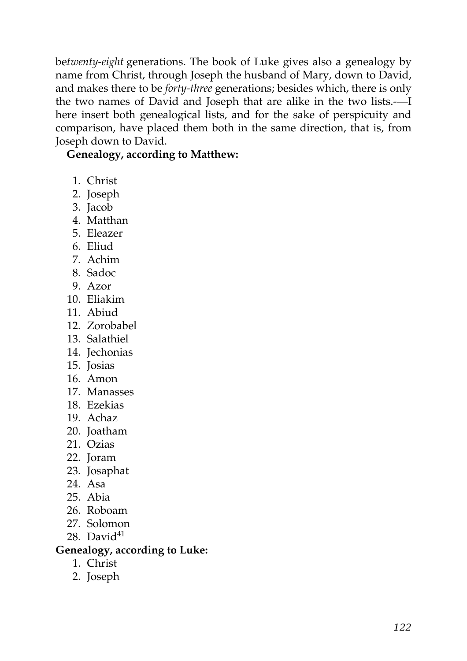be*twenty-eight* generations. The book of Luke gives also a genealogy by name from Christ, through Joseph the husband of Mary, down to David, and makes there to be *forty-three* generations; besides which, there is only the two names of David and Joseph that are alike in the two lists.-—I here insert both genealogical lists, and for the sake of perspicuity and comparison, have placed them both in the same direction, that is, from Joseph down to David.

**Genealogy, according to Matthew:**

- 1. Christ
- 2. Joseph
- 3. Jacob
- 4. Matthan
- 5. Eleazer
- 6. Eliud
- 7. Achim
- 8. Sadoc
- 9. Azor
- 10. Eliakim
- 11. Abiud
- 12. Zorobabel
- 13. Salathiel
- 14. Jechonias
- 15. Josias
- 16. Amon
- 17. Manasses
- 18. Ezekias
- 19. Achaz
- 20. Joatham
- 21. Ozias
- 22. Joram
- 23. Josaphat
- 24. Asa
- 25. Abia
- 26. Roboam
- 27. Solomon
- 28. David $41$

## **Genealogy, according to Luke:**

- 1. Christ
- 2. Joseph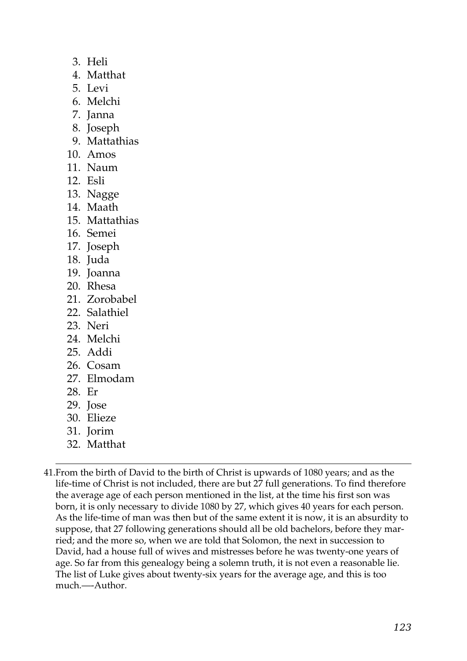- 3. Heli
- 4. Matthat
- 5. Levi
- 6. Melchi
- 7. Janna
- 8. Joseph
- 9. Mattathias
- 10. Amos
- 11. Naum
- 12. Esli
- 13. Nagge
- 14. Maath
- 15. Mattathias
- 16. Semei
- 17. Joseph
- 18. Juda
- 19. Joanna
- 20. Rhesa
- 21. Zorobabel
- 22. Salathiel
- 23. Neri
- 24. Melchi
- 25. Addi
- 26. Cosam
- 27. Elmodam
- 28. Er
- 29. Jose
- 30. Elieze
- 31. Jorim
- 32. Matthat

41.From the birth of David to the birth of Christ is upwards of 1080 years; and as the life-time of Christ is not included, there are but 27 full generations. To find therefore the average age of each person mentioned in the list, at the time his first son was born, it is only necessary to divide 1080 by 27, which gives 40 years for each person. As the life-time of man was then but of the same extent it is now, it is an absurdity to suppose, that 27 following generations should all be old bachelors, before they married; and the more so, when we are told that Solomon, the next in succession to David, had a house full of wives and mistresses before he was twenty-one years of age. So far from this genealogy being a solemn truth, it is not even a reasonable lie. The list of Luke gives about twenty-six years for the average age, and this is too much.—-Author.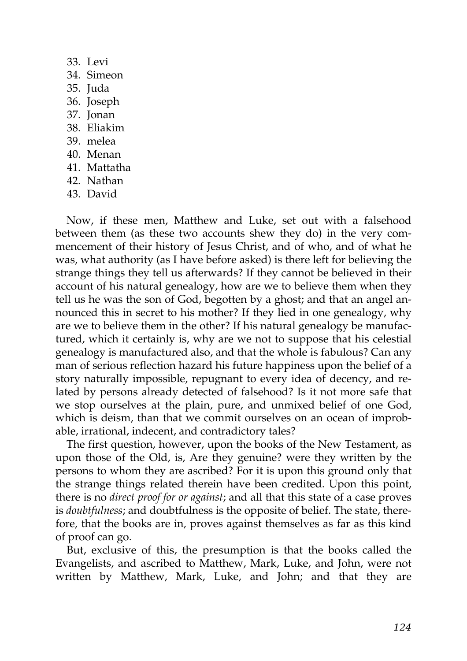- 33. Levi
- 34. Simeon
- 35. Juda
- 36. Joseph
- 37. Jonan
- 38. Eliakim
- 39. melea
- 40. Menan
- 41. Mattatha
- 42. Nathan
- 43. David

Now, if these men, Matthew and Luke, set out with a falsehood between them (as these two accounts shew they do) in the very commencement of their history of Jesus Christ, and of who, and of what he was, what authority (as I have before asked) is there left for believing the strange things they tell us afterwards? If they cannot be believed in their account of his natural genealogy, how are we to believe them when they tell us he was the son of God, begotten by a ghost; and that an angel announced this in secret to his mother? If they lied in one genealogy, why are we to believe them in the other? If his natural genealogy be manufactured, which it certainly is, why are we not to suppose that his celestial genealogy is manufactured also, and that the whole is fabulous? Can any man of serious reflection hazard his future happiness upon the belief of a story naturally impossible, repugnant to every idea of decency, and related by persons already detected of falsehood? Is it not more safe that we stop ourselves at the plain, pure, and unmixed belief of one God, which is deism, than that we commit ourselves on an ocean of improbable, irrational, indecent, and contradictory tales?

The first question, however, upon the books of the New Testament, as upon those of the Old, is, Are they genuine? were they written by the persons to whom they are ascribed? For it is upon this ground only that the strange things related therein have been credited. Upon this point, there is no *direct proof for or against*; and all that this state of a case proves is *doubtfulness*; and doubtfulness is the opposite of belief. The state, therefore, that the books are in, proves against themselves as far as this kind of proof can go.

But, exclusive of this, the presumption is that the books called the Evangelists, and ascribed to Matthew, Mark, Luke, and John, were not written by Matthew, Mark, Luke, and John; and that they are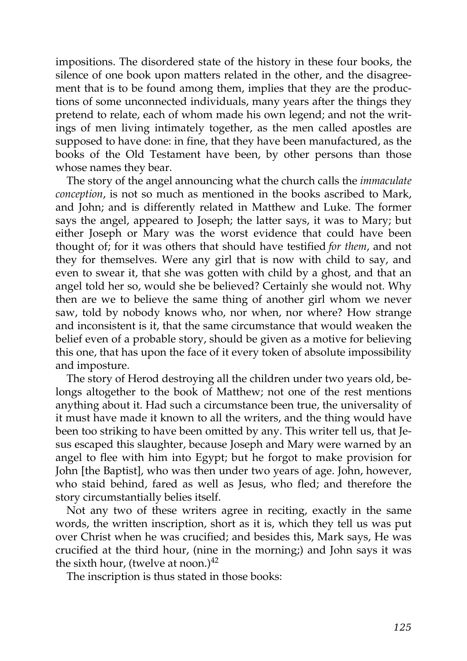impositions. The disordered state of the history in these four books, the silence of one book upon matters related in the other, and the disagreement that is to be found among them, implies that they are the productions of some unconnected individuals, many years after the things they pretend to relate, each of whom made his own legend; and not the writings of men living intimately together, as the men called apostles are supposed to have done: in fine, that they have been manufactured, as the books of the Old Testament have been, by other persons than those whose names they bear.

The story of the angel announcing what the church calls the *immaculate conception*, is not so much as mentioned in the books ascribed to Mark, and John; and is differently related in Matthew and Luke. The former says the angel, appeared to Joseph; the latter says, it was to Mary; but either Joseph or Mary was the worst evidence that could have been thought of; for it was others that should have testified *for them*, and not they for themselves. Were any girl that is now with child to say, and even to swear it, that she was gotten with child by a ghost, and that an angel told her so, would she be believed? Certainly she would not. Why then are we to believe the same thing of another girl whom we never saw, told by nobody knows who, nor when, nor where? How strange and inconsistent is it, that the same circumstance that would weaken the belief even of a probable story, should be given as a motive for believing this one, that has upon the face of it every token of absolute impossibility and imposture.

The story of Herod destroying all the children under two years old, belongs altogether to the book of Matthew; not one of the rest mentions anything about it. Had such a circumstance been true, the universality of it must have made it known to all the writers, and the thing would have been too striking to have been omitted by any. This writer tell us, that Jesus escaped this slaughter, because Joseph and Mary were warned by an angel to flee with him into Egypt; but he forgot to make provision for John [the Baptist], who was then under two years of age. John, however, who staid behind, fared as well as Jesus, who fled; and therefore the story circumstantially belies itself.

Not any two of these writers agree in reciting, exactly in the same words, the written inscription, short as it is, which they tell us was put over Christ when he was crucified; and besides this, Mark says, He was crucified at the third hour, (nine in the morning;) and John says it was the sixth hour, (twelve at noon.)<sup>[42](http://en.wikisource.org/wiki/The_Age_of_Reason/Part_II/Chapter_II#cite_note-2)</sup>

The inscription is thus stated in those books: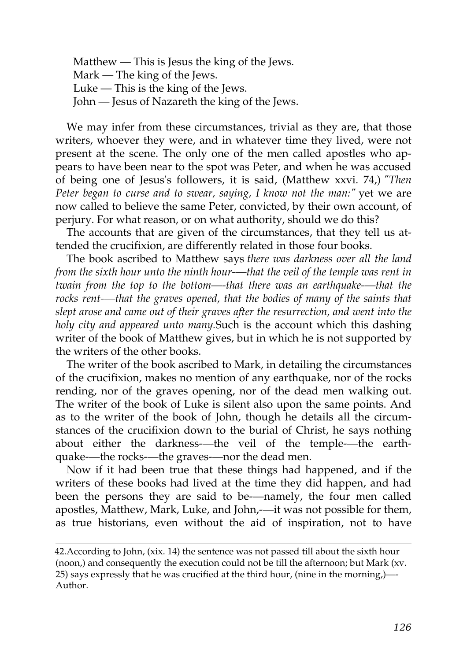Matthew — This is Jesus the king of the Jews. Mark — The king of the Jews. Luke — This is the king of the Jews. John — Jesus of Nazareth the king of the Jews.

We may infer from these circumstances, trivial as they are, that those writers, whoever they were, and in whatever time they lived, were not present at the scene. The only one of the men called apostles who appears to have been near to the spot was Peter, and when he was accused of being one of Jesus's followers, it is said, (Matthew xxvi. 74,) *"Then Peter began to curse and to swear, saying, I know not the man:"* yet we are now called to believe the same Peter, convicted, by their own account, of perjury. For what reason, or on what authority, should we do this?

The accounts that are given of the circumstances, that they tell us attended the crucifixion, are differently related in those four books.

The book ascribed to Matthew says *there was darkness over all the land from the sixth hour unto the ninth hour-—that the veil of the temple was rent in twain from the top to the bottom—-that there was an earthquake-—that the rocks rent-—that the graves opened, that the bodies of many of the saints that slept arose and came out of their graves after the resurrection, and went into the holy city and appeared unto many.*Such is the account which this dashing writer of the book of Matthew gives, but in which he is not supported by the writers of the other books.

The writer of the book ascribed to Mark, in detailing the circumstances of the crucifixion, makes no mention of any earthquake, nor of the rocks rending, nor of the graves opening, nor of the dead men walking out. The writer of the book of Luke is silent also upon the same points. And as to the writer of the book of John, though he details all the circumstances of the crucifixion down to the burial of Christ, he says nothing about either the darkness-—the veil of the temple-—the earthquake-—the rocks-—the graves-—nor the dead men.

Now if it had been true that these things had happened, and if the writers of these books had lived at the time they did happen, and had been the persons they are said to be-—namely, the four men called apostles, Matthew, Mark, Luke, and John,-—it was not possible for them, as true historians, even without the aid of inspiration, not to have

[<sup>42.</sup>A](http://en.wikisource.org/wiki/The_Age_of_Reason/Part_II/Chapter_II#cite_note-2)ccording to John, (xix. 14) the sentence was not passed till about the sixth hour [\(noon,\) and consequently the execution could not be till the afternoon; but Mark \(xv.](http://en.wikisource.org/wiki/The_Age_of_Reason/Part_II/Chapter_II#cite_note-2) 25) says expressly that he was crucified at the third hour, (nine in the morning,)—- Author.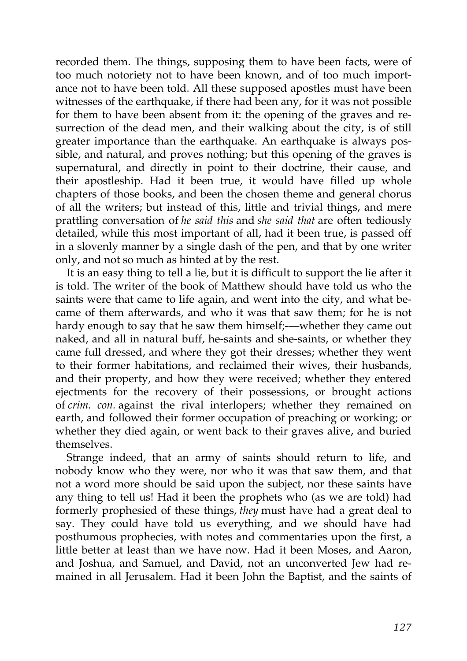recorded them. The things, supposing them to have been facts, were of too much notoriety not to have been known, and of too much importance not to have been told. All these supposed apostles must have been witnesses of the earthquake, if there had been any, for it was not possible for them to have been absent from it: the opening of the graves and resurrection of the dead men, and their walking about the city, is of still greater importance than the earthquake. An earthquake is always possible, and natural, and proves nothing; but this opening of the graves is supernatural, and directly in point to their doctrine, their cause, and their apostleship. Had it been true, it would have filled up whole chapters of those books, and been the chosen theme and general chorus of all the writers; but instead of this, little and trivial things, and mere prattling conversation of *he said this* and *she said that* are often tediously detailed, while this most important of all, had it been true, is passed off in a slovenly manner by a single dash of the pen, and that by one writer only, and not so much as hinted at by the rest.

It is an easy thing to tell a lie, but it is difficult to support the lie after it is told. The writer of the book of Matthew should have told us who the saints were that came to life again, and went into the city, and what became of them afterwards, and who it was that saw them; for he is not hardy enough to say that he saw them himself;—whether they came out naked, and all in natural buff, he-saints and she-saints, or whether they came full dressed, and where they got their dresses; whether they went to their former habitations, and reclaimed their wives, their husbands, and their property, and how they were received; whether they entered ejectments for the recovery of their possessions, or brought actions of *crim. con.* against the rival interlopers; whether they remained on earth, and followed their former occupation of preaching or working; or whether they died again, or went back to their graves alive, and buried themselves.

Strange indeed, that an army of saints should return to life, and nobody know who they were, nor who it was that saw them, and that not a word more should be said upon the subject, nor these saints have any thing to tell us! Had it been the prophets who (as we are told) had formerly prophesied of these things, *they* must have had a great deal to say. They could have told us everything, and we should have had posthumous prophecies, with notes and commentaries upon the first, a little better at least than we have now. Had it been Moses, and Aaron, and Joshua, and Samuel, and David, not an unconverted Jew had remained in all Jerusalem. Had it been John the Baptist, and the saints of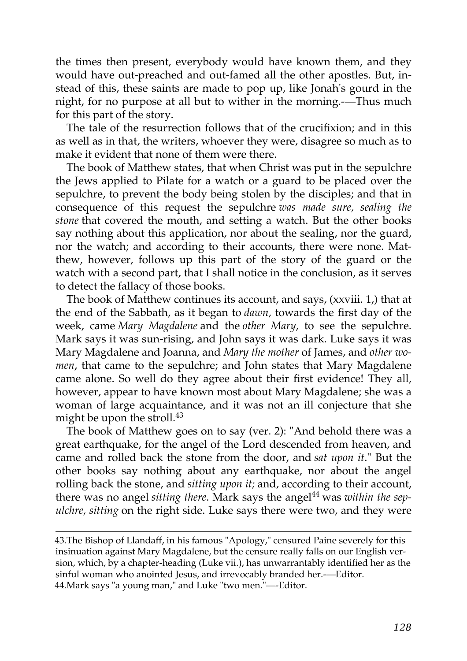the times then present, everybody would have known them, and they would have out-preached and out-famed all the other apostles. But, instead of this, these saints are made to pop up, like Jonah's gourd in the night, for no purpose at all but to wither in the morning.-—Thus much for this part of the story.

The tale of the resurrection follows that of the crucifixion; and in this as well as in that, the writers, whoever they were, disagree so much as to make it evident that none of them were there.

The book of Matthew states, that when Christ was put in the sepulchre the Jews applied to Pilate for a watch or a guard to be placed over the sepulchre, to prevent the body being stolen by the disciples; and that in consequence of this request the sepulchre *was made sure, sealing the stone* that covered the mouth, and setting a watch. But the other books say nothing about this application, nor about the sealing, nor the guard, nor the watch; and according to their accounts, there were none. Matthew, however, follows up this part of the story of the guard or the watch with a second part, that I shall notice in the conclusion, as it serves to detect the fallacy of those books.

The book of Matthew continues its account, and says, (xxviii. 1,) that at the end of the Sabbath, as it began to *dawn*, towards the first day of the week, came *Mary Magdalene* and the *other Mary*, to see the sepulchre. Mark says it was sun-rising, and John says it was dark. Luke says it was Mary Magdalene and Joanna, and *Mary the mother* of James, and *other women*, that came to the sepulchre; and John states that Mary Magdalene came alone. So well do they agree about their first evidence! They all, however, appear to have known most about Mary Magdalene; she was a woman of large acquaintance, and it was not an ill conjecture that she might be upon the stroll.<sup>[43](http://en.wikisource.org/wiki/The_Age_of_Reason/Part_II/Chapter_II#cite_note-3)</sup>

The book of Matthew goes on to say (ver. 2): "And behold there was a great earthquake, for the angel of the Lord descended from heaven, and came and rolled back the stone from the door, and *sat upon it*." But the other books say nothing about any earthquake, nor about the angel rolling back the stone, and *sitting upon it;* and, according to their account, there was no angel *sitting there*. Mark says the angel[44](http://en.wikisource.org/wiki/The_Age_of_Reason/Part_II/Chapter_II#cite_note-4) was *within the sepulchre, sitting* on the right side. Luke says there were two, and they were

[43.T](http://en.wikisource.org/wiki/The_Age_of_Reason/Part_II/Chapter_II#cite_note-3)he Bishop of Llandaff, in his famous "Apology," censured Paine severely for this insinuation against Mary Magdalene, but the censure really falls on our English ver[sion, which, by a chapter-heading \(Luke vii.\), has unwarrantably identified her as the](http://en.wikisource.org/wiki/The_Age_of_Reason/Part_II/Chapter_II#cite_note-3) sinful woman who anointed Jesus, and irrevocably branded her.-—Editor. [44.Mark says "a young man," and Luke "two men."—-Editor.](http://en.wikisource.org/wiki/The_Age_of_Reason/Part_II/Chapter_II#cite_note-4)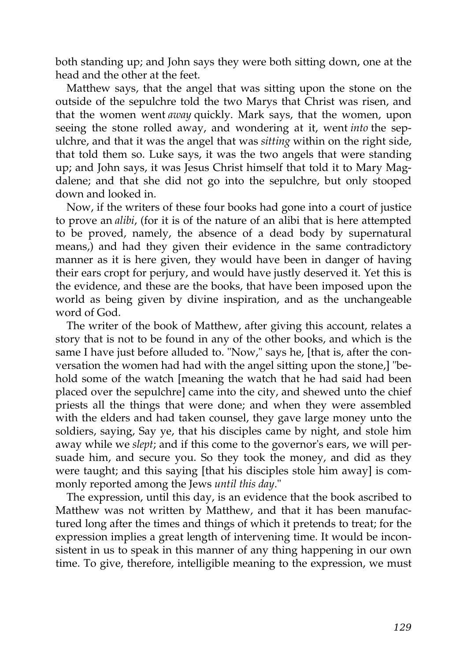both standing up; and John says they were both sitting down, one at the head and the other at the feet.

Matthew says, that the angel that was sitting upon the stone on the outside of the sepulchre told the two Marys that Christ was risen, and that the women went *away* quickly. Mark says, that the women, upon seeing the stone rolled away, and wondering at it, went *into* the sepulchre, and that it was the angel that was *sitting* within on the right side, that told them so. Luke says, it was the two angels that were standing up; and John says, it was Jesus Christ himself that told it to Mary Magdalene; and that she did not go into the sepulchre, but only stooped down and looked in.

Now, if the writers of these four books had gone into a court of justice to prove an *alibi*, (for it is of the nature of an alibi that is here attempted to be proved, namely, the absence of a dead body by supernatural means,) and had they given their evidence in the same contradictory manner as it is here given, they would have been in danger of having their ears cropt for perjury, and would have justly deserved it. Yet this is the evidence, and these are the books, that have been imposed upon the world as being given by divine inspiration, and as the unchangeable word of God.

The writer of the book of Matthew, after giving this account, relates a story that is not to be found in any of the other books, and which is the same I have just before alluded to. "Now," says he, [that is, after the conversation the women had had with the angel sitting upon the stone,] "behold some of the watch [meaning the watch that he had said had been placed over the sepulchre] came into the city, and shewed unto the chief priests all the things that were done; and when they were assembled with the elders and had taken counsel, they gave large money unto the soldiers, saying, Say ye, that his disciples came by night, and stole him away while we *slept*; and if this come to the governor's ears, we will persuade him, and secure you. So they took the money, and did as they were taught; and this saying [that his disciples stole him away] is commonly reported among the Jews *until this day*."

The expression, until this day, is an evidence that the book ascribed to Matthew was not written by Matthew, and that it has been manufactured long after the times and things of which it pretends to treat; for the expression implies a great length of intervening time. It would be inconsistent in us to speak in this manner of any thing happening in our own time. To give, therefore, intelligible meaning to the expression, we must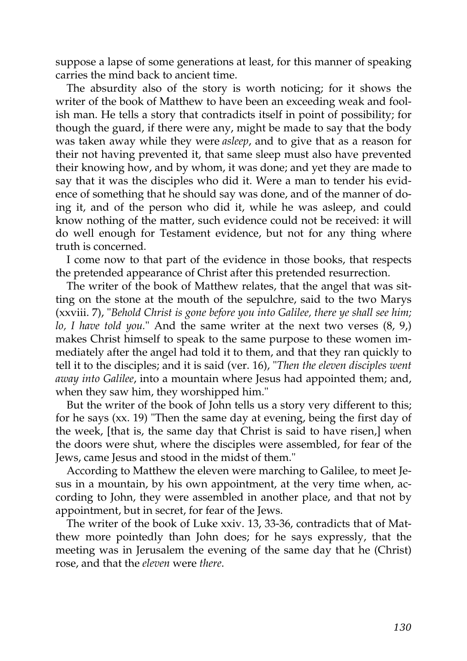suppose a lapse of some generations at least, for this manner of speaking carries the mind back to ancient time.

The absurdity also of the story is worth noticing; for it shows the writer of the book of Matthew to have been an exceeding weak and foolish man. He tells a story that contradicts itself in point of possibility; for though the guard, if there were any, might be made to say that the body was taken away while they were *asleep*, and to give that as a reason for their not having prevented it, that same sleep must also have prevented their knowing how, and by whom, it was done; and yet they are made to say that it was the disciples who did it. Were a man to tender his evidence of something that he should say was done, and of the manner of doing it, and of the person who did it, while he was asleep, and could know nothing of the matter, such evidence could not be received: it will do well enough for Testament evidence, but not for any thing where truth is concerned.

I come now to that part of the evidence in those books, that respects the pretended appearance of Christ after this pretended resurrection.

The writer of the book of Matthew relates, that the angel that was sitting on the stone at the mouth of the sepulchre, said to the two Marys (xxviii. 7), "*Behold Christ is gone before you into Galilee, there ye shall see him; lo, I have told you.*" And the same writer at the next two verses (8, 9,) makes Christ himself to speak to the same purpose to these women immediately after the angel had told it to them, and that they ran quickly to tell it to the disciples; and it is said (ver. 16), "*Then the eleven disciples went away into Galilee*, into a mountain where Jesus had appointed them; and, when they saw him, they worshipped him."

But the writer of the book of John tells us a story very different to this; for he says (xx. 19) "Then the same day at evening, being the first day of the week, [that is, the same day that Christ is said to have risen,] when the doors were shut, where the disciples were assembled, for fear of the Jews, came Jesus and stood in the midst of them."

According to Matthew the eleven were marching to Galilee, to meet Jesus in a mountain, by his own appointment, at the very time when, according to John, they were assembled in another place, and that not by appointment, but in secret, for fear of the Jews.

The writer of the book of Luke xxiv. 13, 33-36, contradicts that of Matthew more pointedly than John does; for he says expressly, that the meeting was in Jerusalem the evening of the same day that he (Christ) rose, and that the *eleven* were *there*.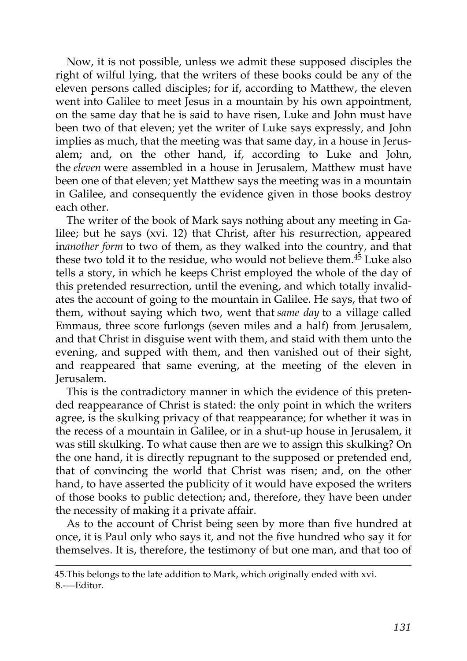Now, it is not possible, unless we admit these supposed disciples the right of wilful lying, that the writers of these books could be any of the eleven persons called disciples; for if, according to Matthew, the eleven went into Galilee to meet Jesus in a mountain by his own appointment, on the same day that he is said to have risen, Luke and John must have been two of that eleven; yet the writer of Luke says expressly, and John implies as much, that the meeting was that same day, in a house in Jerusalem; and, on the other hand, if, according to Luke and John, the *eleven* were assembled in a house in Jerusalem, Matthew must have been one of that eleven; yet Matthew says the meeting was in a mountain in Galilee, and consequently the evidence given in those books destroy each other.

The writer of the book of Mark says nothing about any meeting in Galilee; but he says (xvi. 12) that Christ, after his resurrection, appeared in*another form* to two of them, as they walked into the country, and that these two told it to the residue, who would not believe them.<sup>[45](http://en.wikisource.org/wiki/The_Age_of_Reason/Part_II/Chapter_II#cite_note-5)</sup> Luke also tells a story, in which he keeps Christ employed the whole of the day of this pretended resurrection, until the evening, and which totally invalidates the account of going to the mountain in Galilee. He says, that two of them, without saying which two, went that *same day* to a village called Emmaus, three score furlongs (seven miles and a half) from Jerusalem, and that Christ in disguise went with them, and staid with them unto the evening, and supped with them, and then vanished out of their sight, and reappeared that same evening, at the meeting of the eleven in Jerusalem.

This is the contradictory manner in which the evidence of this pretended reappearance of Christ is stated: the only point in which the writers agree, is the skulking privacy of that reappearance; for whether it was in the recess of a mountain in Galilee, or in a shut-up house in Jerusalem, it was still skulking. To what cause then are we to assign this skulking? On the one hand, it is directly repugnant to the supposed or pretended end, that of convincing the world that Christ was risen; and, on the other hand, to have asserted the publicity of it would have exposed the writers of those books to public detection; and, therefore, they have been under the necessity of making it a private affair.

As to the account of Christ being seen by more than five hundred at once, it is Paul only who says it, and not the five hundred who say it for themselves. It is, therefore, the testimony of but one man, and that too of

[<sup>45.</sup>This belongs to the late addition to Mark, which originally ended with xvi.](http://en.wikisource.org/wiki/The_Age_of_Reason/Part_II/Chapter_II#cite_note-5) 8.-—Editor.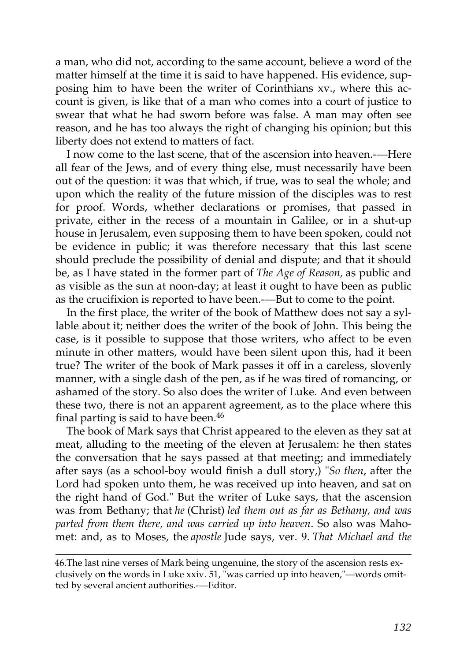a man, who did not, according to the same account, believe a word of the matter himself at the time it is said to have happened. His evidence, supposing him to have been the writer of Corinthians xv., where this account is given, is like that of a man who comes into a court of justice to swear that what he had sworn before was false. A man may often see reason, and he has too always the right of changing his opinion; but this liberty does not extend to matters of fact.

I now come to the last scene, that of the ascension into heaven.-—Here all fear of the Jews, and of every thing else, must necessarily have been out of the question: it was that which, if true, was to seal the whole; and upon which the reality of the future mission of the disciples was to rest for proof. Words, whether declarations or promises, that passed in private, either in the recess of a mountain in Galilee, or in a shut-up house in Jerusalem, even supposing them to have been spoken, could not be evidence in public; it was therefore necessary that this last scene should preclude the possibility of denial and dispute; and that it should be, as I have stated in the former part of *The Age of Reason,* as public and as visible as the sun at noon-day; at least it ought to have been as public as the crucifixion is reported to have been.-—But to come to the point.

In the first place, the writer of the book of Matthew does not say a syllable about it; neither does the writer of the book of John. This being the case, is it possible to suppose that those writers, who affect to be even minute in other matters, would have been silent upon this, had it been true? The writer of the book of Mark passes it off in a careless, slovenly manner, with a single dash of the pen, as if he was tired of romancing, or ashamed of the story. So also does the writer of Luke. And even between these two, there is not an apparent agreement, as to the place where this final parting is said to have been.<sup>[46](http://en.wikisource.org/wiki/The_Age_of_Reason/Part_II/Chapter_II#cite_note-6)</sup>

The book of Mark says that Christ appeared to the eleven as they sat at meat, alluding to the meeting of the eleven at Jerusalem: he then states the conversation that he says passed at that meeting; and immediately after says (as a school-boy would finish a dull story,) "*So then*, after the Lord had spoken unto them, he was received up into heaven, and sat on the right hand of God." But the writer of Luke says, that the ascension was from Bethany; that *he* (Christ) *led them out as far as Bethany, and was parted from them there, and was carried up into heaven*. So also was Mahomet: and, as to Moses, the *apostle* Jude says, ver. 9. *That Michael and the*

[<sup>46.</sup>T](http://en.wikisource.org/wiki/The_Age_of_Reason/Part_II/Chapter_II#cite_note-6)he last nine verses of Mark being ungenuine, the story of the ascension rests ex[clusively on the words in Luke xxiv. 51, "was carried up into heaven,"—words omit](http://en.wikisource.org/wiki/The_Age_of_Reason/Part_II/Chapter_II#cite_note-6)ted by several ancient authorities.-—Editor.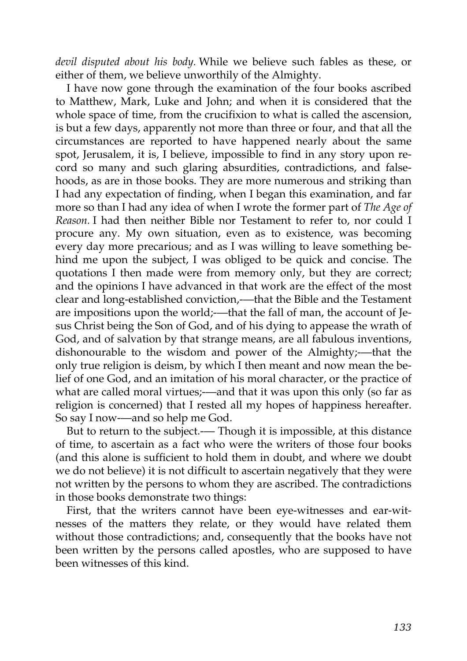*devil disputed about his body.* While we believe such fables as these, or either of them, we believe unworthily of the Almighty.

I have now gone through the examination of the four books ascribed to Matthew, Mark, Luke and John; and when it is considered that the whole space of time, from the crucifixion to what is called the ascension, is but a few days, apparently not more than three or four, and that all the circumstances are reported to have happened nearly about the same spot, Jerusalem, it is, I believe, impossible to find in any story upon record so many and such glaring absurdities, contradictions, and falsehoods, as are in those books. They are more numerous and striking than I had any expectation of finding, when I began this examination, and far more so than I had any idea of when I wrote the former part of *The Age of Reason.* I had then neither Bible nor Testament to refer to, nor could I procure any. My own situation, even as to existence, was becoming every day more precarious; and as I was willing to leave something behind me upon the subject, I was obliged to be quick and concise. The quotations I then made were from memory only, but they are correct; and the opinions I have advanced in that work are the effect of the most clear and long-established conviction,-—that the Bible and the Testament are impositions upon the world;—that the fall of man, the account of Jesus Christ being the Son of God, and of his dying to appease the wrath of God, and of salvation by that strange means, are all fabulous inventions, dishonourable to the wisdom and power of the Almighty;-—that the only true religion is deism, by which I then meant and now mean the belief of one God, and an imitation of his moral character, or the practice of what are called moral virtues;-—and that it was upon this only (so far as religion is concerned) that I rested all my hopes of happiness hereafter. So say I now-—and so help me God.

But to return to the subject.— Though it is impossible, at this distance of time, to ascertain as a fact who were the writers of those four books (and this alone is sufficient to hold them in doubt, and where we doubt we do not believe) it is not difficult to ascertain negatively that they were not written by the persons to whom they are ascribed. The contradictions in those books demonstrate two things:

First, that the writers cannot have been eye-witnesses and ear-witnesses of the matters they relate, or they would have related them without those contradictions; and, consequently that the books have not been written by the persons called apostles, who are supposed to have been witnesses of this kind.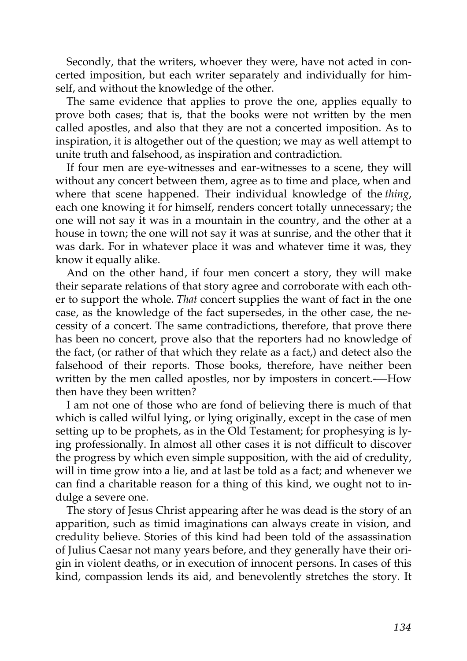Secondly, that the writers, whoever they were, have not acted in concerted imposition, but each writer separately and individually for himself, and without the knowledge of the other.

The same evidence that applies to prove the one, applies equally to prove both cases; that is, that the books were not written by the men called apostles, and also that they are not a concerted imposition. As to inspiration, it is altogether out of the question; we may as well attempt to unite truth and falsehood, as inspiration and contradiction.

If four men are eye-witnesses and ear-witnesses to a scene, they will without any concert between them, agree as to time and place, when and where that scene happened. Their individual knowledge of the *thing*, each one knowing it for himself, renders concert totally unnecessary; the one will not say it was in a mountain in the country, and the other at a house in town; the one will not say it was at sunrise, and the other that it was dark. For in whatever place it was and whatever time it was, they know it equally alike.

And on the other hand, if four men concert a story, they will make their separate relations of that story agree and corroborate with each other to support the whole. *That* concert supplies the want of fact in the one case, as the knowledge of the fact supersedes, in the other case, the necessity of a concert. The same contradictions, therefore, that prove there has been no concert, prove also that the reporters had no knowledge of the fact, (or rather of that which they relate as a fact,) and detect also the falsehood of their reports. Those books, therefore, have neither been written by the men called apostles, nor by imposters in concert.----How then have they been written?

I am not one of those who are fond of believing there is much of that which is called wilful lying, or lying originally, except in the case of men setting up to be prophets, as in the Old Testament; for prophesying is lying professionally. In almost all other cases it is not difficult to discover the progress by which even simple supposition, with the aid of credulity, will in time grow into a lie, and at last be told as a fact; and whenever we can find a charitable reason for a thing of this kind, we ought not to indulge a severe one.

The story of Jesus Christ appearing after he was dead is the story of an apparition, such as timid imaginations can always create in vision, and credulity believe. Stories of this kind had been told of the assassination of Julius Caesar not many years before, and they generally have their origin in violent deaths, or in execution of innocent persons. In cases of this kind, compassion lends its aid, and benevolently stretches the story. It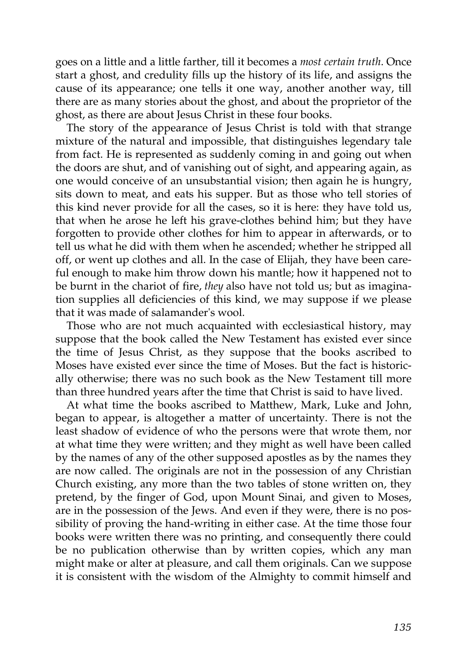goes on a little and a little farther, till it becomes a *most certain truth*. Once start a ghost, and credulity fills up the history of its life, and assigns the cause of its appearance; one tells it one way, another another way, till there are as many stories about the ghost, and about the proprietor of the ghost, as there are about Jesus Christ in these four books.

The story of the appearance of Jesus Christ is told with that strange mixture of the natural and impossible, that distinguishes legendary tale from fact. He is represented as suddenly coming in and going out when the doors are shut, and of vanishing out of sight, and appearing again, as one would conceive of an unsubstantial vision; then again he is hungry, sits down to meat, and eats his supper. But as those who tell stories of this kind never provide for all the cases, so it is here: they have told us, that when he arose he left his grave-clothes behind him; but they have forgotten to provide other clothes for him to appear in afterwards, or to tell us what he did with them when he ascended; whether he stripped all off, or went up clothes and all. In the case of Elijah, they have been careful enough to make him throw down his mantle; how it happened not to be burnt in the chariot of fire, *they* also have not told us; but as imagination supplies all deficiencies of this kind, we may suppose if we please that it was made of salamander's wool.

Those who are not much acquainted with ecclesiastical history, may suppose that the book called the New Testament has existed ever since the time of Jesus Christ, as they suppose that the books ascribed to Moses have existed ever since the time of Moses. But the fact is historically otherwise; there was no such book as the New Testament till more than three hundred years after the time that Christ is said to have lived.

At what time the books ascribed to Matthew, Mark, Luke and John, began to appear, is altogether a matter of uncertainty. There is not the least shadow of evidence of who the persons were that wrote them, nor at what time they were written; and they might as well have been called by the names of any of the other supposed apostles as by the names they are now called. The originals are not in the possession of any Christian Church existing, any more than the two tables of stone written on, they pretend, by the finger of God, upon Mount Sinai, and given to Moses, are in the possession of the Jews. And even if they were, there is no possibility of proving the hand-writing in either case. At the time those four books were written there was no printing, and consequently there could be no publication otherwise than by written copies, which any man might make or alter at pleasure, and call them originals. Can we suppose it is consistent with the wisdom of the Almighty to commit himself and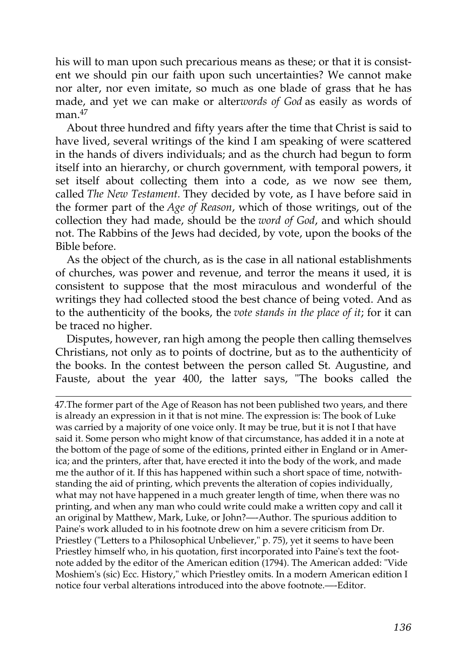his will to man upon such precarious means as these; or that it is consistent we should pin our faith upon such uncertainties? We cannot make nor alter, nor even imitate, so much as one blade of grass that he has made, and yet we can make or alter*words of God* as easily as words of  $man.<sup>47</sup>$  $man.<sup>47</sup>$  $man.<sup>47</sup>$ 

About three hundred and fifty years after the time that Christ is said to have lived, several writings of the kind I am speaking of were scattered in the hands of divers individuals; and as the church had begun to form itself into an hierarchy, or church government, with temporal powers, it set itself about collecting them into a code, as we now see them, called *The New Testament.* They decided by vote, as I have before said in the former part of the *Age of Reason*, which of those writings, out of the collection they had made, should be the *word of God*, and which should not. The Rabbins of the Jews had decided, by vote, upon the books of the Bible before.

As the object of the church, as is the case in all national establishments of churches, was power and revenue, and terror the means it used, it is consistent to suppose that the most miraculous and wonderful of the writings they had collected stood the best chance of being voted. And as to the authenticity of the books, the *vote stands in the place of it*; for it can be traced no higher.

Disputes, however, ran high among the people then calling themselves Christians, not only as to points of doctrine, but as to the authenticity of the books. In the contest between the person called St. Augustine, and Fauste, about the year 400, the latter says, "The books called the

[47.T](http://en.wikisource.org/wiki/The_Age_of_Reason/Part_II/Chapter_II#cite_note-7)he former part of the Age of Reason has not been published two years, and there is already an expression in it that is not mine. The expression is: The book of Luke was carried by a majority of one voice only. It may be true, but it is not I that have said it. Some person who might know of that circumstance, has added it in a note at the bottom of the page of some of the editions, printed either in England or in America; and the printers, after that, have erected it into the body of the work, and made me the author of it. If this has happened within such a short space of time, notwithstanding the aid of printing, which prevents the alteration of copies individually, what may not have happened in a much greater length of time, when there was no printing, and when any man who could write could make a written copy and call it an original by Matthew, Mark, Luke, or John?—-Author. The spurious addition to Paine's work alluded to in his footnote drew on him a severe criticism from Dr. Priestley ("Letters to a Philosophical Unbeliever," p. 75), yet it seems to have been Priestley himself who, in his quotation, first incorporated into Paine's text the footnote added by the editor of the American edition (1794). The American added: "Vide [Moshiem's \(sic\) Ecc. History," which Priestley omits. In a modern American edition I](http://en.wikisource.org/wiki/The_Age_of_Reason/Part_II/Chapter_II#cite_note-7) notice four verbal alterations introduced into the above footnote.—-Editor.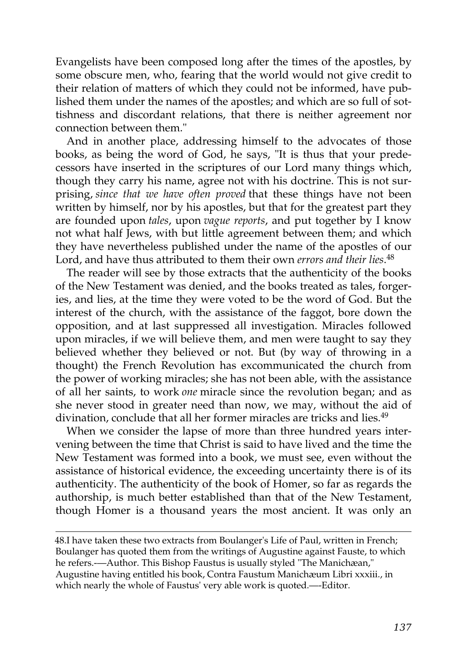Evangelists have been composed long after the times of the apostles, by some obscure men, who, fearing that the world would not give credit to their relation of matters of which they could not be informed, have published them under the names of the apostles; and which are so full of sottishness and discordant relations, that there is neither agreement nor connection between them."

And in another place, addressing himself to the advocates of those books, as being the word of God, he says, "It is thus that your predecessors have inserted in the scriptures of our Lord many things which, though they carry his name, agree not with his doctrine. This is not surprising, *since that we have often proved* that these things have not been written by himself, nor by his apostles, but that for the greatest part they are founded upon *tales*, upon *vague reports*, and put together by I know not what half Jews, with but little agreement between them; and which they have nevertheless published under the name of the apostles of our Lord, and have thus attributed to them their own *errors and their lies*. [48](http://en.wikisource.org/wiki/The_Age_of_Reason/Part_II/Chapter_II#cite_note-8)

The reader will see by those extracts that the authenticity of the books of the New Testament was denied, and the books treated as tales, forgeries, and lies, at the time they were voted to be the word of God. But the interest of the church, with the assistance of the faggot, bore down the opposition, and at last suppressed all investigation. Miracles followed upon miracles, if we will believe them, and men were taught to say they believed whether they believed or not. But (by way of throwing in a thought) the French Revolution has excommunicated the church from the power of working miracles; she has not been able, with the assistance of all her saints, to work *one* miracle since the revolution began; and as she never stood in greater need than now, we may, without the aid of divination, conclude that all her former miracles are tricks and lies.<sup>[49](http://en.wikisource.org/wiki/The_Age_of_Reason/Part_II/Chapter_II#cite_note-9)</sup>

When we consider the lapse of more than three hundred years intervening between the time that Christ is said to have lived and the time the New Testament was formed into a book, we must see, even without the assistance of historical evidence, the exceeding uncertainty there is of its authenticity. The authenticity of the book of Homer, so far as regards the authorship, is much better established than that of the New Testament, though Homer is a thousand years the most ancient. It was only an

[48.I](http://en.wikisource.org/wiki/The_Age_of_Reason/Part_II/Chapter_II#cite_note-8) have taken these two extracts from Boulanger's Life of Paul, written in French; [Boulanger has quoted them from the writings of Augustine against Fauste, to which](http://en.wikisource.org/wiki/The_Age_of_Reason/Part_II/Chapter_II#cite_note-8) he refers.-—Author. This Bishop Faustus is usually styled "The Manichæan," Augustine having entitled his book, Contra Faustum Manichæum Libri xxxiii., in which nearly the whole of Faustus' very able work is quoted.—-Editor.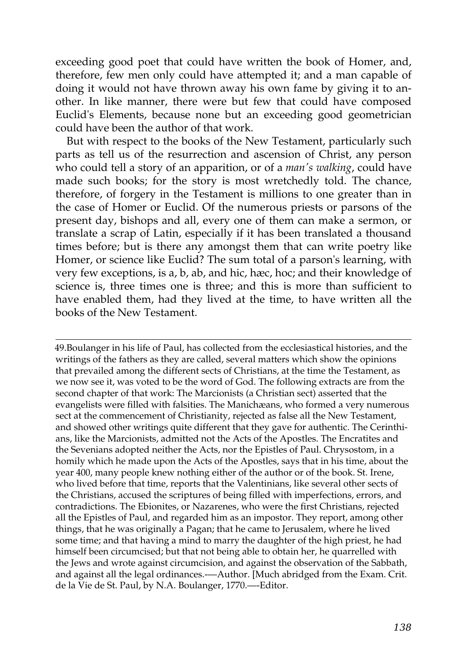exceeding good poet that could have written the book of Homer, and, therefore, few men only could have attempted it; and a man capable of doing it would not have thrown away his own fame by giving it to another. In like manner, there were but few that could have composed Euclid's Elements, because none but an exceeding good geometrician could have been the author of that work.

But with respect to the books of the New Testament, particularly such parts as tell us of the resurrection and ascension of Christ, any person who could tell a story of an apparition, or of a *man's walking*, could have made such books; for the story is most wretchedly told. The chance, therefore, of forgery in the Testament is millions to one greater than in the case of Homer or Euclid. Of the numerous priests or parsons of the present day, bishops and all, every one of them can make a sermon, or translate a scrap of Latin, especially if it has been translated a thousand times before; but is there any amongst them that can write poetry like Homer, or science like Euclid? The sum total of a parson's learning, with very few exceptions, is a, b, ab, and hic, hæc, hoc; and their knowledge of science is, three times one is three; and this is more than sufficient to have enabled them, had they lived at the time, to have written all the books of the New Testament.

[49.B](http://en.wikisource.org/wiki/The_Age_of_Reason/Part_II/Chapter_II#cite_note-9)oulanger in his life of Paul, has collected from the ecclesiastical histories, and the writings of the fathers as they are called, several matters which show the opinions that prevailed among the different sects of Christians, at the time the Testament, as we now see it, was voted to be the word of God. The following extracts are from the second chapter of that work: The Marcionists (a Christian sect) asserted that the [evangelists were filled with falsities. The Manichæans, who formed a very numerous](http://en.wikisource.org/wiki/The_Age_of_Reason/Part_II/Chapter_II#cite_note-9) sect at the commencement of Christianity, rejected as false all the New Testament, and showed other writings quite different that they gave for authentic. The Cerinthians, like the Marcionists, admitted not the Acts of the Apostles. The Encratites and the Sevenians adopted neither the Acts, nor the Epistles of Paul. Chrysostom, in a homily which he made upon the Acts of the Apostles, says that in his time, about the year 400, many people knew nothing either of the author or of the book. St. Irene, who lived before that time, reports that the Valentinians, like several other sects of the Christians, accused the scriptures of being filled with imperfections, errors, and contradictions. The Ebionites, or Nazarenes, who were the first Christians, rejected all the Epistles of Paul, and regarded him as an impostor. They report, among other things, that he was originally a Pagan; that he came to Jerusalem, where he lived some time; and that having a mind to marry the daughter of the high priest, he had himself been circumcised; but that not being able to obtain her, he quarrelled with the Jews and wrote against circumcision, and against the observation of the Sabbath, and against all the legal ordinances.---Author. [Much abridged from the Exam. Crit. de la Vie de St. Paul, by N.A. Boulanger, 1770.—-Editor.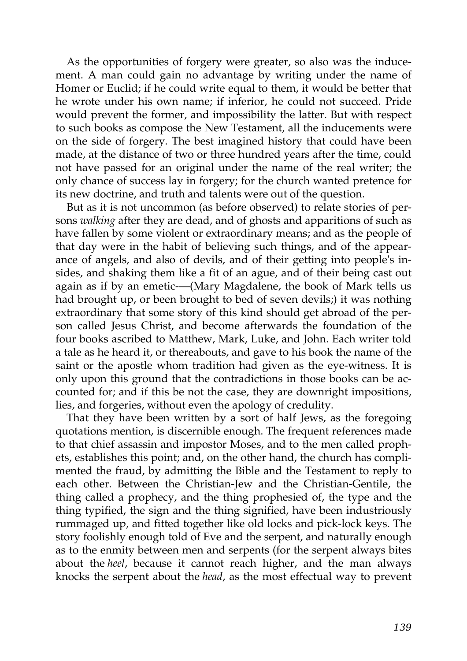As the opportunities of forgery were greater, so also was the inducement. A man could gain no advantage by writing under the name of Homer or Euclid; if he could write equal to them, it would be better that he wrote under his own name; if inferior, he could not succeed. Pride would prevent the former, and impossibility the latter. But with respect to such books as compose the New Testament, all the inducements were on the side of forgery. The best imagined history that could have been made, at the distance of two or three hundred years after the time, could not have passed for an original under the name of the real writer; the only chance of success lay in forgery; for the church wanted pretence for its new doctrine, and truth and talents were out of the question.

But as it is not uncommon (as before observed) to relate stories of persons *walking* after they are dead, and of ghosts and apparitions of such as have fallen by some violent or extraordinary means; and as the people of that day were in the habit of believing such things, and of the appearance of angels, and also of devils, and of their getting into people's insides, and shaking them like a fit of an ague, and of their being cast out again as if by an emetic-—(Mary Magdalene, the book of Mark tells us had brought up, or been brought to bed of seven devils;) it was nothing extraordinary that some story of this kind should get abroad of the person called Jesus Christ, and become afterwards the foundation of the four books ascribed to Matthew, Mark, Luke, and John. Each writer told a tale as he heard it, or thereabouts, and gave to his book the name of the saint or the apostle whom tradition had given as the eye-witness. It is only upon this ground that the contradictions in those books can be accounted for; and if this be not the case, they are downright impositions, lies, and forgeries, without even the apology of credulity.

That they have been written by a sort of half Jews, as the foregoing quotations mention, is discernible enough. The frequent references made to that chief assassin and impostor Moses, and to the men called prophets, establishes this point; and, on the other hand, the church has complimented the fraud, by admitting the Bible and the Testament to reply to each other. Between the Christian-Jew and the Christian-Gentile, the thing called a prophecy, and the thing prophesied of, the type and the thing typified, the sign and the thing signified, have been industriously rummaged up, and fitted together like old locks and pick-lock keys. The story foolishly enough told of Eve and the serpent, and naturally enough as to the enmity between men and serpents (for the serpent always bites about the *heel*, because it cannot reach higher, and the man always knocks the serpent about the *head*, as the most effectual way to prevent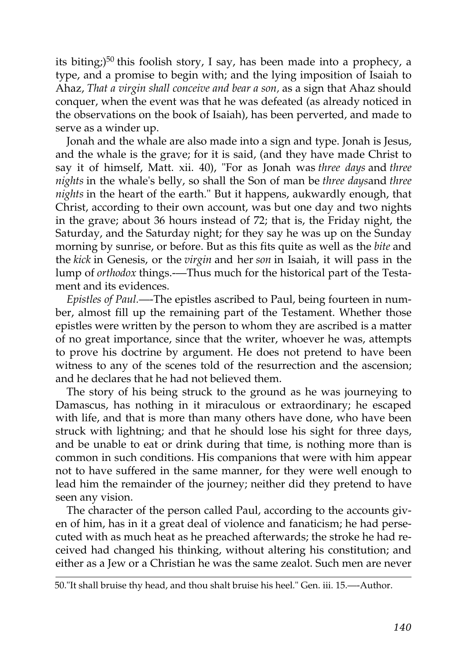its biting;)<sup>[50](http://en.wikisource.org/wiki/The_Age_of_Reason/Part_II/Chapter_II#cite_note-10)</sup> this foolish story, I say, has been made into a prophecy, a type, and a promise to begin with; and the lying imposition of Isaiah to Ahaz, *That a virgin shall conceive and bear a son,* as a sign that Ahaz should conquer, when the event was that he was defeated (as already noticed in the observations on the book of Isaiah), has been perverted, and made to serve as a winder up.

Jonah and the whale are also made into a sign and type. Jonah is Jesus, and the whale is the grave; for it is said, (and they have made Christ to say it of himself, Matt. xii. 40), "For as Jonah was *three days* and *three nights* in the whale's belly, so shall the Son of man be *three days*and *three nights* in the heart of the earth." But it happens, aukwardly enough, that Christ, according to their own account, was but one day and two nights in the grave; about 36 hours instead of 72; that is, the Friday night, the Saturday, and the Saturday night; for they say he was up on the Sunday morning by sunrise, or before. But as this fits quite as well as the *bite* and the *kick* in Genesis, or the *virgin* and her *son* in Isaiah, it will pass in the lump of *orthodox* things.-—Thus much for the historical part of the Testament and its evidences.

*Epistles of Paul.*—-The epistles ascribed to Paul, being fourteen in number, almost fill up the remaining part of the Testament. Whether those epistles were written by the person to whom they are ascribed is a matter of no great importance, since that the writer, whoever he was, attempts to prove his doctrine by argument. He does not pretend to have been witness to any of the scenes told of the resurrection and the ascension; and he declares that he had not believed them.

The story of his being struck to the ground as he was journeying to Damascus, has nothing in it miraculous or extraordinary; he escaped with life, and that is more than many others have done, who have been struck with lightning; and that he should lose his sight for three days, and be unable to eat or drink during that time, is nothing more than is common in such conditions. His companions that were with him appear not to have suffered in the same manner, for they were well enough to lead him the remainder of the journey; neither did they pretend to have seen any vision.

The character of the person called Paul, according to the accounts given of him, has in it a great deal of violence and fanaticism; he had persecuted with as much heat as he preached afterwards; the stroke he had received had changed his thinking, without altering his constitution; and either as a Jew or a Christian he was the same zealot. Such men are never

[<sup>50.&</sup>quot;It shall bruise thy head, and thou shalt bruise his heel." Gen. iii. 15.—-Author.](http://en.wikisource.org/wiki/The_Age_of_Reason/Part_II/Chapter_II#cite_note-10)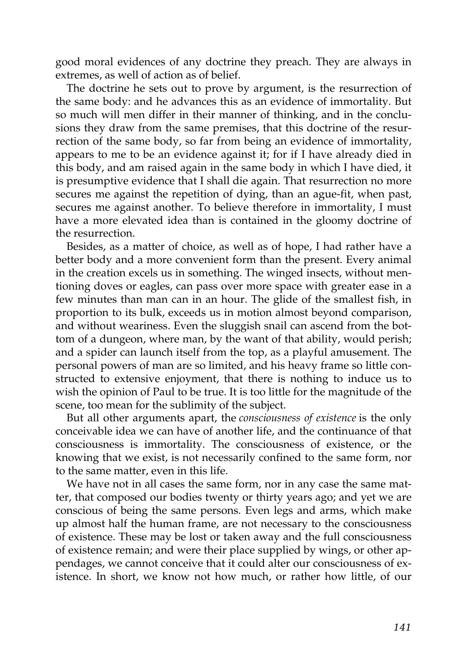good moral evidences of any doctrine they preach. They are always in extremes, as well of action as of belief.

The doctrine he sets out to prove by argument, is the resurrection of the same body: and he advances this as an evidence of immortality. But so much will men differ in their manner of thinking, and in the conclusions they draw from the same premises, that this doctrine of the resurrection of the same body, so far from being an evidence of immortality, appears to me to be an evidence against it; for if I have already died in this body, and am raised again in the same body in which I have died, it is presumptive evidence that I shall die again. That resurrection no more secures me against the repetition of dying, than an ague-fit, when past, secures me against another. To believe therefore in immortality, I must have a more elevated idea than is contained in the gloomy doctrine of the resurrection.

Besides, as a matter of choice, as well as of hope, I had rather have a better body and a more convenient form than the present. Every animal in the creation excels us in something. The winged insects, without mentioning doves or eagles, can pass over more space with greater ease in a few minutes than man can in an hour. The glide of the smallest fish, in proportion to its bulk, exceeds us in motion almost beyond comparison, and without weariness. Even the sluggish snail can ascend from the bottom of a dungeon, where man, by the want of that ability, would perish; and a spider can launch itself from the top, as a playful amusement. The personal powers of man are so limited, and his heavy frame so little constructed to extensive enjoyment, that there is nothing to induce us to wish the opinion of Paul to be true. It is too little for the magnitude of the scene, too mean for the sublimity of the subject.

But all other arguments apart, the *consciousness of existence* is the only conceivable idea we can have of another life, and the continuance of that consciousness is immortality. The consciousness of existence, or the knowing that we exist, is not necessarily confined to the same form, nor to the same matter, even in this life.

We have not in all cases the same form, nor in any case the same matter, that composed our bodies twenty or thirty years ago; and yet we are conscious of being the same persons. Even legs and arms, which make up almost half the human frame, are not necessary to the consciousness of existence. These may be lost or taken away and the full consciousness of existence remain; and were their place supplied by wings, or other appendages, we cannot conceive that it could alter our consciousness of existence. In short, we know not how much, or rather how little, of our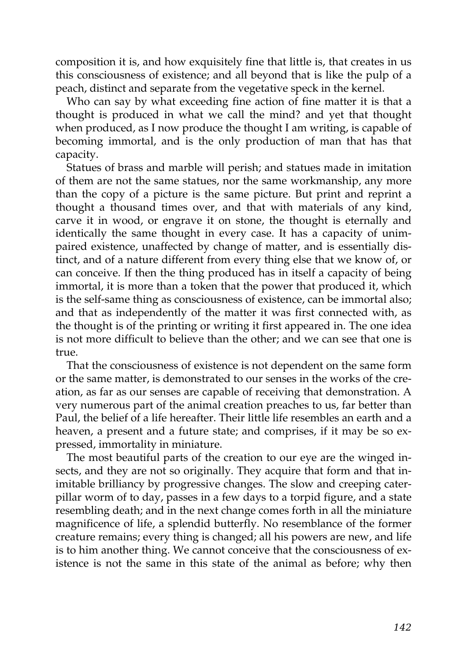composition it is, and how exquisitely fine that little is, that creates in us this consciousness of existence; and all beyond that is like the pulp of a peach, distinct and separate from the vegetative speck in the kernel.

Who can say by what exceeding fine action of fine matter it is that a thought is produced in what we call the mind? and yet that thought when produced, as I now produce the thought I am writing, is capable of becoming immortal, and is the only production of man that has that capacity.

Statues of brass and marble will perish; and statues made in imitation of them are not the same statues, nor the same workmanship, any more than the copy of a picture is the same picture. But print and reprint a thought a thousand times over, and that with materials of any kind, carve it in wood, or engrave it on stone, the thought is eternally and identically the same thought in every case. It has a capacity of unimpaired existence, unaffected by change of matter, and is essentially distinct, and of a nature different from every thing else that we know of, or can conceive. If then the thing produced has in itself a capacity of being immortal, it is more than a token that the power that produced it, which is the self-same thing as consciousness of existence, can be immortal also; and that as independently of the matter it was first connected with, as the thought is of the printing or writing it first appeared in. The one idea is not more difficult to believe than the other; and we can see that one is true.

That the consciousness of existence is not dependent on the same form or the same matter, is demonstrated to our senses in the works of the creation, as far as our senses are capable of receiving that demonstration. A very numerous part of the animal creation preaches to us, far better than Paul, the belief of a life hereafter. Their little life resembles an earth and a heaven, a present and a future state; and comprises, if it may be so expressed, immortality in miniature.

The most beautiful parts of the creation to our eye are the winged insects, and they are not so originally. They acquire that form and that inimitable brilliancy by progressive changes. The slow and creeping caterpillar worm of to day, passes in a few days to a torpid figure, and a state resembling death; and in the next change comes forth in all the miniature magnificence of life, a splendid butterfly. No resemblance of the former creature remains; every thing is changed; all his powers are new, and life is to him another thing. We cannot conceive that the consciousness of existence is not the same in this state of the animal as before; why then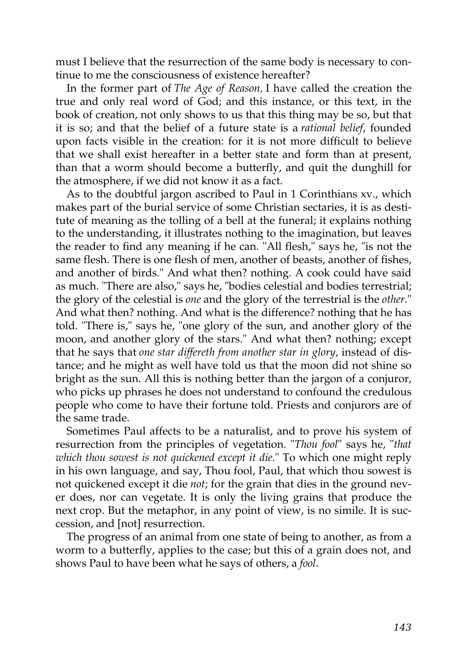must I believe that the resurrection of the same body is necessary to continue to me the consciousness of existence hereafter?

In the former part of *The Age of Reason,* I have called the creation the true and only real word of God; and this instance, or this text, in the book of creation, not only shows to us that this thing may be so, but that it is so; and that the belief of a future state is a *rational belief*, founded upon facts visible in the creation: for it is not more difficult to believe that we shall exist hereafter in a better state and form than at present, than that a worm should become a butterfly, and quit the dunghill for the atmosphere, if we did not know it as a fact.

As to the doubtful jargon ascribed to Paul in 1 Corinthians xv., which makes part of the burial service of some Christian sectaries, it is as destitute of meaning as the tolling of a bell at the funeral; it explains nothing to the understanding, it illustrates nothing to the imagination, but leaves the reader to find any meaning if he can. "All flesh," says he, "is not the same flesh. There is one flesh of men, another of beasts, another of fishes, and another of birds." And what then? nothing. A cook could have said as much. "There are also," says he, "bodies celestial and bodies terrestrial; the glory of the celestial is *one* and the glory of the terrestrial is the *other*." And what then? nothing. And what is the difference? nothing that he has told. "There is," says he, "one glory of the sun, and another glory of the moon, and another glory of the stars." And what then? nothing; except that he says that *one star differeth from another star in glory*, instead of distance; and he might as well have told us that the moon did not shine so bright as the sun. All this is nothing better than the jargon of a conjuror, who picks up phrases he does not understand to confound the credulous people who come to have their fortune told. Priests and conjurors are of the same trade.

Sometimes Paul affects to be a naturalist, and to prove his system of resurrection from the principles of vegetation. "*Thou fool*" says he, "*that which thou sowest is not quickened except it die*." To which one might reply in his own language, and say, Thou fool, Paul, that which thou sowest is not quickened except it die *not*; for the grain that dies in the ground never does, nor can vegetate. It is only the living grains that produce the next crop. But the metaphor, in any point of view, is no simile. It is succession, and [not] resurrection.

The progress of an animal from one state of being to another, as from a worm to a butterfly, applies to the case; but this of a grain does not, and shows Paul to have been what he says of others, a *fool*.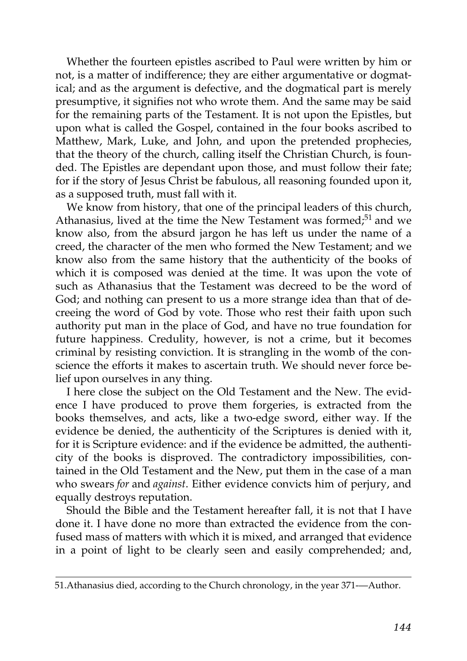Whether the fourteen epistles ascribed to Paul were written by him or not, is a matter of indifference; they are either argumentative or dogmatical; and as the argument is defective, and the dogmatical part is merely presumptive, it signifies not who wrote them. And the same may be said for the remaining parts of the Testament. It is not upon the Epistles, but upon what is called the Gospel, contained in the four books ascribed to Matthew, Mark, Luke, and John, and upon the pretended prophecies, that the theory of the church, calling itself the Christian Church, is founded. The Epistles are dependant upon those, and must follow their fate; for if the story of Jesus Christ be fabulous, all reasoning founded upon it, as a supposed truth, must fall with it.

We know from history, that one of the principal leaders of this church, Athanasius, lived at the time the New Testament was formed; $51$  and we know also, from the absurd jargon he has left us under the name of a creed, the character of the men who formed the New Testament; and we know also from the same history that the authenticity of the books of which it is composed was denied at the time. It was upon the vote of such as Athanasius that the Testament was decreed to be the word of God; and nothing can present to us a more strange idea than that of decreeing the word of God by vote. Those who rest their faith upon such authority put man in the place of God, and have no true foundation for future happiness. Credulity, however, is not a crime, but it becomes criminal by resisting conviction. It is strangling in the womb of the conscience the efforts it makes to ascertain truth. We should never force belief upon ourselves in any thing.

I here close the subject on the Old Testament and the New. The evidence I have produced to prove them forgeries, is extracted from the books themselves, and acts, like a two-edge sword, either way. If the evidence be denied, the authenticity of the Scriptures is denied with it, for it is Scripture evidence: and if the evidence be admitted, the authenticity of the books is disproved. The contradictory impossibilities, contained in the Old Testament and the New, put them in the case of a man who swears *for* and *against*. Either evidence convicts him of perjury, and equally destroys reputation.

Should the Bible and the Testament hereafter fall, it is not that I have done it. I have done no more than extracted the evidence from the confused mass of matters with which it is mixed, and arranged that evidence in a point of light to be clearly seen and easily comprehended; and,

[<sup>51.</sup>Athanasius died, according to the Church chronology, in the year 371-—Author.](http://en.wikisource.org/wiki/The_Age_of_Reason/Part_II/Chapter_II#cite_note-11)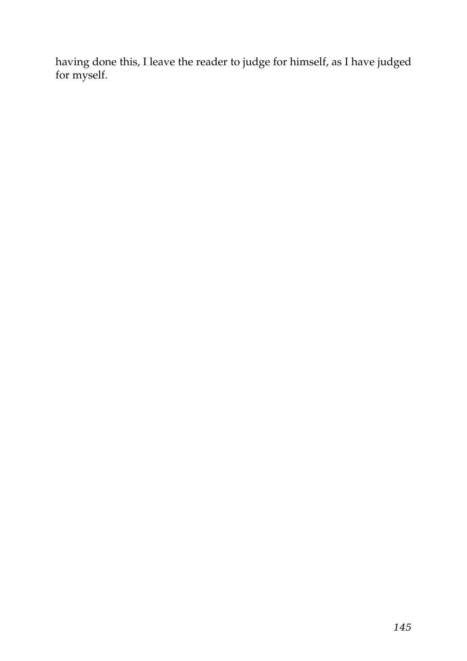having done this, I leave the reader to judge for himself, as I have judged for myself.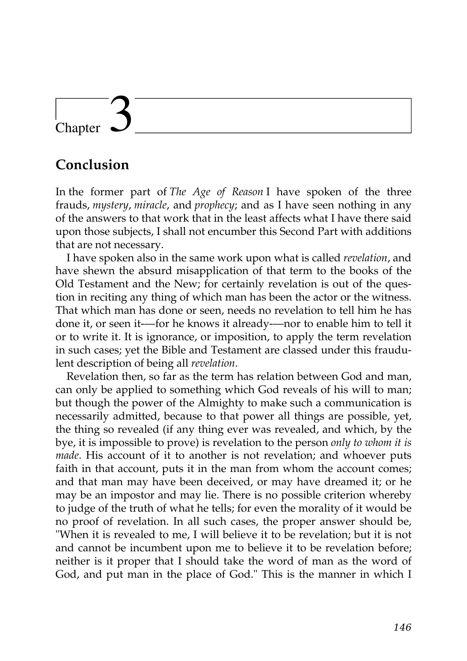# Chapter

# **Conclusion**

In the former part of *The Age of Reason* I have spoken of the three frauds, *mystery*, *miracle*, and *prophecy*; and as I have seen nothing in any of the answers to that work that in the least affects what I have there said upon those subjects, I shall not encumber this Second Part with additions that are not necessary.

I have spoken also in the same work upon what is called *revelation*, and have shewn the absurd misapplication of that term to the books of the Old Testament and the New; for certainly revelation is out of the question in reciting any thing of which man has been the actor or the witness. That which man has done or seen, needs no revelation to tell him he has done it, or seen it-—for he knows it already-—nor to enable him to tell it or to write it. It is ignorance, or imposition, to apply the term revelation in such cases; yet the Bible and Testament are classed under this fraudulent description of being all *revelation*.

Revelation then, so far as the term has relation between God and man, can only be applied to something which God reveals of his will to man; but though the power of the Almighty to make such a communication is necessarily admitted, because to that power all things are possible, yet, the thing so revealed (if any thing ever was revealed, and which, by the bye, it is impossible to prove) is revelation to the person *only to whom it is made*. His account of it to another is not revelation; and whoever puts faith in that account, puts it in the man from whom the account comes; and that man may have been deceived, or may have dreamed it; or he may be an impostor and may lie. There is no possible criterion whereby to judge of the truth of what he tells; for even the morality of it would be no proof of revelation. In all such cases, the proper answer should be, "When it is revealed to me, I will believe it to be revelation; but it is not and cannot be incumbent upon me to believe it to be revelation before; neither is it proper that I should take the word of man as the word of God, and put man in the place of God." This is the manner in which I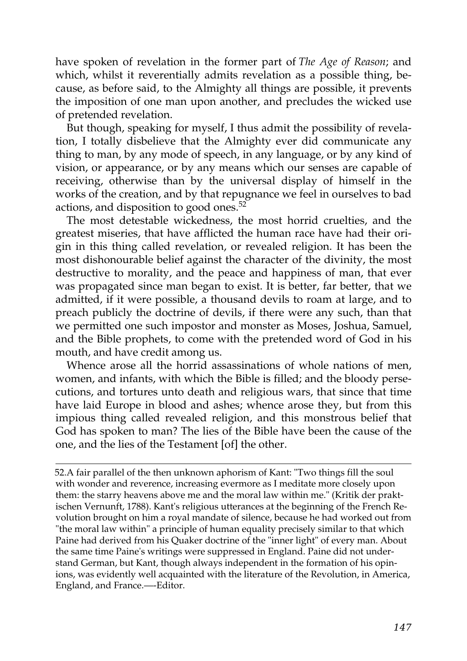have spoken of revelation in the former part of *The Age of Reason*; and which, whilst it reverentially admits revelation as a possible thing, because, as before said, to the Almighty all things are possible, it prevents the imposition of one man upon another, and precludes the wicked use of pretended revelation.

But though, speaking for myself, I thus admit the possibility of revelation, I totally disbelieve that the Almighty ever did communicate any thing to man, by any mode of speech, in any language, or by any kind of vision, or appearance, or by any means which our senses are capable of receiving, otherwise than by the universal display of himself in the works of the creation, and by that repugnance we feel in ourselves to bad actions, and disposition to good ones.[52](http://en.wikisource.org/wiki/The_Age_of_Reason/Part_II/Chapter_III#cite_note-0)

The most detestable wickedness, the most horrid cruelties, and the greatest miseries, that have afflicted the human race have had their origin in this thing called revelation, or revealed religion. It has been the most dishonourable belief against the character of the divinity, the most destructive to morality, and the peace and happiness of man, that ever was propagated since man began to exist. It is better, far better, that we admitted, if it were possible, a thousand devils to roam at large, and to preach publicly the doctrine of devils, if there were any such, than that we permitted one such impostor and monster as Moses, Joshua, Samuel, and the Bible prophets, to come with the pretended word of God in his mouth, and have credit among us.

Whence arose all the horrid assassinations of whole nations of men, women, and infants, with which the Bible is filled; and the bloody persecutions, and tortures unto death and religious wars, that since that time have laid Europe in blood and ashes; whence arose they, but from this impious thing called revealed religion, and this monstrous belief that God has spoken to man? The lies of the Bible have been the cause of the one, and the lies of the Testament [of] the other.

[52.A](http://en.wikisource.org/wiki/The_Age_of_Reason/Part_II/Chapter_III#cite_note-0) fair parallel of the then unknown aphorism of Kant: "Two things fill the soul with wonder and reverence, increasing evermore as I meditate more closely upon them: the starry heavens above me and the moral law within me." (Kritik der praktischen Vernunft, 1788). Kant's religious utterances at the beginning of the French Re[volution brought on him a royal mandate of silence, because he had worked out from](http://en.wikisource.org/wiki/The_Age_of_Reason/Part_II/Chapter_III#cite_note-0) "the moral law within" a principle of human equality precisely similar to that which Paine had derived from his Quaker doctrine of the "inner light" of every man. About the same time Paine's writings were suppressed in England. Paine did not understand German, but Kant, though always independent in the formation of his opinions, was evidently well acquainted with the literature of the Revolution, in America, England, and France.—-Editor.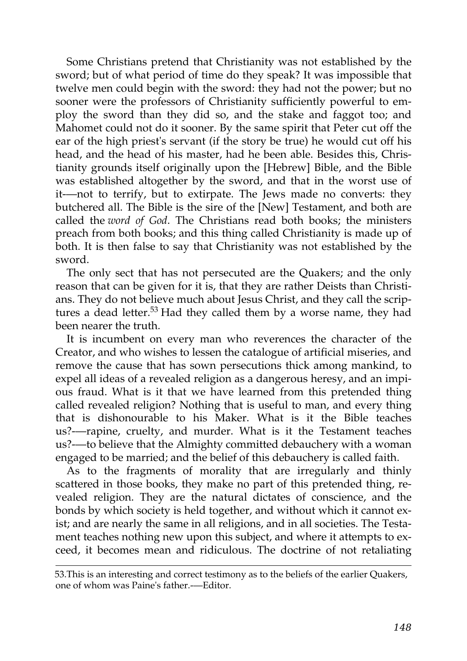Some Christians pretend that Christianity was not established by the sword; but of what period of time do they speak? It was impossible that twelve men could begin with the sword: they had not the power; but no sooner were the professors of Christianity sufficiently powerful to employ the sword than they did so, and the stake and faggot too; and Mahomet could not do it sooner. By the same spirit that Peter cut off the ear of the high priest's servant (if the story be true) he would cut off his head, and the head of his master, had he been able. Besides this, Christianity grounds itself originally upon the [Hebrew] Bible, and the Bible was established altogether by the sword, and that in the worst use of it-—not to terrify, but to extirpate. The Jews made no converts: they butchered all. The Bible is the sire of the [New] Testament, and both are called the *word of God*. The Christians read both books; the ministers preach from both books; and this thing called Christianity is made up of both. It is then false to say that Christianity was not established by the sword.

The only sect that has not persecuted are the Quakers; and the only reason that can be given for it is, that they are rather Deists than Christians. They do not believe much about Jesus Christ, and they call the scrip-tures a dead letter.<sup>[53](http://en.wikisource.org/wiki/The_Age_of_Reason/Part_II/Chapter_III#cite_note-1)</sup> Had they called them by a worse name, they had been nearer the truth.

It is incumbent on every man who reverences the character of the Creator, and who wishes to lessen the catalogue of artificial miseries, and remove the cause that has sown persecutions thick among mankind, to expel all ideas of a revealed religion as a dangerous heresy, and an impious fraud. What is it that we have learned from this pretended thing called revealed religion? Nothing that is useful to man, and every thing that is dishonourable to his Maker. What is it the Bible teaches us?-—rapine, cruelty, and murder. What is it the Testament teaches us?-—to believe that the Almighty committed debauchery with a woman engaged to be married; and the belief of this debauchery is called faith.

As to the fragments of morality that are irregularly and thinly scattered in those books, they make no part of this pretended thing, revealed religion. They are the natural dictates of conscience, and the bonds by which society is held together, and without which it cannot exist; and are nearly the same in all religions, and in all societies. The Testament teaches nothing new upon this subject, and where it attempts to exceed, it becomes mean and ridiculous. The doctrine of not retaliating

[<sup>53.</sup>This is an interesting and correct testimony as to the beliefs of the earlier Quakers,](http://en.wikisource.org/wiki/The_Age_of_Reason/Part_II/Chapter_III#cite_note-1) one of whom was Paine's father.-—Editor.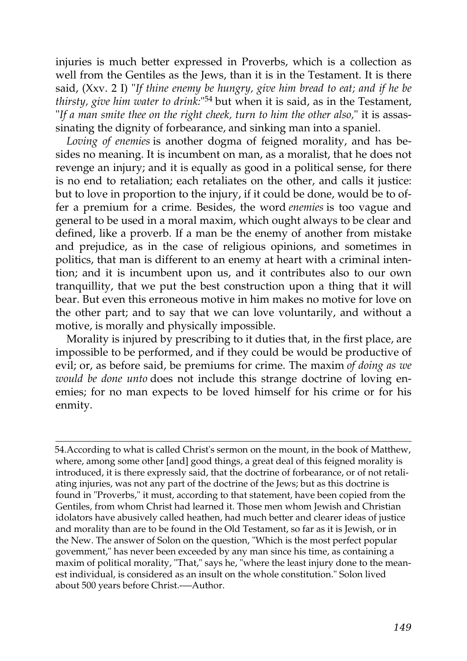injuries is much better expressed in Proverbs, which is a collection as well from the Gentiles as the Jews, than it is in the Testament. It is there said, (Xxv. 2 I) "*If thine enemy be hungry, give him bread to eat; and if he be thirsty, give him water to drink:*" [54](http://en.wikisource.org/wiki/The_Age_of_Reason/Part_II/Chapter_III#cite_note-2) but when it is said, as in the Testament, "*If a man smite thee on the right cheek, turn to him the other also,*" it is assassinating the dignity of forbearance, and sinking man into a spaniel.

*Loving of enemies* is another dogma of feigned morality, and has besides no meaning. It is incumbent on man, as a moralist, that he does not revenge an injury; and it is equally as good in a political sense, for there is no end to retaliation; each retaliates on the other, and calls it justice: but to love in proportion to the injury, if it could be done, would be to offer a premium for a crime. Besides, the word *enemies* is too vague and general to be used in a moral maxim, which ought always to be clear and defined, like a proverb. If a man be the enemy of another from mistake and prejudice, as in the case of religious opinions, and sometimes in politics, that man is different to an enemy at heart with a criminal intention; and it is incumbent upon us, and it contributes also to our own tranquillity, that we put the best construction upon a thing that it will bear. But even this erroneous motive in him makes no motive for love on the other part; and to say that we can love voluntarily, and without a motive, is morally and physically impossible.

Morality is injured by prescribing to it duties that, in the first place, are impossible to be performed, and if they could be would be productive of evil; or, as before said, be premiums for crime. The maxim *of doing as we would be done unto* does not include this strange doctrine of loving enemies; for no man expects to be loved himself for his crime or for his enmity.

[54.A](http://en.wikisource.org/wiki/The_Age_of_Reason/Part_II/Chapter_III#cite_note-2)ccording to what is called Christ's sermon on the mount, in the book of Matthew, where, among some other [and] good things, a great deal of this feigned morality is introduced, it is there expressly said, that the doctrine of forbearance, or of not retaliating injuries, was not any part of the doctrine of the Jews; but as this doctrine is found in "Proverbs," it must, according to that statement, have been copied from the Gentiles, from whom Christ had learned it. Those men whom Jewish and Christian idolators have abusively called heathen, had much better and clearer ideas of justice and morality than are to be found in the Old Testament, so far as it is Jewish, or in the New. The answer of Solon on the question, "Which is the most perfect popular govemment," has never been exceeded by any man since his time, as containing a [maxim of political morality, "That," says he, "where the least injury done to the mean](http://en.wikisource.org/wiki/The_Age_of_Reason/Part_II/Chapter_III#cite_note-2)est individual, is considered as an insult on the whole constitution." Solon lived about 500 years before Christ.-—Author.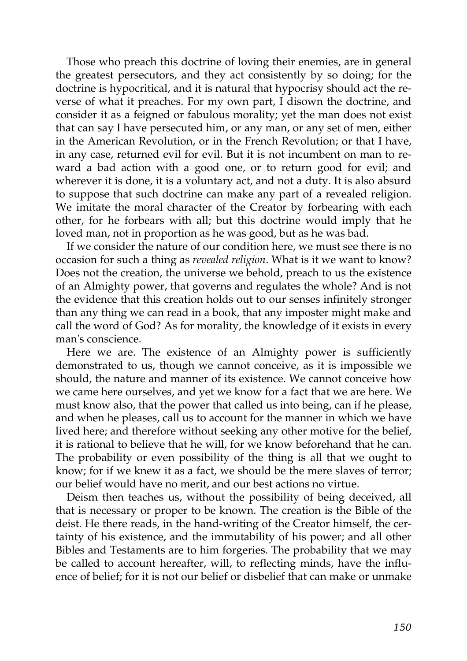Those who preach this doctrine of loving their enemies, are in general the greatest persecutors, and they act consistently by so doing; for the doctrine is hypocritical, and it is natural that hypocrisy should act the reverse of what it preaches. For my own part, I disown the doctrine, and consider it as a feigned or fabulous morality; yet the man does not exist that can say I have persecuted him, or any man, or any set of men, either in the American Revolution, or in the French Revolution; or that I have, in any case, returned evil for evil. But it is not incumbent on man to reward a bad action with a good one, or to return good for evil; and wherever it is done, it is a voluntary act, and not a duty. It is also absurd to suppose that such doctrine can make any part of a revealed religion. We imitate the moral character of the Creator by forbearing with each other, for he forbears with all; but this doctrine would imply that he loved man, not in proportion as he was good, but as he was bad.

If we consider the nature of our condition here, we must see there is no occasion for such a thing as *revealed religion*. What is it we want to know? Does not the creation, the universe we behold, preach to us the existence of an Almighty power, that governs and regulates the whole? And is not the evidence that this creation holds out to our senses infinitely stronger than any thing we can read in a book, that any imposter might make and call the word of God? As for morality, the knowledge of it exists in every man's conscience.

Here we are. The existence of an Almighty power is sufficiently demonstrated to us, though we cannot conceive, as it is impossible we should, the nature and manner of its existence. We cannot conceive how we came here ourselves, and yet we know for a fact that we are here. We must know also, that the power that called us into being, can if he please, and when he pleases, call us to account for the manner in which we have lived here; and therefore without seeking any other motive for the belief, it is rational to believe that he will, for we know beforehand that he can. The probability or even possibility of the thing is all that we ought to know; for if we knew it as a fact, we should be the mere slaves of terror; our belief would have no merit, and our best actions no virtue.

Deism then teaches us, without the possibility of being deceived, all that is necessary or proper to be known. The creation is the Bible of the deist. He there reads, in the hand-writing of the Creator himself, the certainty of his existence, and the immutability of his power; and all other Bibles and Testaments are to him forgeries. The probability that we may be called to account hereafter, will, to reflecting minds, have the influence of belief; for it is not our belief or disbelief that can make or unmake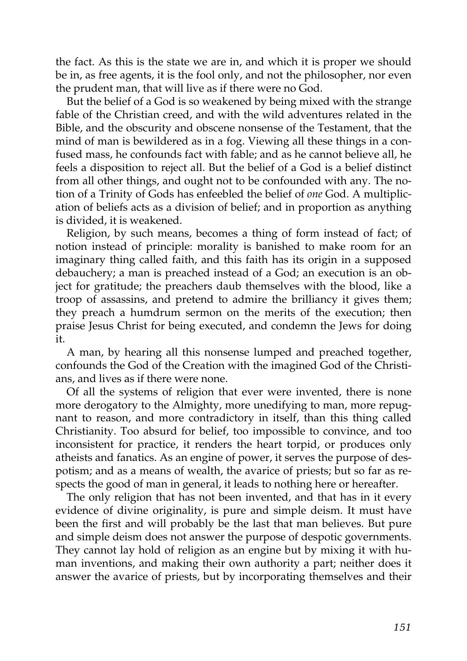the fact. As this is the state we are in, and which it is proper we should be in, as free agents, it is the fool only, and not the philosopher, nor even the prudent man, that will live as if there were no God.

But the belief of a God is so weakened by being mixed with the strange fable of the Christian creed, and with the wild adventures related in the Bible, and the obscurity and obscene nonsense of the Testament, that the mind of man is bewildered as in a fog. Viewing all these things in a confused mass, he confounds fact with fable; and as he cannot believe all, he feels a disposition to reject all. But the belief of a God is a belief distinct from all other things, and ought not to be confounded with any. The notion of a Trinity of Gods has enfeebled the belief of *one* God. A multiplication of beliefs acts as a division of belief; and in proportion as anything is divided, it is weakened.

Religion, by such means, becomes a thing of form instead of fact; of notion instead of principle: morality is banished to make room for an imaginary thing called faith, and this faith has its origin in a supposed debauchery; a man is preached instead of a God; an execution is an object for gratitude; the preachers daub themselves with the blood, like a troop of assassins, and pretend to admire the brilliancy it gives them; they preach a humdrum sermon on the merits of the execution; then praise Jesus Christ for being executed, and condemn the Jews for doing it.

A man, by hearing all this nonsense lumped and preached together, confounds the God of the Creation with the imagined God of the Christians, and lives as if there were none.

Of all the systems of religion that ever were invented, there is none more derogatory to the Almighty, more unedifying to man, more repugnant to reason, and more contradictory in itself, than this thing called Christianity. Too absurd for belief, too impossible to convince, and too inconsistent for practice, it renders the heart torpid, or produces only atheists and fanatics. As an engine of power, it serves the purpose of despotism; and as a means of wealth, the avarice of priests; but so far as respects the good of man in general, it leads to nothing here or hereafter.

The only religion that has not been invented, and that has in it every evidence of divine originality, is pure and simple deism. It must have been the first and will probably be the last that man believes. But pure and simple deism does not answer the purpose of despotic governments. They cannot lay hold of religion as an engine but by mixing it with human inventions, and making their own authority a part; neither does it answer the avarice of priests, but by incorporating themselves and their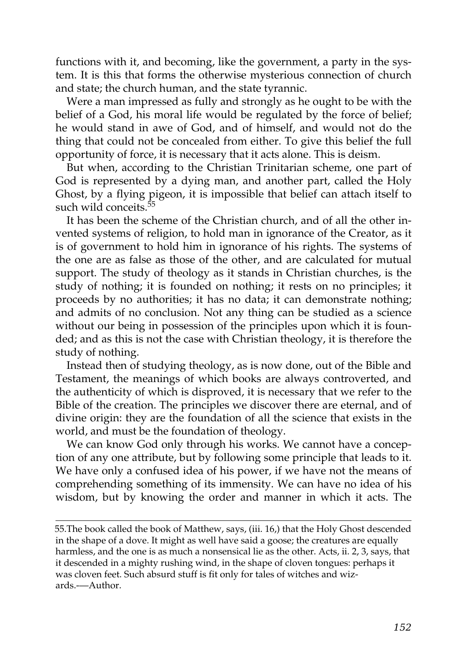functions with it, and becoming, like the government, a party in the system. It is this that forms the otherwise mysterious connection of church and state; the church human, and the state tyrannic.

Were a man impressed as fully and strongly as he ought to be with the belief of a God, his moral life would be regulated by the force of belief; he would stand in awe of God, and of himself, and would not do the thing that could not be concealed from either. To give this belief the full opportunity of force, it is necessary that it acts alone. This is deism.

But when, according to the Christian Trinitarian scheme, one part of God is represented by a dying man, and another part, called the Holy Ghost, by a flying pigeon, it is impossible that belief can attach itself to such wild conceits.<sup>[55](http://en.wikisource.org/wiki/The_Age_of_Reason/Part_II/Chapter_III#cite_note-3)</sup>

It has been the scheme of the Christian church, and of all the other invented systems of religion, to hold man in ignorance of the Creator, as it is of government to hold him in ignorance of his rights. The systems of the one are as false as those of the other, and are calculated for mutual support. The study of theology as it stands in Christian churches, is the study of nothing; it is founded on nothing; it rests on no principles; it proceeds by no authorities; it has no data; it can demonstrate nothing; and admits of no conclusion. Not any thing can be studied as a science without our being in possession of the principles upon which it is founded; and as this is not the case with Christian theology, it is therefore the study of nothing.

Instead then of studying theology, as is now done, out of the Bible and Testament, the meanings of which books are always controverted, and the authenticity of which is disproved, it is necessary that we refer to the Bible of the creation. The principles we discover there are eternal, and of divine origin: they are the foundation of all the science that exists in the world, and must be the foundation of theology.

We can know God only through his works. We cannot have a conception of any one attribute, but by following some principle that leads to it. We have only a confused idea of his power, if we have not the means of comprehending something of its immensity. We can have no idea of his wisdom, but by knowing the order and manner in which it acts. The

[55.The book called the book of Matthew, says, \(iii. 16,\) that the Holy Ghost descended](http://en.wikisource.org/wiki/The_Age_of_Reason/Part_II/Chapter_III#cite_note-3) in the shape of a dove. It might as well have said a goose; the creatures are equally harmless, and the one is as much a nonsensical lie as the other. Acts, ii. 2, 3, says, that it descended in a mighty rushing wind, in the shape of cloven tongues: perhaps it was cloven feet. Such absurd stuff is fit only for tales of witches and wizards.-—Author.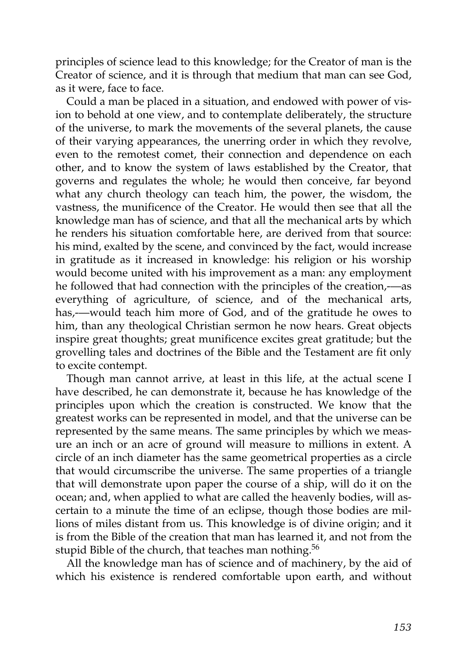principles of science lead to this knowledge; for the Creator of man is the Creator of science, and it is through that medium that man can see God, as it were, face to face.

Could a man be placed in a situation, and endowed with power of vision to behold at one view, and to contemplate deliberately, the structure of the universe, to mark the movements of the several planets, the cause of their varying appearances, the unerring order in which they revolve, even to the remotest comet, their connection and dependence on each other, and to know the system of laws established by the Creator, that governs and regulates the whole; he would then conceive, far beyond what any church theology can teach him, the power, the wisdom, the vastness, the munificence of the Creator. He would then see that all the knowledge man has of science, and that all the mechanical arts by which he renders his situation comfortable here, are derived from that source: his mind, exalted by the scene, and convinced by the fact, would increase in gratitude as it increased in knowledge: his religion or his worship would become united with his improvement as a man: any employment he followed that had connection with the principles of the creation,-—as everything of agriculture, of science, and of the mechanical arts, has,—would teach him more of God, and of the gratitude he owes to him, than any theological Christian sermon he now hears. Great objects inspire great thoughts; great munificence excites great gratitude; but the grovelling tales and doctrines of the Bible and the Testament are fit only to excite contempt.

Though man cannot arrive, at least in this life, at the actual scene I have described, he can demonstrate it, because he has knowledge of the principles upon which the creation is constructed. We know that the greatest works can be represented in model, and that the universe can be represented by the same means. The same principles by which we measure an inch or an acre of ground will measure to millions in extent. A circle of an inch diameter has the same geometrical properties as a circle that would circumscribe the universe. The same properties of a triangle that will demonstrate upon paper the course of a ship, will do it on the ocean; and, when applied to what are called the heavenly bodies, will ascertain to a minute the time of an eclipse, though those bodies are millions of miles distant from us. This knowledge is of divine origin; and it is from the Bible of the creation that man has learned it, and not from the stupid Bible of the church, that teaches man nothing.<sup>[56](http://en.wikisource.org/wiki/The_Age_of_Reason/Part_II/Chapter_III#cite_note-4)</sup>

All the knowledge man has of science and of machinery, by the aid of which his existence is rendered comfortable upon earth, and without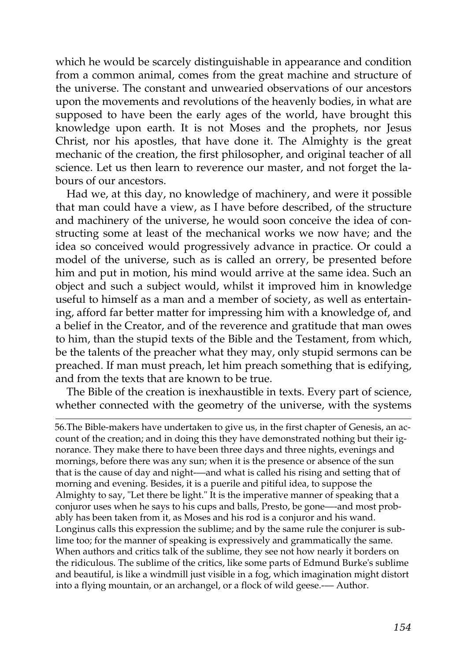which he would be scarcely distinguishable in appearance and condition from a common animal, comes from the great machine and structure of the universe. The constant and unwearied observations of our ancestors upon the movements and revolutions of the heavenly bodies, in what are supposed to have been the early ages of the world, have brought this knowledge upon earth. It is not Moses and the prophets, nor Jesus Christ, nor his apostles, that have done it. The Almighty is the great mechanic of the creation, the first philosopher, and original teacher of all science. Let us then learn to reverence our master, and not forget the labours of our ancestors.

Had we, at this day, no knowledge of machinery, and were it possible that man could have a view, as I have before described, of the structure and machinery of the universe, he would soon conceive the idea of constructing some at least of the mechanical works we now have; and the idea so conceived would progressively advance in practice. Or could a model of the universe, such as is called an orrery, be presented before him and put in motion, his mind would arrive at the same idea. Such an object and such a subject would, whilst it improved him in knowledge useful to himself as a man and a member of society, as well as entertaining, afford far better matter for impressing him with a knowledge of, and a belief in the Creator, and of the reverence and gratitude that man owes to him, than the stupid texts of the Bible and the Testament, from which, be the talents of the preacher what they may, only stupid sermons can be preached. If man must preach, let him preach something that is edifying, and from the texts that are known to be true.

The Bible of the creation is inexhaustible in texts. Every part of science, whether connected with the geometry of the universe, with the systems

[56.The Bible-makers have undertaken to give us, in the first chapter of Genesis, an ac](http://en.wikisource.org/wiki/The_Age_of_Reason/Part_II/Chapter_III#cite_note-4)count of the creation; and in doing this they have demonstrated nothing but their ignorance. They make there to have been three days and three nights, evenings and mornings, before there was any sun; when it is the presence or absence of the sun that is the cause of day and night-—and what is called his rising and setting that of morning and evening. Besides, it is a puerile and pitiful idea, to suppose the Almighty to say, "Let there be light." It is the imperative manner of speaking that a conjuror uses when he says to his cups and balls, Presto, be gone—-and most probably has been taken from it, as Moses and his rod is a conjuror and his wand. Longinus calls this expression the sublime; and by the same rule the conjurer is sublime too; for the manner of speaking is expressively and grammatically the same. When authors and critics talk of the sublime, they see not how nearly it borders on the ridiculous. The sublime of the critics, like some parts of Edmund Burke's sublime and beautiful, is like a windmill just visible in a fog, which imagination might distort into a flying mountain, or an archangel, or a flock of wild geese.— Author.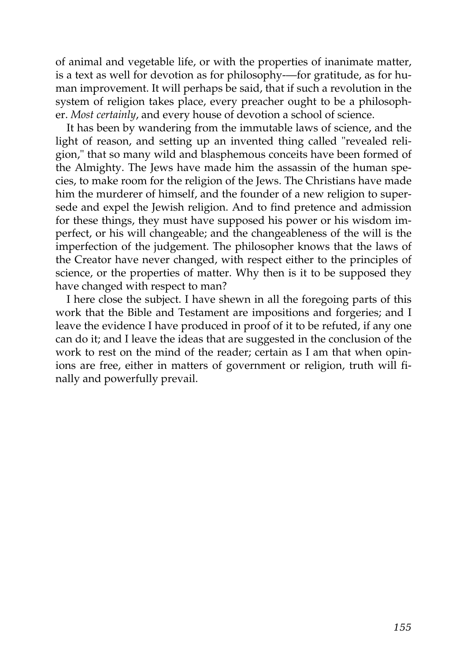of animal and vegetable life, or with the properties of inanimate matter, is a text as well for devotion as for philosophy-—for gratitude, as for human improvement. It will perhaps be said, that if such a revolution in the system of religion takes place, every preacher ought to be a philosopher. *Most certainly*, and every house of devotion a school of science.

It has been by wandering from the immutable laws of science, and the light of reason, and setting up an invented thing called "revealed religion," that so many wild and blasphemous conceits have been formed of the Almighty. The Jews have made him the assassin of the human species, to make room for the religion of the Jews. The Christians have made him the murderer of himself, and the founder of a new religion to supersede and expel the Jewish religion. And to find pretence and admission for these things, they must have supposed his power or his wisdom imperfect, or his will changeable; and the changeableness of the will is the imperfection of the judgement. The philosopher knows that the laws of the Creator have never changed, with respect either to the principles of science, or the properties of matter. Why then is it to be supposed they have changed with respect to man?

I here close the subject. I have shewn in all the foregoing parts of this work that the Bible and Testament are impositions and forgeries; and I leave the evidence I have produced in proof of it to be refuted, if any one can do it; and I leave the ideas that are suggested in the conclusion of the work to rest on the mind of the reader; certain as I am that when opinions are free, either in matters of government or religion, truth will finally and powerfully prevail.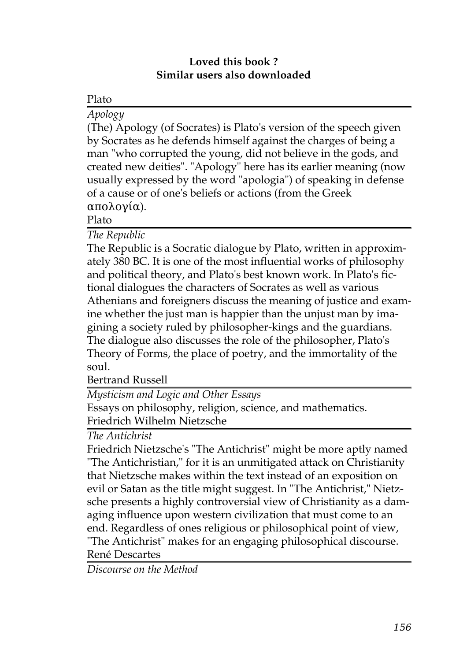### **Loved this book ? Similar users also downloaded**

# Plato

*[Apology](http://generation.feedbooks.com/book/678.pdf)*

(The) Apology (of Socrates) is Plato's version of the speech given by Socrates as he defends himself against the charges of being a man "who corrupted the young, did not believe in the gods, and created new deities". "Apology" here has its earlier meaning (now usually expressed by the word "apologia") of speaking in defense of a cause or of one's beliefs or actions (from the Greek απολογία).

Plato

*[The Republic](http://generation.feedbooks.com/book/4104.pdf)*

The Republic is a Socratic dialogue by Plato, written in approximately 380 BC. It is one of the most influential works of philosophy and political theory, and Plato's best known work. In Plato's fictional dialogues the characters of Socrates as well as various Athenians and foreigners discuss the meaning of justice and examine whether the just man is happier than the unjust man by imagining a society ruled by philosopher-kings and the guardians. The dialogue also discusses the role of the philosopher, Plato's Theory of Forms, the place of poetry, and the immortality of the soul.

Bertrand Russell

*[Mysticism and Logic and Other Essays](http://generation.feedbooks.com/book/4123.pdf)*

Essays on philosophy, religion, science, and mathematics. Friedrich Wilhelm Nietzsche

*[The Antichrist](http://generation.feedbooks.com/book/711.pdf)*

Friedrich Nietzsche's "The Antichrist" might be more aptly named "The Antichristian," for it is an unmitigated attack on Christianity that Nietzsche makes within the text instead of an exposition on evil or Satan as the title might suggest. In "The Antichrist," Nietzsche presents a highly controversial view of Christianity as a damaging influence upon western civilization that must come to an end. Regardless of ones religious or philosophical point of view, "The Antichrist" makes for an engaging philosophical discourse. René Descartes

*[Discourse on the Method](http://generation.feedbooks.com/book/677.pdf)*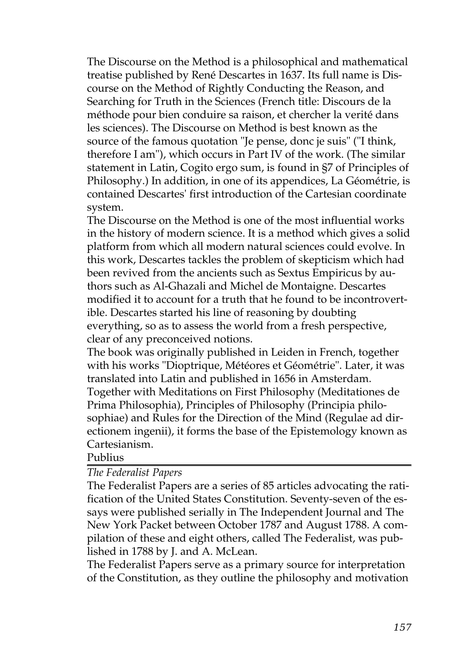The Discourse on the Method is a philosophical and mathematical treatise published by René Descartes in 1637. Its full name is Discourse on the Method of Rightly Conducting the Reason, and Searching for Truth in the Sciences (French title: Discours de la méthode pour bien conduire sa raison, et chercher la verité dans les sciences). The Discourse on Method is best known as the source of the famous quotation "Je pense, donc je suis" ("I think, therefore I am"), which occurs in Part IV of the work. (The similar statement in Latin, Cogito ergo sum, is found in §7 of Principles of Philosophy.) In addition, in one of its appendices, La Géométrie, is contained Descartes' first introduction of the Cartesian coordinate system.

The Discourse on the Method is one of the most influential works in the history of modern science. It is a method which gives a solid platform from which all modern natural sciences could evolve. In this work, Descartes tackles the problem of skepticism which had been revived from the ancients such as Sextus Empiricus by authors such as Al-Ghazali and Michel de Montaigne. Descartes modified it to account for a truth that he found to be incontrovertible. Descartes started his line of reasoning by doubting everything, so as to assess the world from a fresh perspective, clear of any preconceived notions.

The book was originally published in Leiden in French, together with his works "Dioptrique, Météores et Géométrie". Later, it was translated into Latin and published in 1656 in Amsterdam. Together with Meditations on First Philosophy (Meditationes de Prima Philosophia), Principles of Philosophy (Principia philosophiae) and Rules for the Direction of the Mind (Regulae ad directionem ingenii), it forms the base of the Epistemology known as Cartesianism.

#### Publius

#### *[The Federalist Papers](http://generation.feedbooks.com/book/2674.pdf)*

The Federalist Papers are a series of 85 articles advocating the ratification of the United States Constitution. Seventy-seven of the essays were published serially in The Independent Journal and The New York Packet between October 1787 and August 1788. A compilation of these and eight others, called The Federalist, was published in 1788 by J. and A. McLean.

The Federalist Papers serve as a primary source for interpretation of the Constitution, as they outline the philosophy and motivation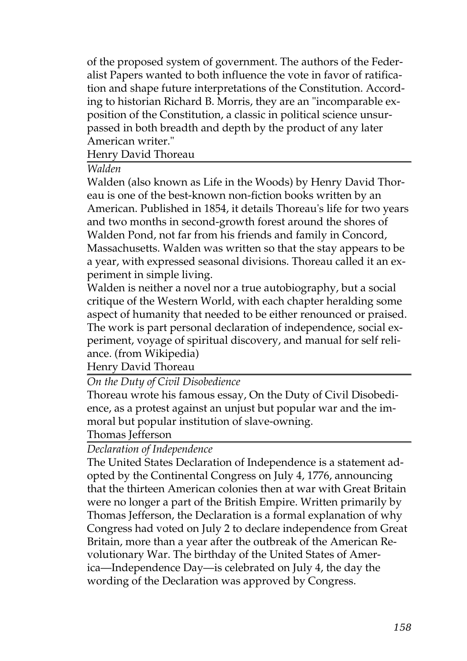of the proposed system of government. The authors of the Federalist Papers wanted to both influence the vote in favor of ratification and shape future interpretations of the Constitution. According to historian Richard B. Morris, they are an "incomparable exposition of the Constitution, a classic in political science unsurpassed in both breadth and depth by the product of any later American writer."

Henry David Thoreau

*[Walden](http://generation.feedbooks.com/book/3914.pdf)*

Walden (also known as Life in the Woods) by Henry David Thoreau is one of the best-known non-fiction books written by an American. Published in 1854, it details Thoreau's life for two years and two months in second-growth forest around the shores of Walden Pond, not far from his friends and family in Concord, Massachusetts. Walden was written so that the stay appears to be a year, with expressed seasonal divisions. Thoreau called it an experiment in simple living.

Walden is neither a novel nor a true autobiography, but a social critique of the Western World, with each chapter heralding some aspect of humanity that needed to be either renounced or praised. The work is part personal declaration of independence, social experiment, voyage of spiritual discovery, and manual for self reliance. (from Wikipedia)

Henry David Thoreau

# *[On the Duty of Civil Disobedience](http://generation.feedbooks.com/book/219.pdf)*

Thoreau wrote his famous essay, On the Duty of Civil Disobedience, as a protest against an unjust but popular war and the immoral but popular institution of slave-owning.

Thomas Jefferson

# *[Declaration of Independence](http://generation.feedbooks.com/book/2675.pdf)*

The United States Declaration of Independence is a statement adopted by the Continental Congress on July 4, 1776, announcing that the thirteen American colonies then at war with Great Britain were no longer a part of the British Empire. Written primarily by Thomas Jefferson, the Declaration is a formal explanation of why Congress had voted on July 2 to declare independence from Great Britain, more than a year after the outbreak of the American Revolutionary War. The birthday of the United States of America—Independence Day—is celebrated on July 4, the day the wording of the Declaration was approved by Congress.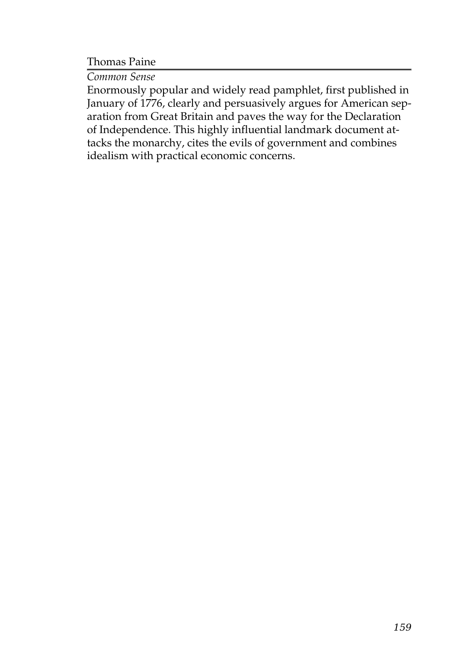Thomas Paine

*[Common Sense](http://generation.feedbooks.com/book/2850.pdf)*

Enormously popular and widely read pamphlet, first published in January of 1776, clearly and persuasively argues for American separation from Great Britain and paves the way for the Declaration of Independence. This highly influential landmark document attacks the monarchy, cites the evils of government and combines idealism with practical economic concerns.